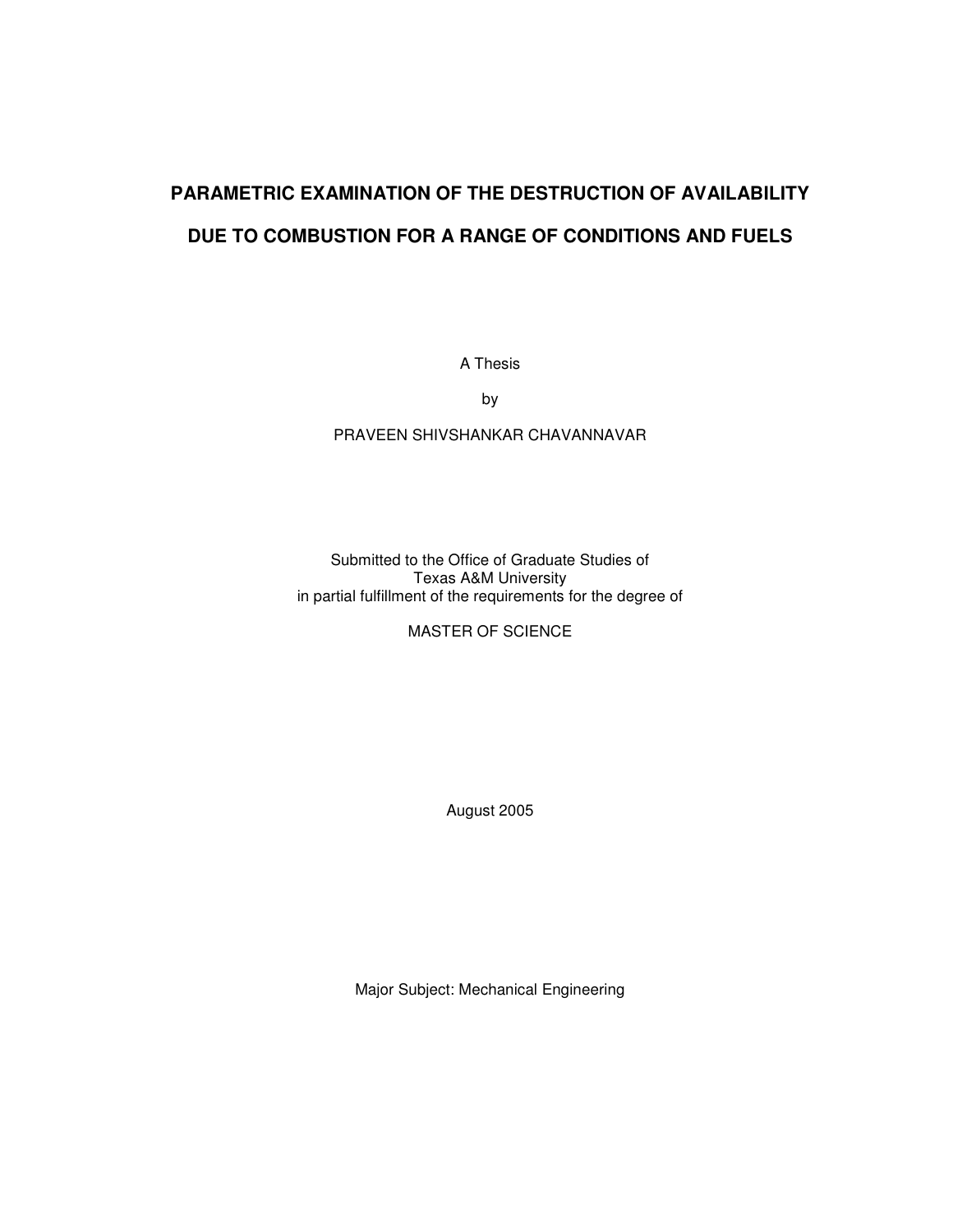# **PARAMETRIC EXAMINATION OF THE DESTRUCTION OF AVAILABILITY**

## **DUE TO COMBUSTION FOR A RANGE OF CONDITIONS AND FUELS**

A Thesis

by

### PRAVEEN SHIVSHANKAR CHAVANNAVAR

Submitted to the Office of Graduate Studies of Texas A&M University in partial fulfillment of the requirements for the degree of

MASTER OF SCIENCE

August 2005

Major Subject: Mechanical Engineering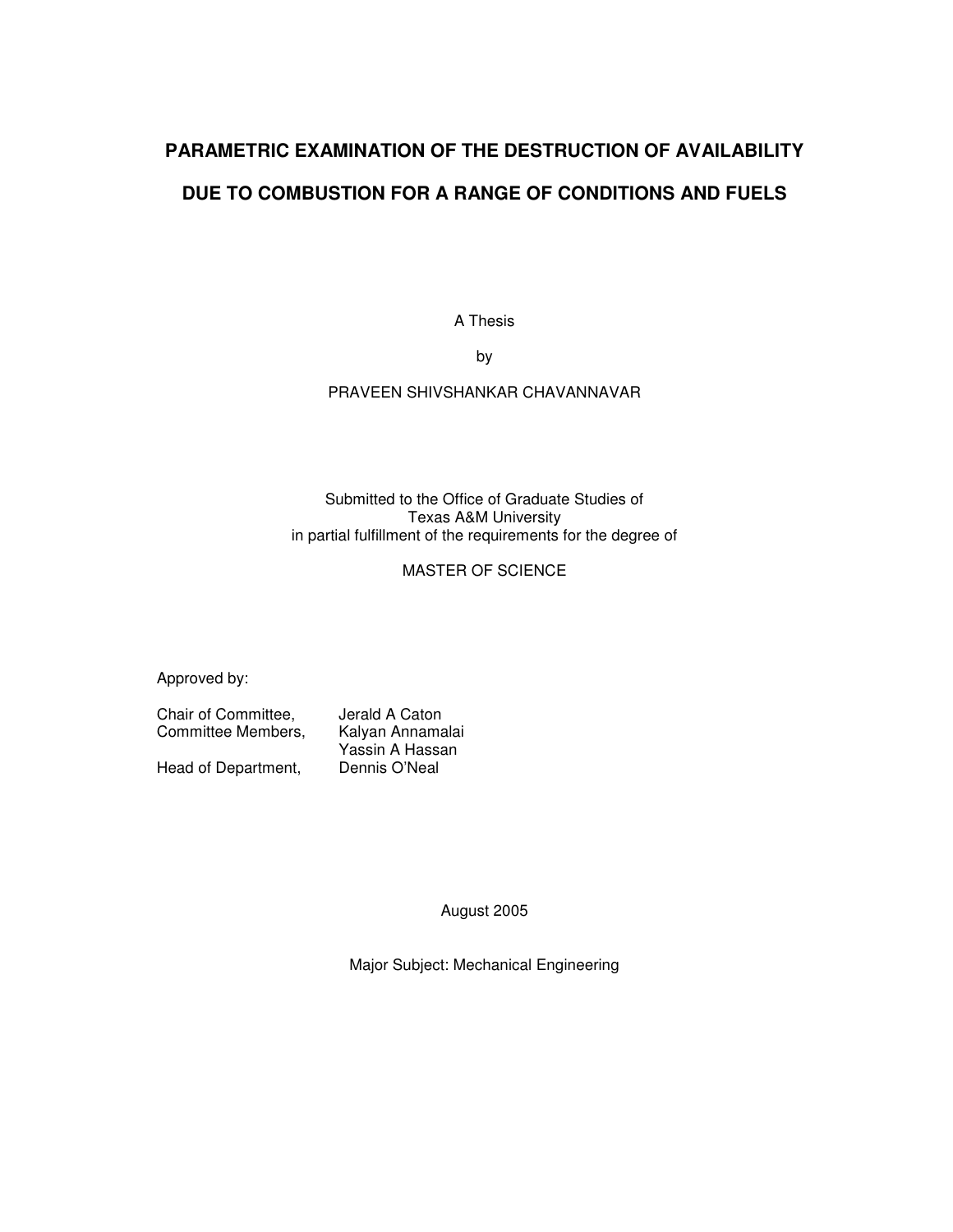## **PARAMETRIC EXAMINATION OF THE DESTRUCTION OF AVAILABILITY DUE TO COMBUSTION FOR A RANGE OF CONDITIONS AND FUELS**

A Thesis

by

PRAVEEN SHIVSHANKAR CHAVANNAVAR

#### Submitted to the Office of Graduate Studies of Texas A&M University in partial fulfillment of the requirements for the degree of

#### MASTER OF SCIENCE

Approved by:

Chair of Committee, Jerald A Caton Committee Members, Kalyan Annamalai Yassin A Hassan<br>Dennis O'Neal Head of Department,

August 2005

Major Subject: Mechanical Engineering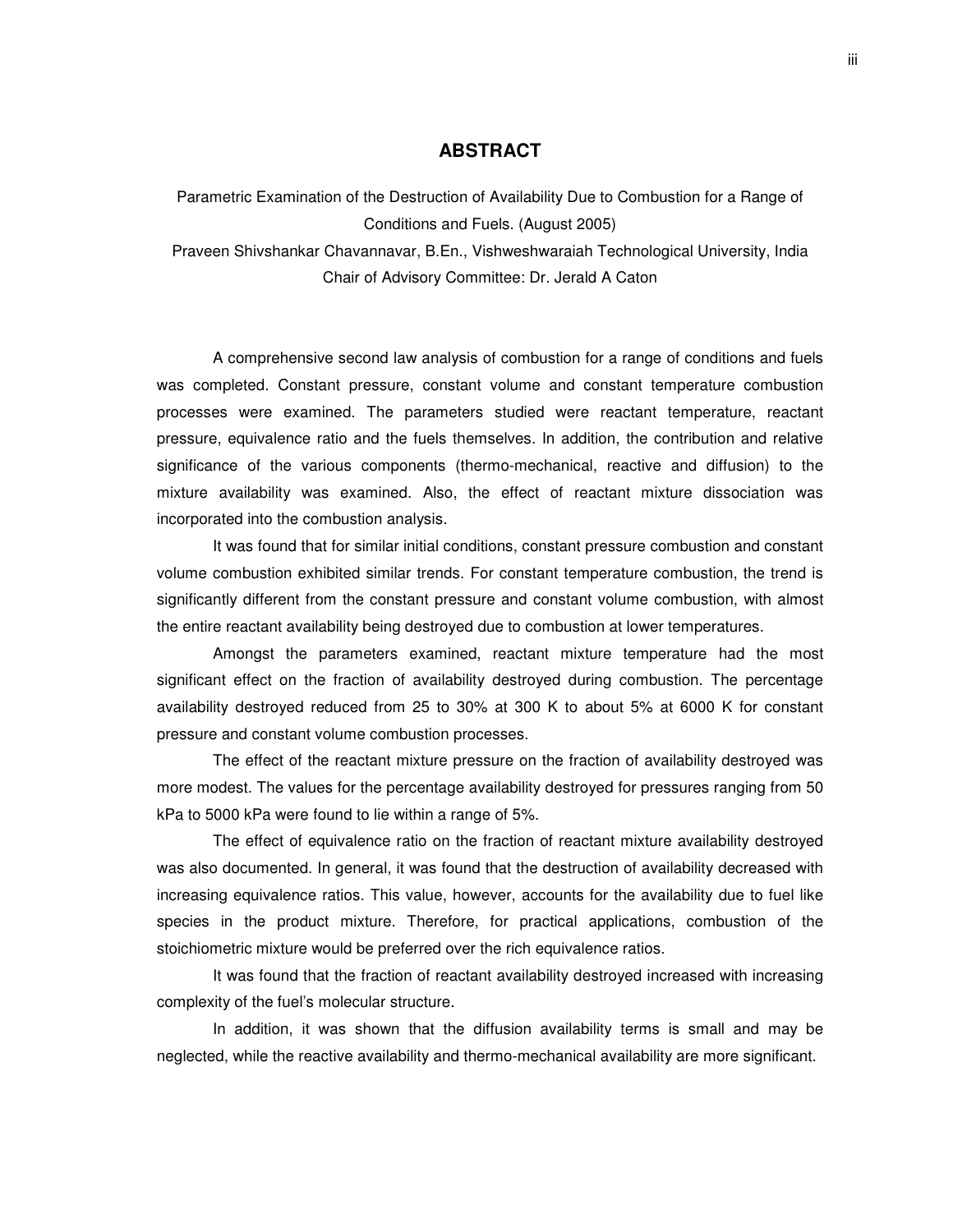#### **ABSTRACT**

Parametric Examination of the Destruction of Availability Due to Combustion for a Range of Conditions and Fuels. (August 2005)

Praveen Shivshankar Chavannavar, B.En., Vishweshwaraiah Technological University, India Chair of Advisory Committee: Dr. Jerald A Caton

A comprehensive second law analysis of combustion for a range of conditions and fuels was completed. Constant pressure, constant volume and constant temperature combustion processes were examined. The parameters studied were reactant temperature, reactant pressure, equivalence ratio and the fuels themselves. In addition, the contribution and relative significance of the various components (thermo-mechanical, reactive and diffusion) to the mixture availability was examined. Also, the effect of reactant mixture dissociation was incorporated into the combustion analysis.

It was found that for similar initial conditions, constant pressure combustion and constant volume combustion exhibited similar trends. For constant temperature combustion, the trend is significantly different from the constant pressure and constant volume combustion, with almost the entire reactant availability being destroyed due to combustion at lower temperatures.

Amongst the parameters examined, reactant mixture temperature had the most significant effect on the fraction of availability destroyed during combustion. The percentage availability destroyed reduced from 25 to 30% at 300 K to about 5% at 6000 K for constant pressure and constant volume combustion processes.

The effect of the reactant mixture pressure on the fraction of availability destroyed was more modest. The values for the percentage availability destroyed for pressures ranging from 50 kPa to 5000 kPa were found to lie within a range of 5%.

The effect of equivalence ratio on the fraction of reactant mixture availability destroyed was also documented. In general, it was found that the destruction of availability decreased with increasing equivalence ratios. This value, however, accounts for the availability due to fuel like species in the product mixture. Therefore, for practical applications, combustion of the stoichiometric mixture would be preferred over the rich equivalence ratios.

It was found that the fraction of reactant availability destroyed increased with increasing complexity of the fuel's molecular structure.

In addition, it was shown that the diffusion availability terms is small and may be neglected, while the reactive availability and thermo-mechanical availability are more significant.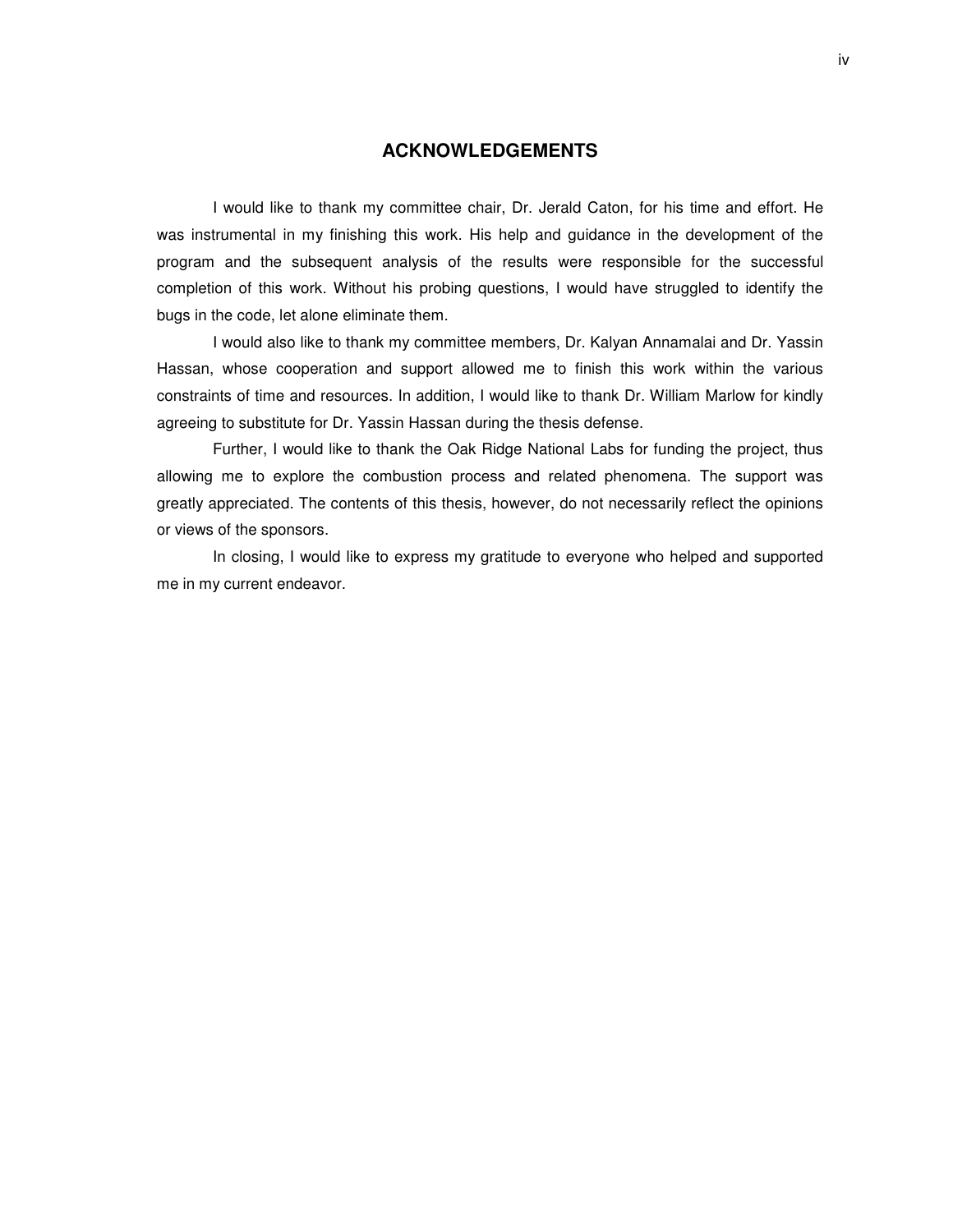#### **ACKNOWLEDGEMENTS**

I would like to thank my committee chair, Dr. Jerald Caton, for his time and effort. He was instrumental in my finishing this work. His help and guidance in the development of the program and the subsequent analysis of the results were responsible for the successful completion of this work. Without his probing questions, I would have struggled to identify the bugs in the code, let alone eliminate them.

I would also like to thank my committee members, Dr. Kalyan Annamalai and Dr. Yassin Hassan, whose cooperation and support allowed me to finish this work within the various constraints of time and resources. In addition, I would like to thank Dr. William Marlow for kindly agreeing to substitute for Dr. Yassin Hassan during the thesis defense.

Further, I would like to thank the Oak Ridge National Labs for funding the project, thus allowing me to explore the combustion process and related phenomena. The support was greatly appreciated. The contents of this thesis, however, do not necessarily reflect the opinions or views of the sponsors.

In closing, I would like to express my gratitude to everyone who helped and supported me in my current endeavor.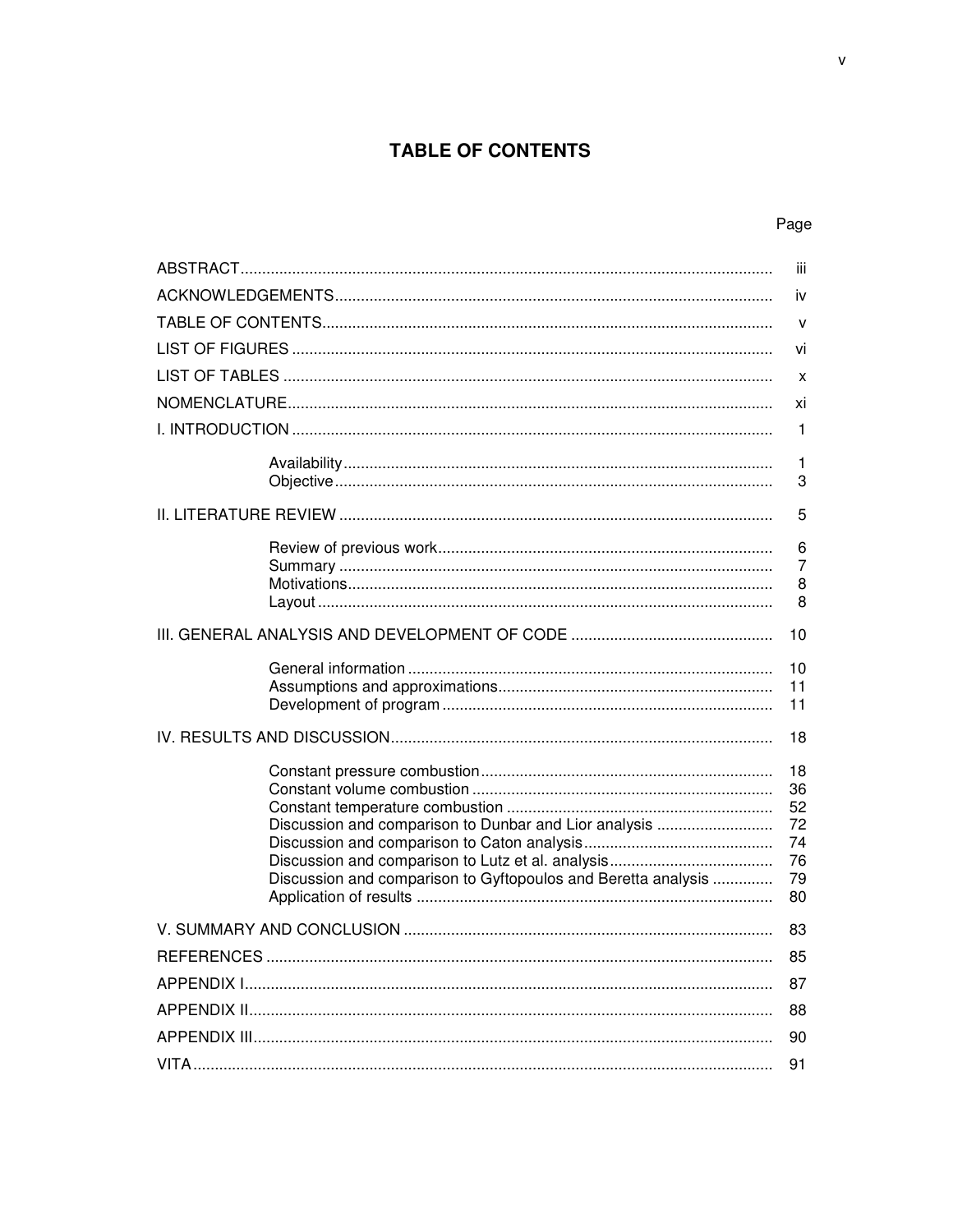## **TABLE OF CONTENTS**

## Page

| -iii |                                                                                                                        |                                              |
|------|------------------------------------------------------------------------------------------------------------------------|----------------------------------------------|
|      |                                                                                                                        |                                              |
|      |                                                                                                                        | $\mathsf{V}$                                 |
|      |                                                                                                                        | vi                                           |
|      |                                                                                                                        | X                                            |
|      |                                                                                                                        | xi                                           |
|      |                                                                                                                        | 1                                            |
|      |                                                                                                                        | 1<br>3                                       |
|      |                                                                                                                        | 5                                            |
|      |                                                                                                                        | 6<br>$\overline{7}$<br>8<br>8                |
|      |                                                                                                                        | 10                                           |
|      |                                                                                                                        | 10<br>11<br>11                               |
|      |                                                                                                                        | 18                                           |
|      | Discussion and comparison to Dunbar and Lior analysis<br>Discussion and comparison to Gyftopoulos and Beretta analysis | 18<br>36<br>52<br>72<br>74<br>76<br>79<br>80 |
|      |                                                                                                                        | 83                                           |
|      |                                                                                                                        | 85                                           |
|      |                                                                                                                        | 87                                           |
|      |                                                                                                                        | 88                                           |
|      |                                                                                                                        | 90                                           |
|      |                                                                                                                        | 91                                           |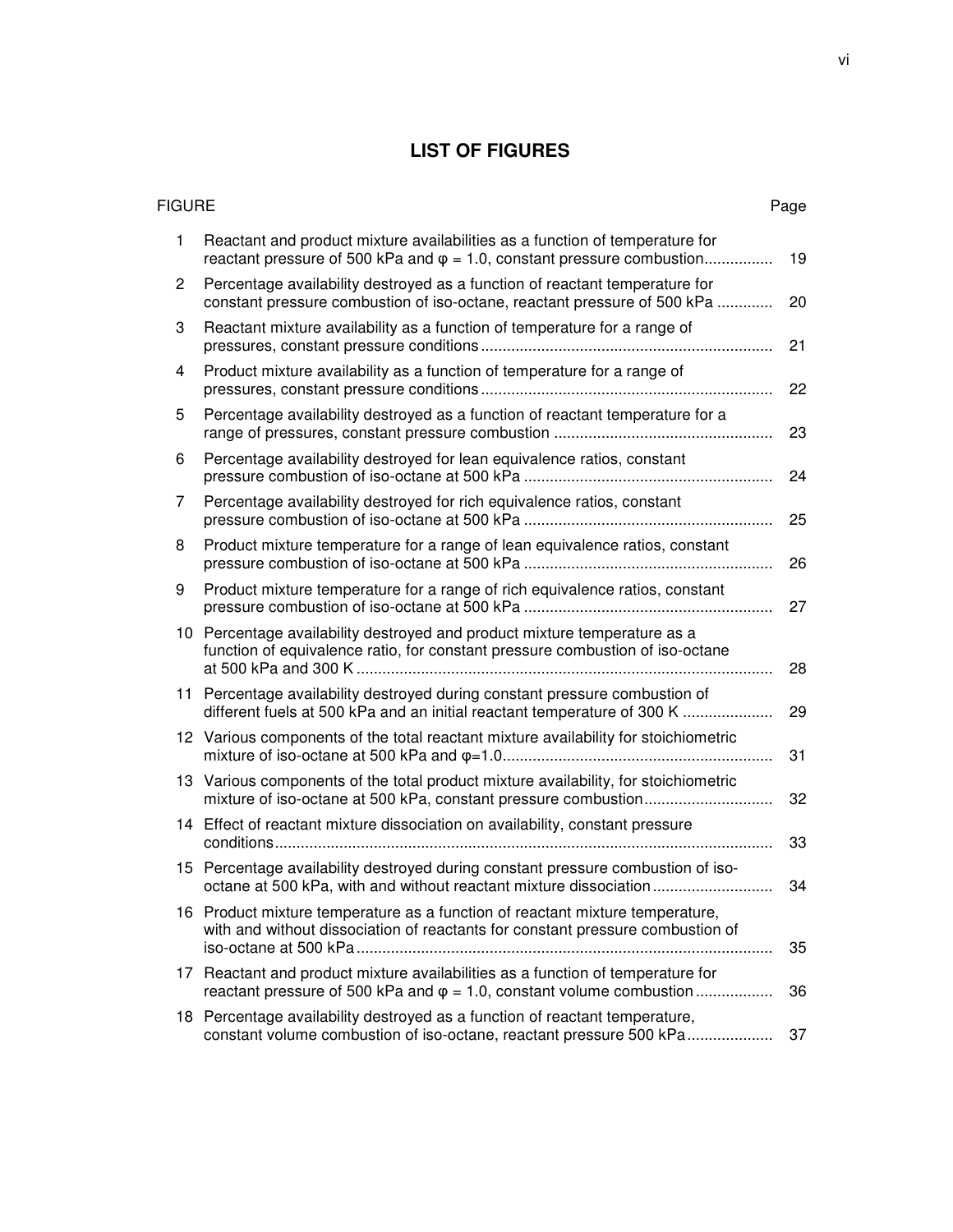## **LIST OF FIGURES**

| <b>FIGURE</b>  |                                                                                                                                                                  | Page |
|----------------|------------------------------------------------------------------------------------------------------------------------------------------------------------------|------|
| 1              | Reactant and product mixture availabilities as a function of temperature for<br>reactant pressure of 500 kPa and $\varphi = 1.0$ , constant pressure combustion  | 19   |
| $\overline{c}$ | Percentage availability destroyed as a function of reactant temperature for<br>constant pressure combustion of iso-octane, reactant pressure of 500 kPa          | 20   |
| 3              | Reactant mixture availability as a function of temperature for a range of                                                                                        | 21   |
| 4              | Product mixture availability as a function of temperature for a range of                                                                                         | 22   |
| 5              | Percentage availability destroyed as a function of reactant temperature for a                                                                                    | 23   |
| 6              | Percentage availability destroyed for lean equivalence ratios, constant                                                                                          | 24   |
| 7              | Percentage availability destroyed for rich equivalence ratios, constant                                                                                          | 25   |
| 8              | Product mixture temperature for a range of lean equivalence ratios, constant                                                                                     | 26   |
| 9              | Product mixture temperature for a range of rich equivalence ratios, constant                                                                                     | 27   |
|                | 10 Percentage availability destroyed and product mixture temperature as a<br>function of equivalence ratio, for constant pressure combustion of iso-octane       | 28   |
|                | 11 Percentage availability destroyed during constant pressure combustion of<br>different fuels at 500 kPa and an initial reactant temperature of 300 K           | 29   |
|                | 12 Various components of the total reactant mixture availability for stoichiometric                                                                              | 31   |
|                | 13 Various components of the total product mixture availability, for stoichiometric                                                                              | 32   |
|                | 14 Effect of reactant mixture dissociation on availability, constant pressure                                                                                    | 33   |
|                | 15 Percentage availability destroyed during constant pressure combustion of iso-<br>octane at 500 kPa, with and without reactant mixture dissociation            | 34   |
|                | 16 Product mixture temperature as a function of reactant mixture temperature,<br>with and without dissociation of reactants for constant pressure combustion of  | 35   |
|                | 17 Reactant and product mixture availabilities as a function of temperature for<br>reactant pressure of 500 kPa and $\varphi = 1.0$ , constant volume combustion | 36   |
|                | 18 Percentage availability destroyed as a function of reactant temperature,<br>constant volume combustion of iso-octane, reactant pressure 500 kPa               | 37   |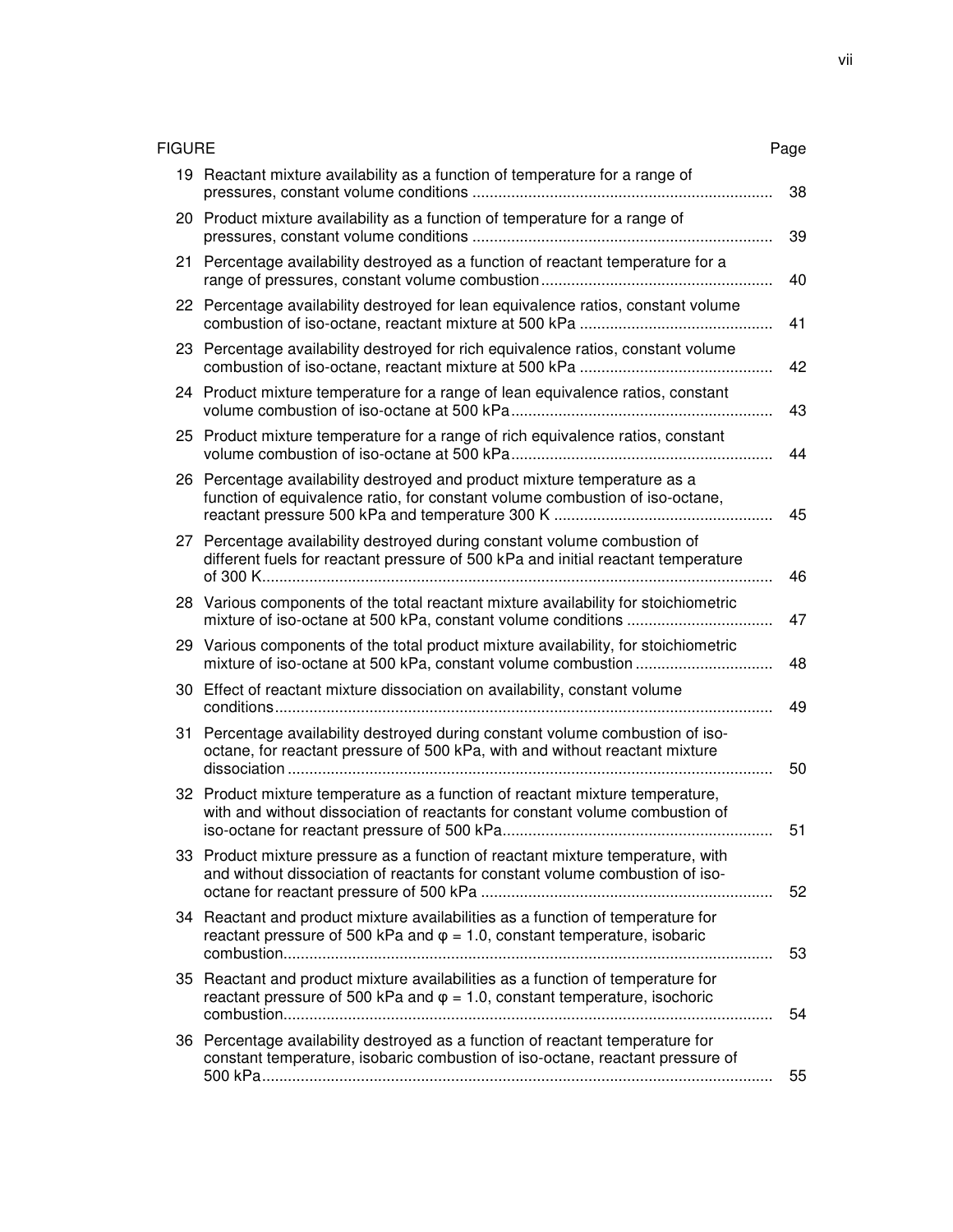| <b>FIGURE</b> |                                                                                                                                                                       | Page |
|---------------|-----------------------------------------------------------------------------------------------------------------------------------------------------------------------|------|
|               | 19 Reactant mixture availability as a function of temperature for a range of                                                                                          | 38   |
|               | 20 Product mixture availability as a function of temperature for a range of                                                                                           | 39   |
|               | 21 Percentage availability destroyed as a function of reactant temperature for a                                                                                      | 40   |
|               | 22 Percentage availability destroyed for lean equivalence ratios, constant volume                                                                                     | 41   |
|               | 23 Percentage availability destroyed for rich equivalence ratios, constant volume                                                                                     | 42   |
|               | 24 Product mixture temperature for a range of lean equivalence ratios, constant                                                                                       | 43   |
|               | 25 Product mixture temperature for a range of rich equivalence ratios, constant                                                                                       | 44   |
|               | 26 Percentage availability destroyed and product mixture temperature as a<br>function of equivalence ratio, for constant volume combustion of iso-octane,             | 45   |
|               | 27 Percentage availability destroyed during constant volume combustion of<br>different fuels for reactant pressure of 500 kPa and initial reactant temperature        | 46   |
|               | 28 Various components of the total reactant mixture availability for stoichiometric                                                                                   | 47   |
|               | 29 Various components of the total product mixture availability, for stoichiometric                                                                                   | 48   |
|               | 30 Effect of reactant mixture dissociation on availability, constant volume                                                                                           | 49   |
|               | 31 Percentage availability destroyed during constant volume combustion of iso-<br>octane, for reactant pressure of 500 kPa, with and without reactant mixture         | 50   |
|               | 32 Product mixture temperature as a function of reactant mixture temperature,<br>with and without dissociation of reactants for constant volume combustion of         | 51   |
|               | 33 Product mixture pressure as a function of reactant mixture temperature, with<br>and without dissociation of reactants for constant volume combustion of iso-       | 52   |
|               | 34 Reactant and product mixture availabilities as a function of temperature for<br>reactant pressure of 500 kPa and $\varphi = 1.0$ , constant temperature, isobaric  | 53   |
|               | 35 Reactant and product mixture availabilities as a function of temperature for<br>reactant pressure of 500 kPa and $\varphi = 1.0$ , constant temperature, isochoric | 54   |
|               | 36 Percentage availability destroyed as a function of reactant temperature for<br>constant temperature, isobaric combustion of iso-octane, reactant pressure of       | 55   |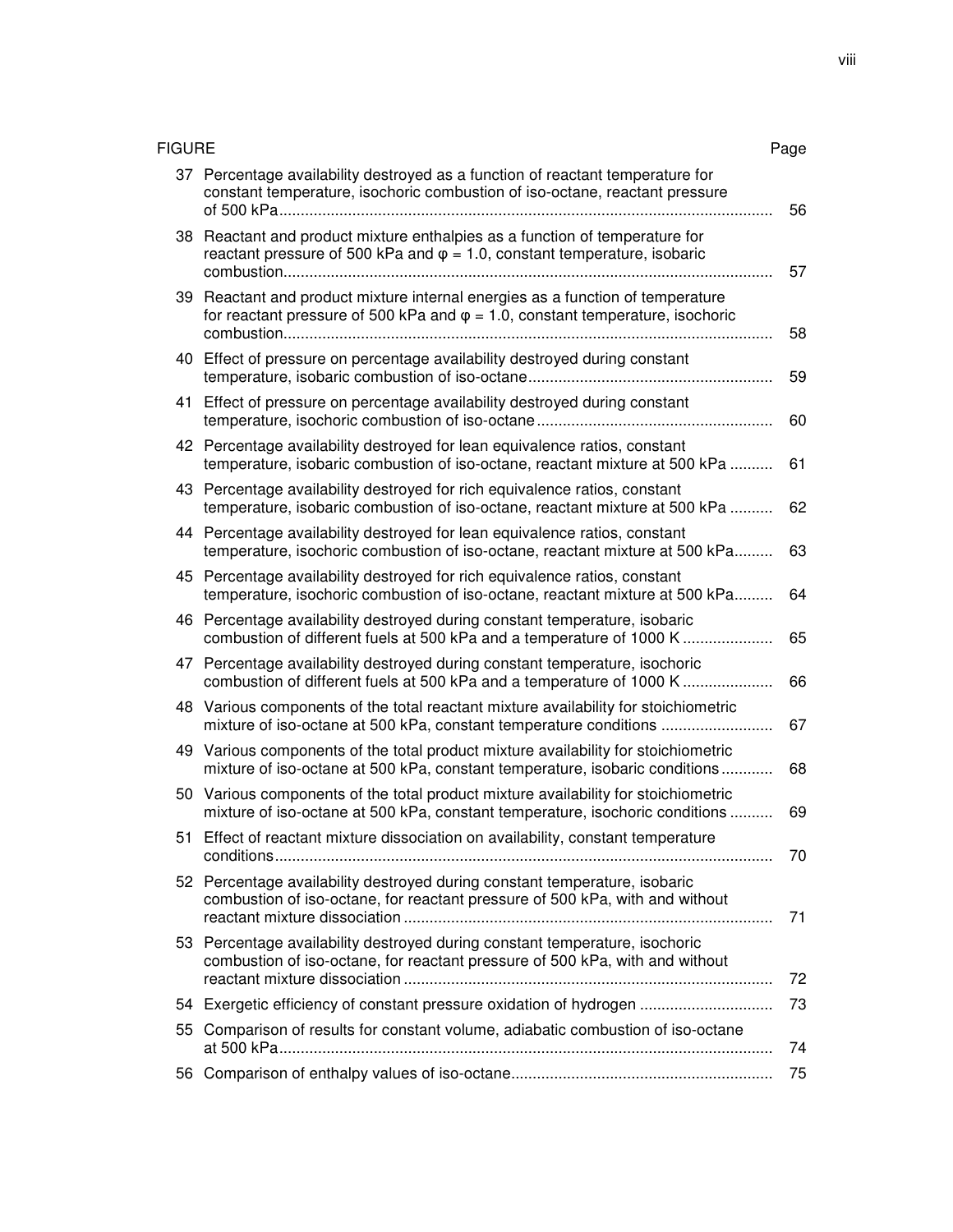| <b>FIGURE</b> |                                                                                                                                                                          | Page |
|---------------|--------------------------------------------------------------------------------------------------------------------------------------------------------------------------|------|
|               | 37 Percentage availability destroyed as a function of reactant temperature for<br>constant temperature, isochoric combustion of iso-octane, reactant pressure            | 56   |
|               | 38 Reactant and product mixture enthalpies as a function of temperature for<br>reactant pressure of 500 kPa and $\varphi = 1.0$ , constant temperature, isobaric         | 57   |
|               | 39 Reactant and product mixture internal energies as a function of temperature<br>for reactant pressure of 500 kPa and $\varphi = 1.0$ , constant temperature, isochoric | 58   |
|               | 40 Effect of pressure on percentage availability destroyed during constant                                                                                               | 59   |
|               | 41 Effect of pressure on percentage availability destroyed during constant                                                                                               | 60   |
|               | 42 Percentage availability destroyed for lean equivalence ratios, constant<br>temperature, isobaric combustion of iso-octane, reactant mixture at 500 kPa                | 61   |
|               | 43 Percentage availability destroyed for rich equivalence ratios, constant<br>temperature, isobaric combustion of iso-octane, reactant mixture at 500 kPa                | 62   |
|               | 44 Percentage availability destroyed for lean equivalence ratios, constant<br>temperature, isochoric combustion of iso-octane, reactant mixture at 500 kPa               | 63   |
|               | 45 Percentage availability destroyed for rich equivalence ratios, constant<br>temperature, isochoric combustion of iso-octane, reactant mixture at 500 kPa               | 64   |
|               | 46 Percentage availability destroyed during constant temperature, isobaric<br>combustion of different fuels at 500 kPa and a temperature of 1000 K                       | 65   |
|               | 47 Percentage availability destroyed during constant temperature, isochoric<br>combustion of different fuels at 500 kPa and a temperature of 1000 K                      | 66   |
|               | 48 Various components of the total reactant mixture availability for stoichiometric<br>mixture of iso-octane at 500 kPa, constant temperature conditions                 | 67   |
|               | 49 Various components of the total product mixture availability for stoichiometric<br>mixture of iso-octane at 500 kPa, constant temperature, isobaric conditions        | 68   |
|               | 50 Various components of the total product mixture availability for stoichiometric<br>mixture of iso-octane at 500 kPa, constant temperature, isochoric conditions       | 69   |
|               | 51 Effect of reactant mixture dissociation on availability, constant temperature                                                                                         | 70   |
|               | 52 Percentage availability destroyed during constant temperature, isobaric<br>combustion of iso-octane, for reactant pressure of 500 kPa, with and without               | 71   |
|               | 53 Percentage availability destroyed during constant temperature, isochoric<br>combustion of iso-octane, for reactant pressure of 500 kPa, with and without              | 72   |
|               | 54 Exergetic efficiency of constant pressure oxidation of hydrogen                                                                                                       | 73   |
| 55            | Comparison of results for constant volume, adiabatic combustion of iso-octane                                                                                            | 74   |
| 56.           |                                                                                                                                                                          | 75   |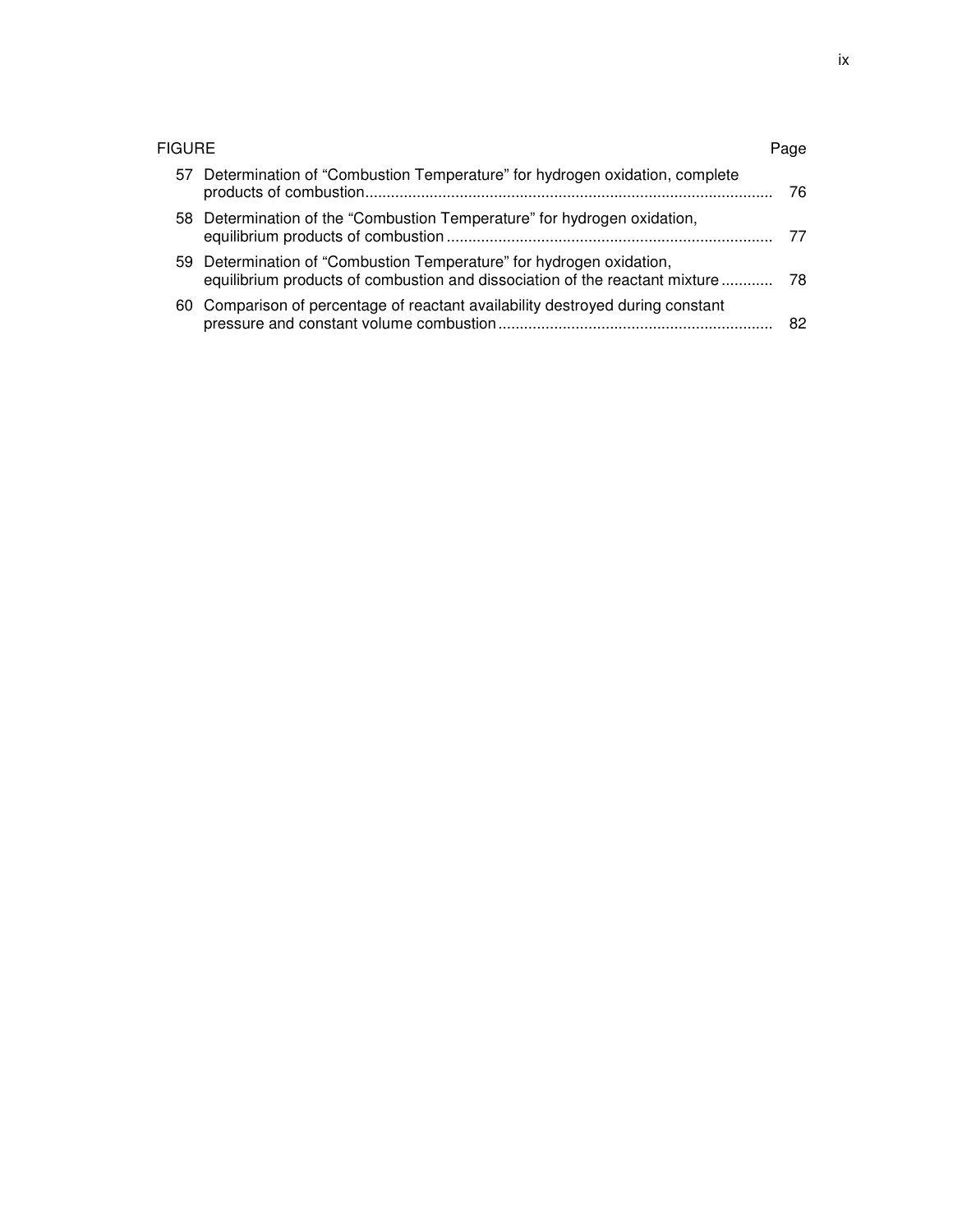| FIGURE |                                                                                                                                                     | Page |
|--------|-----------------------------------------------------------------------------------------------------------------------------------------------------|------|
|        | 57 Determination of "Combustion Temperature" for hydrogen oxidation, complete                                                                       | 76   |
|        | 58 Determination of the "Combustion Temperature" for hydrogen oxidation,                                                                            | 77   |
|        | 59 Determination of "Combustion Temperature" for hydrogen oxidation,<br>equilibrium products of combustion and dissociation of the reactant mixture | -78  |
|        | 60 Comparison of percentage of reactant availability destroyed during constant                                                                      | 82   |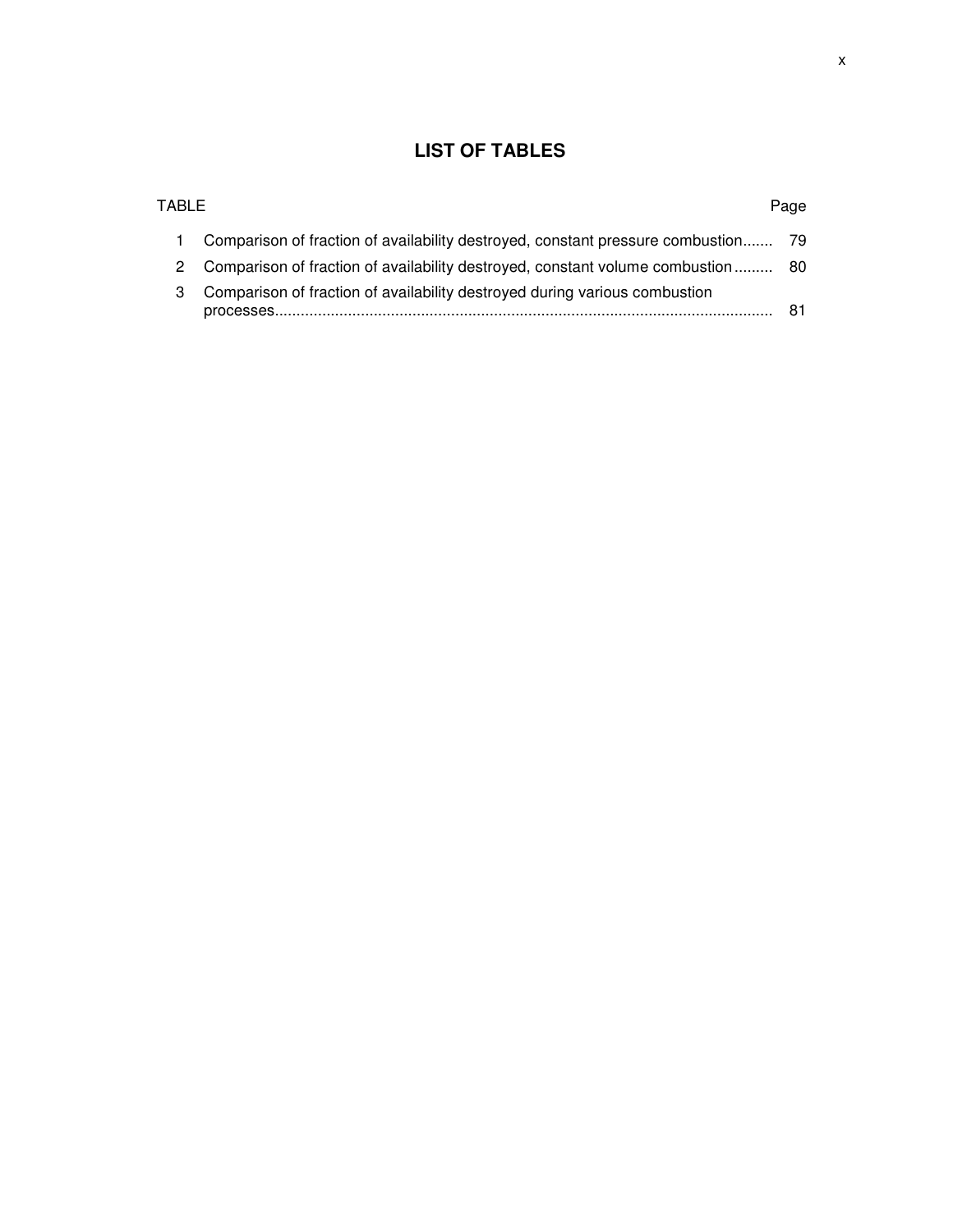## **LIST OF TABLES**

| TABL F |                                                                                         | Page |
|--------|-----------------------------------------------------------------------------------------|------|
|        | Comparison of fraction of availability destroyed, constant pressure combustion 79       |      |
|        | Comparison of fraction of availability destroyed, constant volume combustion 80         |      |
| 3      | Comparison of fraction of availability destroyed during various combustion<br>processes |      |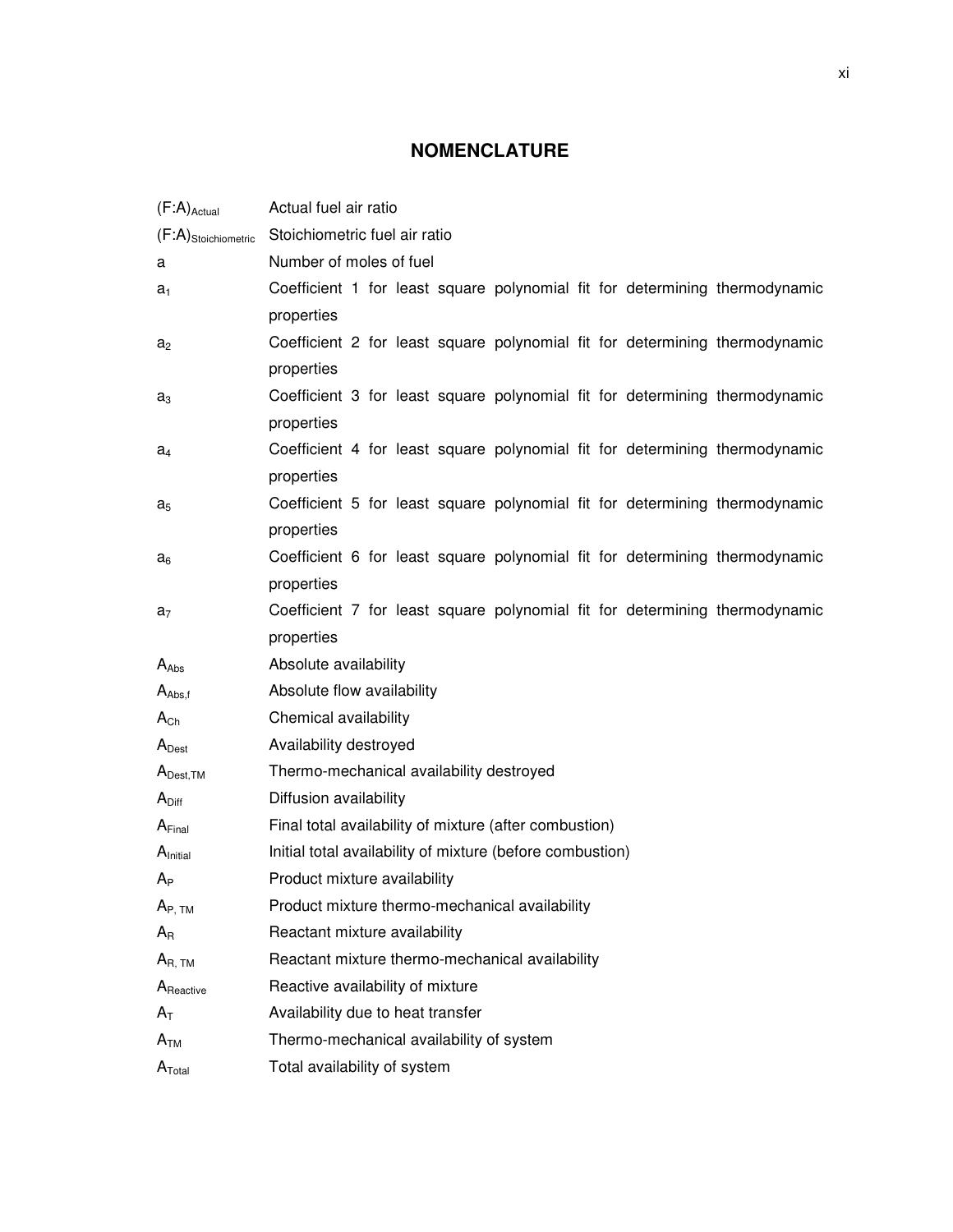## **NOMENCLATURE**

| $(F:A)_{\text{Actual}}$ | Actual fuel air ratio                                                       |  |  |
|-------------------------|-----------------------------------------------------------------------------|--|--|
| $(F:A)$ Stoichiometric  | Stoichiometric fuel air ratio                                               |  |  |
| a                       | Number of moles of fuel                                                     |  |  |
| $a_1$                   | Coefficient 1 for least square polynomial fit for determining thermodynamic |  |  |
|                         | properties                                                                  |  |  |
| a <sub>2</sub>          | Coefficient 2 for least square polynomial fit for determining thermodynamic |  |  |
|                         | properties                                                                  |  |  |
| $a_3$                   | Coefficient 3 for least square polynomial fit for determining thermodynamic |  |  |
|                         | properties                                                                  |  |  |
| $a_4$                   | Coefficient 4 for least square polynomial fit for determining thermodynamic |  |  |
|                         | properties                                                                  |  |  |
| $a_5$                   | Coefficient 5 for least square polynomial fit for determining thermodynamic |  |  |
|                         | properties                                                                  |  |  |
| $a_6$                   | Coefficient 6 for least square polynomial fit for determining thermodynamic |  |  |
|                         | properties                                                                  |  |  |
| $a_7$                   | Coefficient 7 for least square polynomial fit for determining thermodynamic |  |  |
|                         | properties                                                                  |  |  |
| $A_{Abs}$               | Absolute availability                                                       |  |  |
| $A_{\text{Abs,f}}$      | Absolute flow availability                                                  |  |  |
| $A_{Ch}$                | Chemical availability                                                       |  |  |
| $A_{\text{Dest}}$       | Availability destroyed                                                      |  |  |
| $A_{\text{Dest,TM}}$    | Thermo-mechanical availability destroyed                                    |  |  |
| $A_{\text{Diff}}$       | Diffusion availability                                                      |  |  |
| A <sub>Final</sub>      | Final total availability of mixture (after combustion)                      |  |  |
| A <sub>initial</sub>    | Initial total availability of mixture (before combustion)                   |  |  |
| $A_{P}$                 | Product mixture availability                                                |  |  |
| $A_{P, TM}$             | Product mixture thermo-mechanical availability                              |  |  |
| $A_{R}$                 | Reactant mixture availability                                               |  |  |
| $A_{R, TM}$             | Reactant mixture thermo-mechanical availability                             |  |  |
| A <sub>Reactive</sub>   | Reactive availability of mixture                                            |  |  |
| $A_T$                   | Availability due to heat transfer                                           |  |  |
| $A_{TM}$                | Thermo-mechanical availability of system                                    |  |  |
| $A_{\text{Total}}$      | Total availability of system                                                |  |  |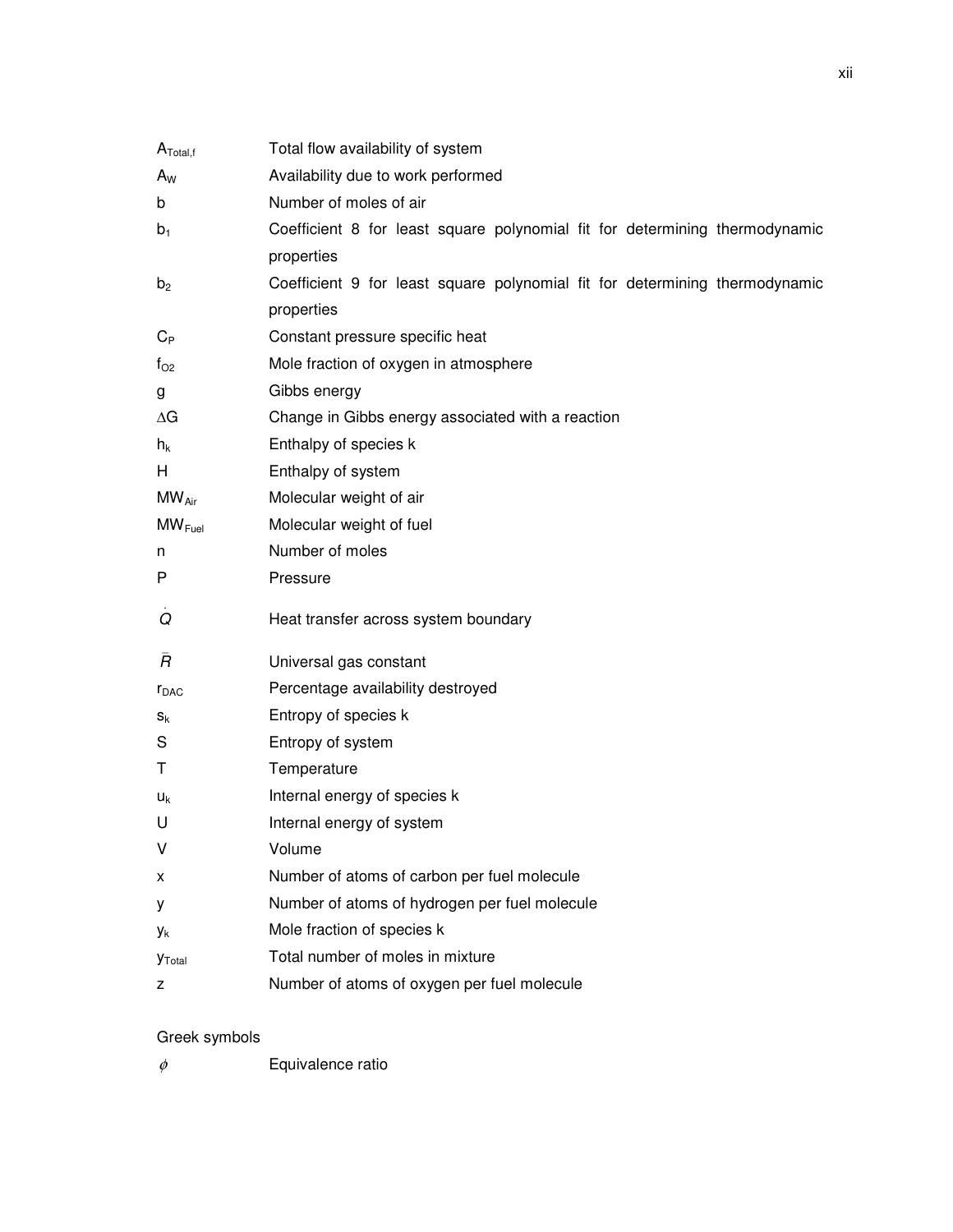| $A_{\text{Total},f}$ | Total flow availability of system                                           |  |  |
|----------------------|-----------------------------------------------------------------------------|--|--|
| $A_{W}$              | Availability due to work performed                                          |  |  |
| b                    | Number of moles of air                                                      |  |  |
| $b_1$                | Coefficient 8 for least square polynomial fit for determining thermodynamic |  |  |
|                      | properties                                                                  |  |  |
| b <sub>2</sub>       | Coefficient 9 for least square polynomial fit for determining thermodynamic |  |  |
|                      | properties                                                                  |  |  |
| $C_{P}$              | Constant pressure specific heat                                             |  |  |
| $f_{O2}$             | Mole fraction of oxygen in atmosphere                                       |  |  |
| g                    | Gibbs energy                                                                |  |  |
| ΔG                   | Change in Gibbs energy associated with a reaction                           |  |  |
| $h_k$                | Enthalpy of species k                                                       |  |  |
| H                    | Enthalpy of system                                                          |  |  |
| $MW_{Air}$           | Molecular weight of air                                                     |  |  |
| $MW_{Fuel}$          | Molecular weight of fuel                                                    |  |  |
| n                    | Number of moles                                                             |  |  |
|                      | Pressure                                                                    |  |  |
| P                    |                                                                             |  |  |
| Q                    | Heat transfer across system boundary                                        |  |  |
| Ā                    | Universal gas constant                                                      |  |  |
| r <sub>DAC</sub>     | Percentage availability destroyed                                           |  |  |
| $S_{k}$              | Entropy of species k                                                        |  |  |
| S                    | Entropy of system                                                           |  |  |
| Т                    | Temperature                                                                 |  |  |
| $U_{k}$              | Internal energy of species k                                                |  |  |
| U                    | Internal energy of system                                                   |  |  |
| v                    | Volume                                                                      |  |  |
| x                    | Number of atoms of carbon per fuel molecule                                 |  |  |
| у                    | Number of atoms of hydrogen per fuel molecule                               |  |  |
| Уk                   | Mole fraction of species k                                                  |  |  |
| <b>Y</b> Total       | Total number of moles in mixture                                            |  |  |

## Greek symbols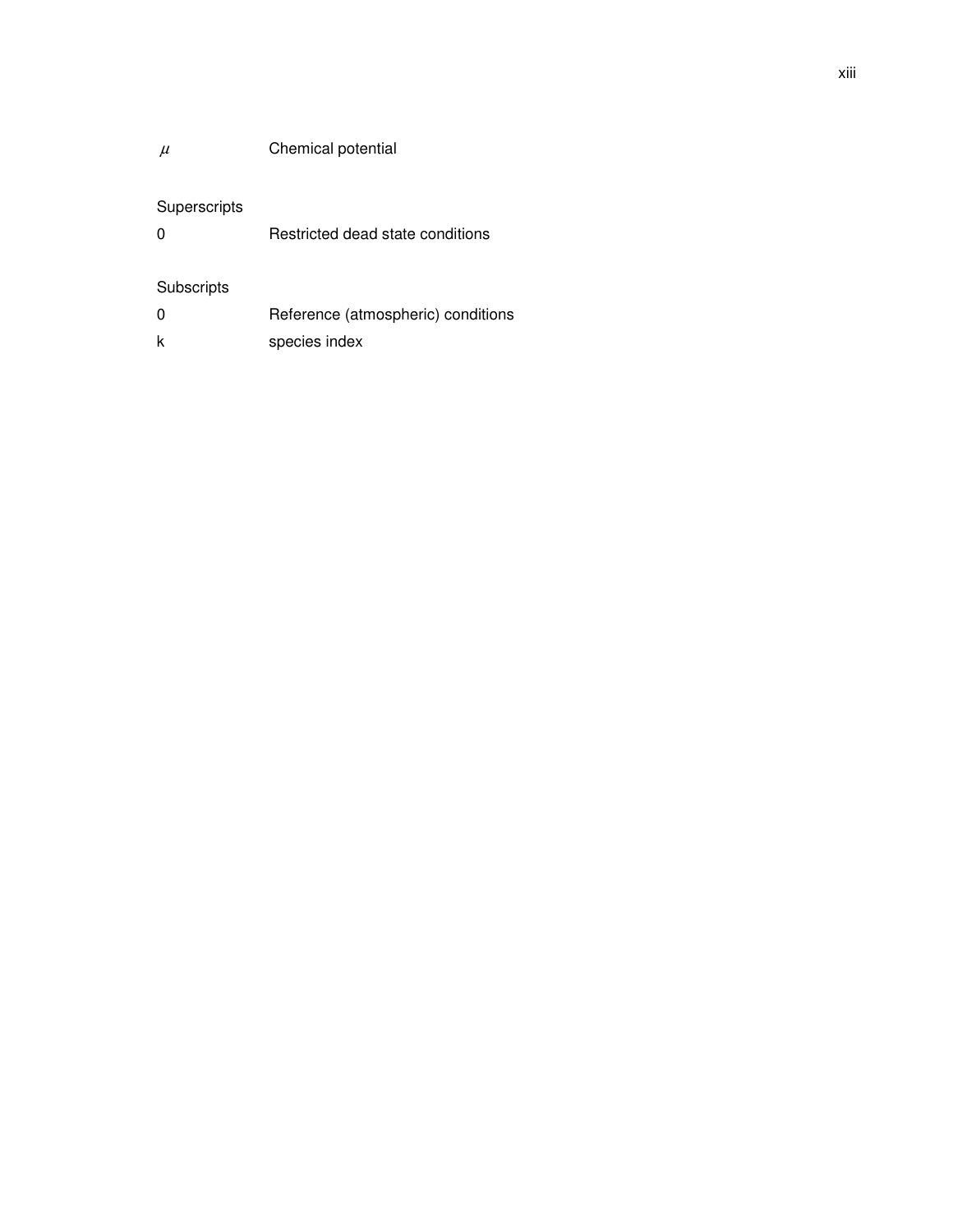## $\mu$  Chemical potential

## Superscripts

0 Restricted dead state conditions

## Subscripts

| 0 | Reference (atmospheric) conditions |
|---|------------------------------------|
|   | species index                      |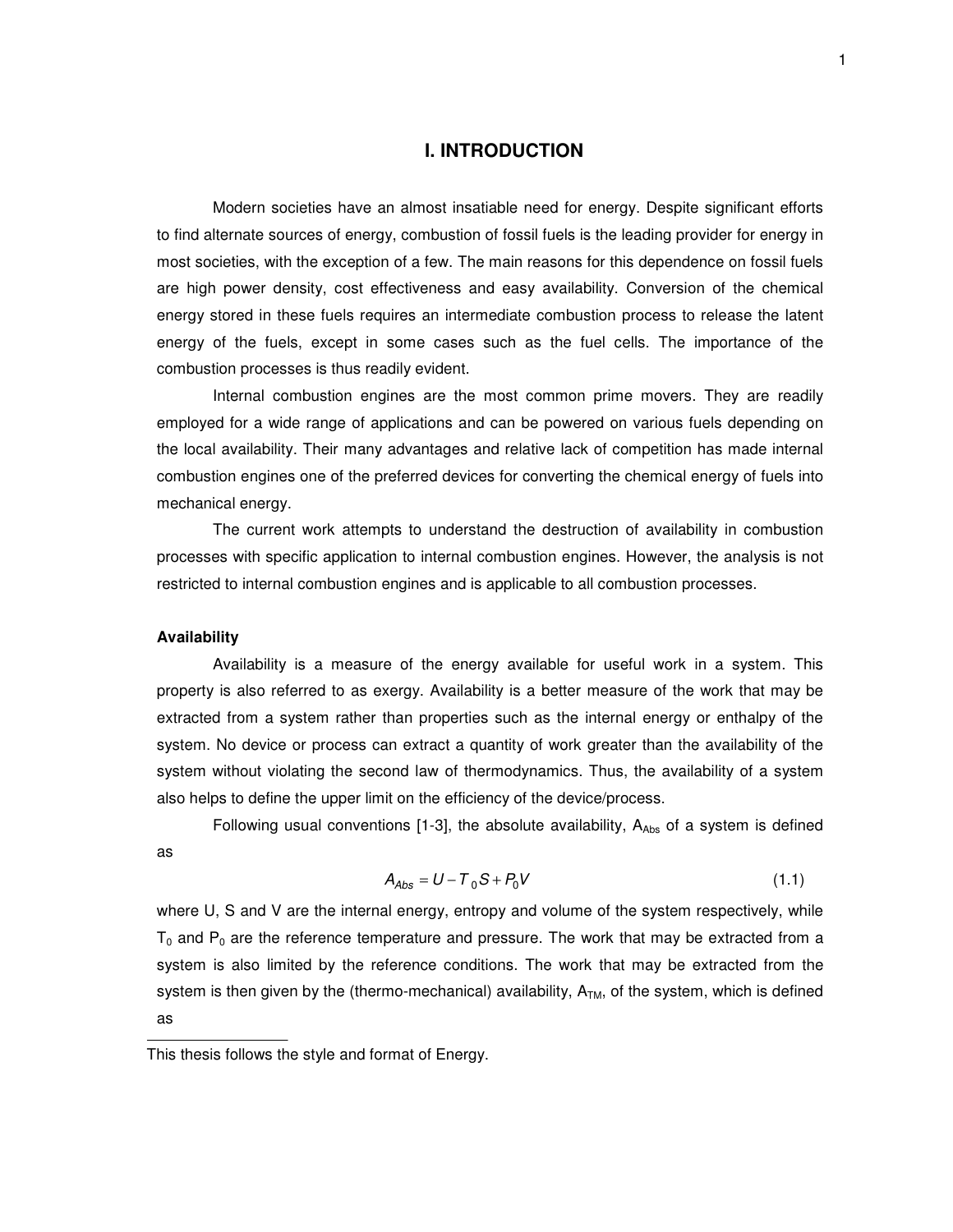#### **I. INTRODUCTION**

Modern societies have an almost insatiable need for energy. Despite significant efforts to find alternate sources of energy, combustion of fossil fuels is the leading provider for energy in most societies, with the exception of a few. The main reasons for this dependence on fossil fuels are high power density, cost effectiveness and easy availability. Conversion of the chemical energy stored in these fuels requires an intermediate combustion process to release the latent energy of the fuels, except in some cases such as the fuel cells. The importance of the combustion processes is thus readily evident.

Internal combustion engines are the most common prime movers. They are readily employed for a wide range of applications and can be powered on various fuels depending on the local availability. Their many advantages and relative lack of competition has made internal combustion engines one of the preferred devices for converting the chemical energy of fuels into mechanical energy.

The current work attempts to understand the destruction of availability in combustion processes with specific application to internal combustion engines. However, the analysis is not restricted to internal combustion engines and is applicable to all combustion processes.

#### **Availability**

Availability is a measure of the energy available for useful work in a system. This property is also referred to as exergy. Availability is a better measure of the work that may be extracted from a system rather than properties such as the internal energy or enthalpy of the system. No device or process can extract a quantity of work greater than the availability of the system without violating the second law of thermodynamics. Thus, the availability of a system also helps to define the upper limit on the efficiency of the device/process.

Following usual conventions [1-3], the absolute availability,  $A_{Abs}$  of a system is defined as

$$
A_{\text{Abs}} = U - T_0 S + P_0 V \tag{1.1}
$$

where U, S and V are the internal energy, entropy and volume of the system respectively, while  $T_0$  and  $P_0$  are the reference temperature and pressure. The work that may be extracted from a system is also limited by the reference conditions. The work that may be extracted from the system is then given by the (thermo-mechanical) availability,  $A<sub>TM</sub>$ , of the system, which is defined as

This thesis follows the style and format of Energy.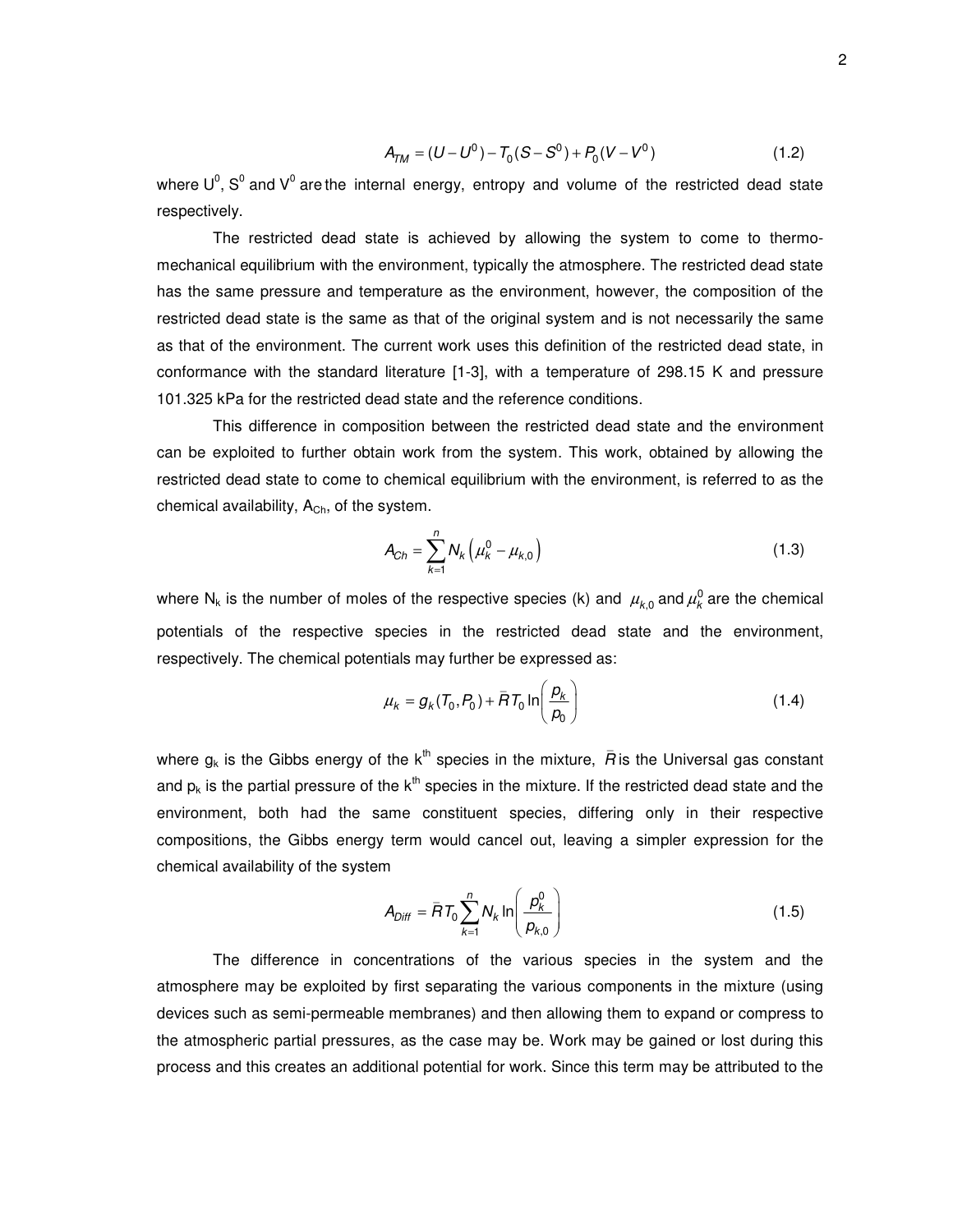$$
A_{TM} = (U - U^0) - T_0(S - S^0) + P_0(V - V^0)
$$
\n(1.2)

where  $\mathsf{U}^0$ ,  $\mathsf{S}^0$  and  $\mathsf{V}^0$  are the internal energy, entropy and volume of the restricted dead state respectively.

The restricted dead state is achieved by allowing the system to come to thermomechanical equilibrium with the environment, typically the atmosphere. The restricted dead state has the same pressure and temperature as the environment, however, the composition of the restricted dead state is the same as that of the original system and is not necessarily the same as that of the environment. The current work uses this definition of the restricted dead state, in conformance with the standard literature [1-3], with a temperature of 298.15 K and pressure 101.325 kPa for the restricted dead state and the reference conditions.

This difference in composition between the restricted dead state and the environment can be exploited to further obtain work from the system. This work, obtained by allowing the restricted dead state to come to chemical equilibrium with the environment, is referred to as the chemical availability,  $A<sub>Ch</sub>$ , of the system.

$$
A_{Ch} = \sum_{k=1}^{n} N_k \left( \mu_k^0 - \mu_{k,0} \right)
$$
 (1.3)

where N<sub>k</sub> is the number of moles of the respective species (k) and  $\mu_{k,0}^{}$  and  $\mu_k^0$  are the chemical potentials of the respective species in the restricted dead state and the environment, respectively. The chemical potentials may further be expressed as:

$$
\mu_k = g_k(T_0, P_0) + \overline{H}T_0 \ln\left(\frac{p_k}{p_0}\right)
$$
\n(1.4)

where  $g_k$  is the Gibbs energy of the  $k^{\text{th}}$  species in the mixture,  $\bar{R}$  is the Universal gas constant and  $p_k$  is the partial pressure of the  $k^{\text{th}}$  species in the mixture. If the restricted dead state and the environment, both had the same constituent species, differing only in their respective compositions, the Gibbs energy term would cancel out, leaving a simpler expression for the chemical availability of the system

$$
A_{Diff} = \overline{R}T_0 \sum_{k=1}^{n} N_k \ln \left( \frac{p_k^0}{p_{k,0}} \right)
$$
 (1.5)

The difference in concentrations of the various species in the system and the atmosphere may be exploited by first separating the various components in the mixture (using devices such as semi-permeable membranes) and then allowing them to expand or compress to the atmospheric partial pressures, as the case may be. Work may be gained or lost during this process and this creates an additional potential for work. Since this term may be attributed to the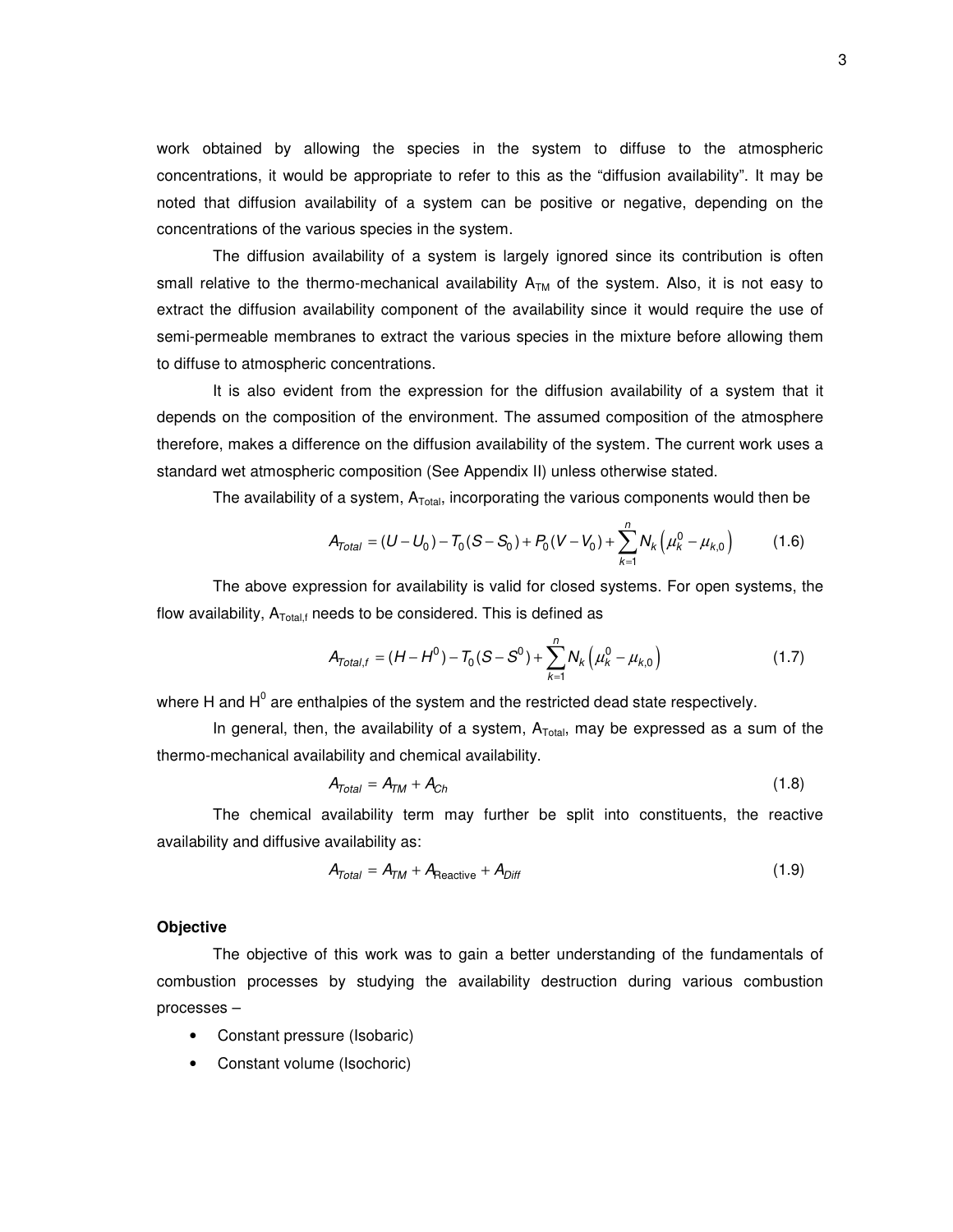work obtained by allowing the species in the system to diffuse to the atmospheric concentrations, it would be appropriate to refer to this as the "diffusion availability". It may be noted that diffusion availability of a system can be positive or negative, depending on the concentrations of the various species in the system.

The diffusion availability of a system is largely ignored since its contribution is often small relative to the thermo-mechanical availability  $A<sub>TM</sub>$  of the system. Also, it is not easy to extract the diffusion availability component of the availability since it would require the use of semi-permeable membranes to extract the various species in the mixture before allowing them to diffuse to atmospheric concentrations.

It is also evident from the expression for the diffusion availability of a system that it depends on the composition of the environment. The assumed composition of the atmosphere therefore, makes a difference on the diffusion availability of the system. The current work uses a standard wet atmospheric composition (See Appendix II) unless otherwise stated.

The availability of a system,  $\mathsf{A}_{\mathsf{Total}}$ , incorporating the various components would then be

$$
A_{Total} = (U - U_0) - T_0 (S - S_0) + P_0 (V - V_0) + \sum_{k=1}^{n} N_k (\mu_k^0 - \mu_{k,0})
$$
 (1.6)

The above expression for availability is valid for closed systems. For open systems, the flow availability,  $A_{\text{Total,f}}$  needs to be considered. This is defined as

$$
A_{Total,f} = (H - H^{0}) - T_{0}(S - S^{0}) + \sum_{k=1}^{n} N_{k} (\mu_{k}^{0} - \mu_{k,0})
$$
\n(1.7)

where H and H $^{\rm 0}$  are enthalpies of the system and the restricted dead state respectively.

In general, then, the availability of a system,  $A_{Total}$ , may be expressed as a sum of the thermo-mechanical availability and chemical availability.

$$
A_{Total} = A_{TM} + A_{Ch} \tag{1.8}
$$

The chemical availability term may further be split into constituents, the reactive availability and diffusive availability as:

$$
A_{Total} = A_{TM} + A_{Reactive} + A_{Diff}
$$
 (1.9)

#### **Objective**

The objective of this work was to gain a better understanding of the fundamentals of combustion processes by studying the availability destruction during various combustion processes –

- Constant pressure (Isobaric)
- Constant volume (Isochoric)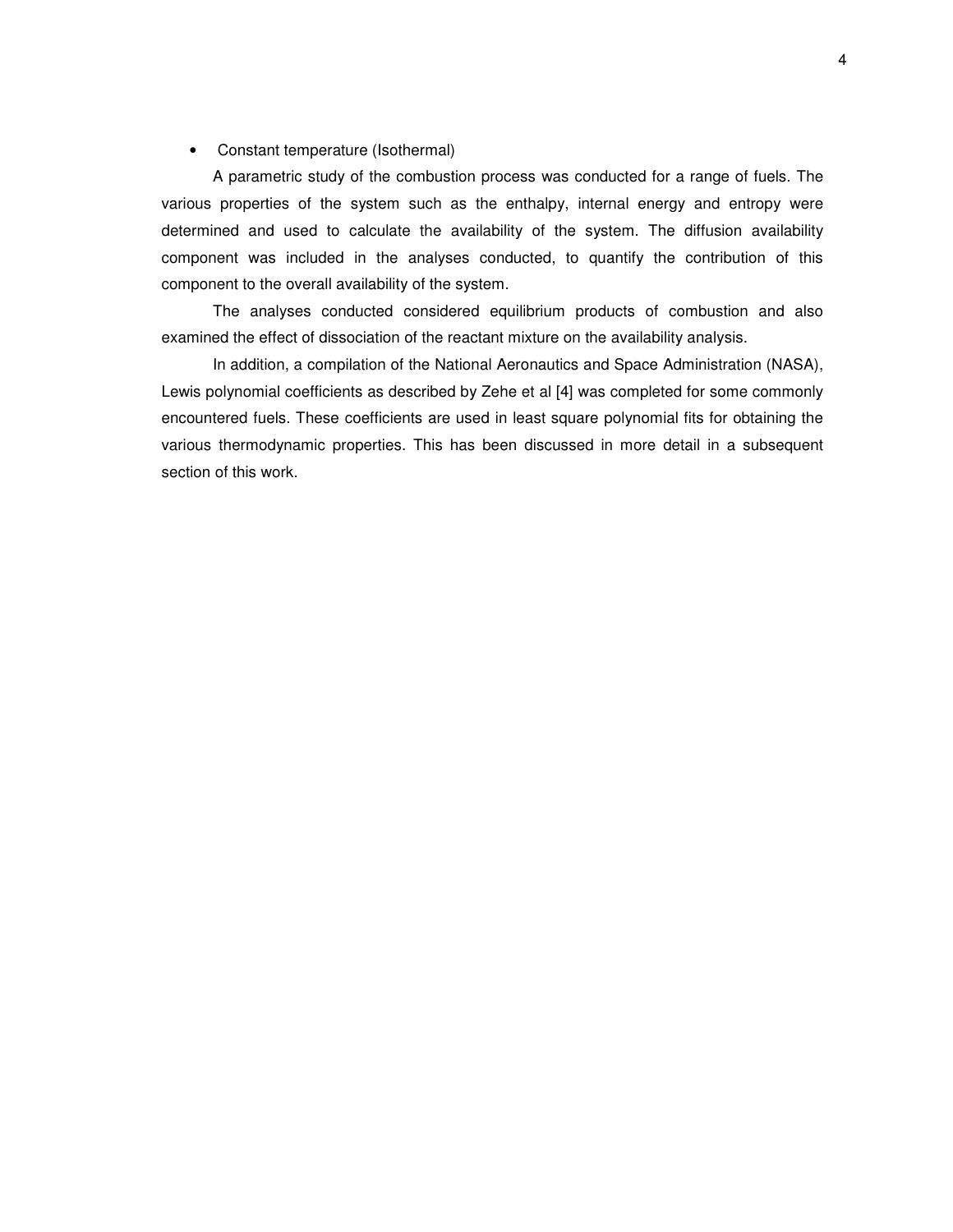#### • Constant temperature (Isothermal)

A parametric study of the combustion process was conducted for a range of fuels. The various properties of the system such as the enthalpy, internal energy and entropy were determined and used to calculate the availability of the system. The diffusion availability component was included in the analyses conducted, to quantify the contribution of this component to the overall availability of the system.

The analyses conducted considered equilibrium products of combustion and also examined the effect of dissociation of the reactant mixture on the availability analysis.

In addition, a compilation of the National Aeronautics and Space Administration (NASA), Lewis polynomial coefficients as described by Zehe et al [4] was completed for some commonly encountered fuels. These coefficients are used in least square polynomial fits for obtaining the various thermodynamic properties. This has been discussed in more detail in a subsequent section of this work.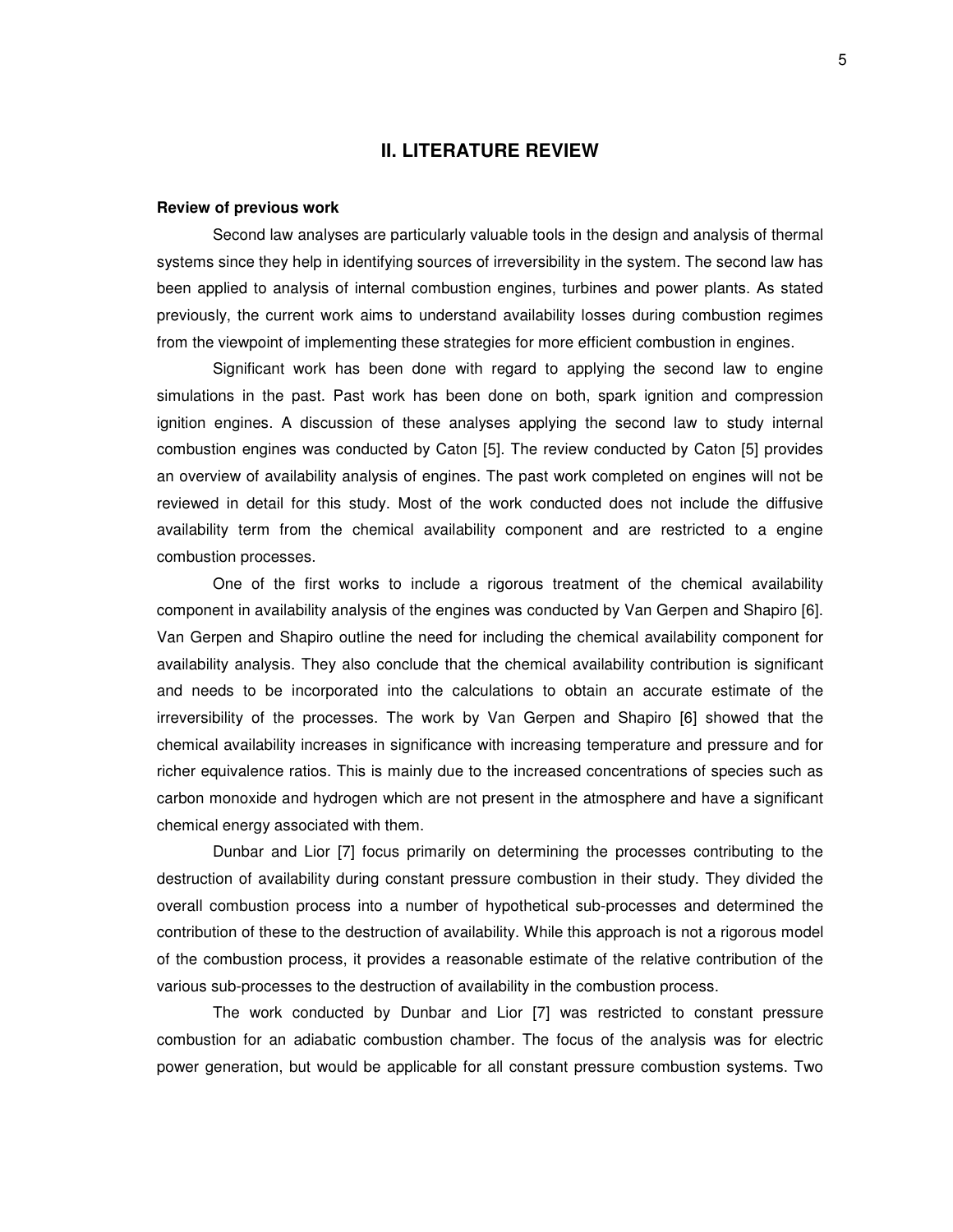#### **II. LITERATURE REVIEW**

#### **Review of previous work**

Second law analyses are particularly valuable tools in the design and analysis of thermal systems since they help in identifying sources of irreversibility in the system. The second law has been applied to analysis of internal combustion engines, turbines and power plants. As stated previously, the current work aims to understand availability losses during combustion regimes from the viewpoint of implementing these strategies for more efficient combustion in engines.

Significant work has been done with regard to applying the second law to engine simulations in the past. Past work has been done on both, spark ignition and compression ignition engines. A discussion of these analyses applying the second law to study internal combustion engines was conducted by Caton [5]. The review conducted by Caton [5] provides an overview of availability analysis of engines. The past work completed on engines will not be reviewed in detail for this study. Most of the work conducted does not include the diffusive availability term from the chemical availability component and are restricted to a engine combustion processes.

One of the first works to include a rigorous treatment of the chemical availability component in availability analysis of the engines was conducted by Van Gerpen and Shapiro [6]. Van Gerpen and Shapiro outline the need for including the chemical availability component for availability analysis. They also conclude that the chemical availability contribution is significant and needs to be incorporated into the calculations to obtain an accurate estimate of the irreversibility of the processes. The work by Van Gerpen and Shapiro [6] showed that the chemical availability increases in significance with increasing temperature and pressure and for richer equivalence ratios. This is mainly due to the increased concentrations of species such as carbon monoxide and hydrogen which are not present in the atmosphere and have a significant chemical energy associated with them.

Dunbar and Lior [7] focus primarily on determining the processes contributing to the destruction of availability during constant pressure combustion in their study. They divided the overall combustion process into a number of hypothetical sub-processes and determined the contribution of these to the destruction of availability. While this approach is not a rigorous model of the combustion process, it provides a reasonable estimate of the relative contribution of the various sub-processes to the destruction of availability in the combustion process.

The work conducted by Dunbar and Lior [7] was restricted to constant pressure combustion for an adiabatic combustion chamber. The focus of the analysis was for electric power generation, but would be applicable for all constant pressure combustion systems. Two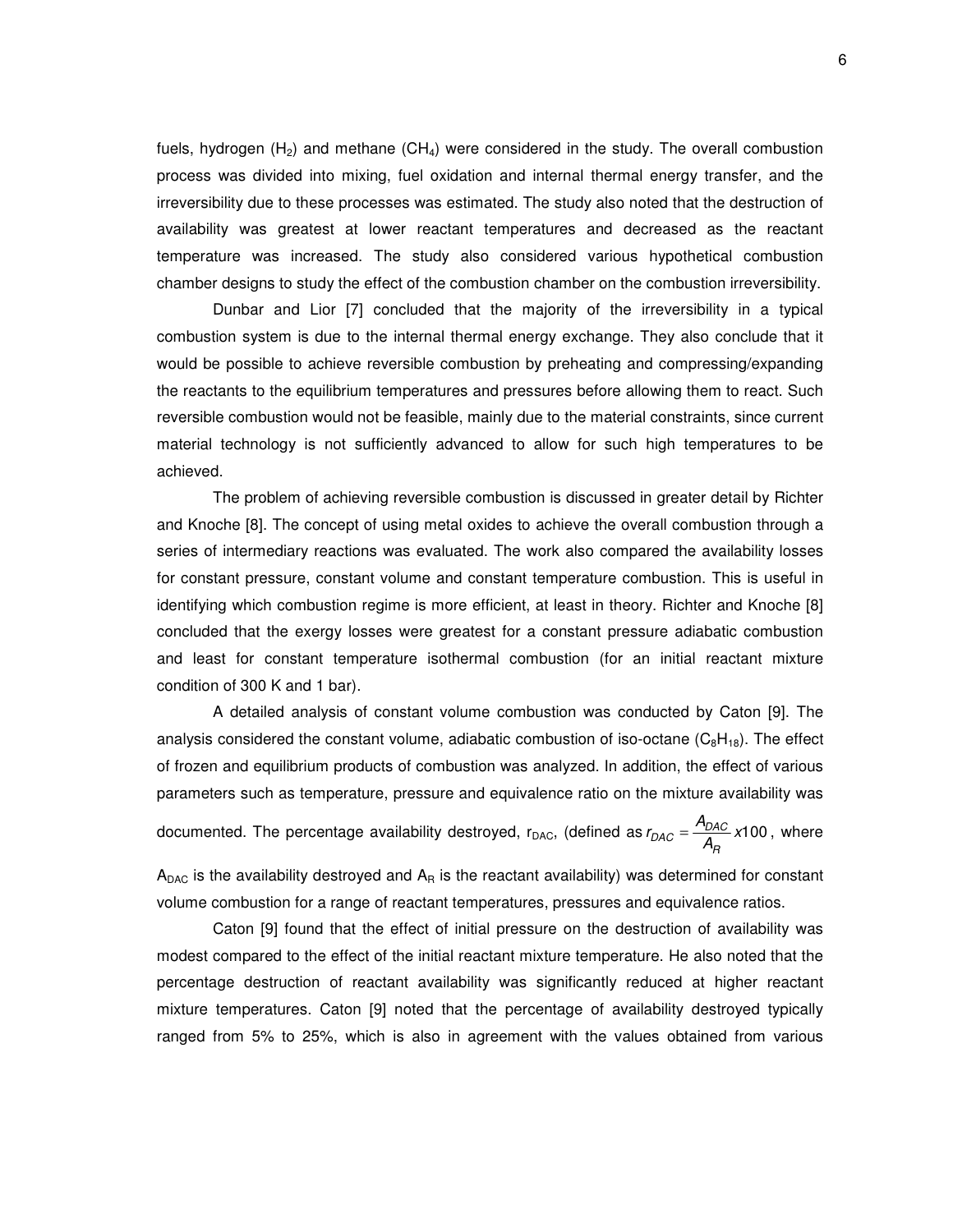fuels, hydrogen  $(H_2)$  and methane  $(CH_4)$  were considered in the study. The overall combustion process was divided into mixing, fuel oxidation and internal thermal energy transfer, and the irreversibility due to these processes was estimated. The study also noted that the destruction of availability was greatest at lower reactant temperatures and decreased as the reactant temperature was increased. The study also considered various hypothetical combustion chamber designs to study the effect of the combustion chamber on the combustion irreversibility.

Dunbar and Lior [7] concluded that the majority of the irreversibility in a typical combustion system is due to the internal thermal energy exchange. They also conclude that it would be possible to achieve reversible combustion by preheating and compressing/expanding the reactants to the equilibrium temperatures and pressures before allowing them to react. Such reversible combustion would not be feasible, mainly due to the material constraints, since current material technology is not sufficiently advanced to allow for such high temperatures to be achieved.

The problem of achieving reversible combustion is discussed in greater detail by Richter and Knoche [8]. The concept of using metal oxides to achieve the overall combustion through a series of intermediary reactions was evaluated. The work also compared the availability losses for constant pressure, constant volume and constant temperature combustion. This is useful in identifying which combustion regime is more efficient, at least in theory. Richter and Knoche [8] concluded that the exergy losses were greatest for a constant pressure adiabatic combustion and least for constant temperature isothermal combustion (for an initial reactant mixture condition of 300 K and 1 bar).

A detailed analysis of constant volume combustion was conducted by Caton [9]. The analysis considered the constant volume, adiabatic combustion of iso-octane  $(C_8H_{18})$ . The effect of frozen and equilibrium products of combustion was analyzed. In addition, the effect of various parameters such as temperature, pressure and equivalence ratio on the mixture availability was

documented. The percentage availability destroyed, r<sub>DAC</sub>, (defined as  $r_{DAC} = \frac{P_{DAC}}{A_R}$  x100  $r_{DAC} = \frac{A_{DAC}}{A_B}$  x100 , where

 $A_{\text{DAC}}$  is the availability destroyed and  $A_{\text{R}}$  is the reactant availability) was determined for constant volume combustion for a range of reactant temperatures, pressures and equivalence ratios.

Caton [9] found that the effect of initial pressure on the destruction of availability was modest compared to the effect of the initial reactant mixture temperature. He also noted that the percentage destruction of reactant availability was significantly reduced at higher reactant mixture temperatures. Caton [9] noted that the percentage of availability destroyed typically ranged from 5% to 25%, which is also in agreement with the values obtained from various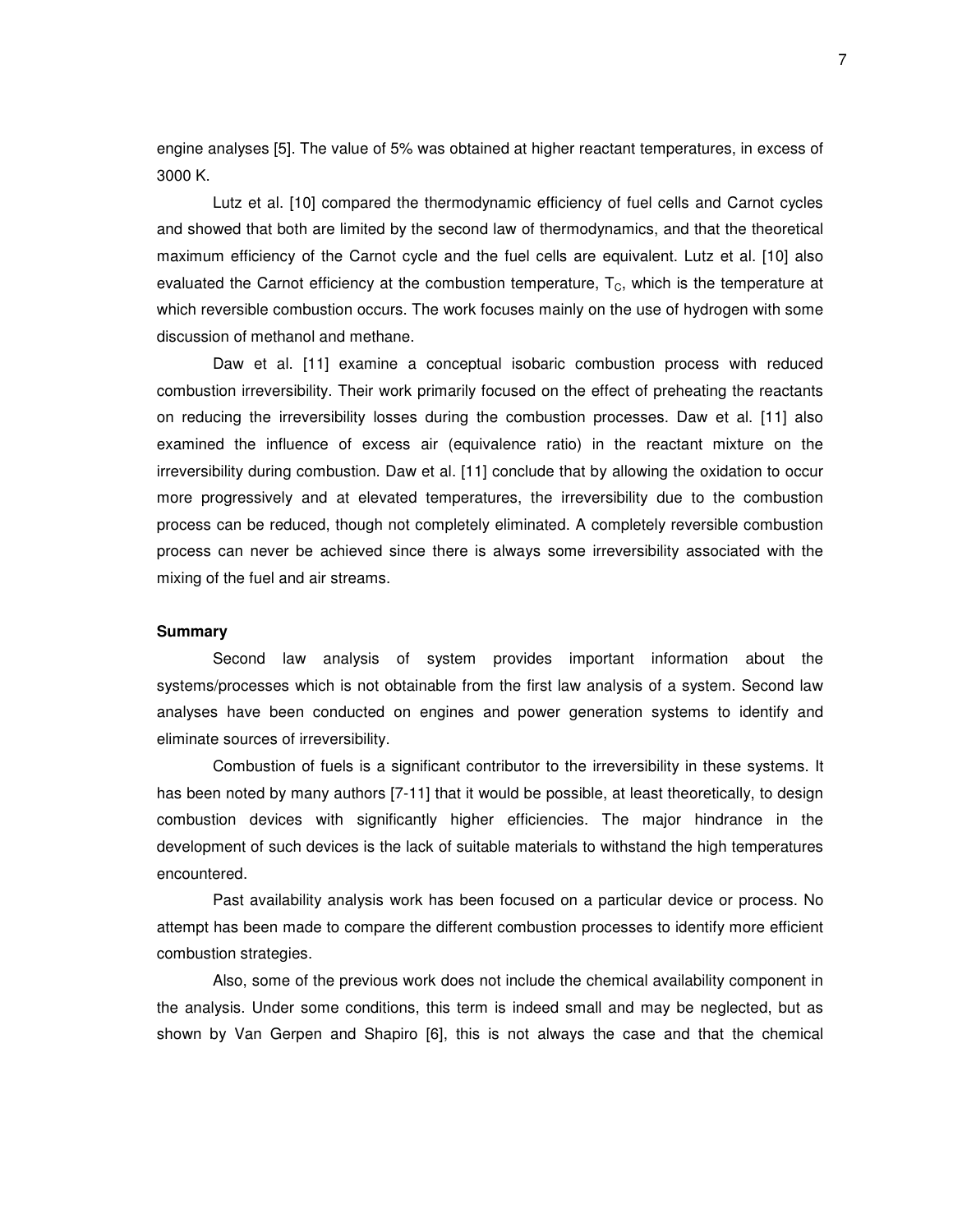engine analyses [5]. The value of 5% was obtained at higher reactant temperatures, in excess of 3000 K.

Lutz et al. [10] compared the thermodynamic efficiency of fuel cells and Carnot cycles and showed that both are limited by the second law of thermodynamics, and that the theoretical maximum efficiency of the Carnot cycle and the fuel cells are equivalent. Lutz et al. [10] also evaluated the Carnot efficiency at the combustion temperature,  $T_c$ , which is the temperature at which reversible combustion occurs. The work focuses mainly on the use of hydrogen with some discussion of methanol and methane.

Daw et al. [11] examine a conceptual isobaric combustion process with reduced combustion irreversibility. Their work primarily focused on the effect of preheating the reactants on reducing the irreversibility losses during the combustion processes. Daw et al. [11] also examined the influence of excess air (equivalence ratio) in the reactant mixture on the irreversibility during combustion. Daw et al. [11] conclude that by allowing the oxidation to occur more progressively and at elevated temperatures, the irreversibility due to the combustion process can be reduced, though not completely eliminated. A completely reversible combustion process can never be achieved since there is always some irreversibility associated with the mixing of the fuel and air streams.

#### **Summary**

Second law analysis of system provides important information about the systems/processes which is not obtainable from the first law analysis of a system. Second law analyses have been conducted on engines and power generation systems to identify and eliminate sources of irreversibility.

Combustion of fuels is a significant contributor to the irreversibility in these systems. It has been noted by many authors [7-11] that it would be possible, at least theoretically, to design combustion devices with significantly higher efficiencies. The major hindrance in the development of such devices is the lack of suitable materials to withstand the high temperatures encountered.

Past availability analysis work has been focused on a particular device or process. No attempt has been made to compare the different combustion processes to identify more efficient combustion strategies.

Also, some of the previous work does not include the chemical availability component in the analysis. Under some conditions, this term is indeed small and may be neglected, but as shown by Van Gerpen and Shapiro [6], this is not always the case and that the chemical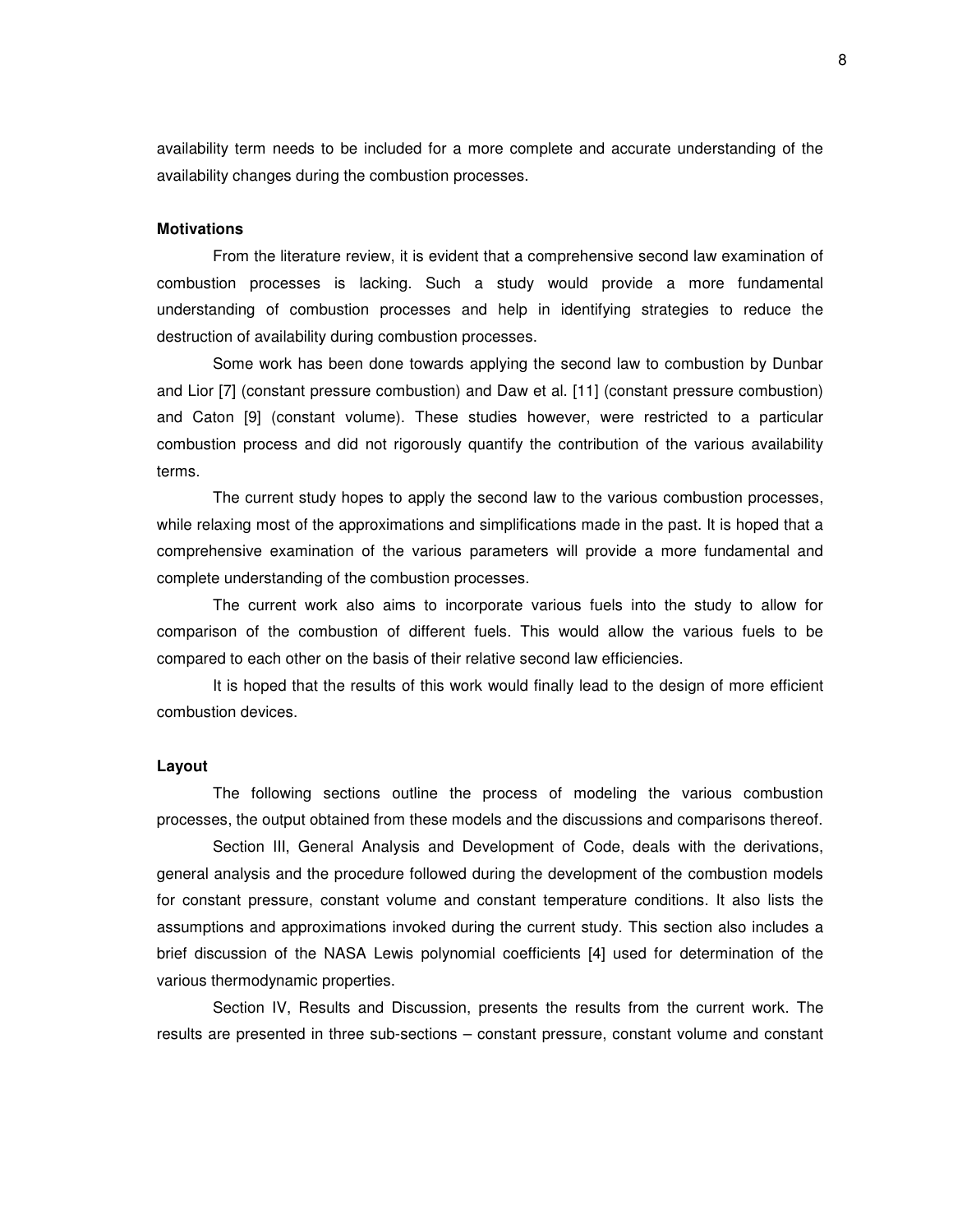availability term needs to be included for a more complete and accurate understanding of the availability changes during the combustion processes.

#### **Motivations**

From the literature review, it is evident that a comprehensive second law examination of combustion processes is lacking. Such a study would provide a more fundamental understanding of combustion processes and help in identifying strategies to reduce the destruction of availability during combustion processes.

Some work has been done towards applying the second law to combustion by Dunbar and Lior [7] (constant pressure combustion) and Daw et al. [11] (constant pressure combustion) and Caton [9] (constant volume). These studies however, were restricted to a particular combustion process and did not rigorously quantify the contribution of the various availability terms.

The current study hopes to apply the second law to the various combustion processes, while relaxing most of the approximations and simplifications made in the past. It is hoped that a comprehensive examination of the various parameters will provide a more fundamental and complete understanding of the combustion processes.

The current work also aims to incorporate various fuels into the study to allow for comparison of the combustion of different fuels. This would allow the various fuels to be compared to each other on the basis of their relative second law efficiencies.

It is hoped that the results of this work would finally lead to the design of more efficient combustion devices.

#### **Layout**

The following sections outline the process of modeling the various combustion processes, the output obtained from these models and the discussions and comparisons thereof.

Section III, General Analysis and Development of Code, deals with the derivations, general analysis and the procedure followed during the development of the combustion models for constant pressure, constant volume and constant temperature conditions. It also lists the assumptions and approximations invoked during the current study. This section also includes a brief discussion of the NASA Lewis polynomial coefficients [4] used for determination of the various thermodynamic properties.

Section IV, Results and Discussion, presents the results from the current work. The results are presented in three sub-sections – constant pressure, constant volume and constant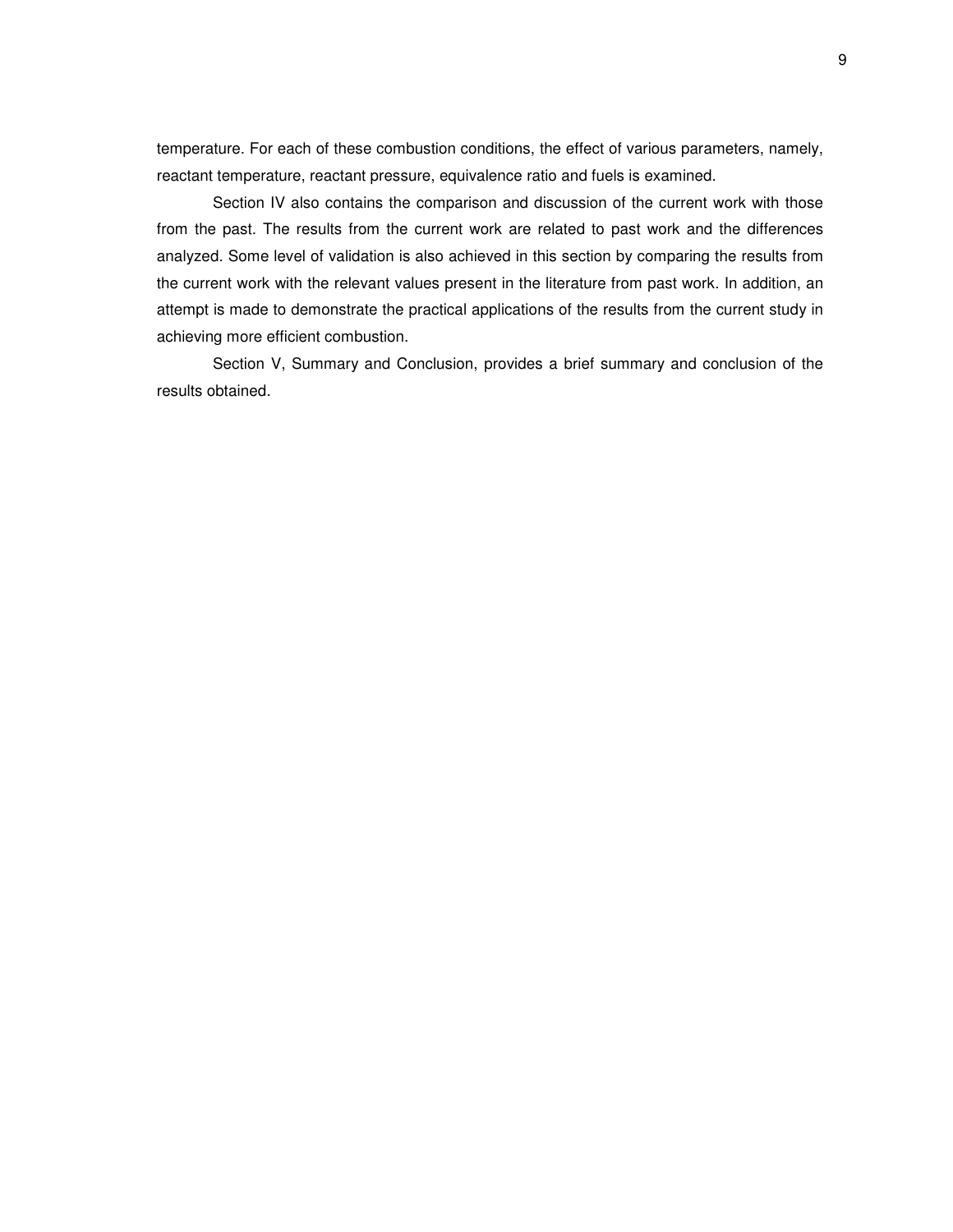temperature. For each of these combustion conditions, the effect of various parameters, namely, reactant temperature, reactant pressure, equivalence ratio and fuels is examined.

Section IV also contains the comparison and discussion of the current work with those from the past. The results from the current work are related to past work and the differences analyzed. Some level of validation is also achieved in this section by comparing the results from the current work with the relevant values present in the literature from past work. In addition, an attempt is made to demonstrate the practical applications of the results from the current study in achieving more efficient combustion.

Section V, Summary and Conclusion, provides a brief summary and conclusion of the results obtained.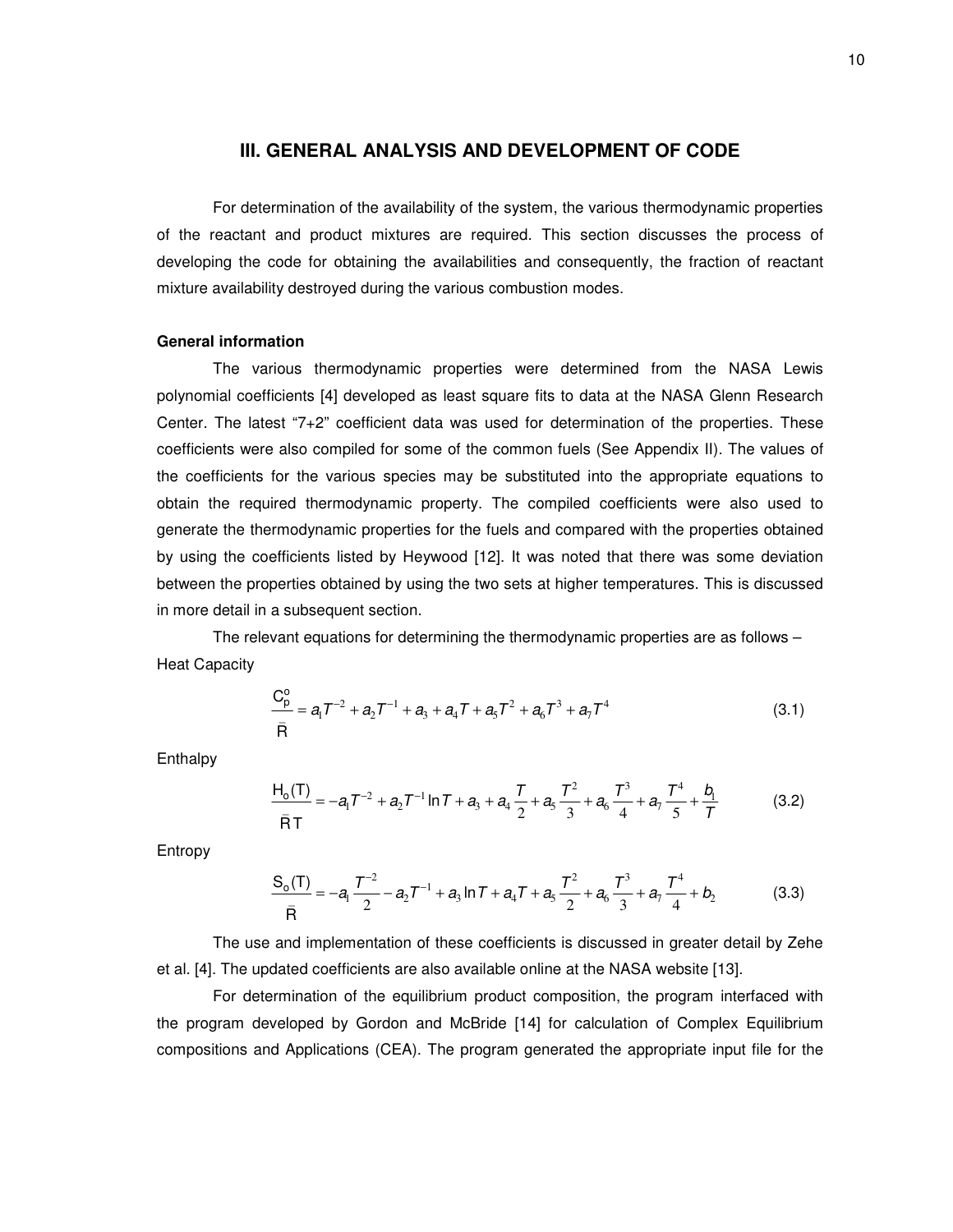#### **III. GENERAL ANALYSIS AND DEVELOPMENT OF CODE**

For determination of the availability of the system, the various thermodynamic properties of the reactant and product mixtures are required. This section discusses the process of developing the code for obtaining the availabilities and consequently, the fraction of reactant mixture availability destroyed during the various combustion modes.

#### **General information**

The various thermodynamic properties were determined from the NASA Lewis polynomial coefficients [4] developed as least square fits to data at the NASA Glenn Research Center. The latest "7+2" coefficient data was used for determination of the properties. These coefficients were also compiled for some of the common fuels (See Appendix II). The values of the coefficients for the various species may be substituted into the appropriate equations to obtain the required thermodynamic property. The compiled coefficients were also used to generate the thermodynamic properties for the fuels and compared with the properties obtained by using the coefficients listed by Heywood [12]. It was noted that there was some deviation between the properties obtained by using the two sets at higher temperatures. This is discussed in more detail in a subsequent section.

The relevant equations for determining the thermodynamic properties are as follows – Heat Capacity

$$
\frac{C_p^o}{\bar{R}} = a_1 T^{-2} + a_2 T^{-1} + a_3 + a_4 T + a_5 T^2 + a_6 T^3 + a_7 T^4
$$
\n(3.1)

**Enthalpy** 

$$
\frac{H_0(T)}{\bar{R}T} = -a_1 T^{-2} + a_2 T^{-1} \ln T + a_3 + a_4 \frac{T}{2} + a_5 \frac{T^2}{3} + a_6 \frac{T^3}{4} + a_7 \frac{T^4}{5} + \frac{b_1}{T}
$$
(3.2)

Entropy

$$
\frac{S_0(T)}{\bar{R}} = -a_1 \frac{T^{-2}}{2} - a_2 T^{-1} + a_3 \ln T + a_4 T + a_5 \frac{T^2}{2} + a_6 \frac{T^3}{3} + a_7 \frac{T^4}{4} + b_2
$$
(3.3)

The use and implementation of these coefficients is discussed in greater detail by Zehe et al. [4]. The updated coefficients are also available online at the NASA website [13].

For determination of the equilibrium product composition, the program interfaced with the program developed by Gordon and McBride [14] for calculation of Complex Equilibrium compositions and Applications (CEA). The program generated the appropriate input file for the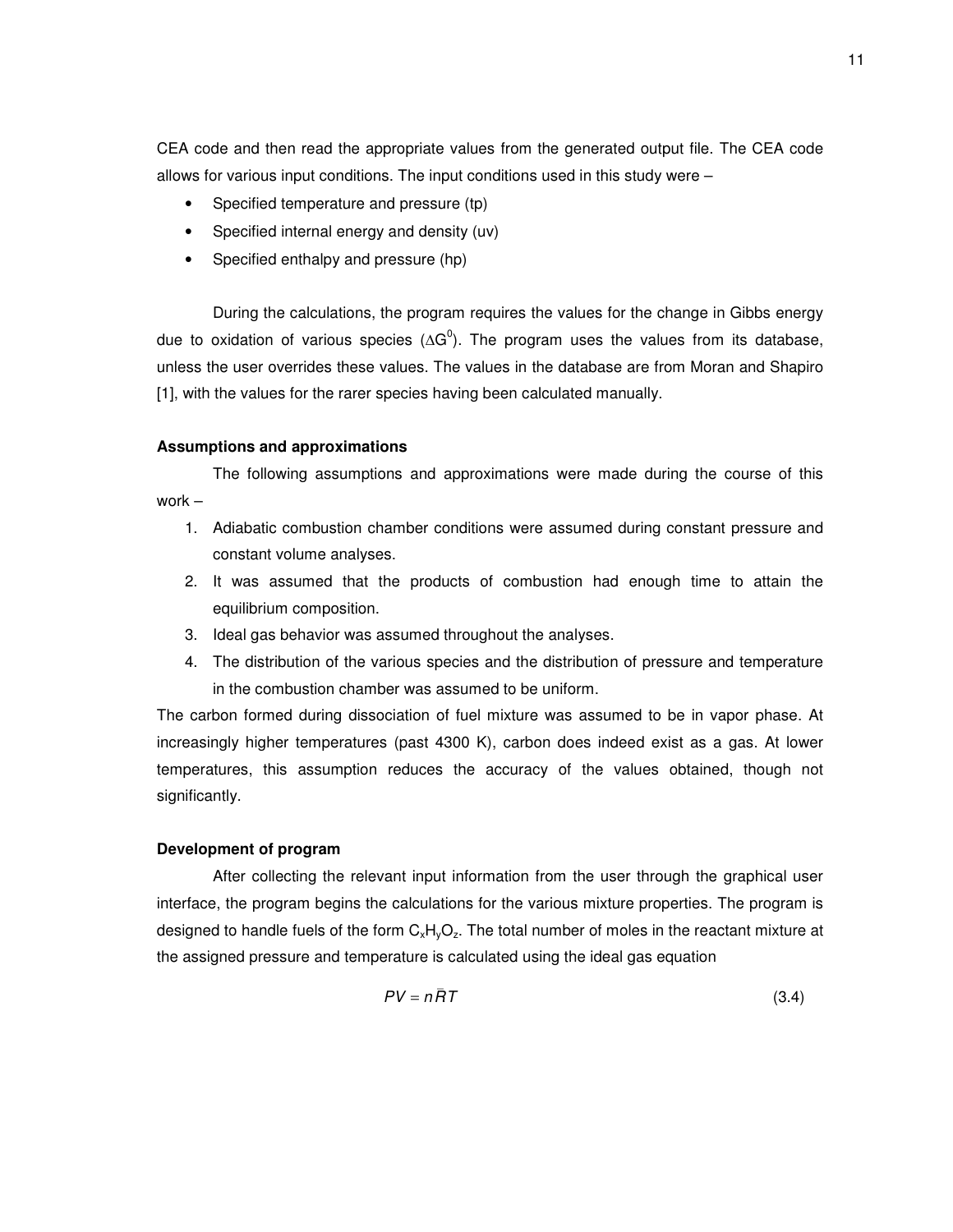CEA code and then read the appropriate values from the generated output file. The CEA code allows for various input conditions. The input conditions used in this study were  $-$ 

- Specified temperature and pressure (tp)
- Specified internal energy and density (uv)
- Specified enthalpy and pressure (hp)

During the calculations, the program requires the values for the change in Gibbs energy due to oxidation of various species ( $\Delta G^0$ ). The program uses the values from its database, unless the user overrides these values. The values in the database are from Moran and Shapiro [1], with the values for the rarer species having been calculated manually.

#### **Assumptions and approximations**

The following assumptions and approximations were made during the course of this work –

- 1. Adiabatic combustion chamber conditions were assumed during constant pressure and constant volume analyses.
- 2. It was assumed that the products of combustion had enough time to attain the equilibrium composition.
- 3. Ideal gas behavior was assumed throughout the analyses.
- 4. The distribution of the various species and the distribution of pressure and temperature in the combustion chamber was assumed to be uniform.

The carbon formed during dissociation of fuel mixture was assumed to be in vapor phase. At increasingly higher temperatures (past 4300 K), carbon does indeed exist as a gas. At lower temperatures, this assumption reduces the accuracy of the values obtained, though not significantly.

#### **Development of program**

After collecting the relevant input information from the user through the graphical user interface, the program begins the calculations for the various mixture properties. The program is designed to handle fuels of the form  $C_xH_yO_z$ . The total number of moles in the reactant mixture at the assigned pressure and temperature is calculated using the ideal gas equation

$$
PV = n\bar{R}T\tag{3.4}
$$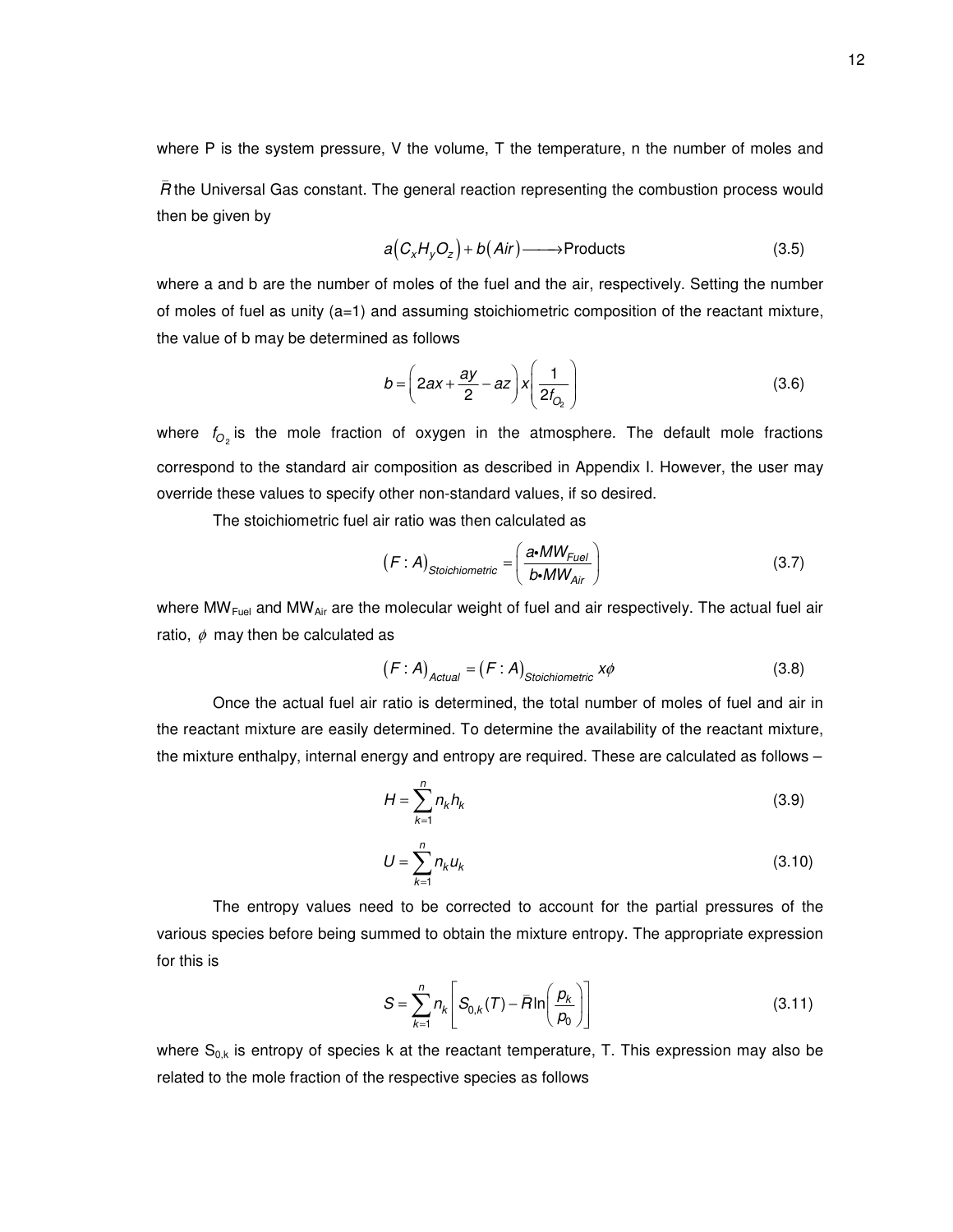where P is the system pressure, V the volume, T the temperature, n the number of moles and

*R* the Universal Gas constant. The general reaction representing the combustion process would then be given by

$$
a(C_xH_yO_z) + b(Air) \longrightarrow \text{Products} \tag{3.5}
$$

where a and b are the number of moles of the fuel and the air, respectively. Setting the number of moles of fuel as unity  $(a=1)$  and assuming stoichiometric composition of the reactant mixture, the value of b may be determined as follows

$$
b = \left(2ax + \frac{ay}{2} - az\right)x\left(\frac{1}{2t_{O_2}}\right)
$$
 (3.6)

where  $f_{O_2}$  is the mole fraction of oxygen in the atmosphere. The default mole fractions correspond to the standard air composition as described in Appendix I. However, the user may override these values to specify other non-standard values, if so desired.

The stoichiometric fuel air ratio was then calculated as

\_

$$
(F : A)_{Stoichiometric} = \left(\frac{a \cdot MW_{Fuel}}{b \cdot MW_{Air}}\right)
$$
 (3.7)

where  $MW_{Fuel}$  and  $MW_{Air}$  are the molecular weight of fuel and air respectively. The actual fuel air ratio,  $\phi$  may then be calculated as

$$
(F : A)_{Actual} = (F : A)_{Stoichiometric} x\phi
$$
 (3.8)

Once the actual fuel air ratio is determined, the total number of moles of fuel and air in the reactant mixture are easily determined. To determine the availability of the reactant mixture, the mixture enthalpy, internal energy and entropy are required. These are calculated as follows –

$$
H = \sum_{k=1}^{n} n_k h_k \tag{3.9}
$$

$$
U = \sum_{k=1}^{n} n_k u_k \tag{3.10}
$$

The entropy values need to be corrected to account for the partial pressures of the various species before being summed to obtain the mixture entropy. The appropriate expression for this is

$$
S = \sum_{k=1}^{n} n_k \left[ S_{0,k}(T) - \bar{R} \ln \left( \frac{p_k}{p_0} \right) \right]
$$
 (3.11)

where  $S_{0,k}$  is entropy of species k at the reactant temperature, T. This expression may also be related to the mole fraction of the respective species as follows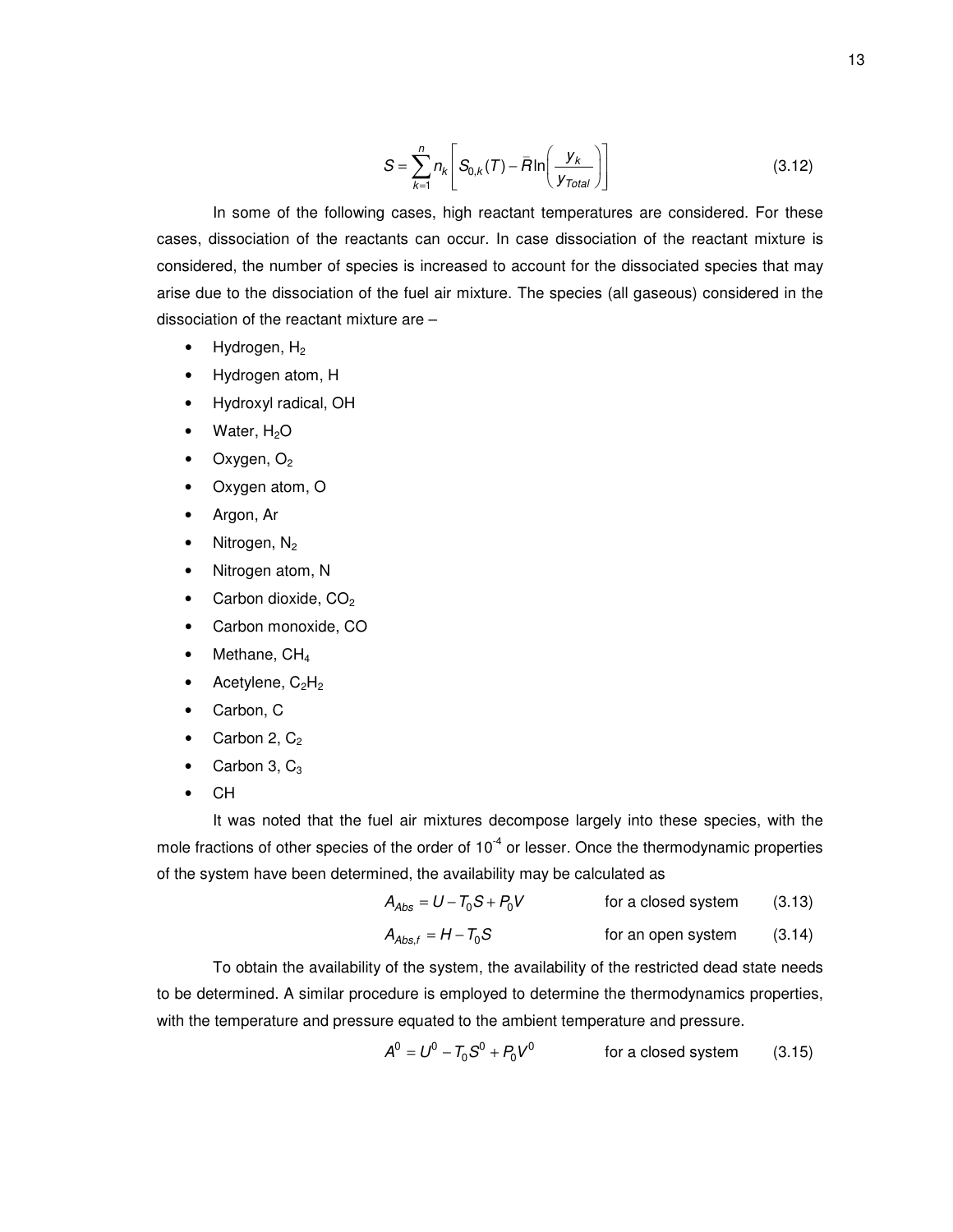$$
S = \sum_{k=1}^{n} n_k \left[ S_{0,k}(T) - \bar{R} \ln \left( \frac{y_k}{y_{Total}} \right) \right]
$$
 (3.12)

In some of the following cases, high reactant temperatures are considered. For these cases, dissociation of the reactants can occur. In case dissociation of the reactant mixture is considered, the number of species is increased to account for the dissociated species that may arise due to the dissociation of the fuel air mixture. The species (all gaseous) considered in the dissociation of the reactant mixture are –

- Hydrogen,  $H_2$
- Hydrogen atom, H
- Hydroxyl radical, OH
- Water,  $H<sub>2</sub>O$
- Oxygen,  $O<sub>2</sub>$
- Oxygen atom, O
- Argon, Ar
- Nitrogen, N<sub>2</sub>
- Nitrogen atom, N
- Carbon dioxide, CO<sub>2</sub>
- Carbon monoxide, CO
- Methane, CH<sub>4</sub>
- Acetylene,  $C_2H_2$
- Carbon, C
- Carbon 2,  $C_2$
- Carbon 3,  $C_3$
- CH

It was noted that the fuel air mixtures decompose largely into these species, with the mole fractions of other species of the order of  $10^{-4}$  or lesser. Once the thermodynamic properties of the system have been determined, the availability may be calculated as

$$
A_{\text{Abs}} = U - T_0 S + P_0 V \qquad \text{for a closed system} \qquad (3.13)
$$

$$
A_{\text{Abs},f} = H - T_0 S \qquad \qquad \text{for an open system} \qquad (3.14)
$$

To obtain the availability of the system, the availability of the restricted dead state needs to be determined. A similar procedure is employed to determine the thermodynamics properties, with the temperature and pressure equated to the ambient temperature and pressure.

$$
A0 = U0 - T0S0 + P0V0
$$
 for a closed system (3.15)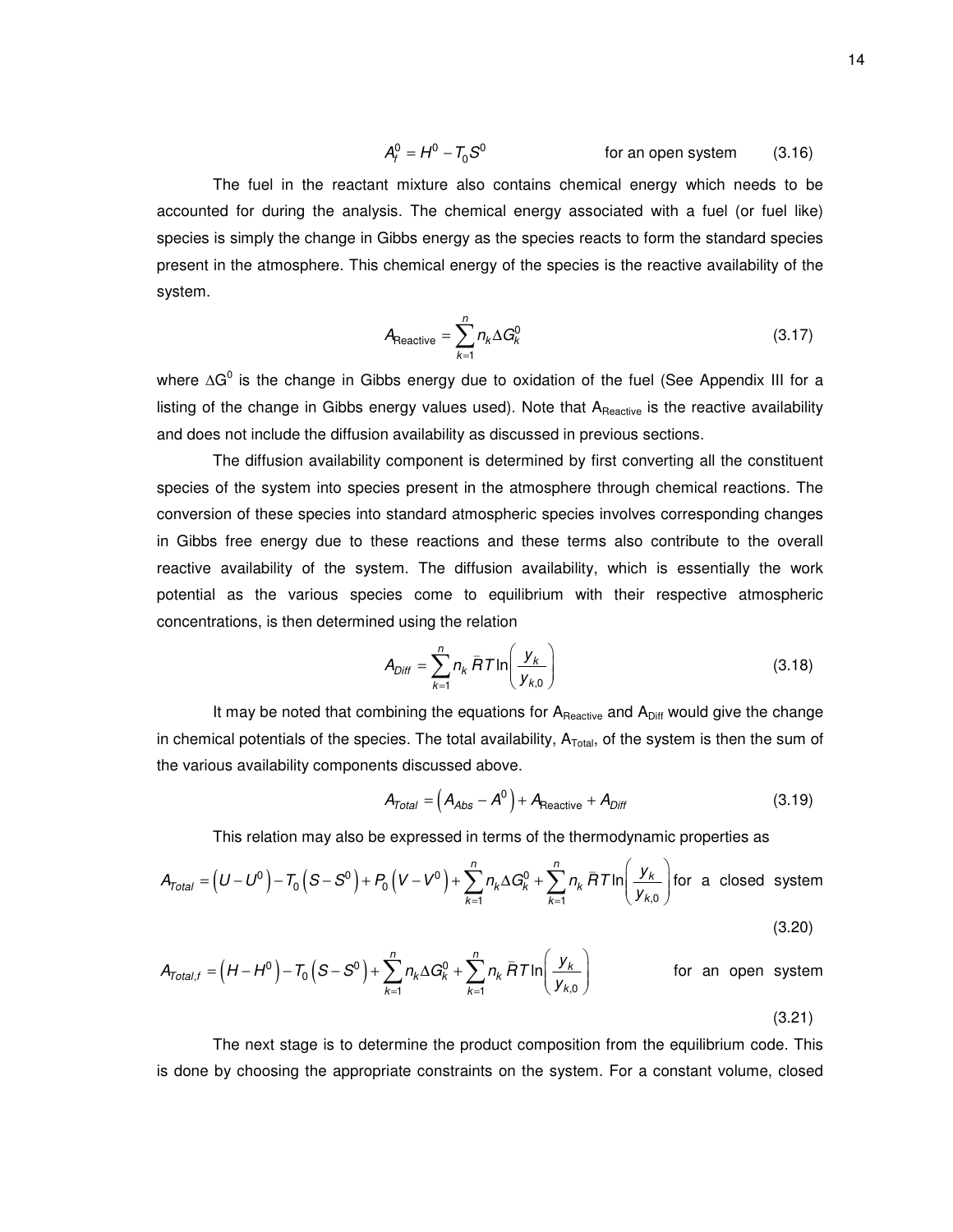$$
A_f^0 = H^0 - T_0 S^0
$$
 for an open system (3.16)

The fuel in the reactant mixture also contains chemical energy which needs to be accounted for during the analysis. The chemical energy associated with a fuel (or fuel like) species is simply the change in Gibbs energy as the species reacts to form the standard species present in the atmosphere. This chemical energy of the species is the reactive availability of the system.

$$
A_{\text{Reactive}} = \sum_{k=1}^{n} n_k \Delta G_k^0 \tag{3.17}
$$

where  $\Delta G^0$  is the change in Gibbs energy due to oxidation of the fuel (See Appendix III for a listing of the change in Gibbs energy values used). Note that A<sub>Reactive</sub> is the reactive availability and does not include the diffusion availability as discussed in previous sections.

The diffusion availability component is determined by first converting all the constituent species of the system into species present in the atmosphere through chemical reactions. The conversion of these species into standard atmospheric species involves corresponding changes in Gibbs free energy due to these reactions and these terms also contribute to the overall reactive availability of the system. The diffusion availability, which is essentially the work potential as the various species come to equilibrium with their respective atmospheric concentrations, is then determined using the relation

$$
A_{Diff} = \sum_{k=1}^{n} n_k \overline{R} T \ln \left( \frac{y_k}{y_{k,0}} \right)
$$
 (3.18)

It may be noted that combining the equations for  $A_{\text{Reactive}}$  and  $A_{\text{Diff}}$  would give the change in chemical potentials of the species. The total availability,  $\mathsf{A}_\mathsf{Total}$ , of the system is then the sum of the various availability components discussed above.

$$
A_{Total} = \left(A_{Abs} - A^0\right) + A_{Reactive} + A_{Diff}
$$
 (3.19)

This relation may also be expressed in terms of the thermodynamic properties as

$$
A_{\text{Total}} = (U - U^0) - T_0 (S - S^0) + P_0 (V - V^0) + \sum_{k=1}^n n_k \Delta G_k^0 + \sum_{k=1}^n n_k \overline{R} T \ln \left( \frac{y_k}{y_{k,0}} \right) \text{ for a closed system}
$$

$$
(3.20)
$$

$$
A_{\text{Total},f} = \left(H - H^0\right) - T_0 \left(S - S^0\right) + \sum_{k=1}^n n_k \Delta G_k^0 + \sum_{k=1}^n n_k \bar{H} \mathcal{T} \ln\left(\frac{y_k}{y_{k,0}}\right) \qquad \text{for an open system}
$$
\n(3.21)

The next stage is to determine the product composition from the equilibrium code. This is done by choosing the appropriate constraints on the system. For a constant volume, closed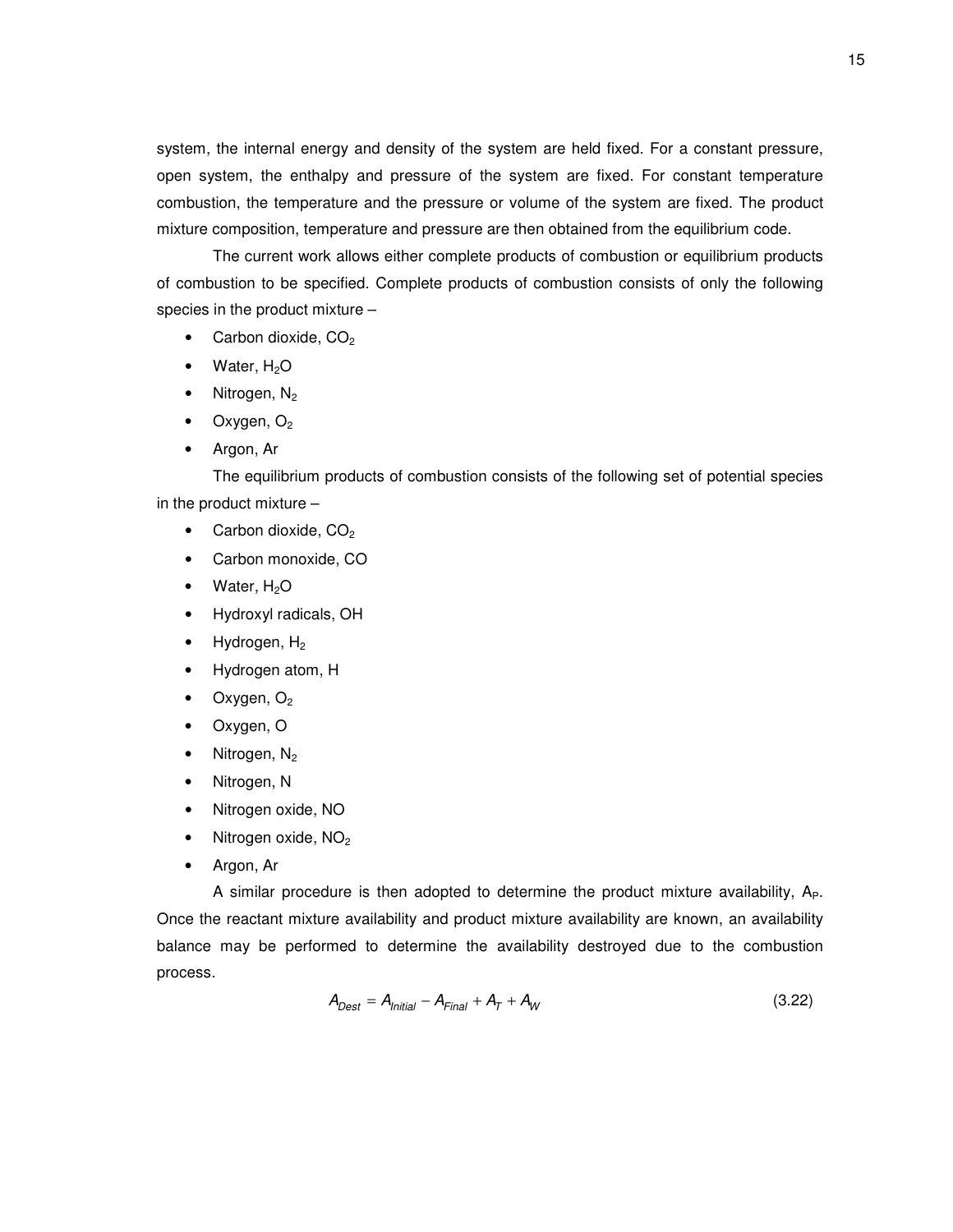system, the internal energy and density of the system are held fixed. For a constant pressure, open system, the enthalpy and pressure of the system are fixed. For constant temperature combustion, the temperature and the pressure or volume of the system are fixed. The product mixture composition, temperature and pressure are then obtained from the equilibrium code.

The current work allows either complete products of combustion or equilibrium products of combustion to be specified. Complete products of combustion consists of only the following species in the product mixture –

- Carbon dioxide,  $CO<sub>2</sub>$
- Water, H<sub>2</sub>O
- Nitrogen, N<sub>2</sub>
- Oxygen,  $O<sub>2</sub>$
- Argon, Ar

The equilibrium products of combustion consists of the following set of potential species in the product mixture –

- Carbon dioxide,  $CO<sub>2</sub>$
- Carbon monoxide, CO
- Water,  $H_2O$
- Hydroxyl radicals, OH
- Hydrogen,  $H_2$
- Hydrogen atom, H
- Oxygen,  $O<sub>2</sub>$
- Oxygen, O
- Nitrogen, N<sub>2</sub>
- Nitrogen, N
- Nitrogen oxide, NO
- Nitrogen oxide, NO<sub>2</sub>
- Argon, Ar

A similar procedure is then adopted to determine the product mixture availability,  $A_{P}$ . Once the reactant mixture availability and product mixture availability are known, an availability balance may be performed to determine the availability destroyed due to the combustion process.

$$
A_{Dest} = A_{Initial} - A_{Final} + A_T + A_W
$$
\n(3.22)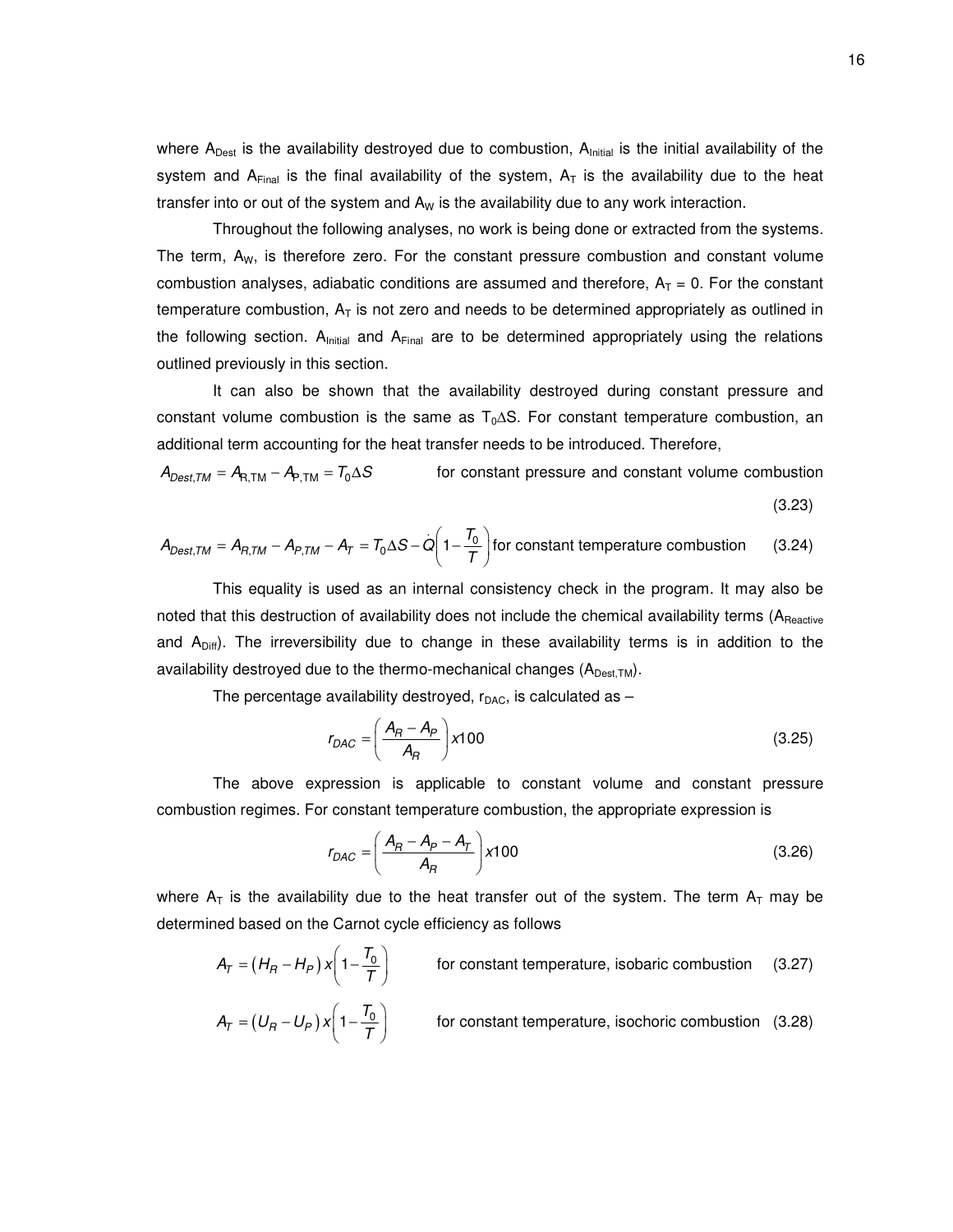where  ${\sf A_{\sf Dest}}$  is the availability destroyed due to combustion,  ${\sf A_{\sf initial}}$  is the initial availability of the system and A<sub>Final</sub> is the final availability of the system,  $A_T$  is the availability due to the heat transfer into or out of the system and  $A_W$  is the availability due to any work interaction.

Throughout the following analyses, no work is being done or extracted from the systems. The term,  $A_W$ , is therefore zero. For the constant pressure combustion and constant volume combustion analyses, adiabatic conditions are assumed and therefore,  $A_T = 0$ . For the constant temperature combustion,  $A_T$  is not zero and needs to be determined appropriately as outlined in the following section.  $A<sub>initial</sub>$  and  $A<sub>Final</sub>$  are to be determined appropriately using the relations outlined previously in this section.

It can also be shown that the availability destroyed during constant pressure and constant volume combustion is the same as  $T_0\Delta S$ . For constant temperature combustion, an additional term accounting for the heat transfer needs to be introduced. Therefore,

 $A_{Dest,TM} = A_{R,TM} - A_{P,TM} = T_0 \Delta S$  for constant pressure and constant volume combustion (3.23)

$$
A_{Dest,TM} = A_{R,TM} - A_{P,TM} - A_T = T_0 \Delta S - Q \left( 1 - \frac{T_0}{T} \right)
$$
 for constant temperature combustion (3.24)

This equality is used as an internal consistency check in the program. It may also be noted that this destruction of availability does not include the chemical availability terms (A<sub>Reactive</sub> and  $A<sub>Diff</sub>$ ). The irreversibility due to change in these availability terms is in addition to the availability destroyed due to the thermo-mechanical changes  $(A_{\text{Dest TM}})$ .

The percentage availability destroyed,  $r_{\text{DAC}}$ , is calculated as  $-$ 

$$
r_{DAC} = \left(\frac{A_R - A_P}{A_R}\right) \times 100\tag{3.25}
$$

The above expression is applicable to constant volume and constant pressure combustion regimes. For constant temperature combustion, the appropriate expression is

$$
r_{DAC} = \left(\frac{A_B - A_P - A_T}{A_B}\right) \times 100
$$
\n(3.26)

where  $A_T$  is the availability due to the heat transfer out of the system. The term  $A_T$  may be determined based on the Carnot cycle efficiency as follows

$$
A_T = (H_R - H_P) x \left( 1 - \frac{T_0}{T} \right)
$$
 for constant temperature, isobaric combustion (3.27)

$$
A_T = (U_R - U_P) x \left( 1 - \frac{T_0}{T} \right)
$$
 for constant temperature, isochoric combustion (3.28)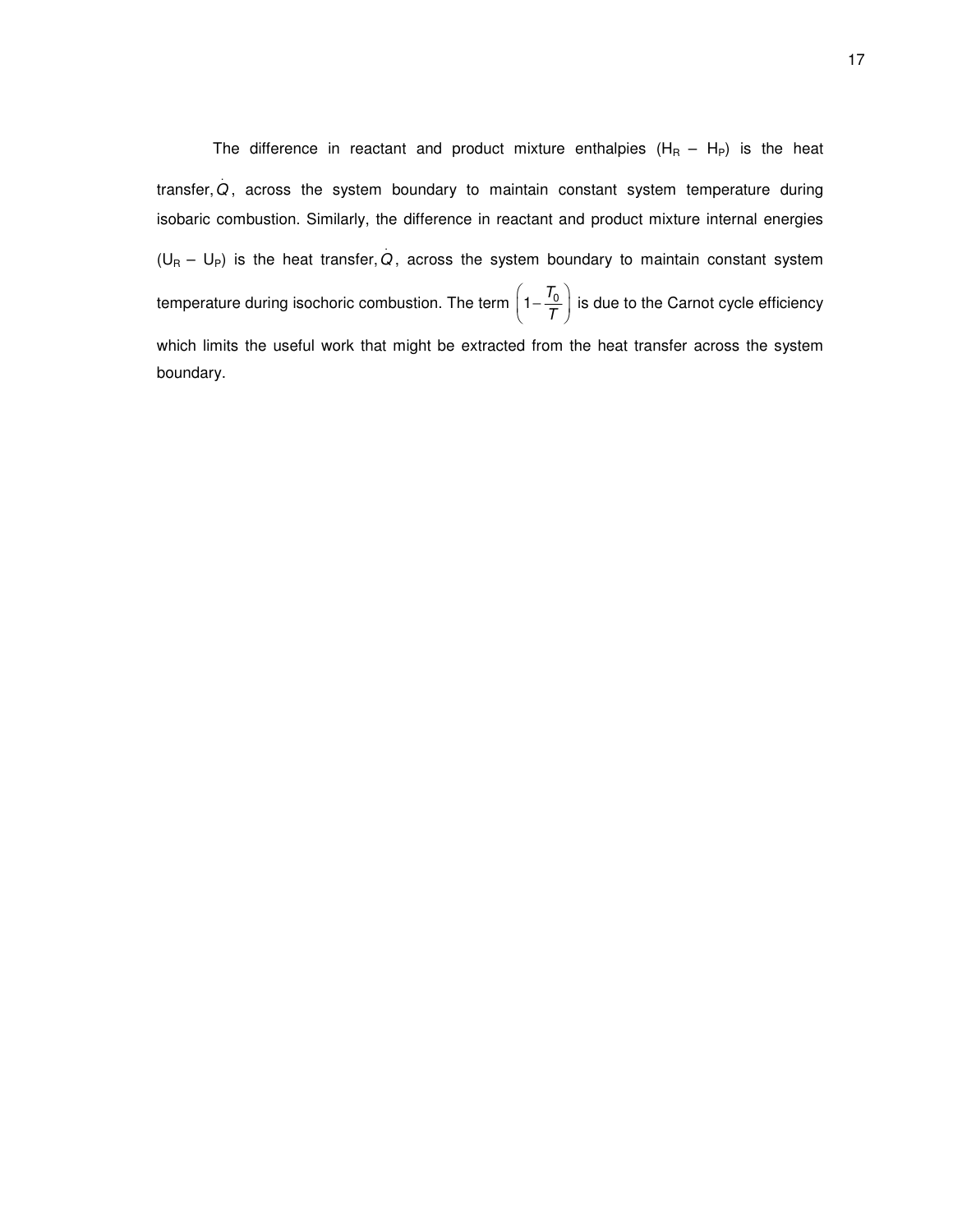The difference in reactant and product mixture enthalpies  $(H_R - H_P)$  is the heat transfer, . *Q* , across the system boundary to maintain constant system temperature during isobaric combustion. Similarly, the difference in reactant and product mixture internal energies  $(U_{\mathsf{R}} - \mathsf{U}_{\mathsf{P}})$  is the heat transfer,  $Q$ , across the system boundary to maintain constant system temperature during isochoric combustion. The term  $\left(1 - \frac{T_0}{T}\right)$ *T*  $\left(1-\frac{T_0}{T}\right)$ is due to the Carnot cycle efficiency which limits the useful work that might be extracted from the heat transfer across the system boundary.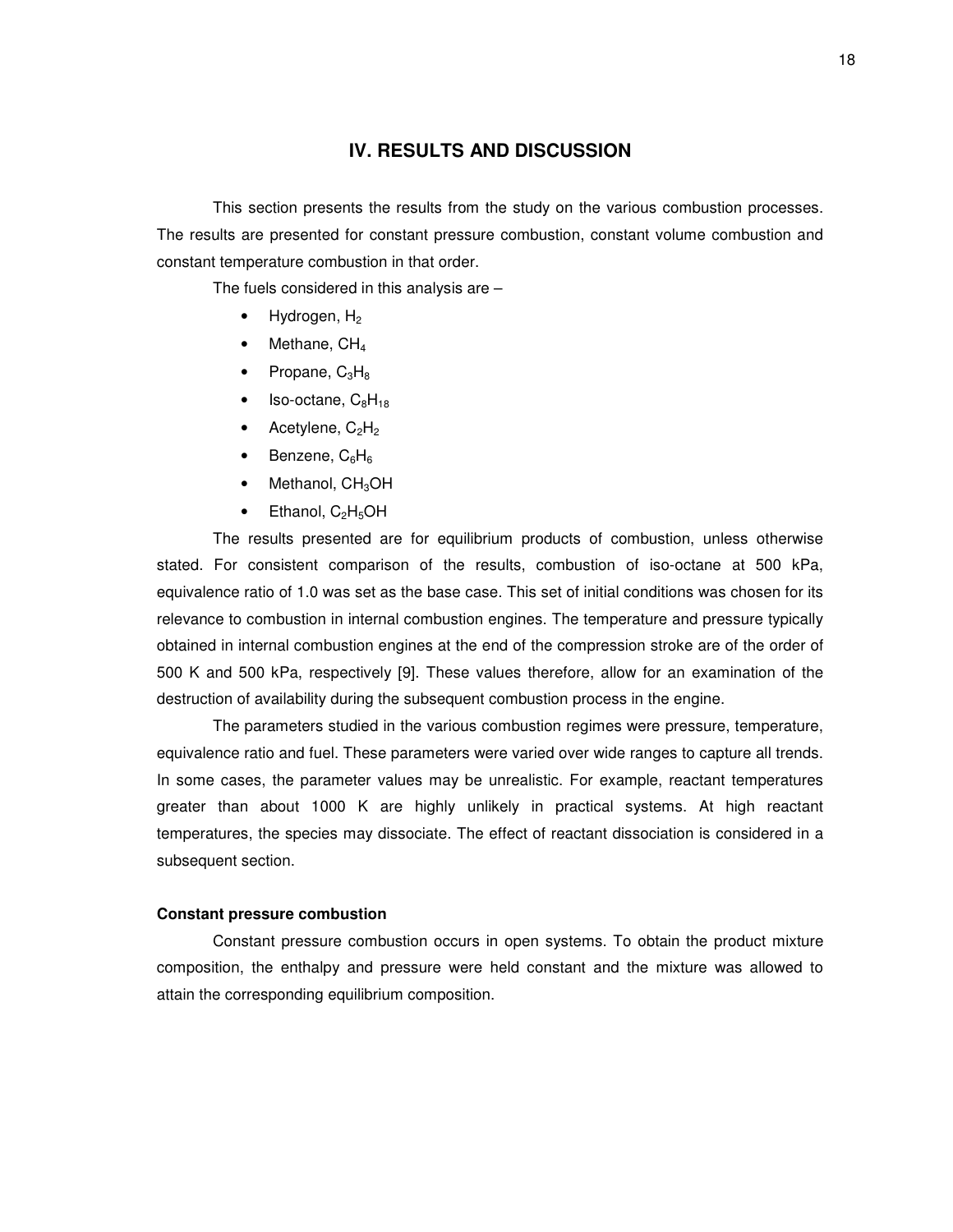#### **IV. RESULTS AND DISCUSSION**

This section presents the results from the study on the various combustion processes. The results are presented for constant pressure combustion, constant volume combustion and constant temperature combustion in that order.

The fuels considered in this analysis are –

- Hydrogen,  $H_2$
- Methane, CH<sub>4</sub>
- Propane,  $C_3H_8$
- Iso-octane,  $C_8H_{18}$
- Acetylene,  $C_2H_2$
- Benzene,  $C_6H_6$
- $\bullet$  Methanol,  $CH<sub>3</sub>OH$
- Ethanol,  $C_2H_5OH$

The results presented are for equilibrium products of combustion, unless otherwise stated. For consistent comparison of the results, combustion of iso-octane at 500 kPa, equivalence ratio of 1.0 was set as the base case. This set of initial conditions was chosen for its relevance to combustion in internal combustion engines. The temperature and pressure typically obtained in internal combustion engines at the end of the compression stroke are of the order of 500 K and 500 kPa, respectively [9]. These values therefore, allow for an examination of the destruction of availability during the subsequent combustion process in the engine.

The parameters studied in the various combustion regimes were pressure, temperature, equivalence ratio and fuel. These parameters were varied over wide ranges to capture all trends. In some cases, the parameter values may be unrealistic. For example, reactant temperatures greater than about 1000 K are highly unlikely in practical systems. At high reactant temperatures, the species may dissociate. The effect of reactant dissociation is considered in a subsequent section.

#### **Constant pressure combustion**

Constant pressure combustion occurs in open systems. To obtain the product mixture composition, the enthalpy and pressure were held constant and the mixture was allowed to attain the corresponding equilibrium composition.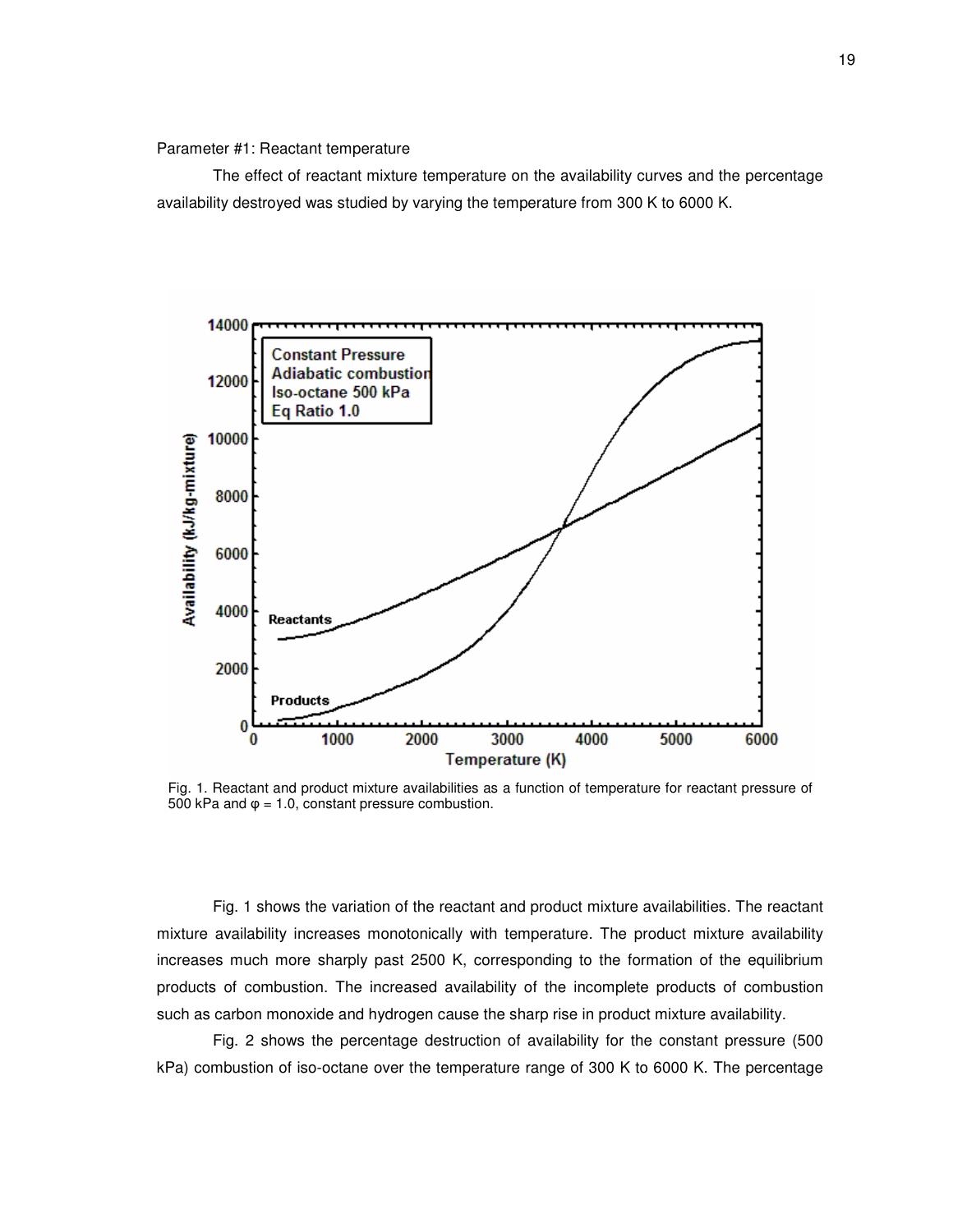#### Parameter #1: Reactant temperature

The effect of reactant mixture temperature on the availability curves and the percentage availability destroyed was studied by varying the temperature from 300 K to 6000 K.



Fig. 1. Reactant and product mixture availabilities as a function of temperature for reactant pressure of 500 kPa and  $\varphi$  = 1.0, constant pressure combustion.

Fig. 1 shows the variation of the reactant and product mixture availabilities. The reactant mixture availability increases monotonically with temperature. The product mixture availability increases much more sharply past 2500 K, corresponding to the formation of the equilibrium products of combustion. The increased availability of the incomplete products of combustion such as carbon monoxide and hydrogen cause the sharp rise in product mixture availability.

Fig. 2 shows the percentage destruction of availability for the constant pressure (500 kPa) combustion of iso-octane over the temperature range of 300 K to 6000 K. The percentage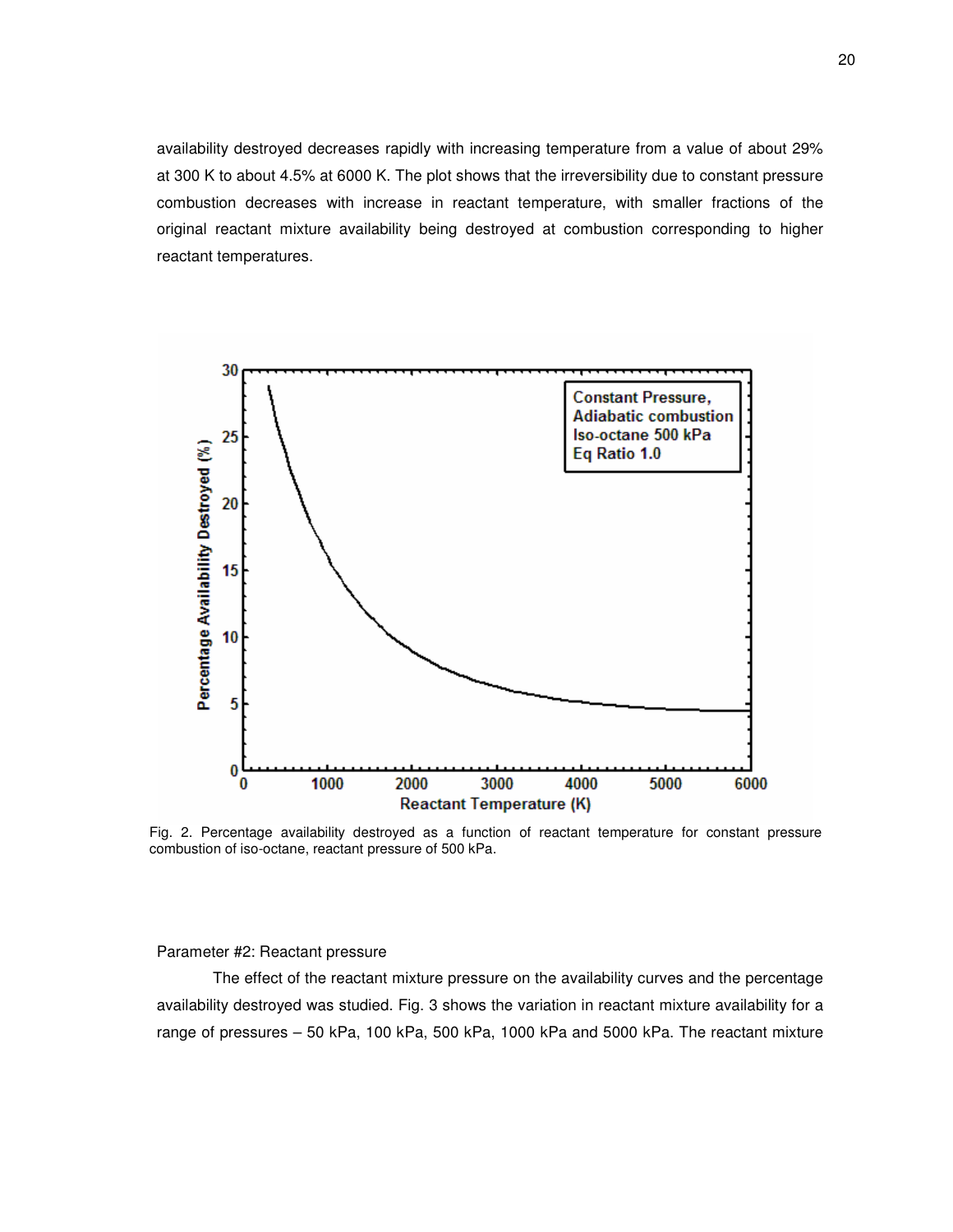availability destroyed decreases rapidly with increasing temperature from a value of about 29% at 300 K to about 4.5% at 6000 K. The plot shows that the irreversibility due to constant pressure combustion decreases with increase in reactant temperature, with smaller fractions of the original reactant mixture availability being destroyed at combustion corresponding to higher reactant temperatures.



Fig. 2. Percentage availability destroyed as a function of reactant temperature for constant pressure combustion of iso-octane, reactant pressure of 500 kPa.

#### Parameter #2: Reactant pressure

The effect of the reactant mixture pressure on the availability curves and the percentage availability destroyed was studied. Fig. 3 shows the variation in reactant mixture availability for a range of pressures – 50 kPa, 100 kPa, 500 kPa, 1000 kPa and 5000 kPa. The reactant mixture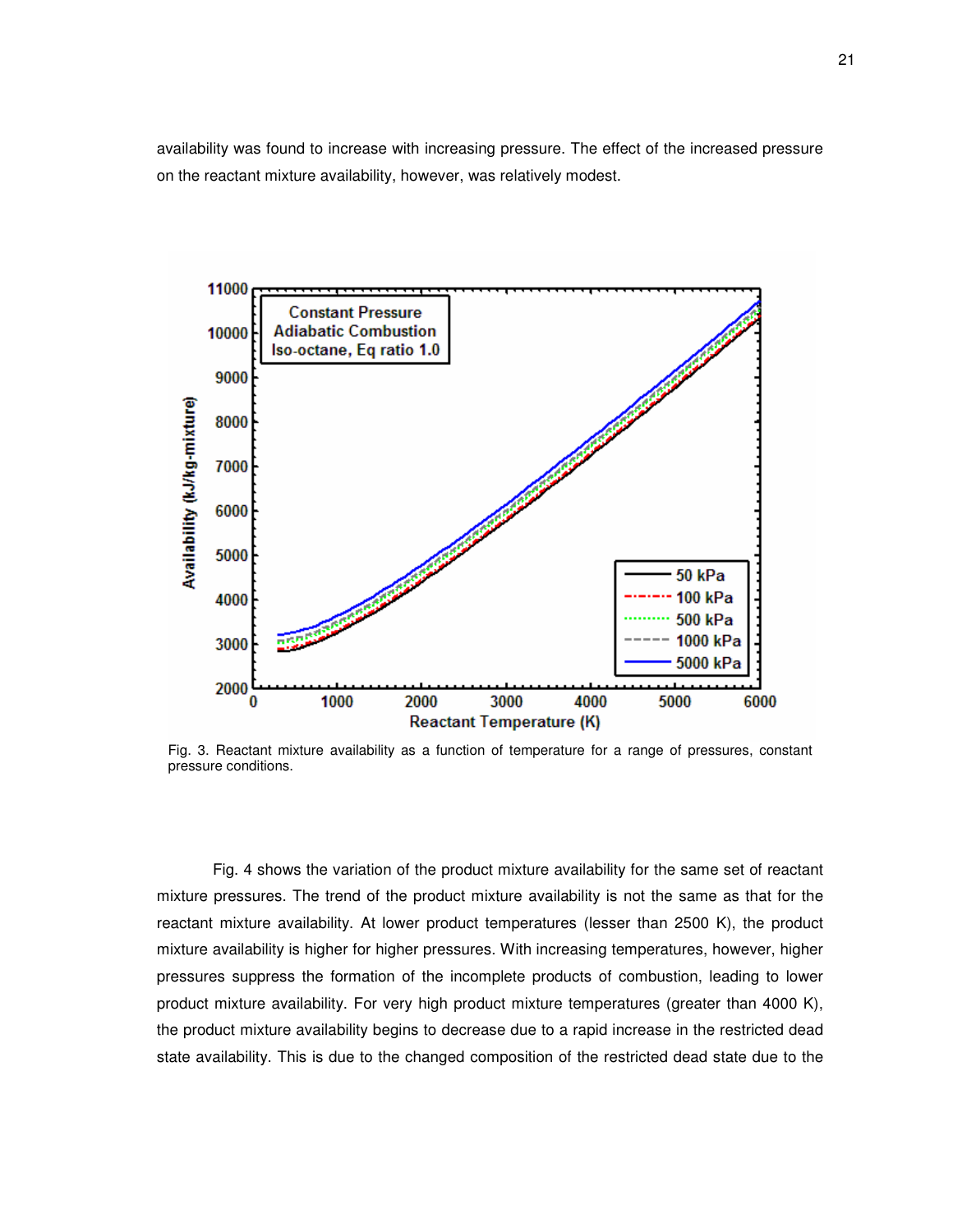availability was found to increase with increasing pressure. The effect of the increased pressure on the reactant mixture availability, however, was relatively modest.



Fig. 3. Reactant mixture availability as a function of temperature for a range of pressures, constant pressure conditions.

Fig. 4 shows the variation of the product mixture availability for the same set of reactant mixture pressures. The trend of the product mixture availability is not the same as that for the reactant mixture availability. At lower product temperatures (lesser than 2500 K), the product mixture availability is higher for higher pressures. With increasing temperatures, however, higher pressures suppress the formation of the incomplete products of combustion, leading to lower product mixture availability. For very high product mixture temperatures (greater than 4000 K), the product mixture availability begins to decrease due to a rapid increase in the restricted dead state availability. This is due to the changed composition of the restricted dead state due to the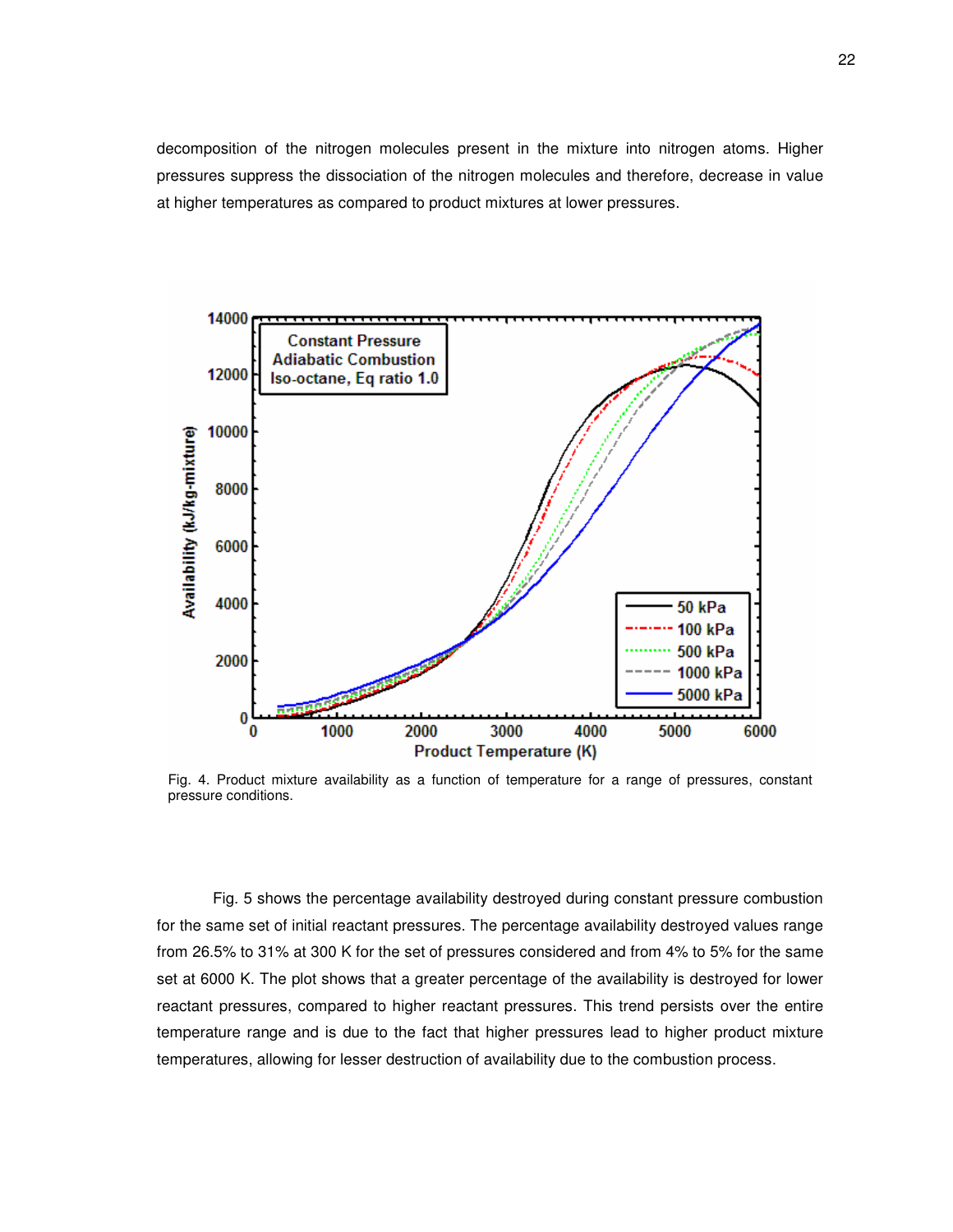decomposition of the nitrogen molecules present in the mixture into nitrogen atoms. Higher pressures suppress the dissociation of the nitrogen molecules and therefore, decrease in value at higher temperatures as compared to product mixtures at lower pressures.



Fig. 4. Product mixture availability as a function of temperature for a range of pressures, constant pressure conditions.

Fig. 5 shows the percentage availability destroyed during constant pressure combustion for the same set of initial reactant pressures. The percentage availability destroyed values range from 26.5% to 31% at 300 K for the set of pressures considered and from 4% to 5% for the same set at 6000 K. The plot shows that a greater percentage of the availability is destroyed for lower reactant pressures, compared to higher reactant pressures. This trend persists over the entire temperature range and is due to the fact that higher pressures lead to higher product mixture temperatures, allowing for lesser destruction of availability due to the combustion process.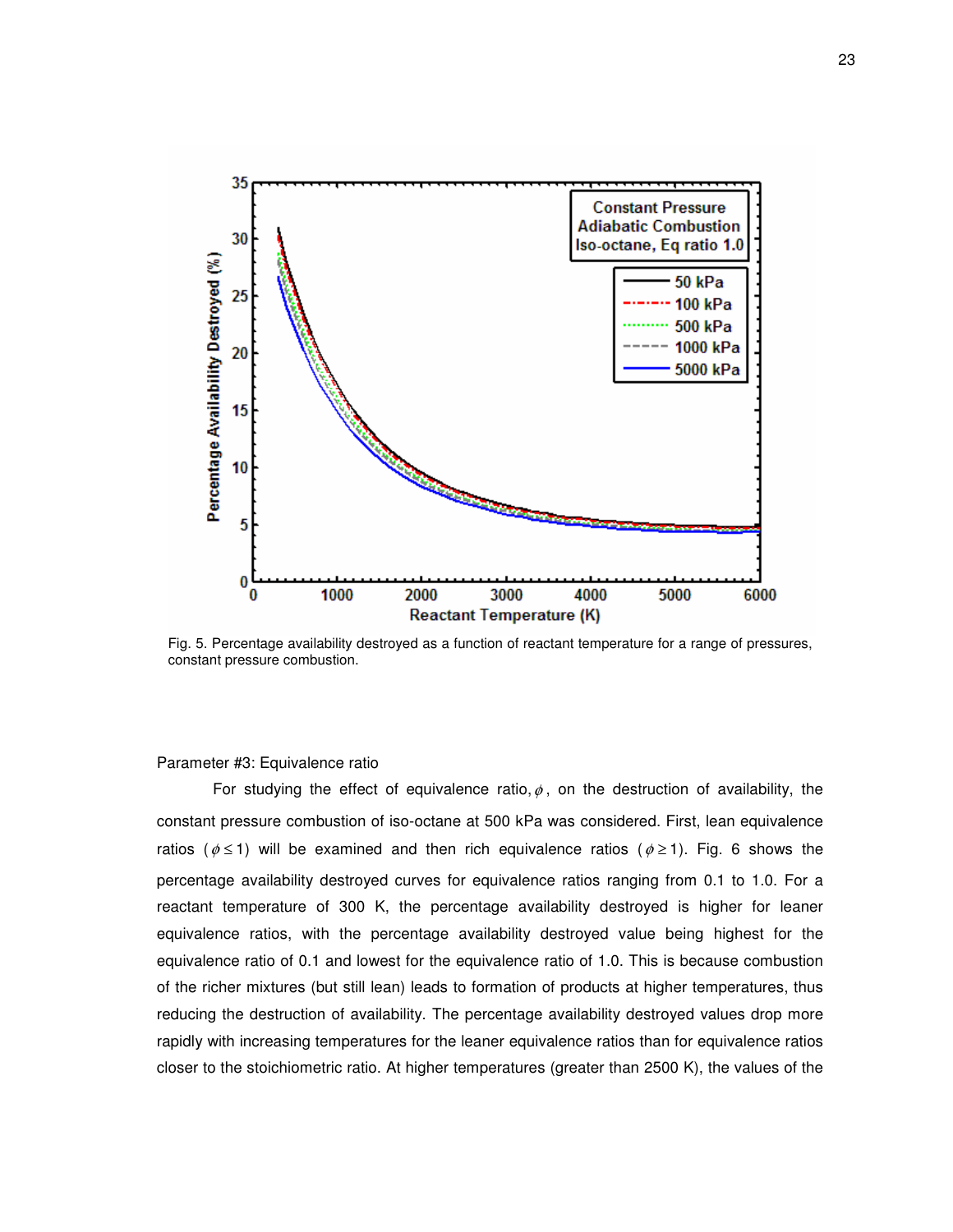

Fig. 5. Percentage availability destroyed as a function of reactant temperature for a range of pressures, constant pressure combustion.

#### Parameter #3: Equivalence ratio

For studying the effect of equivalence ratio,  $\phi$ , on the destruction of availability, the constant pressure combustion of iso-octane at 500 kPa was considered. First, lean equivalence ratios ( $\phi \le 1$ ) will be examined and then rich equivalence ratios ( $\phi \ge 1$ ). Fig. 6 shows the percentage availability destroyed curves for equivalence ratios ranging from 0.1 to 1.0. For a reactant temperature of 300 K, the percentage availability destroyed is higher for leaner equivalence ratios, with the percentage availability destroyed value being highest for the equivalence ratio of 0.1 and lowest for the equivalence ratio of 1.0. This is because combustion of the richer mixtures (but still lean) leads to formation of products at higher temperatures, thus reducing the destruction of availability. The percentage availability destroyed values drop more rapidly with increasing temperatures for the leaner equivalence ratios than for equivalence ratios closer to the stoichiometric ratio. At higher temperatures (greater than 2500 K), the values of the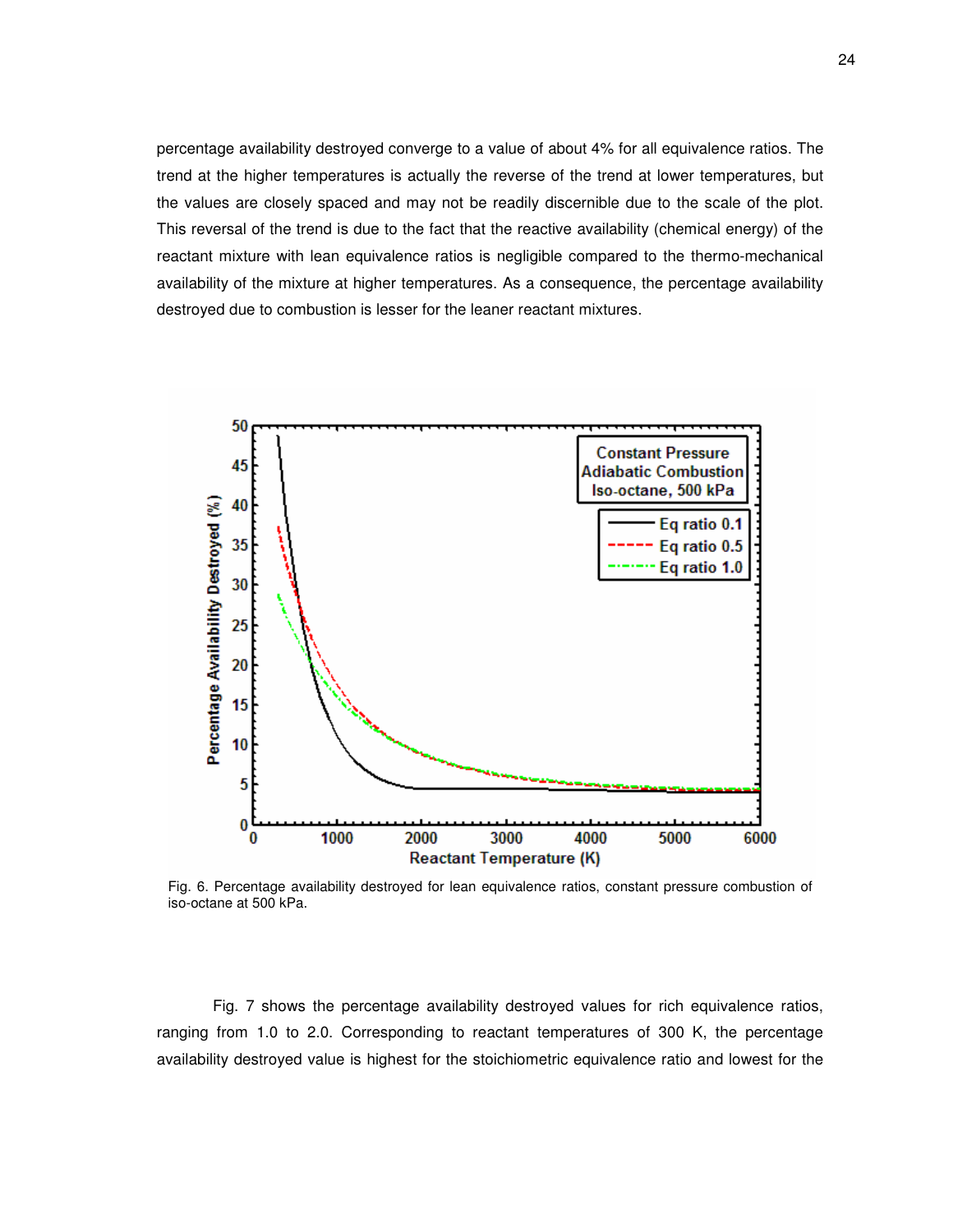percentage availability destroyed converge to a value of about 4% for all equivalence ratios. The trend at the higher temperatures is actually the reverse of the trend at lower temperatures, but the values are closely spaced and may not be readily discernible due to the scale of the plot. This reversal of the trend is due to the fact that the reactive availability (chemical energy) of the reactant mixture with lean equivalence ratios is negligible compared to the thermo-mechanical availability of the mixture at higher temperatures. As a consequence, the percentage availability destroyed due to combustion is lesser for the leaner reactant mixtures.



Fig. 6. Percentage availability destroyed for lean equivalence ratios, constant pressure combustion of iso-octane at 500 kPa.

Fig. 7 shows the percentage availability destroyed values for rich equivalence ratios, ranging from 1.0 to 2.0. Corresponding to reactant temperatures of 300 K, the percentage availability destroyed value is highest for the stoichiometric equivalence ratio and lowest for the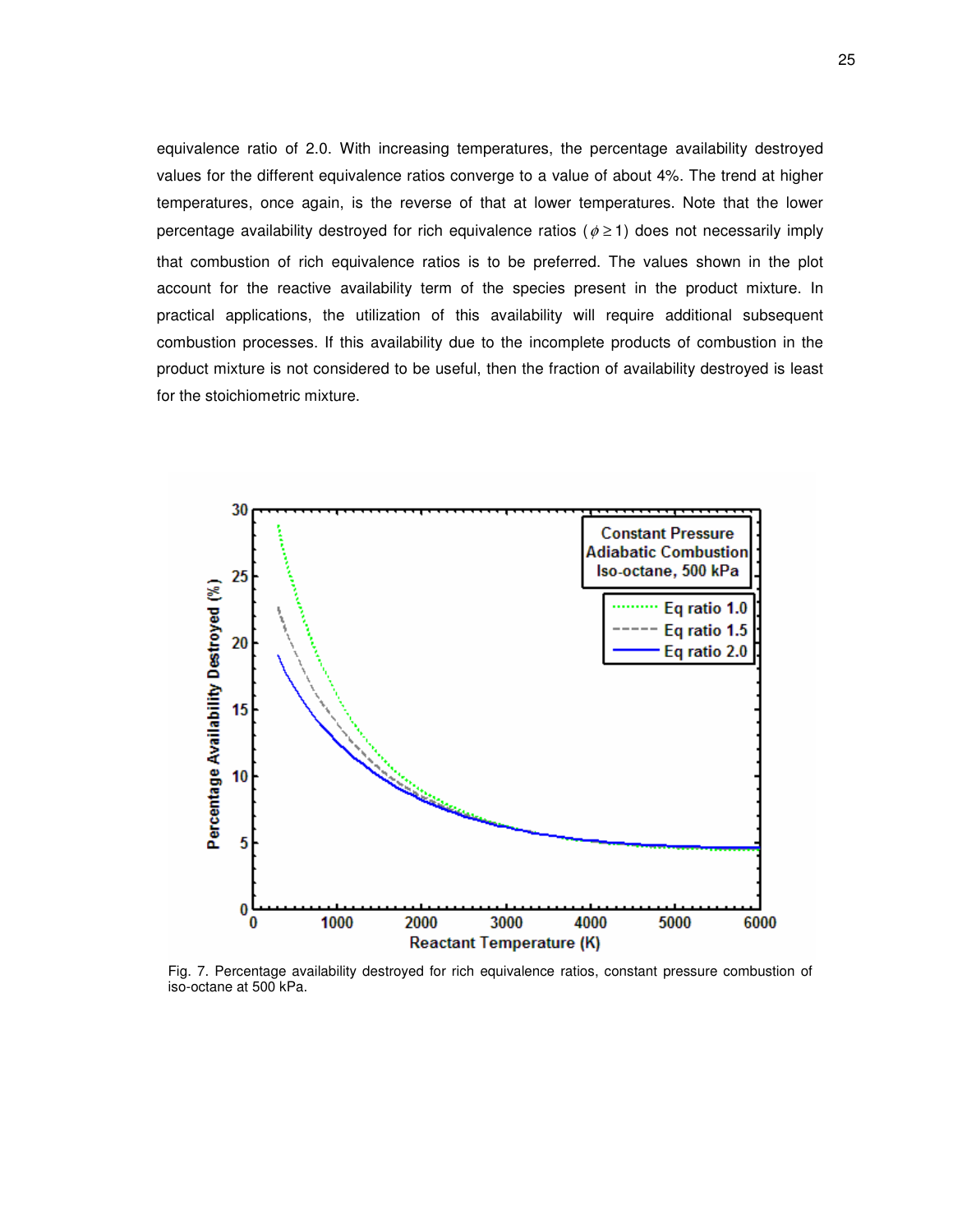equivalence ratio of 2.0. With increasing temperatures, the percentage availability destroyed values for the different equivalence ratios converge to a value of about 4%. The trend at higher temperatures, once again, is the reverse of that at lower temperatures. Note that the lower percentage availability destroyed for rich equivalence ratios ( $\phi \ge 1$ ) does not necessarily imply that combustion of rich equivalence ratios is to be preferred. The values shown in the plot account for the reactive availability term of the species present in the product mixture. In practical applications, the utilization of this availability will require additional subsequent combustion processes. If this availability due to the incomplete products of combustion in the product mixture is not considered to be useful, then the fraction of availability destroyed is least for the stoichiometric mixture.



Fig. 7. Percentage availability destroyed for rich equivalence ratios, constant pressure combustion of iso-octane at 500 kPa.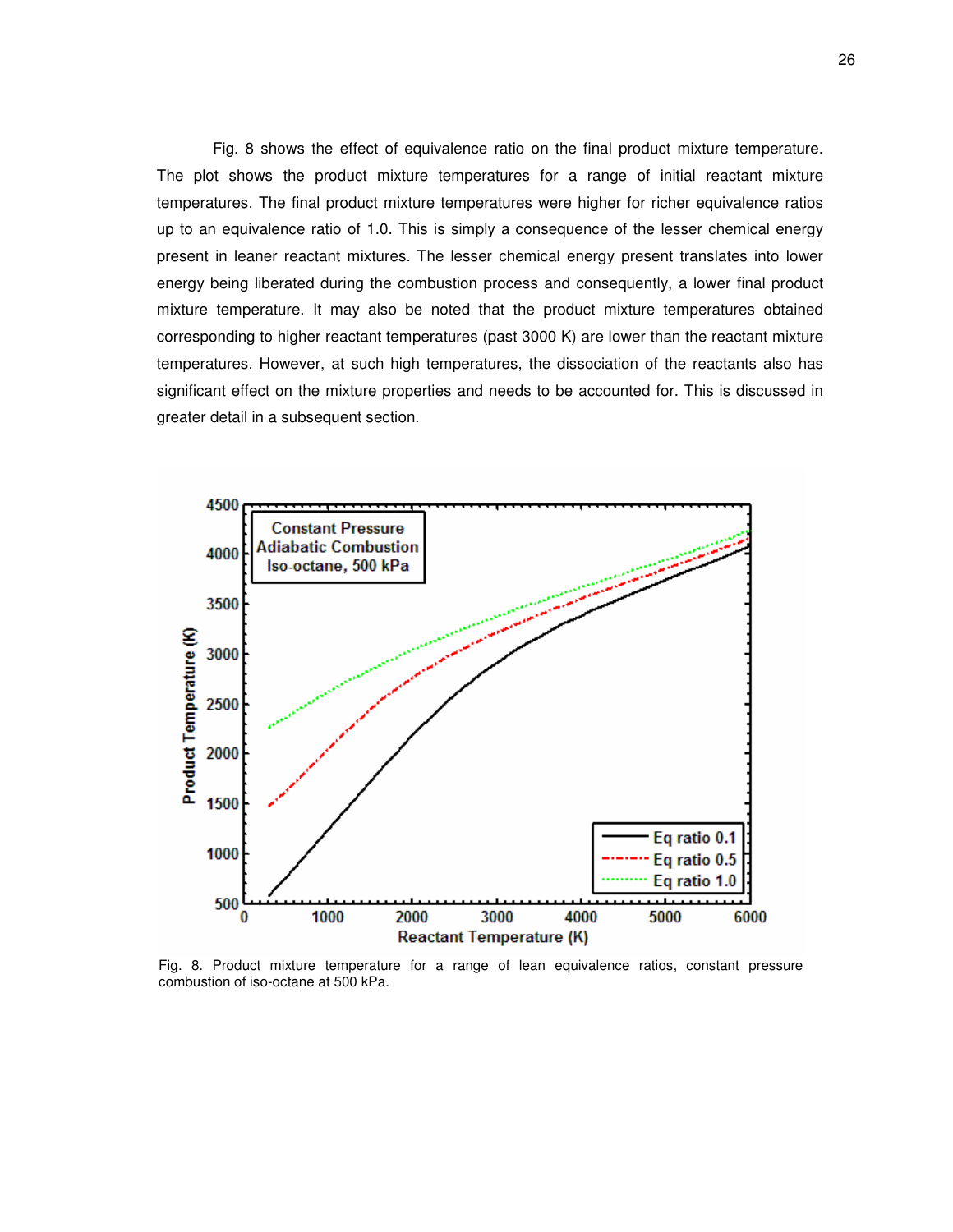Fig. 8 shows the effect of equivalence ratio on the final product mixture temperature. The plot shows the product mixture temperatures for a range of initial reactant mixture temperatures. The final product mixture temperatures were higher for richer equivalence ratios up to an equivalence ratio of 1.0. This is simply a consequence of the lesser chemical energy present in leaner reactant mixtures. The lesser chemical energy present translates into lower energy being liberated during the combustion process and consequently, a lower final product mixture temperature. It may also be noted that the product mixture temperatures obtained corresponding to higher reactant temperatures (past 3000 K) are lower than the reactant mixture temperatures. However, at such high temperatures, the dissociation of the reactants also has significant effect on the mixture properties and needs to be accounted for. This is discussed in greater detail in a subsequent section.



Fig. 8. Product mixture temperature for a range of lean equivalence ratios, constant pressure combustion of iso-octane at 500 kPa.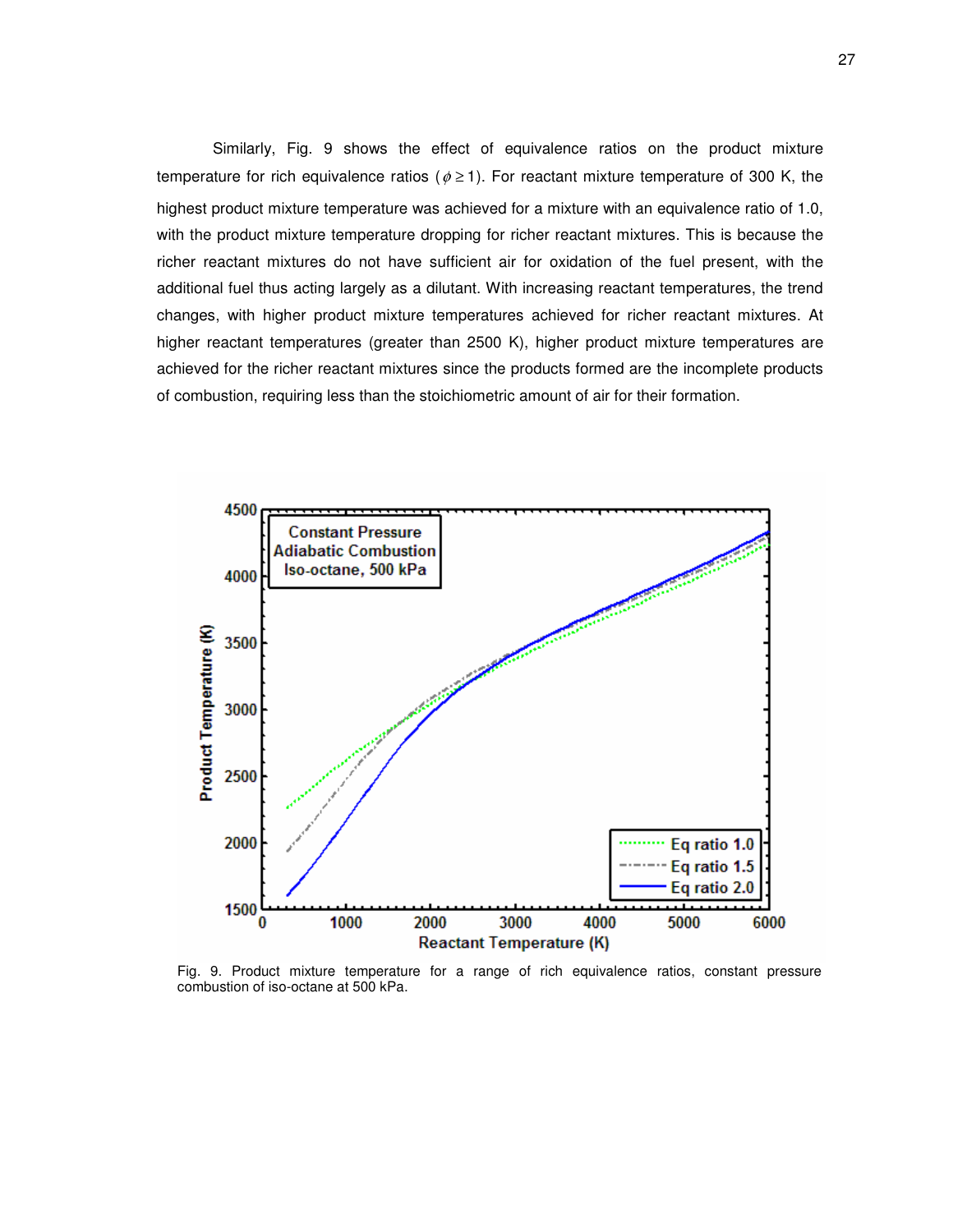Similarly, Fig. 9 shows the effect of equivalence ratios on the product mixture temperature for rich equivalence ratios ( $\phi \ge 1$ ). For reactant mixture temperature of 300 K, the highest product mixture temperature was achieved for a mixture with an equivalence ratio of 1.0, with the product mixture temperature dropping for richer reactant mixtures. This is because the richer reactant mixtures do not have sufficient air for oxidation of the fuel present, with the additional fuel thus acting largely as a dilutant. With increasing reactant temperatures, the trend changes, with higher product mixture temperatures achieved for richer reactant mixtures. At higher reactant temperatures (greater than 2500 K), higher product mixture temperatures are achieved for the richer reactant mixtures since the products formed are the incomplete products of combustion, requiring less than the stoichiometric amount of air for their formation.



Fig. 9. Product mixture temperature for a range of rich equivalence ratios, constant pressure combustion of iso-octane at 500 kPa.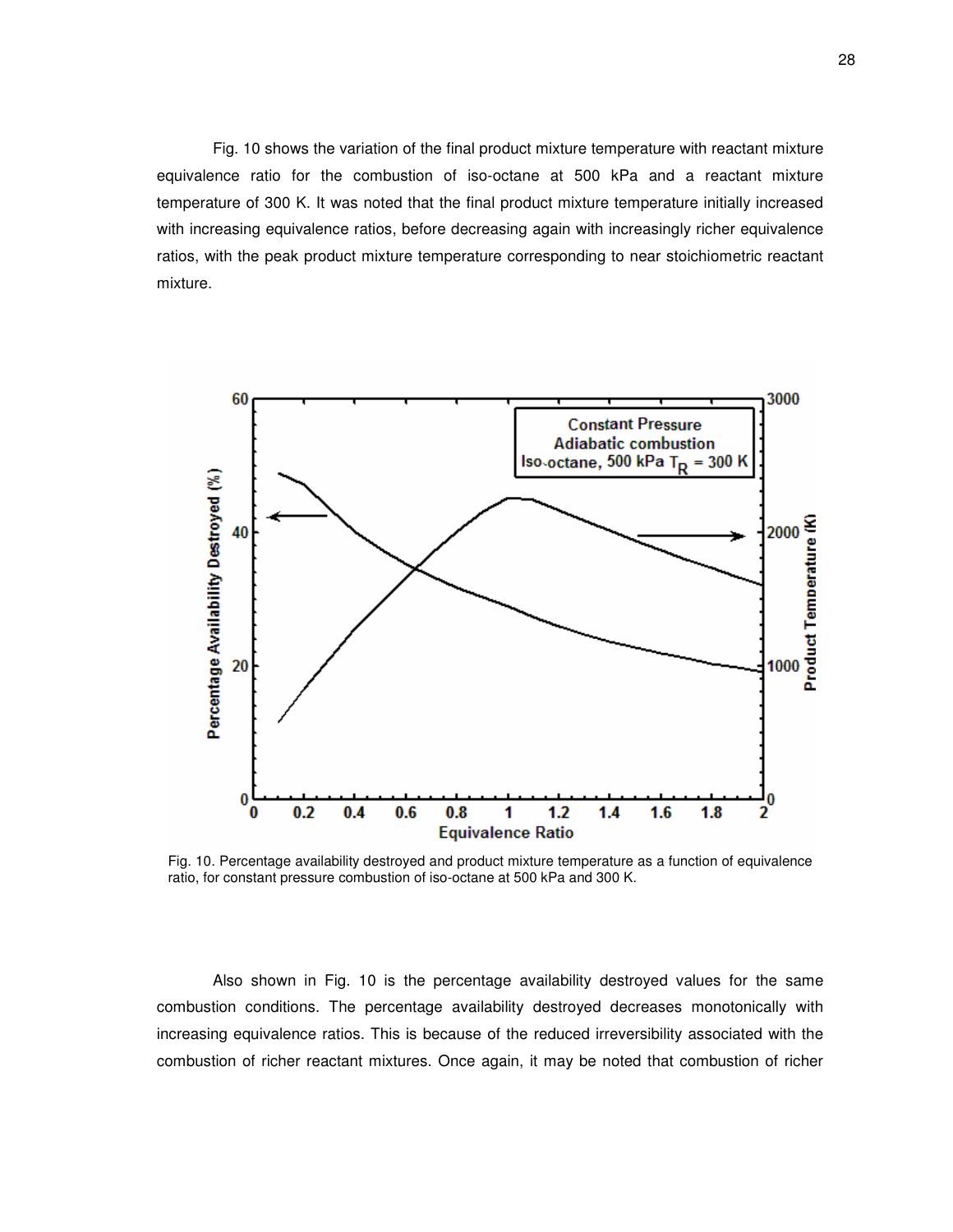Fig. 10 shows the variation of the final product mixture temperature with reactant mixture equivalence ratio for the combustion of iso-octane at 500 kPa and a reactant mixture temperature of 300 K. It was noted that the final product mixture temperature initially increased with increasing equivalence ratios, before decreasing again with increasingly richer equivalence ratios, with the peak product mixture temperature corresponding to near stoichiometric reactant mixture.



Fig. 10. Percentage availability destroyed and product mixture temperature as a function of equivalence ratio, for constant pressure combustion of iso-octane at 500 kPa and 300 K.

Also shown in Fig. 10 is the percentage availability destroyed values for the same combustion conditions. The percentage availability destroyed decreases monotonically with increasing equivalence ratios. This is because of the reduced irreversibility associated with the combustion of richer reactant mixtures. Once again, it may be noted that combustion of richer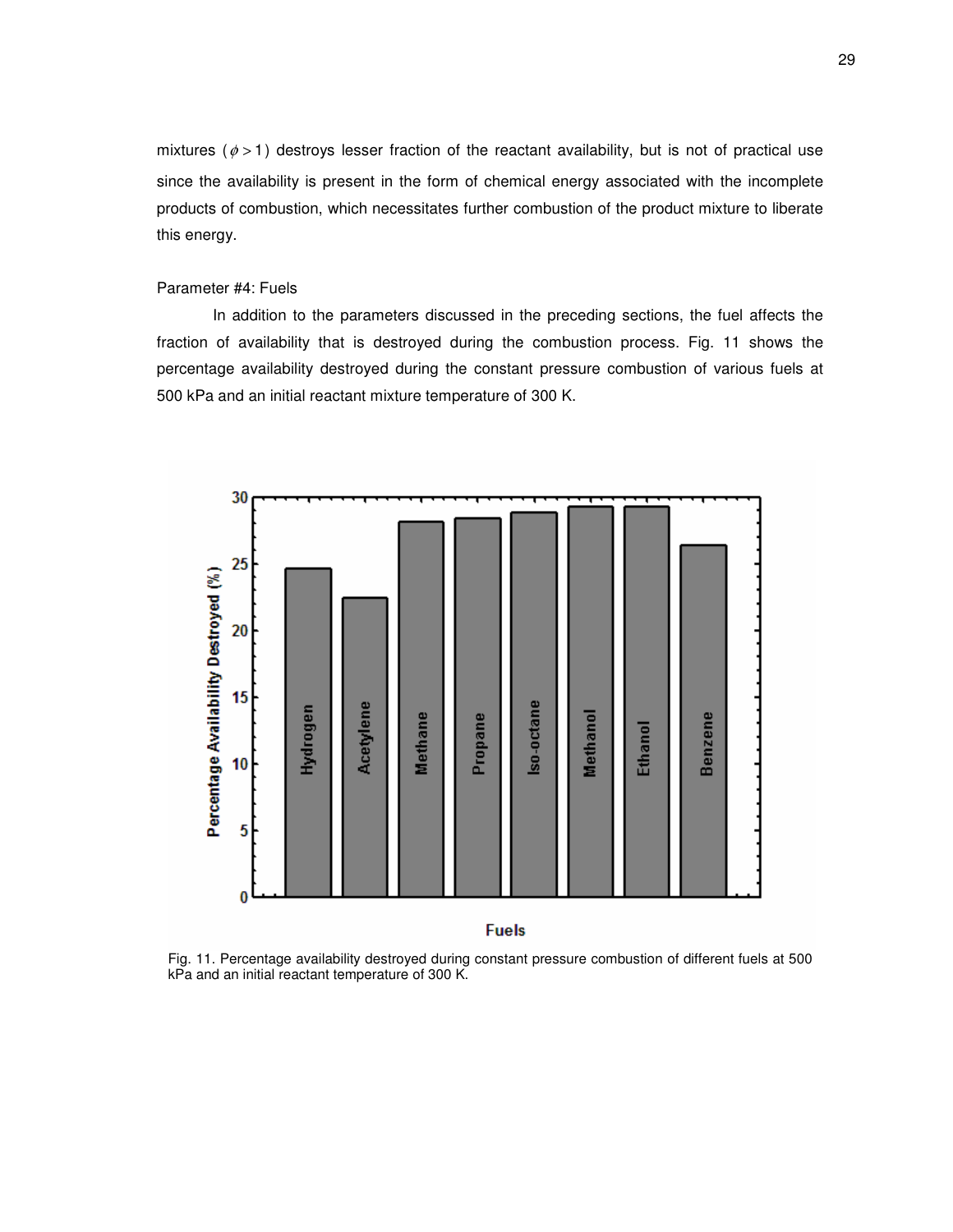mixtures ( $\phi$  > 1) destroys lesser fraction of the reactant availability, but is not of practical use since the availability is present in the form of chemical energy associated with the incomplete products of combustion, which necessitates further combustion of the product mixture to liberate this energy.

# Parameter #4: Fuels

In addition to the parameters discussed in the preceding sections, the fuel affects the fraction of availability that is destroyed during the combustion process. Fig. 11 shows the percentage availability destroyed during the constant pressure combustion of various fuels at 500 kPa and an initial reactant mixture temperature of 300 K.



Fig. 11. Percentage availability destroyed during constant pressure combustion of different fuels at 500 kPa and an initial reactant temperature of 300 K.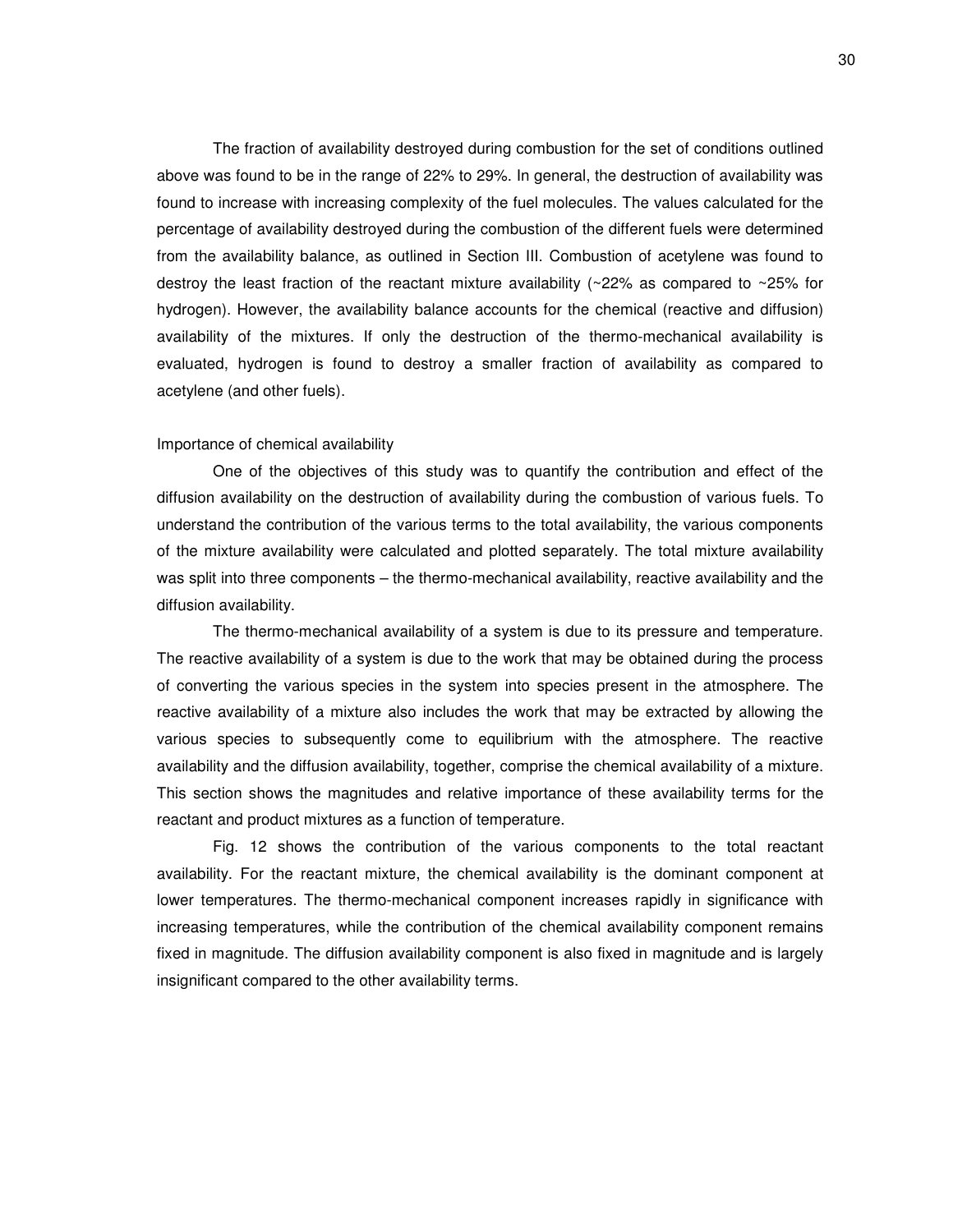The fraction of availability destroyed during combustion for the set of conditions outlined above was found to be in the range of 22% to 29%. In general, the destruction of availability was found to increase with increasing complexity of the fuel molecules. The values calculated for the percentage of availability destroyed during the combustion of the different fuels were determined from the availability balance, as outlined in Section III. Combustion of acetylene was found to destroy the least fraction of the reactant mixture availability ( $\sim$ 22% as compared to  $\sim$ 25% for hydrogen). However, the availability balance accounts for the chemical (reactive and diffusion) availability of the mixtures. If only the destruction of the thermo-mechanical availability is evaluated, hydrogen is found to destroy a smaller fraction of availability as compared to acetylene (and other fuels).

#### Importance of chemical availability

One of the objectives of this study was to quantify the contribution and effect of the diffusion availability on the destruction of availability during the combustion of various fuels. To understand the contribution of the various terms to the total availability, the various components of the mixture availability were calculated and plotted separately. The total mixture availability was split into three components – the thermo-mechanical availability, reactive availability and the diffusion availability.

The thermo-mechanical availability of a system is due to its pressure and temperature. The reactive availability of a system is due to the work that may be obtained during the process of converting the various species in the system into species present in the atmosphere. The reactive availability of a mixture also includes the work that may be extracted by allowing the various species to subsequently come to equilibrium with the atmosphere. The reactive availability and the diffusion availability, together, comprise the chemical availability of a mixture. This section shows the magnitudes and relative importance of these availability terms for the reactant and product mixtures as a function of temperature.

Fig. 12 shows the contribution of the various components to the total reactant availability. For the reactant mixture, the chemical availability is the dominant component at lower temperatures. The thermo-mechanical component increases rapidly in significance with increasing temperatures, while the contribution of the chemical availability component remains fixed in magnitude. The diffusion availability component is also fixed in magnitude and is largely insignificant compared to the other availability terms.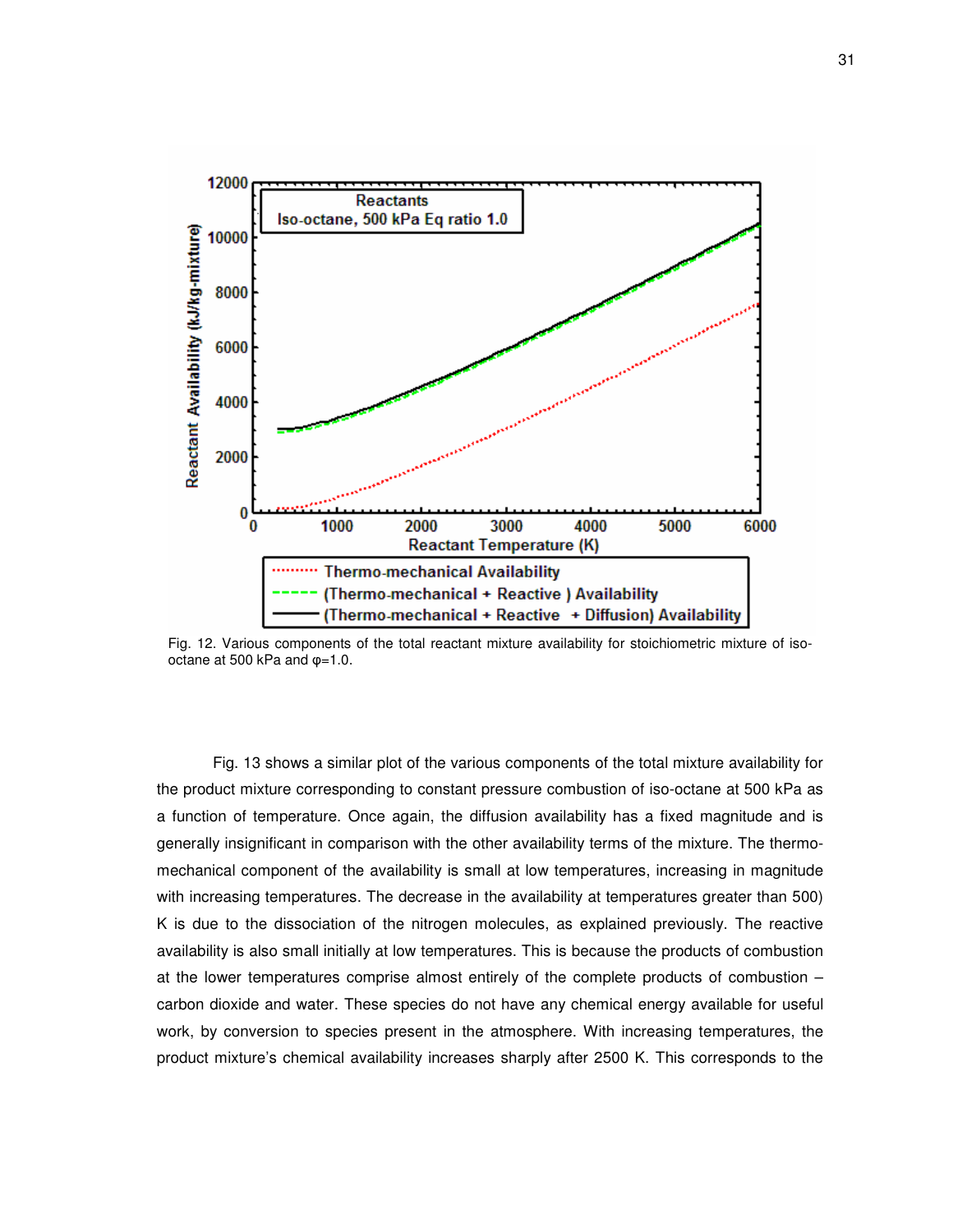

Fig. 12. Various components of the total reactant mixture availability for stoichiometric mixture of isooctane at 500 kPa and  $\varphi$ =1.0.

Fig. 13 shows a similar plot of the various components of the total mixture availability for the product mixture corresponding to constant pressure combustion of iso-octane at 500 kPa as a function of temperature. Once again, the diffusion availability has a fixed magnitude and is generally insignificant in comparison with the other availability terms of the mixture. The thermomechanical component of the availability is small at low temperatures, increasing in magnitude with increasing temperatures. The decrease in the availability at temperatures greater than 500) K is due to the dissociation of the nitrogen molecules, as explained previously. The reactive availability is also small initially at low temperatures. This is because the products of combustion at the lower temperatures comprise almost entirely of the complete products of combustion – carbon dioxide and water. These species do not have any chemical energy available for useful work, by conversion to species present in the atmosphere. With increasing temperatures, the product mixture's chemical availability increases sharply after 2500 K. This corresponds to the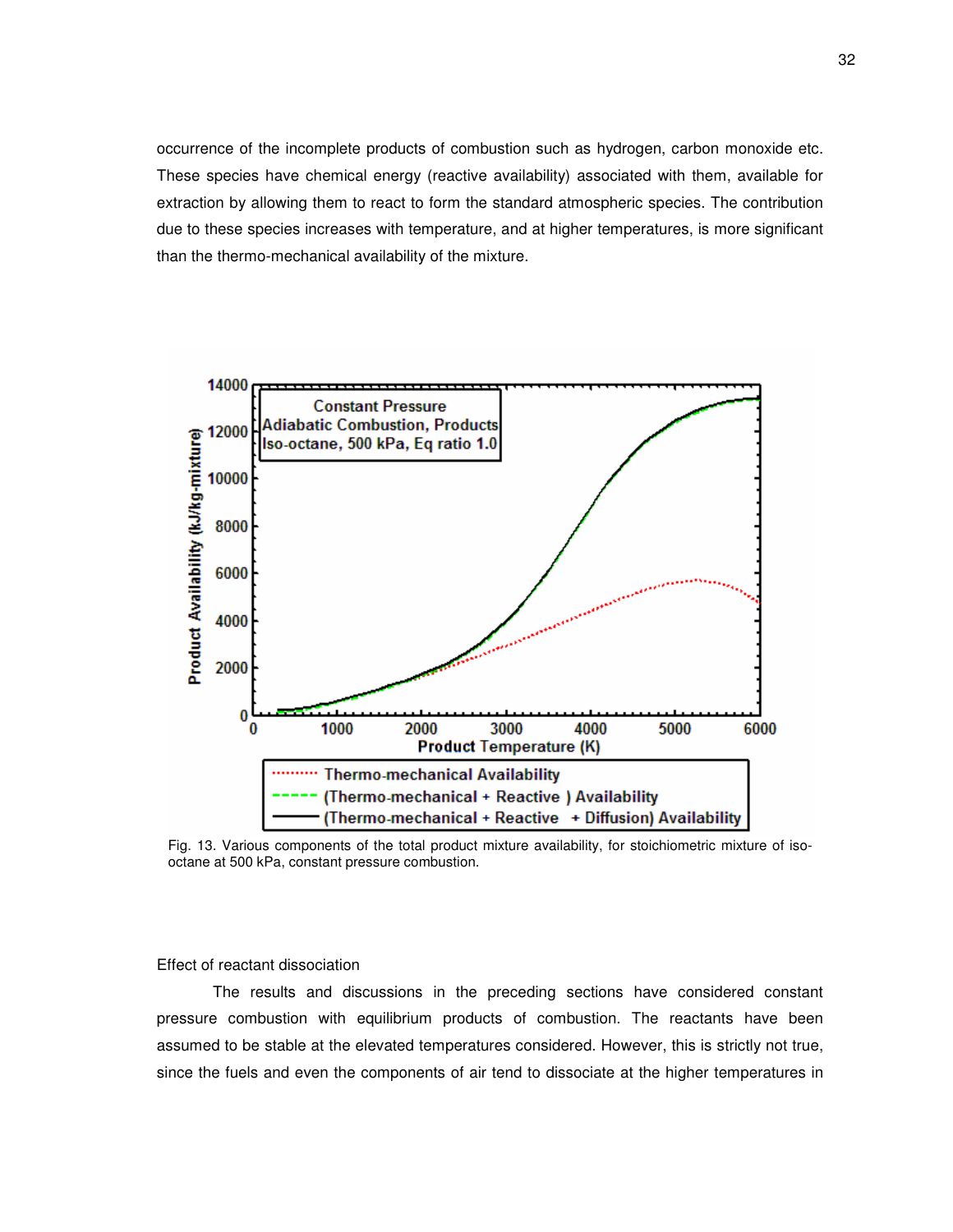occurrence of the incomplete products of combustion such as hydrogen, carbon monoxide etc. These species have chemical energy (reactive availability) associated with them, available for extraction by allowing them to react to form the standard atmospheric species. The contribution due to these species increases with temperature, and at higher temperatures, is more significant than the thermo-mechanical availability of the mixture.



Fig. 13. Various components of the total product mixture availability, for stoichiometric mixture of isooctane at 500 kPa, constant pressure combustion.

Effect of reactant dissociation

The results and discussions in the preceding sections have considered constant pressure combustion with equilibrium products of combustion. The reactants have been assumed to be stable at the elevated temperatures considered. However, this is strictly not true, since the fuels and even the components of air tend to dissociate at the higher temperatures in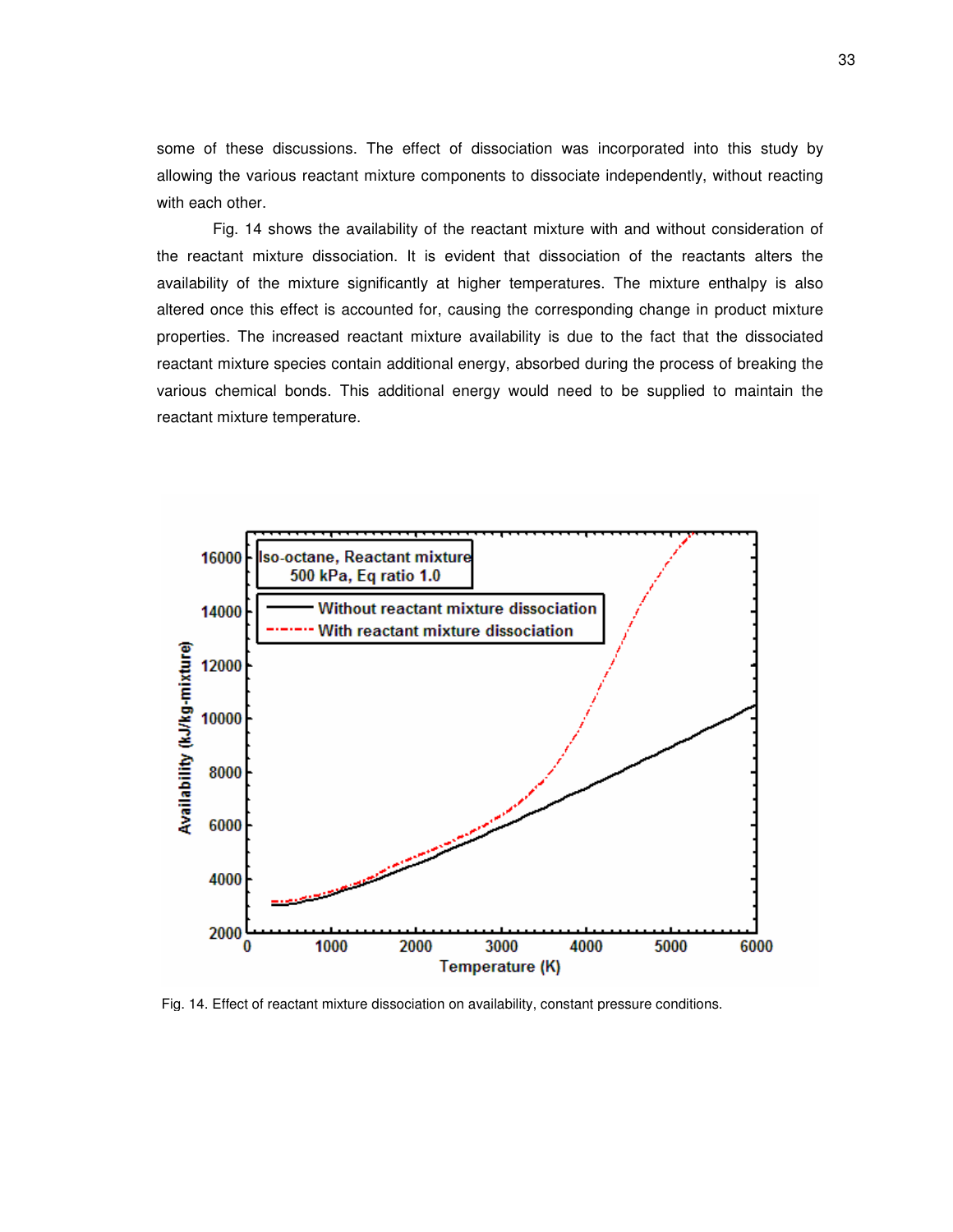some of these discussions. The effect of dissociation was incorporated into this study by allowing the various reactant mixture components to dissociate independently, without reacting with each other.

Fig. 14 shows the availability of the reactant mixture with and without consideration of the reactant mixture dissociation. It is evident that dissociation of the reactants alters the availability of the mixture significantly at higher temperatures. The mixture enthalpy is also altered once this effect is accounted for, causing the corresponding change in product mixture properties. The increased reactant mixture availability is due to the fact that the dissociated reactant mixture species contain additional energy, absorbed during the process of breaking the various chemical bonds. This additional energy would need to be supplied to maintain the reactant mixture temperature.



Fig. 14. Effect of reactant mixture dissociation on availability, constant pressure conditions.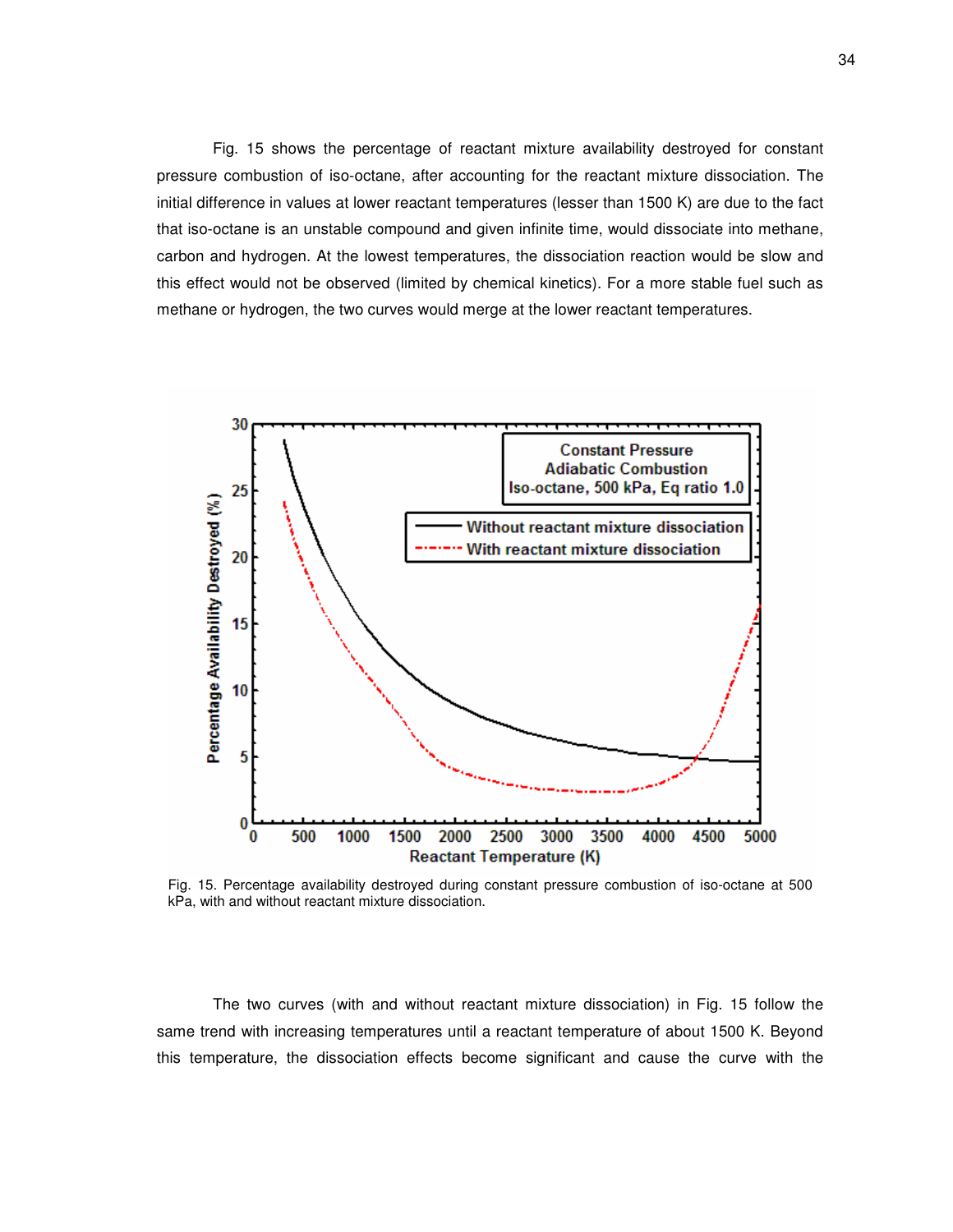Fig. 15 shows the percentage of reactant mixture availability destroyed for constant pressure combustion of iso-octane, after accounting for the reactant mixture dissociation. The initial difference in values at lower reactant temperatures (lesser than 1500 K) are due to the fact that iso-octane is an unstable compound and given infinite time, would dissociate into methane, carbon and hydrogen. At the lowest temperatures, the dissociation reaction would be slow and this effect would not be observed (limited by chemical kinetics). For a more stable fuel such as methane or hydrogen, the two curves would merge at the lower reactant temperatures.



Fig. 15. Percentage availability destroyed during constant pressure combustion of iso-octane at 500 kPa, with and without reactant mixture dissociation.

The two curves (with and without reactant mixture dissociation) in Fig. 15 follow the same trend with increasing temperatures until a reactant temperature of about 1500 K. Beyond this temperature, the dissociation effects become significant and cause the curve with the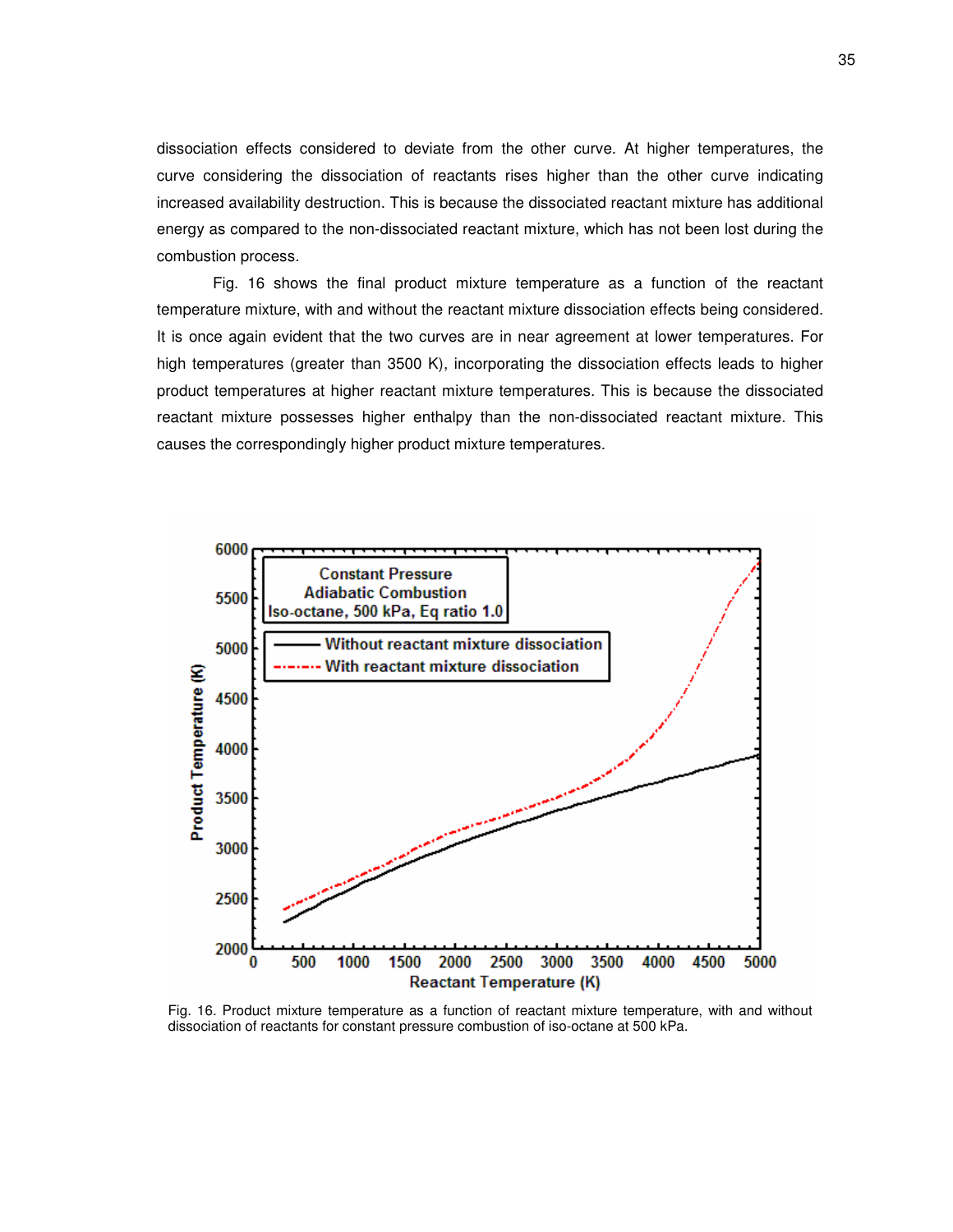dissociation effects considered to deviate from the other curve. At higher temperatures, the curve considering the dissociation of reactants rises higher than the other curve indicating increased availability destruction. This is because the dissociated reactant mixture has additional energy as compared to the non-dissociated reactant mixture, which has not been lost during the combustion process.

Fig. 16 shows the final product mixture temperature as a function of the reactant temperature mixture, with and without the reactant mixture dissociation effects being considered. It is once again evident that the two curves are in near agreement at lower temperatures. For high temperatures (greater than 3500 K), incorporating the dissociation effects leads to higher product temperatures at higher reactant mixture temperatures. This is because the dissociated reactant mixture possesses higher enthalpy than the non-dissociated reactant mixture. This causes the correspondingly higher product mixture temperatures.



Fig. 16. Product mixture temperature as a function of reactant mixture temperature, with and without dissociation of reactants for constant pressure combustion of iso-octane at 500 kPa.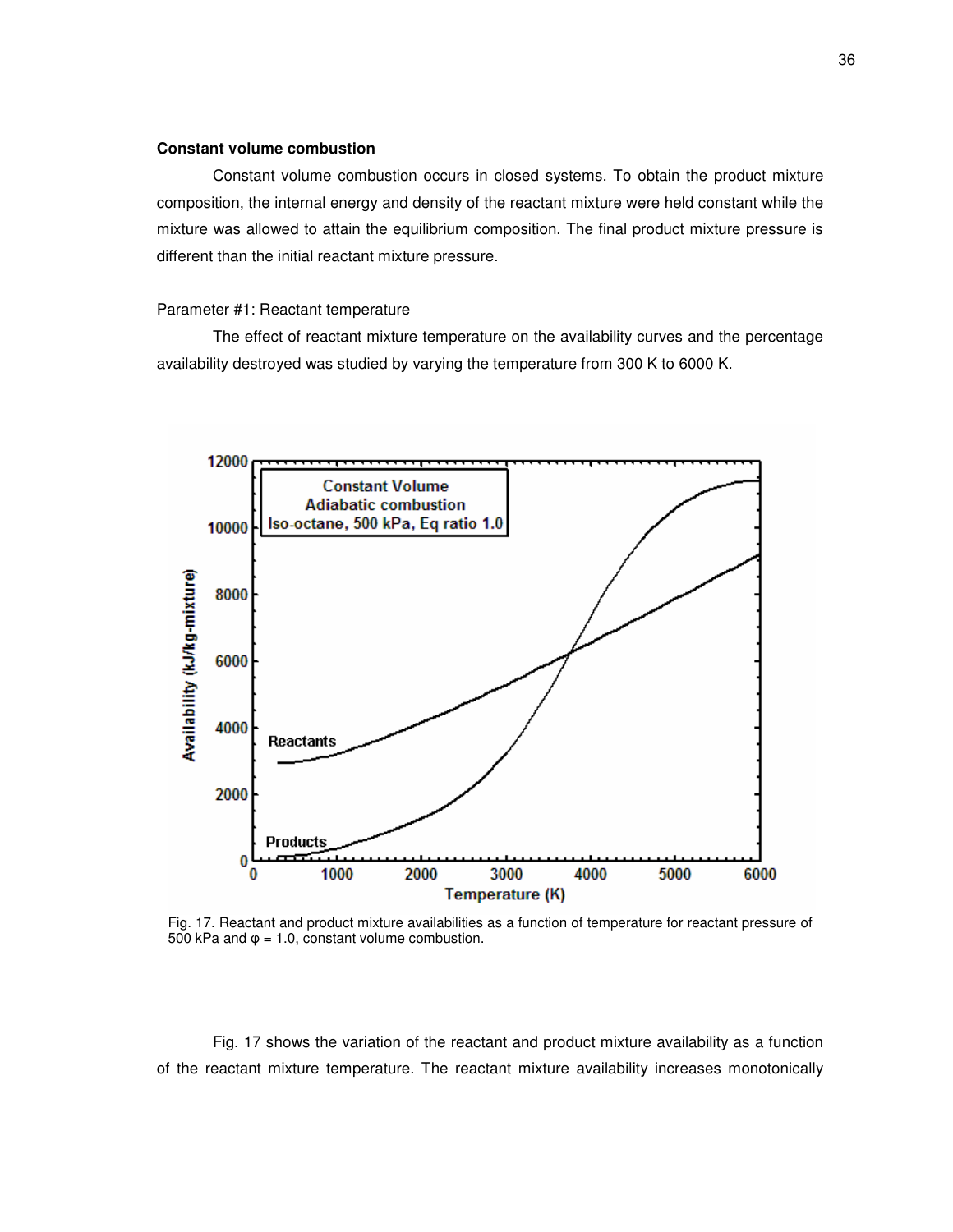# **Constant volume combustion**

Constant volume combustion occurs in closed systems. To obtain the product mixture composition, the internal energy and density of the reactant mixture were held constant while the mixture was allowed to attain the equilibrium composition. The final product mixture pressure is different than the initial reactant mixture pressure.

#### Parameter #1: Reactant temperature

The effect of reactant mixture temperature on the availability curves and the percentage availability destroyed was studied by varying the temperature from 300 K to 6000 K.



Fig. 17. Reactant and product mixture availabilities as a function of temperature for reactant pressure of 500 kPa and  $\varphi$  = 1.0, constant volume combustion.

Fig. 17 shows the variation of the reactant and product mixture availability as a function of the reactant mixture temperature. The reactant mixture availability increases monotonically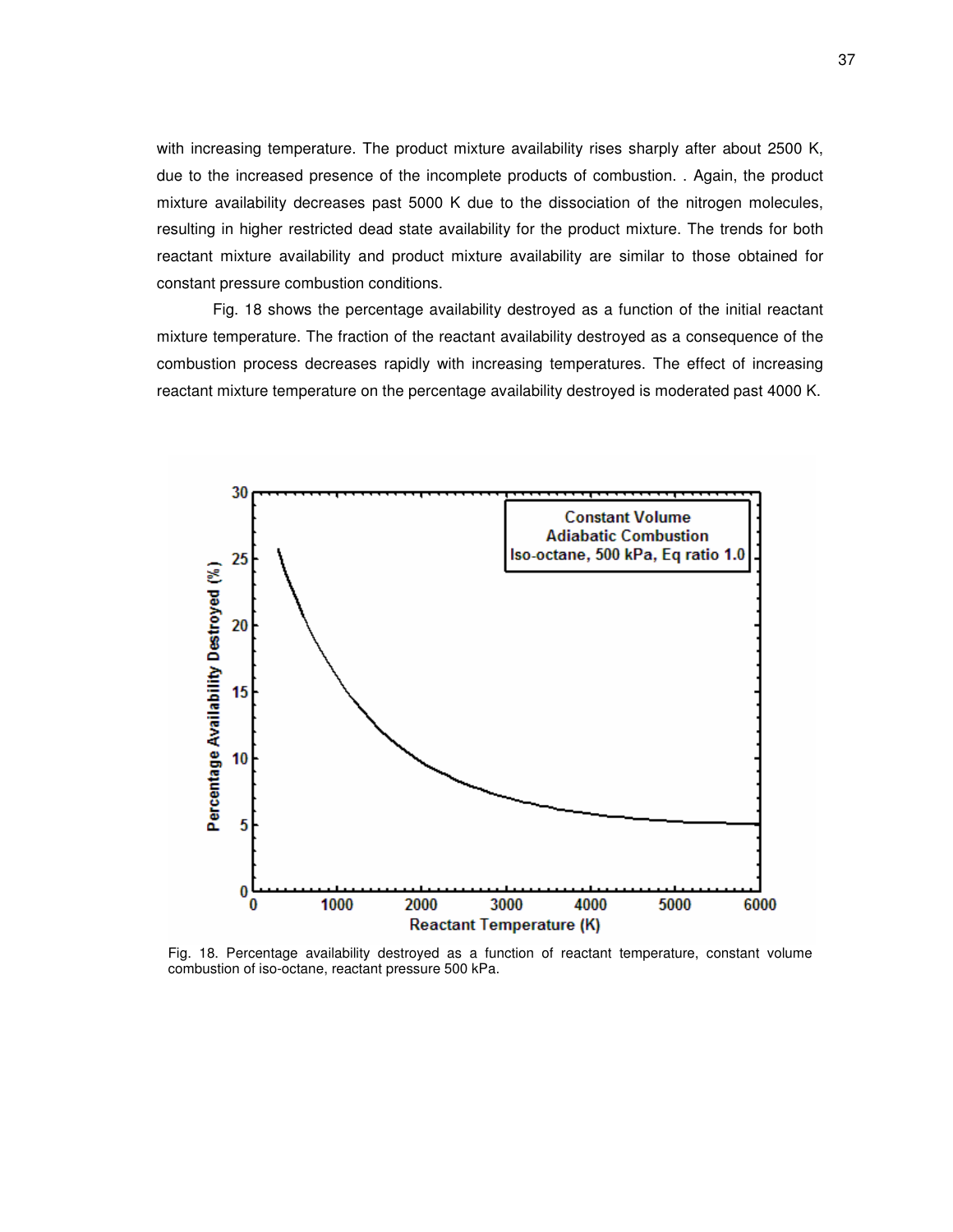with increasing temperature. The product mixture availability rises sharply after about 2500 K, due to the increased presence of the incomplete products of combustion. . Again, the product mixture availability decreases past 5000 K due to the dissociation of the nitrogen molecules, resulting in higher restricted dead state availability for the product mixture. The trends for both reactant mixture availability and product mixture availability are similar to those obtained for constant pressure combustion conditions.

Fig. 18 shows the percentage availability destroyed as a function of the initial reactant mixture temperature. The fraction of the reactant availability destroyed as a consequence of the combustion process decreases rapidly with increasing temperatures. The effect of increasing reactant mixture temperature on the percentage availability destroyed is moderated past 4000 K.



Fig. 18. Percentage availability destroyed as a function of reactant temperature, constant volume combustion of iso-octane, reactant pressure 500 kPa.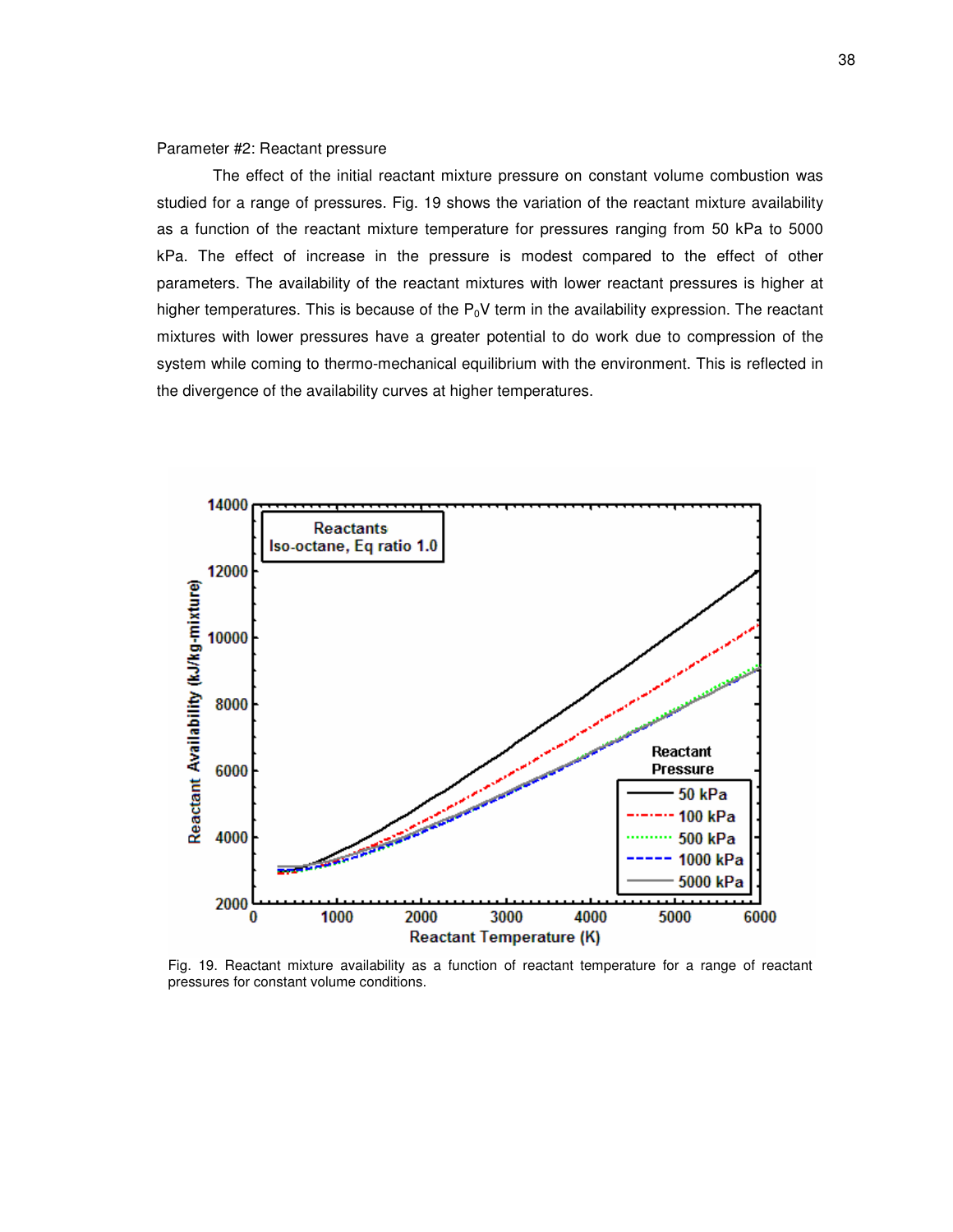# Parameter #2: Reactant pressure

The effect of the initial reactant mixture pressure on constant volume combustion was studied for a range of pressures. Fig. 19 shows the variation of the reactant mixture availability as a function of the reactant mixture temperature for pressures ranging from 50 kPa to 5000 kPa. The effect of increase in the pressure is modest compared to the effect of other parameters. The availability of the reactant mixtures with lower reactant pressures is higher at higher temperatures. This is because of the  $P_0V$  term in the availability expression. The reactant mixtures with lower pressures have a greater potential to do work due to compression of the system while coming to thermo-mechanical equilibrium with the environment. This is reflected in the divergence of the availability curves at higher temperatures.



Fig. 19. Reactant mixture availability as a function of reactant temperature for a range of reactant pressures for constant volume conditions.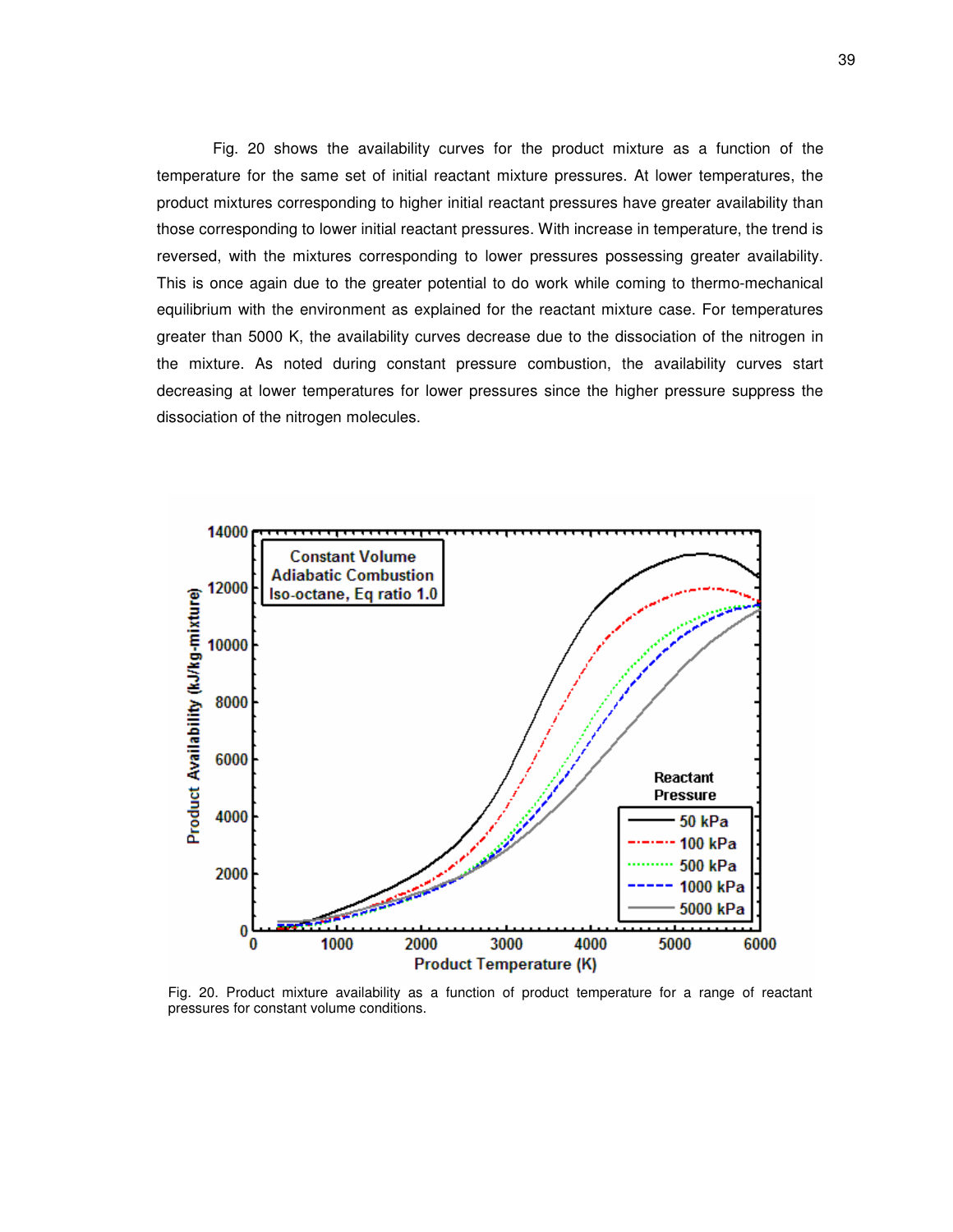Fig. 20 shows the availability curves for the product mixture as a function of the temperature for the same set of initial reactant mixture pressures. At lower temperatures, the product mixtures corresponding to higher initial reactant pressures have greater availability than those corresponding to lower initial reactant pressures. With increase in temperature, the trend is reversed, with the mixtures corresponding to lower pressures possessing greater availability. This is once again due to the greater potential to do work while coming to thermo-mechanical equilibrium with the environment as explained for the reactant mixture case. For temperatures greater than 5000 K, the availability curves decrease due to the dissociation of the nitrogen in the mixture. As noted during constant pressure combustion, the availability curves start decreasing at lower temperatures for lower pressures since the higher pressure suppress the dissociation of the nitrogen molecules.



Fig. 20. Product mixture availability as a function of product temperature for a range of reactant pressures for constant volume conditions.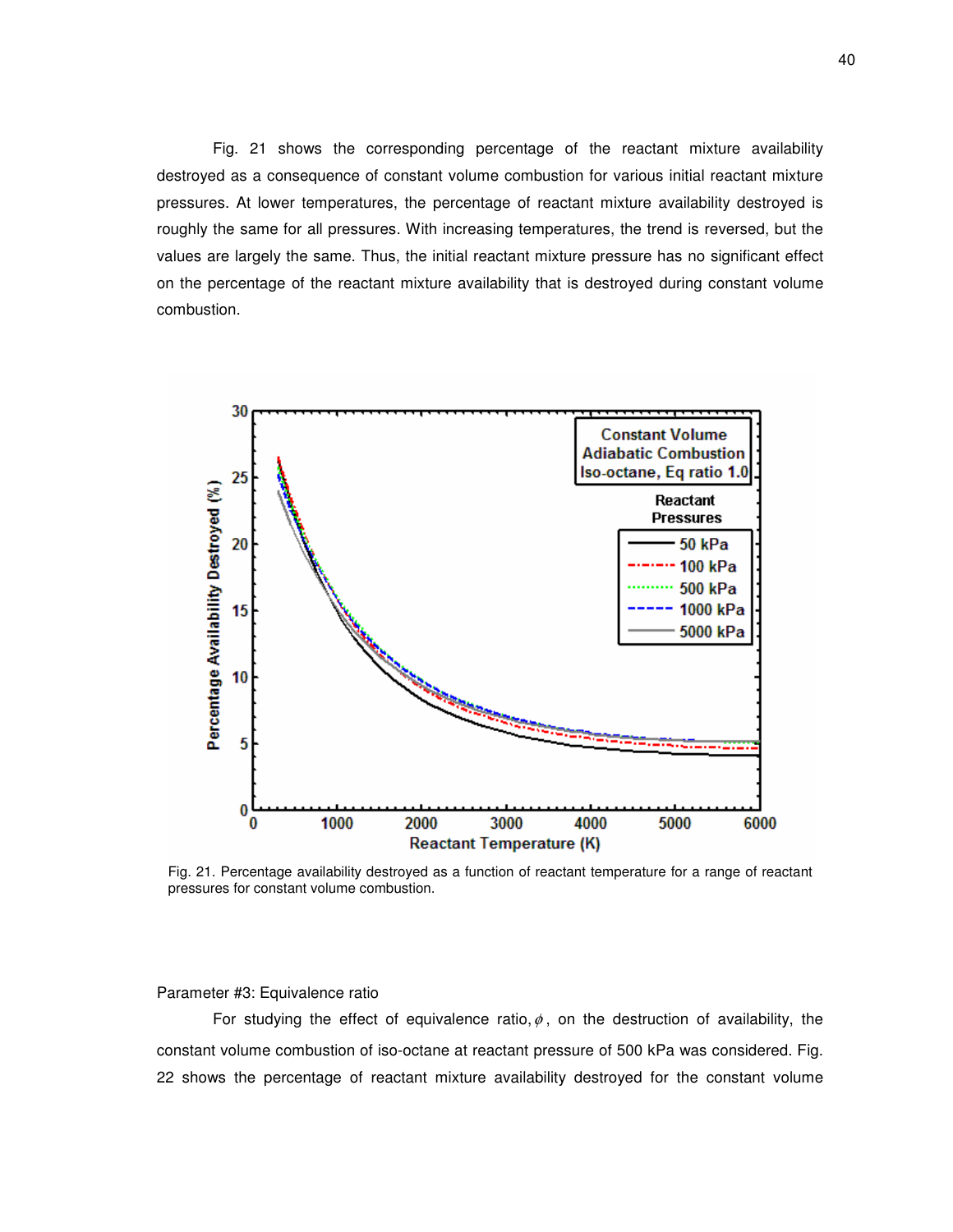Fig. 21 shows the corresponding percentage of the reactant mixture availability destroyed as a consequence of constant volume combustion for various initial reactant mixture pressures. At lower temperatures, the percentage of reactant mixture availability destroyed is roughly the same for all pressures. With increasing temperatures, the trend is reversed, but the values are largely the same. Thus, the initial reactant mixture pressure has no significant effect on the percentage of the reactant mixture availability that is destroyed during constant volume combustion.



Fig. 21. Percentage availability destroyed as a function of reactant temperature for a range of reactant pressures for constant volume combustion.

# Parameter #3: Equivalence ratio

For studying the effect of equivalence ratio,  $\phi$ , on the destruction of availability, the constant volume combustion of iso-octane at reactant pressure of 500 kPa was considered. Fig. 22 shows the percentage of reactant mixture availability destroyed for the constant volume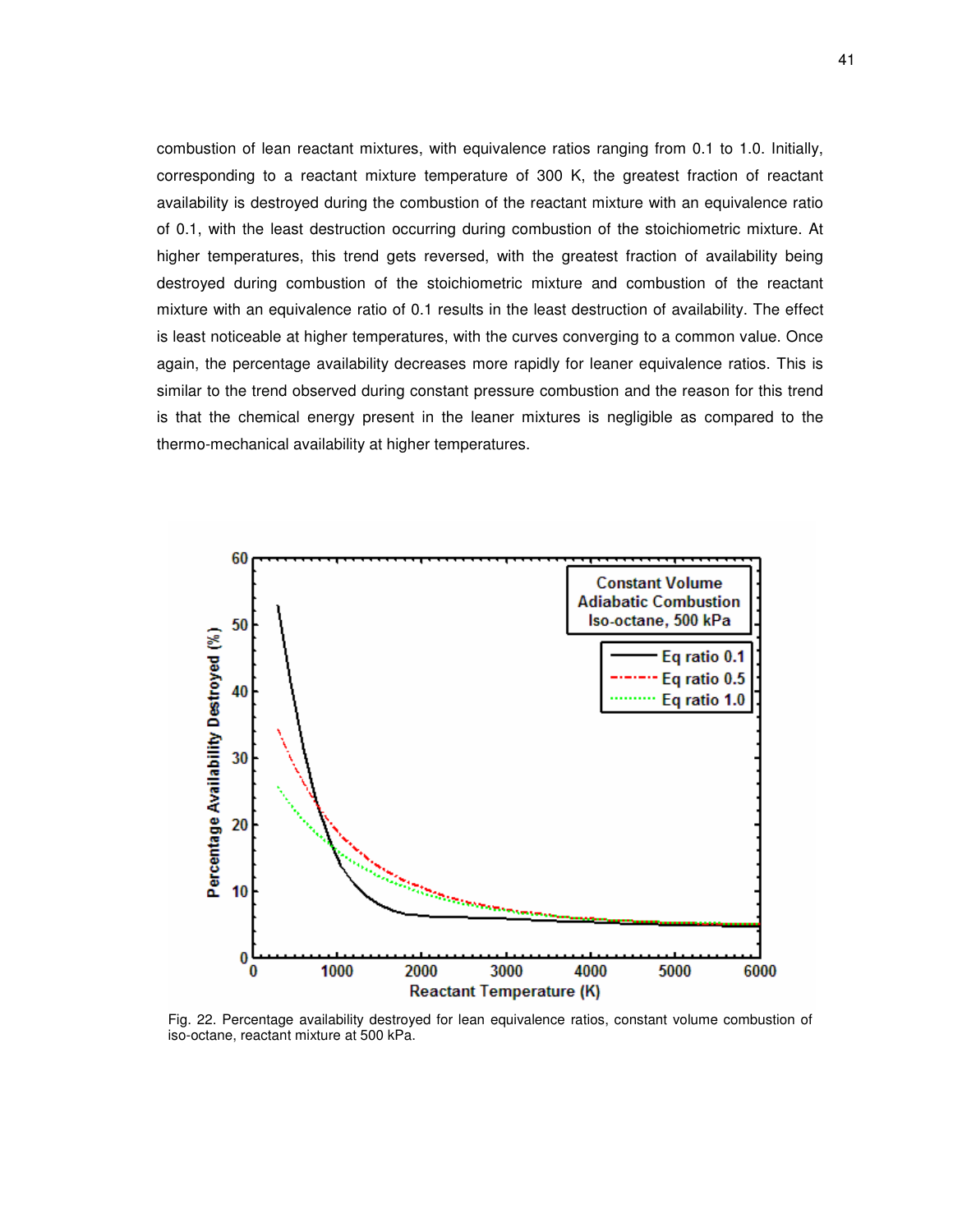combustion of lean reactant mixtures, with equivalence ratios ranging from 0.1 to 1.0. Initially, corresponding to a reactant mixture temperature of 300 K, the greatest fraction of reactant availability is destroyed during the combustion of the reactant mixture with an equivalence ratio of 0.1, with the least destruction occurring during combustion of the stoichiometric mixture. At higher temperatures, this trend gets reversed, with the greatest fraction of availability being destroyed during combustion of the stoichiometric mixture and combustion of the reactant mixture with an equivalence ratio of 0.1 results in the least destruction of availability. The effect is least noticeable at higher temperatures, with the curves converging to a common value. Once again, the percentage availability decreases more rapidly for leaner equivalence ratios. This is similar to the trend observed during constant pressure combustion and the reason for this trend is that the chemical energy present in the leaner mixtures is negligible as compared to the thermo-mechanical availability at higher temperatures.



Fig. 22. Percentage availability destroyed for lean equivalence ratios, constant volume combustion of iso-octane, reactant mixture at 500 kPa.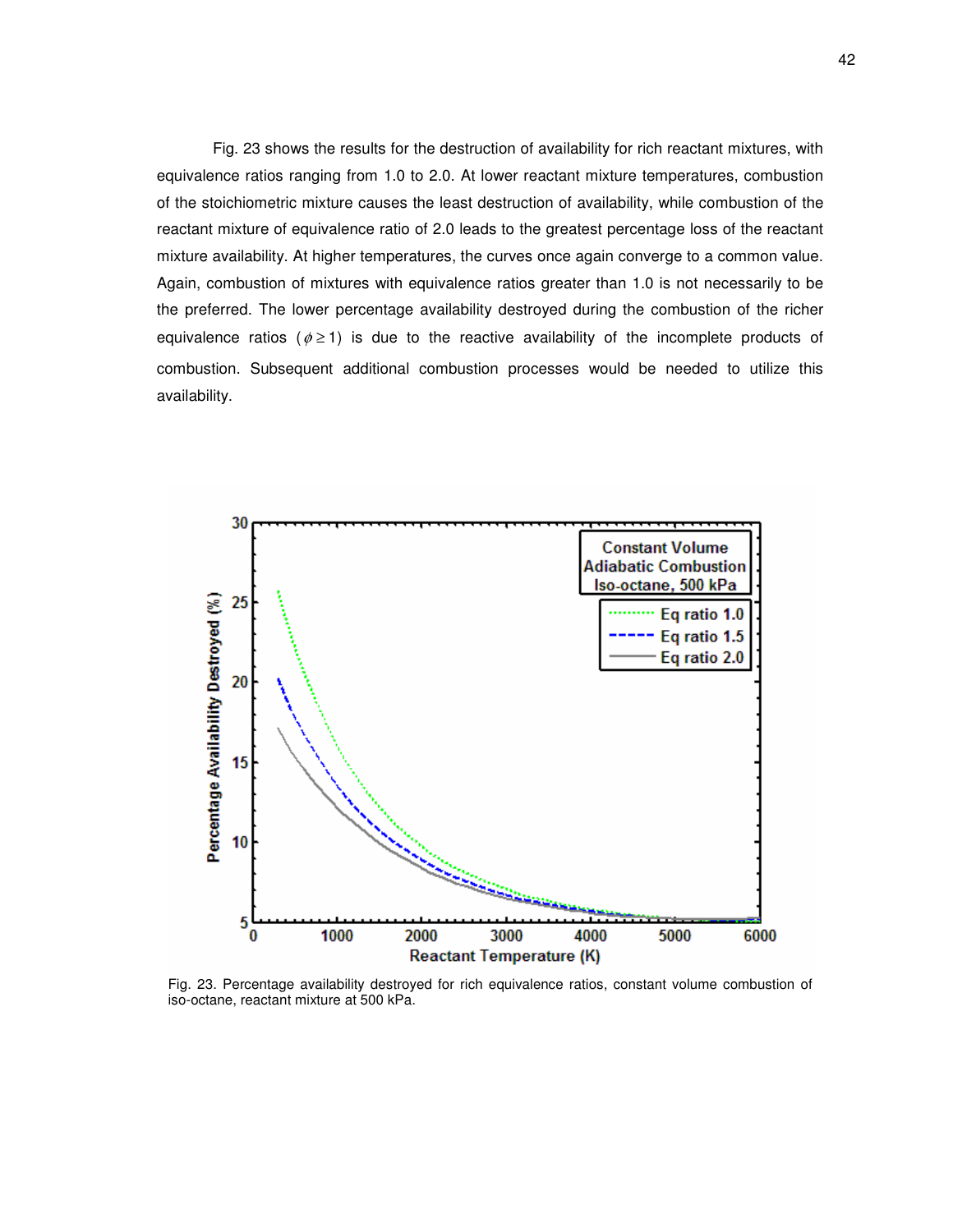Fig. 23 shows the results for the destruction of availability for rich reactant mixtures, with equivalence ratios ranging from 1.0 to 2.0. At lower reactant mixture temperatures, combustion of the stoichiometric mixture causes the least destruction of availability, while combustion of the reactant mixture of equivalence ratio of 2.0 leads to the greatest percentage loss of the reactant mixture availability. At higher temperatures, the curves once again converge to a common value. Again, combustion of mixtures with equivalence ratios greater than 1.0 is not necessarily to be the preferred. The lower percentage availability destroyed during the combustion of the richer equivalence ratios ( $\phi \ge 1$ ) is due to the reactive availability of the incomplete products of combustion. Subsequent additional combustion processes would be needed to utilize this availability.



Fig. 23. Percentage availability destroyed for rich equivalence ratios, constant volume combustion of iso-octane, reactant mixture at 500 kPa.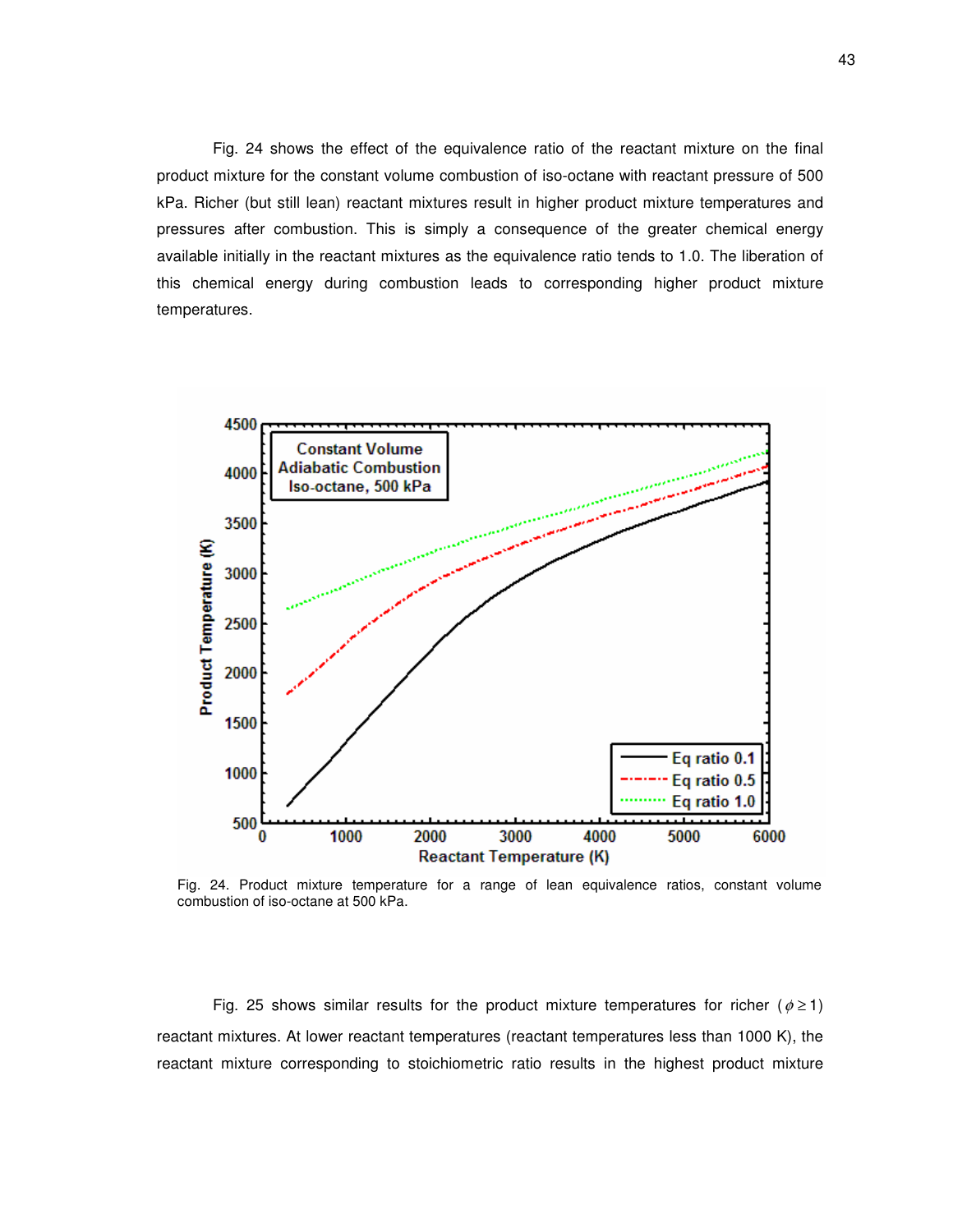Fig. 24 shows the effect of the equivalence ratio of the reactant mixture on the final product mixture for the constant volume combustion of iso-octane with reactant pressure of 500 kPa. Richer (but still lean) reactant mixtures result in higher product mixture temperatures and pressures after combustion. This is simply a consequence of the greater chemical energy available initially in the reactant mixtures as the equivalence ratio tends to 1.0. The liberation of this chemical energy during combustion leads to corresponding higher product mixture temperatures.



Fig. 24. Product mixture temperature for a range of lean equivalence ratios, constant volume combustion of iso-octane at 500 kPa.

Fig. 25 shows similar results for the product mixture temperatures for richer ( $\phi \ge 1$ ) reactant mixtures. At lower reactant temperatures (reactant temperatures less than 1000 K), the reactant mixture corresponding to stoichiometric ratio results in the highest product mixture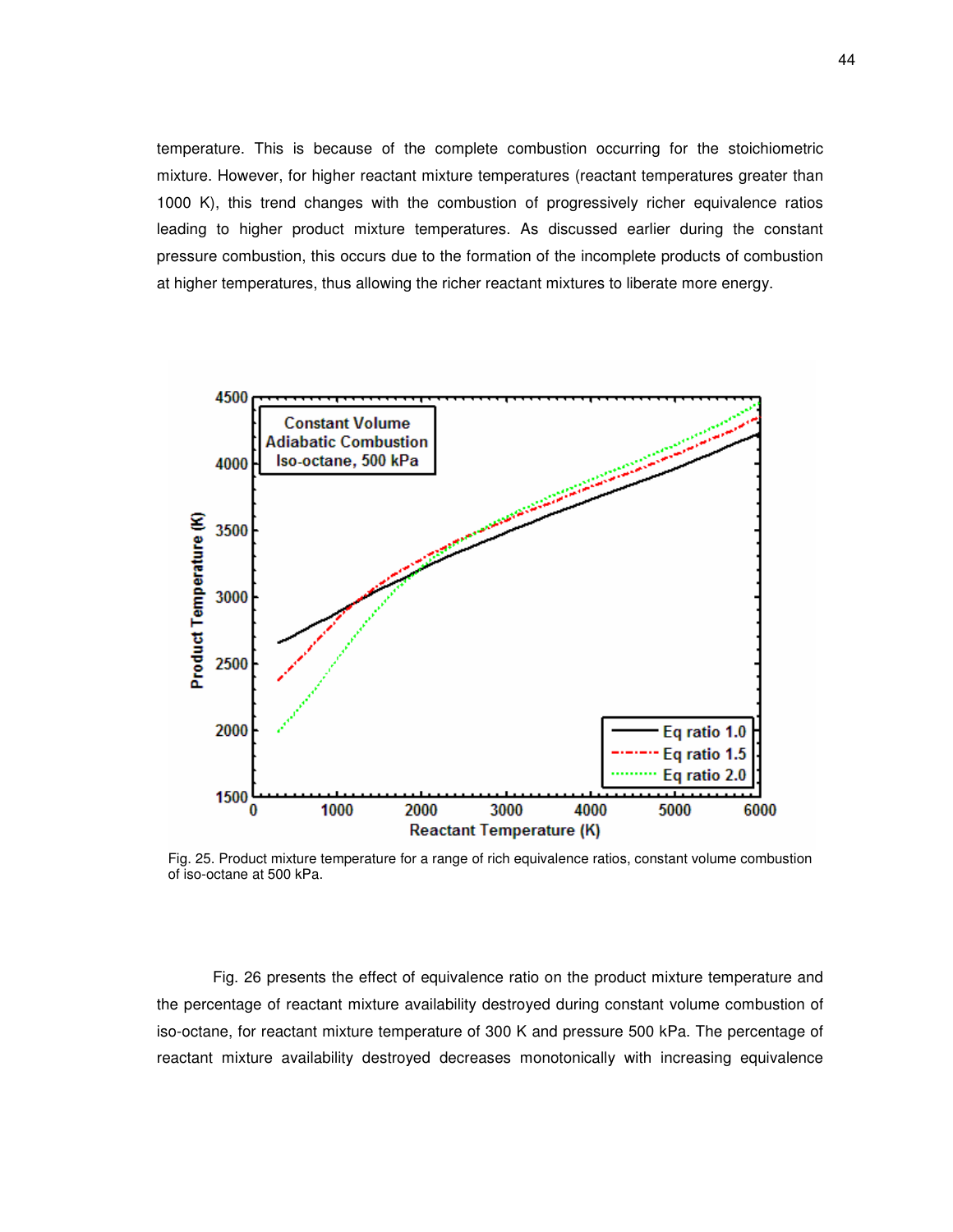temperature. This is because of the complete combustion occurring for the stoichiometric mixture. However, for higher reactant mixture temperatures (reactant temperatures greater than 1000 K), this trend changes with the combustion of progressively richer equivalence ratios leading to higher product mixture temperatures. As discussed earlier during the constant pressure combustion, this occurs due to the formation of the incomplete products of combustion at higher temperatures, thus allowing the richer reactant mixtures to liberate more energy.



Fig. 25. Product mixture temperature for a range of rich equivalence ratios, constant volume combustion of iso-octane at 500 kPa.

Fig. 26 presents the effect of equivalence ratio on the product mixture temperature and the percentage of reactant mixture availability destroyed during constant volume combustion of iso-octane, for reactant mixture temperature of 300 K and pressure 500 kPa. The percentage of reactant mixture availability destroyed decreases monotonically with increasing equivalence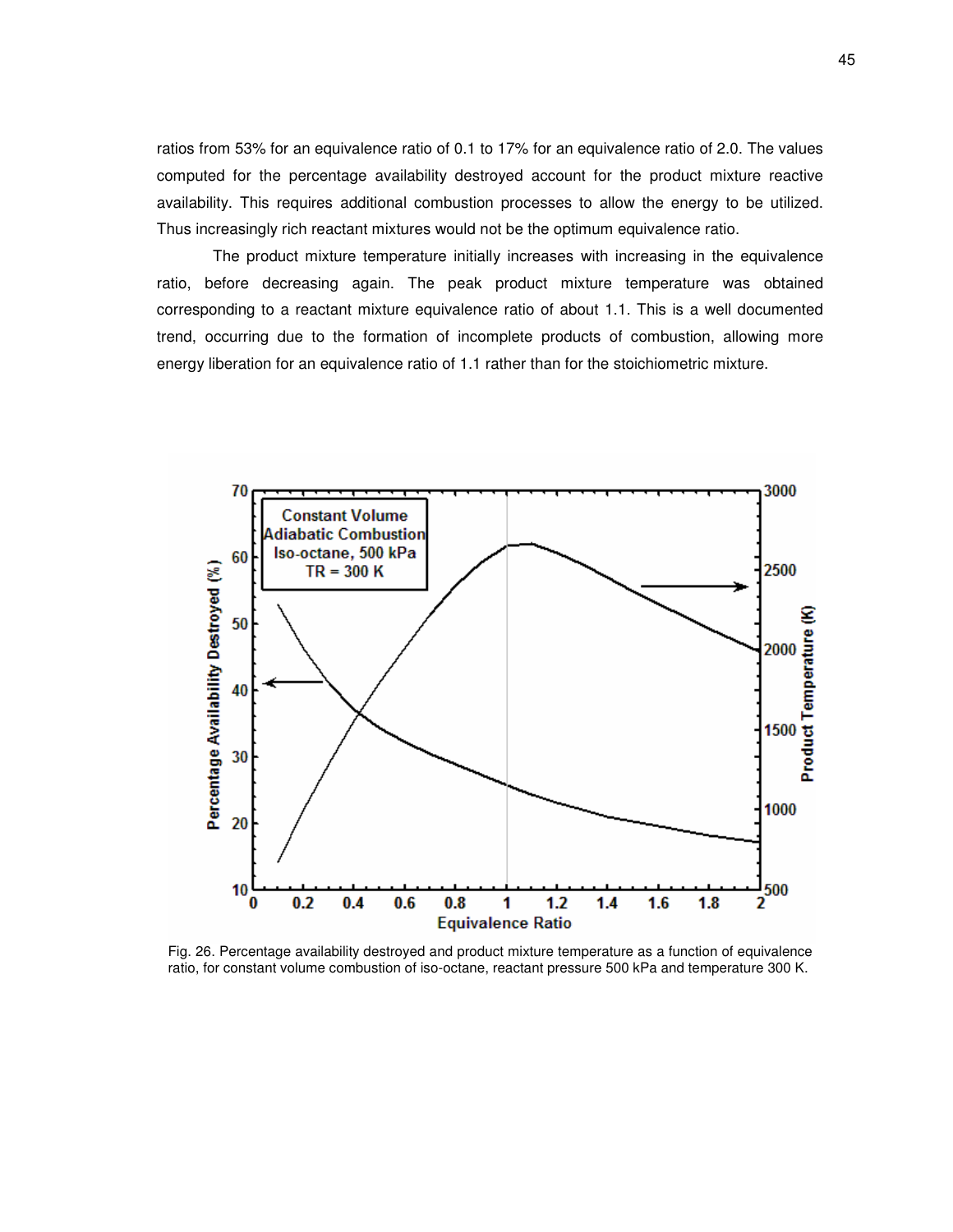ratios from 53% for an equivalence ratio of 0.1 to 17% for an equivalence ratio of 2.0. The values computed for the percentage availability destroyed account for the product mixture reactive availability. This requires additional combustion processes to allow the energy to be utilized. Thus increasingly rich reactant mixtures would not be the optimum equivalence ratio.

The product mixture temperature initially increases with increasing in the equivalence ratio, before decreasing again. The peak product mixture temperature was obtained corresponding to a reactant mixture equivalence ratio of about 1.1. This is a well documented trend, occurring due to the formation of incomplete products of combustion, allowing more energy liberation for an equivalence ratio of 1.1 rather than for the stoichiometric mixture.



Fig. 26. Percentage availability destroyed and product mixture temperature as a function of equivalence ratio, for constant volume combustion of iso-octane, reactant pressure 500 kPa and temperature 300 K.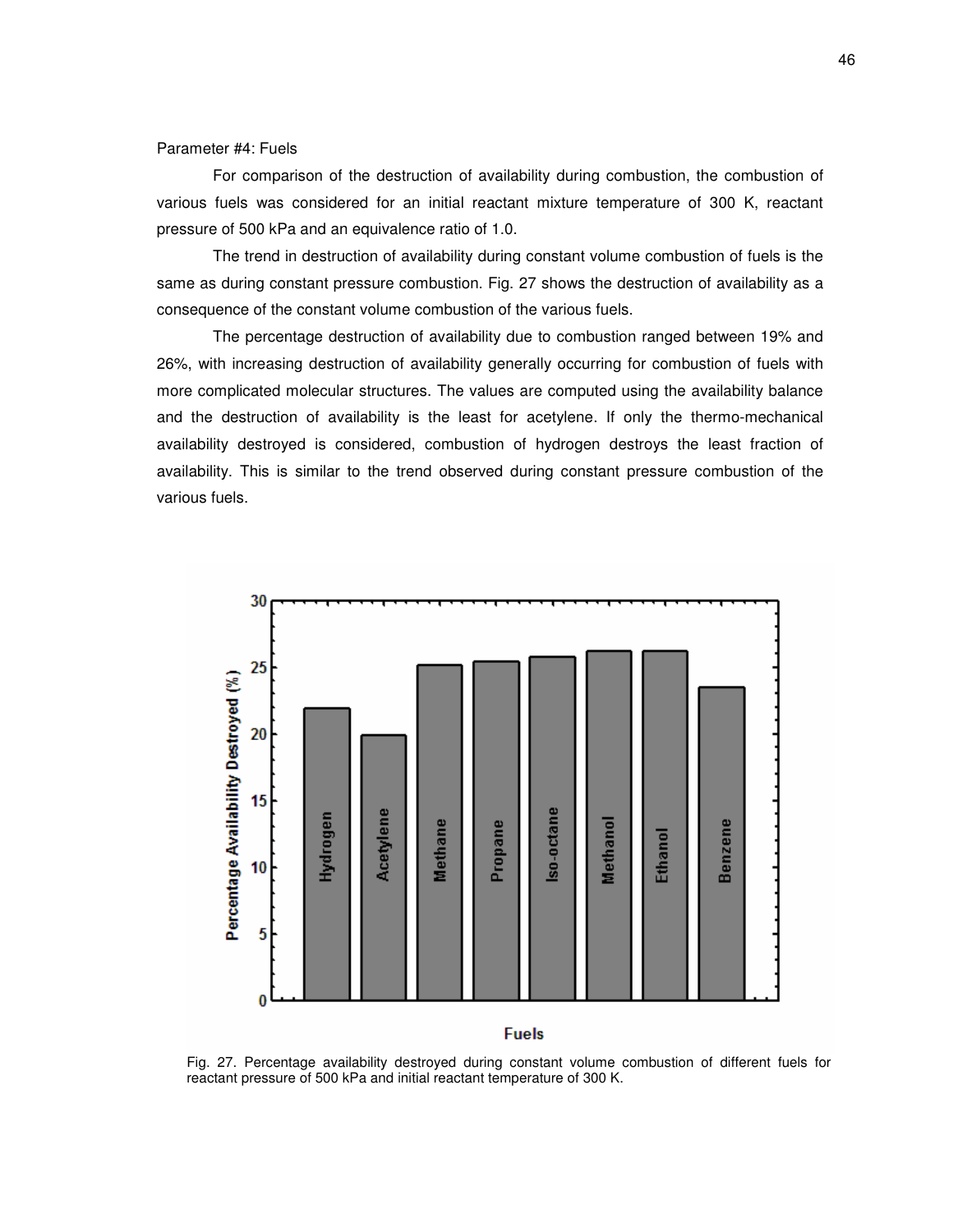Parameter #4: Fuels

For comparison of the destruction of availability during combustion, the combustion of various fuels was considered for an initial reactant mixture temperature of 300 K, reactant pressure of 500 kPa and an equivalence ratio of 1.0.

The trend in destruction of availability during constant volume combustion of fuels is the same as during constant pressure combustion. Fig. 27 shows the destruction of availability as a consequence of the constant volume combustion of the various fuels.

The percentage destruction of availability due to combustion ranged between 19% and 26%, with increasing destruction of availability generally occurring for combustion of fuels with more complicated molecular structures. The values are computed using the availability balance and the destruction of availability is the least for acetylene. If only the thermo-mechanical availability destroyed is considered, combustion of hydrogen destroys the least fraction of availability. This is similar to the trend observed during constant pressure combustion of the various fuels.



## **Fuels**

Fig. 27. Percentage availability destroyed during constant volume combustion of different fuels for reactant pressure of 500 kPa and initial reactant temperature of 300 K.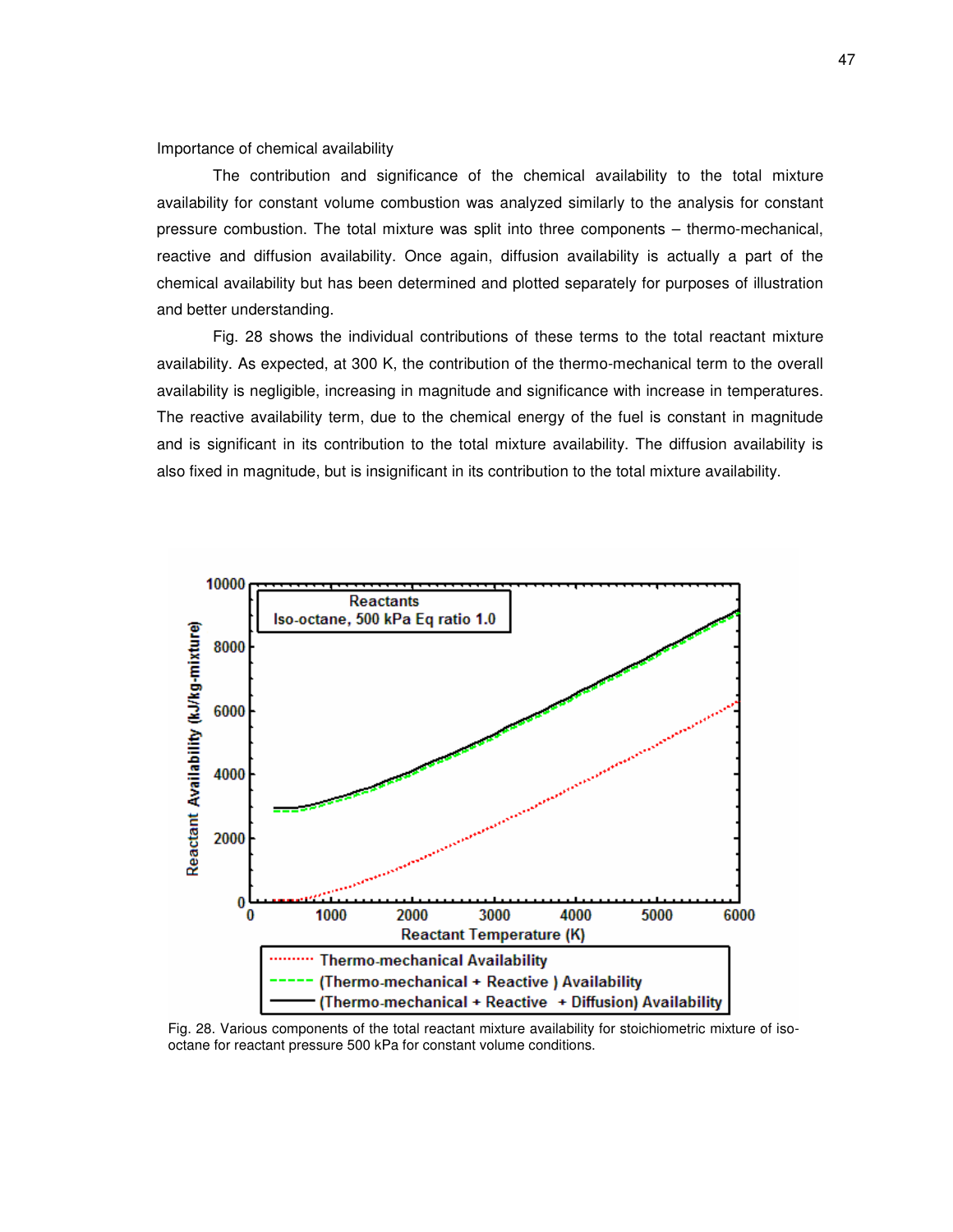Importance of chemical availability

The contribution and significance of the chemical availability to the total mixture availability for constant volume combustion was analyzed similarly to the analysis for constant pressure combustion. The total mixture was split into three components – thermo-mechanical, reactive and diffusion availability. Once again, diffusion availability is actually a part of the chemical availability but has been determined and plotted separately for purposes of illustration and better understanding.

Fig. 28 shows the individual contributions of these terms to the total reactant mixture availability. As expected, at 300 K, the contribution of the thermo-mechanical term to the overall availability is negligible, increasing in magnitude and significance with increase in temperatures. The reactive availability term, due to the chemical energy of the fuel is constant in magnitude and is significant in its contribution to the total mixture availability. The diffusion availability is also fixed in magnitude, but is insignificant in its contribution to the total mixture availability.



Fig. 28. Various components of the total reactant mixture availability for stoichiometric mixture of isooctane for reactant pressure 500 kPa for constant volume conditions.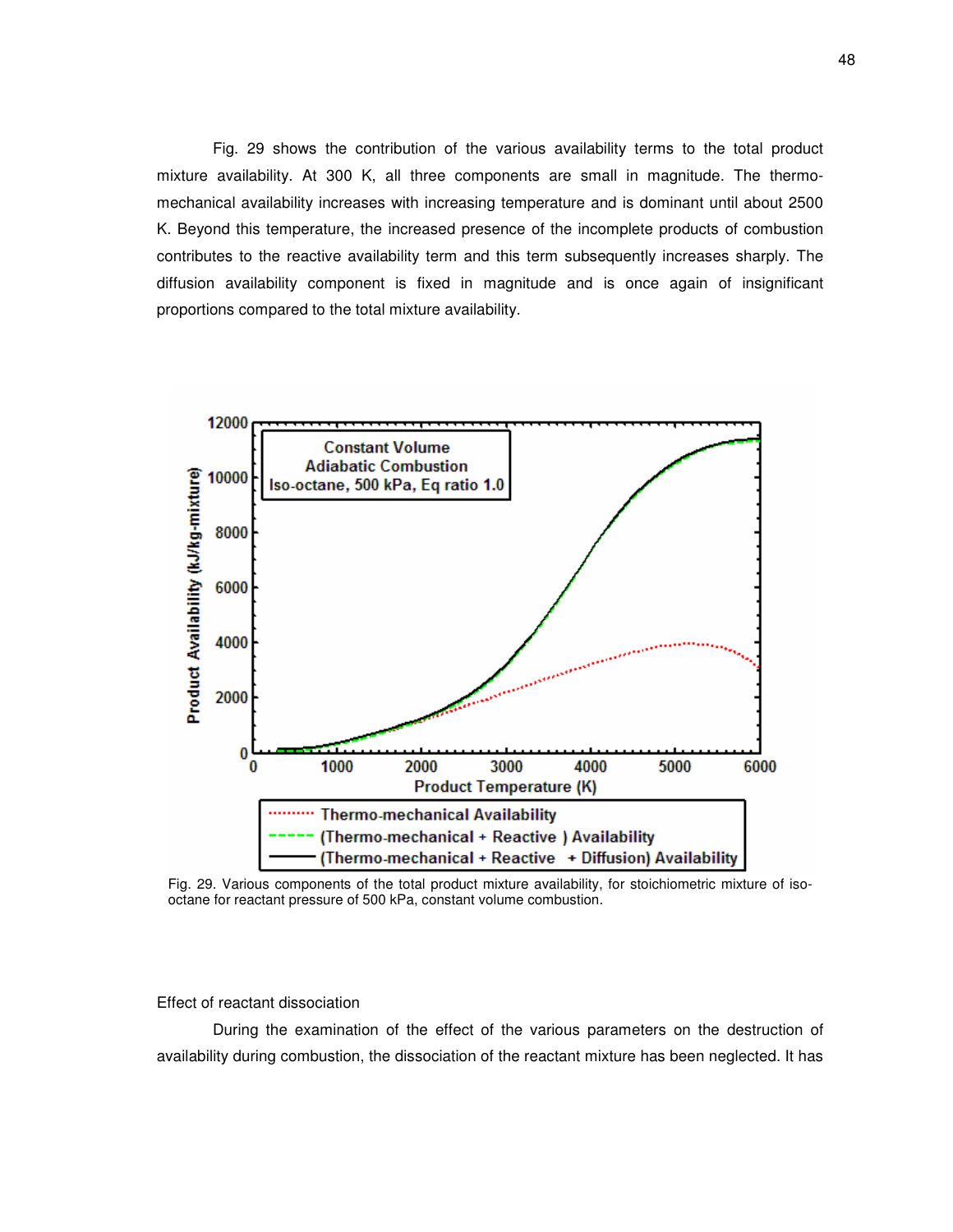Fig. 29 shows the contribution of the various availability terms to the total product mixture availability. At 300 K, all three components are small in magnitude. The thermomechanical availability increases with increasing temperature and is dominant until about 2500 K. Beyond this temperature, the increased presence of the incomplete products of combustion contributes to the reactive availability term and this term subsequently increases sharply. The diffusion availability component is fixed in magnitude and is once again of insignificant proportions compared to the total mixture availability.



Fig. 29. Various components of the total product mixture availability, for stoichiometric mixture of isooctane for reactant pressure of 500 kPa, constant volume combustion.

#### Effect of reactant dissociation

During the examination of the effect of the various parameters on the destruction of availability during combustion, the dissociation of the reactant mixture has been neglected. It has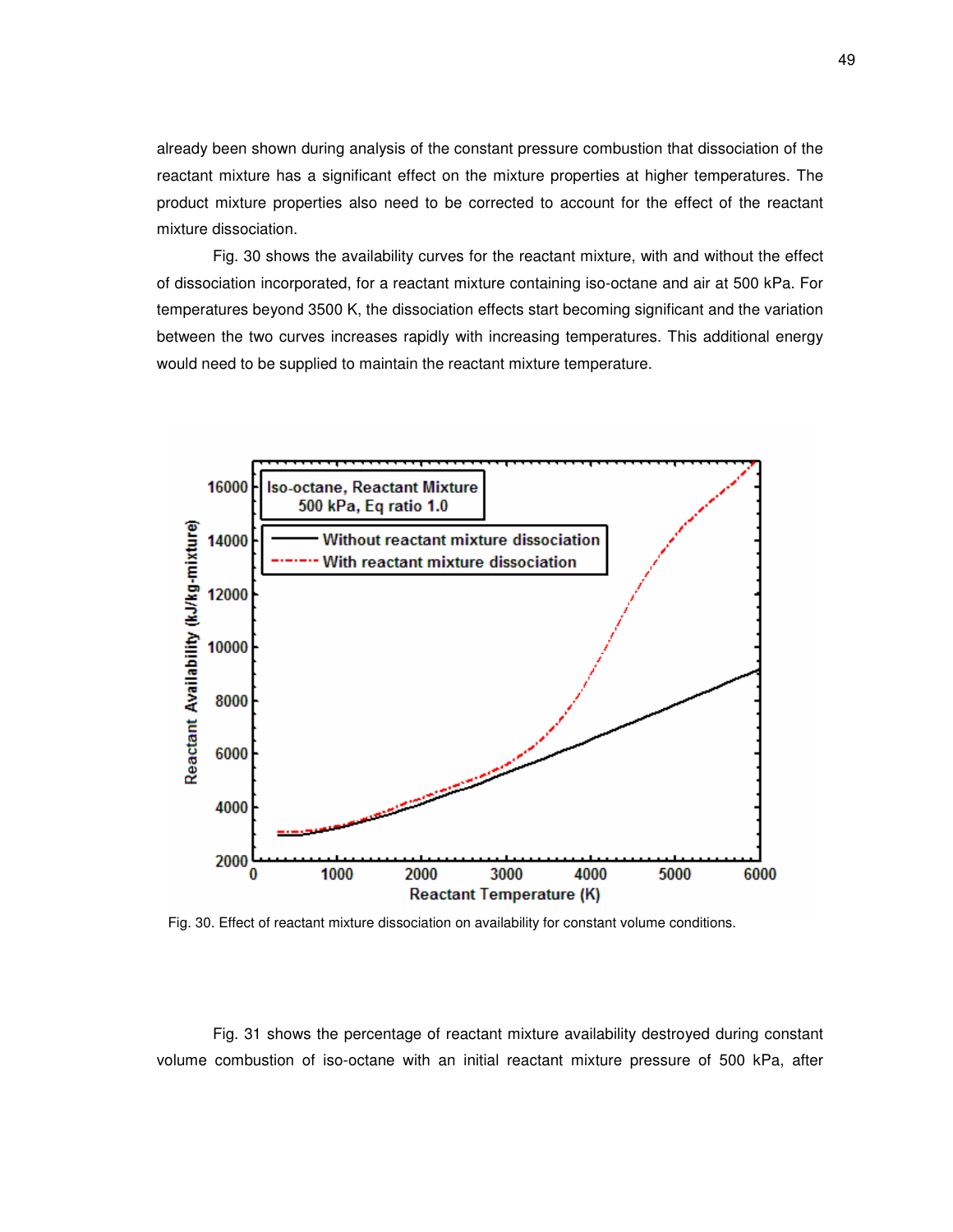already been shown during analysis of the constant pressure combustion that dissociation of the reactant mixture has a significant effect on the mixture properties at higher temperatures. The product mixture properties also need to be corrected to account for the effect of the reactant mixture dissociation.

Fig. 30 shows the availability curves for the reactant mixture, with and without the effect of dissociation incorporated, for a reactant mixture containing iso-octane and air at 500 kPa. For temperatures beyond 3500 K, the dissociation effects start becoming significant and the variation between the two curves increases rapidly with increasing temperatures. This additional energy would need to be supplied to maintain the reactant mixture temperature.



Fig. 30. Effect of reactant mixture dissociation on availability for constant volume conditions.

Fig. 31 shows the percentage of reactant mixture availability destroyed during constant volume combustion of iso-octane with an initial reactant mixture pressure of 500 kPa, after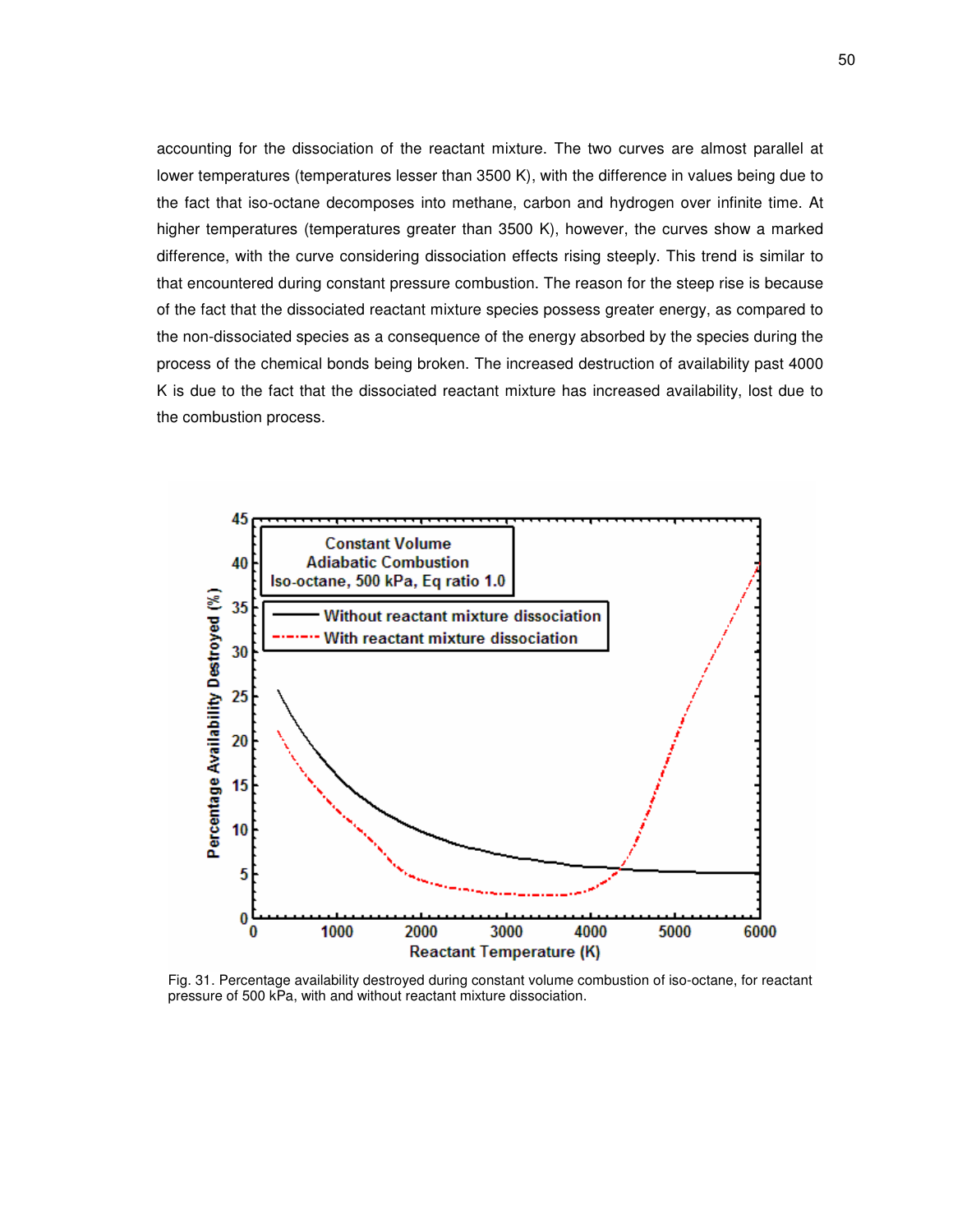accounting for the dissociation of the reactant mixture. The two curves are almost parallel at lower temperatures (temperatures lesser than 3500 K), with the difference in values being due to the fact that iso-octane decomposes into methane, carbon and hydrogen over infinite time. At higher temperatures (temperatures greater than 3500 K), however, the curves show a marked difference, with the curve considering dissociation effects rising steeply. This trend is similar to that encountered during constant pressure combustion. The reason for the steep rise is because of the fact that the dissociated reactant mixture species possess greater energy, as compared to the non-dissociated species as a consequence of the energy absorbed by the species during the process of the chemical bonds being broken. The increased destruction of availability past 4000 K is due to the fact that the dissociated reactant mixture has increased availability, lost due to the combustion process.



Fig. 31. Percentage availability destroyed during constant volume combustion of iso-octane, for reactant pressure of 500 kPa, with and without reactant mixture dissociation.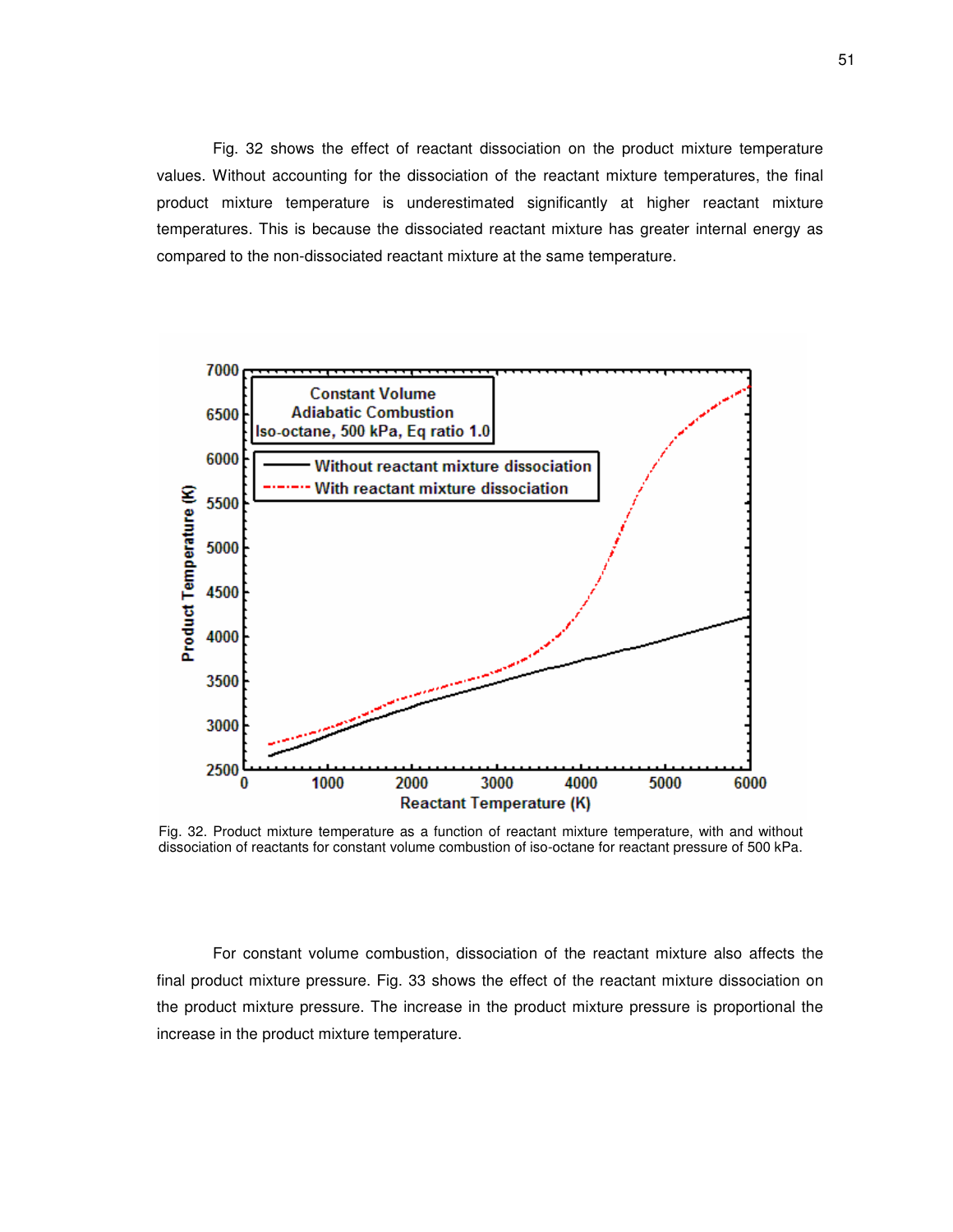Fig. 32 shows the effect of reactant dissociation on the product mixture temperature values. Without accounting for the dissociation of the reactant mixture temperatures, the final product mixture temperature is underestimated significantly at higher reactant mixture temperatures. This is because the dissociated reactant mixture has greater internal energy as compared to the non-dissociated reactant mixture at the same temperature.



Fig. 32. Product mixture temperature as a function of reactant mixture temperature, with and without dissociation of reactants for constant volume combustion of iso-octane for reactant pressure of 500 kPa.

For constant volume combustion, dissociation of the reactant mixture also affects the final product mixture pressure. Fig. 33 shows the effect of the reactant mixture dissociation on the product mixture pressure. The increase in the product mixture pressure is proportional the increase in the product mixture temperature.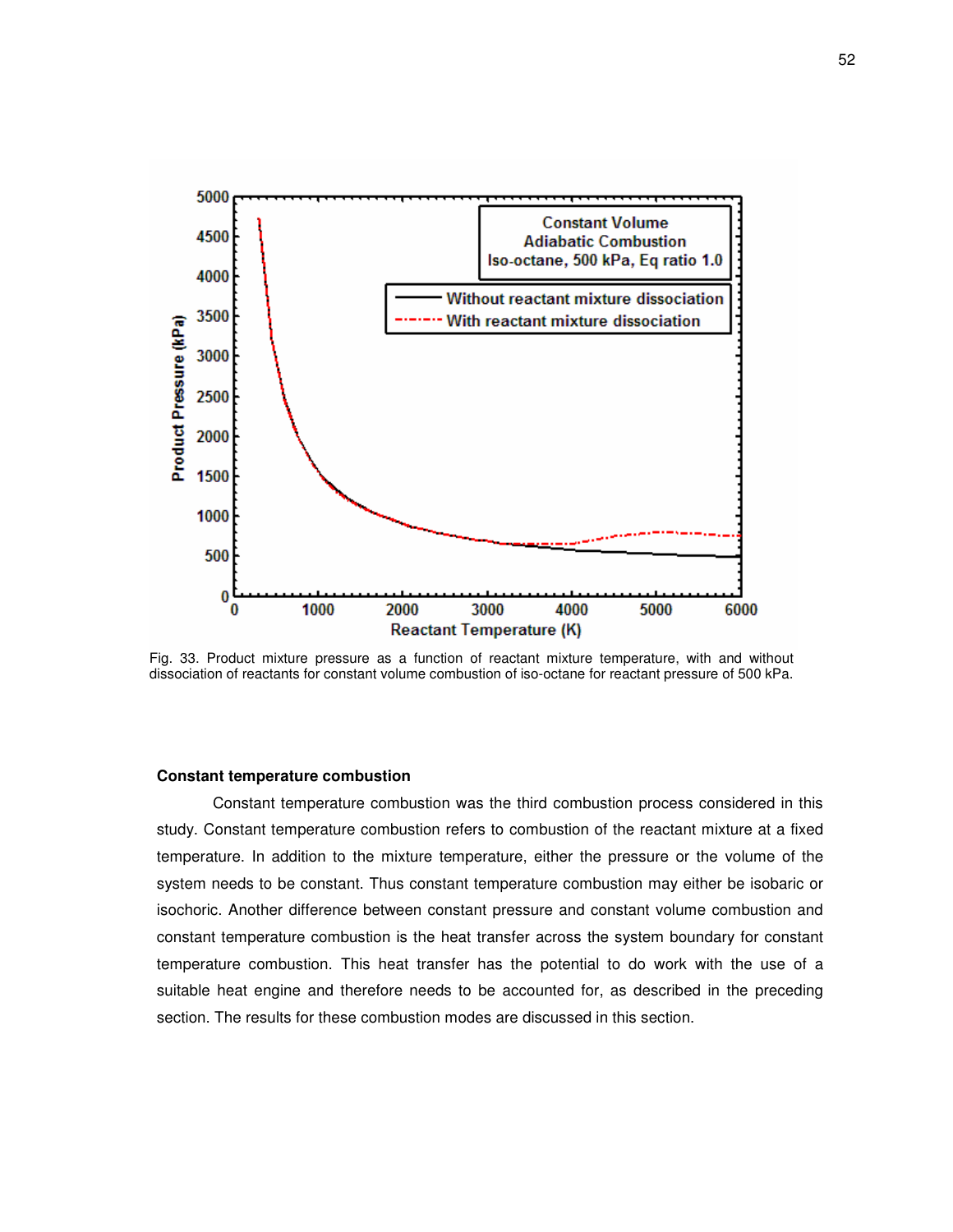

Fig. 33. Product mixture pressure as a function of reactant mixture temperature, with and without dissociation of reactants for constant volume combustion of iso-octane for reactant pressure of 500 kPa.

#### **Constant temperature combustion**

Constant temperature combustion was the third combustion process considered in this study. Constant temperature combustion refers to combustion of the reactant mixture at a fixed temperature. In addition to the mixture temperature, either the pressure or the volume of the system needs to be constant. Thus constant temperature combustion may either be isobaric or isochoric. Another difference between constant pressure and constant volume combustion and constant temperature combustion is the heat transfer across the system boundary for constant temperature combustion. This heat transfer has the potential to do work with the use of a suitable heat engine and therefore needs to be accounted for, as described in the preceding section. The results for these combustion modes are discussed in this section.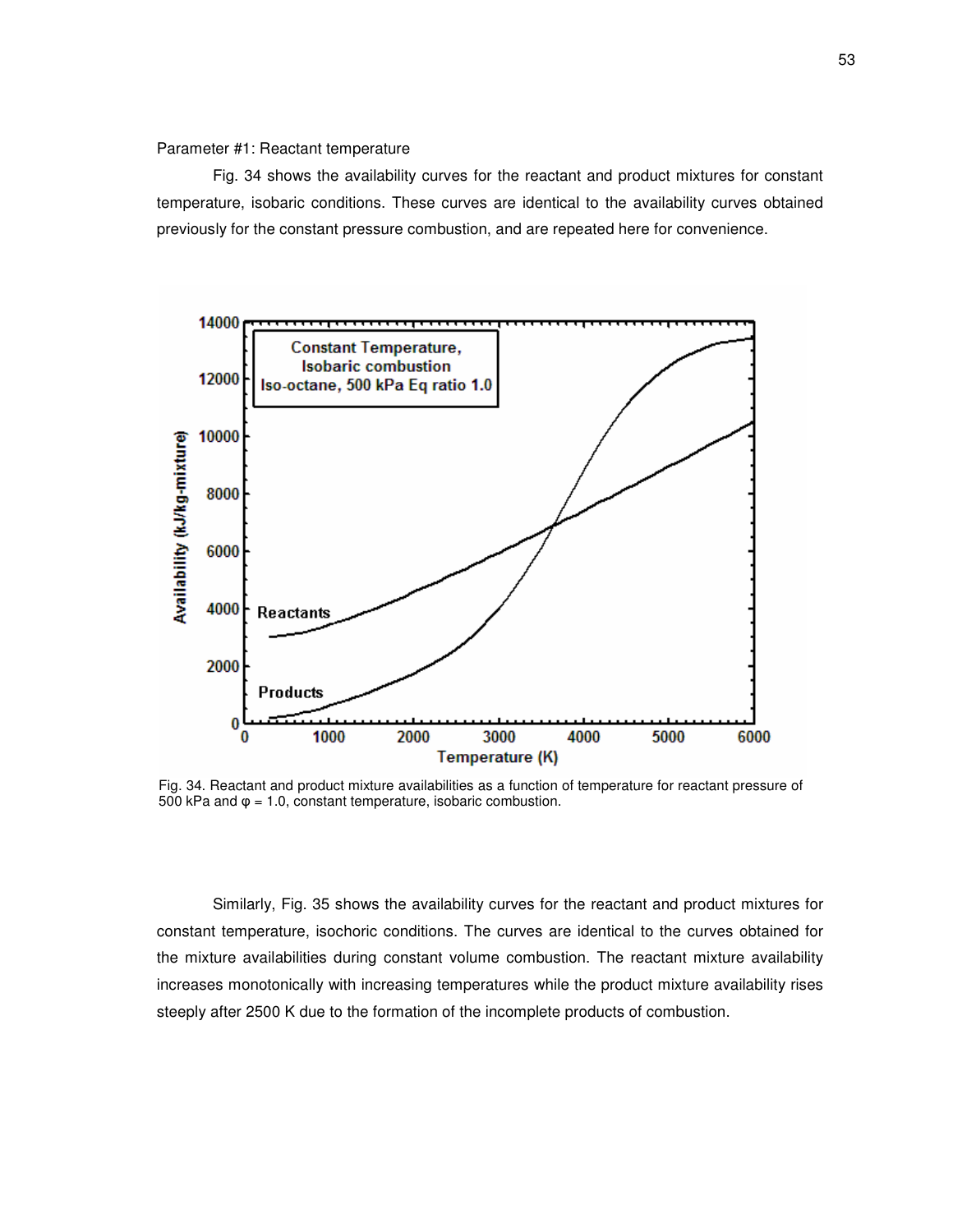# Parameter #1: Reactant temperature

Fig. 34 shows the availability curves for the reactant and product mixtures for constant temperature, isobaric conditions. These curves are identical to the availability curves obtained previously for the constant pressure combustion, and are repeated here for convenience.



Fig. 34. Reactant and product mixture availabilities as a function of temperature for reactant pressure of 500 kPa and  $\varphi$  = 1.0, constant temperature, isobaric combustion.

Similarly, Fig. 35 shows the availability curves for the reactant and product mixtures for constant temperature, isochoric conditions. The curves are identical to the curves obtained for the mixture availabilities during constant volume combustion. The reactant mixture availability increases monotonically with increasing temperatures while the product mixture availability rises steeply after 2500 K due to the formation of the incomplete products of combustion.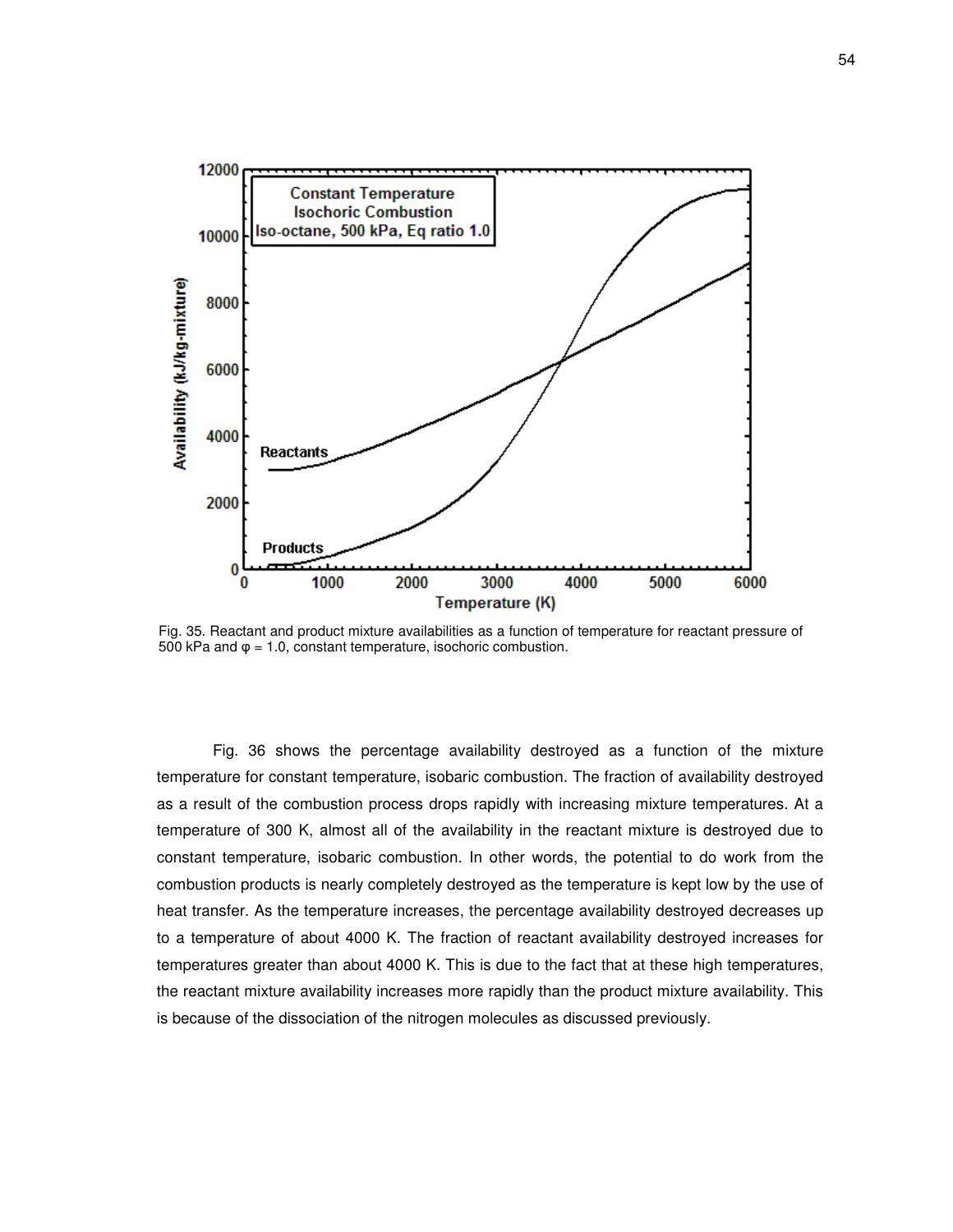

Fig. 35. Reactant and product mixture availabilities as a function of temperature for reactant pressure of 500 kPa and  $\varphi$  = 1.0, constant temperature, isochoric combustion.

Fig. 36 shows the percentage availability destroyed as a function of the mixture temperature for constant temperature, isobaric combustion. The fraction of availability destroyed as a result of the combustion process drops rapidly with increasing mixture temperatures. At a temperature of 300 K, almost all of the availability in the reactant mixture is destroyed due to constant temperature, isobaric combustion. In other words, the potential to do work from the combustion products is nearly completely destroyed as the temperature is kept low by the use of heat transfer. As the temperature increases, the percentage availability destroyed decreases up to a temperature of about 4000 K. The fraction of reactant availability destroyed increases for temperatures greater than about 4000 K. This is due to the fact that at these high temperatures, the reactant mixture availability increases more rapidly than the product mixture availability. This is because of the dissociation of the nitrogen molecules as discussed previously.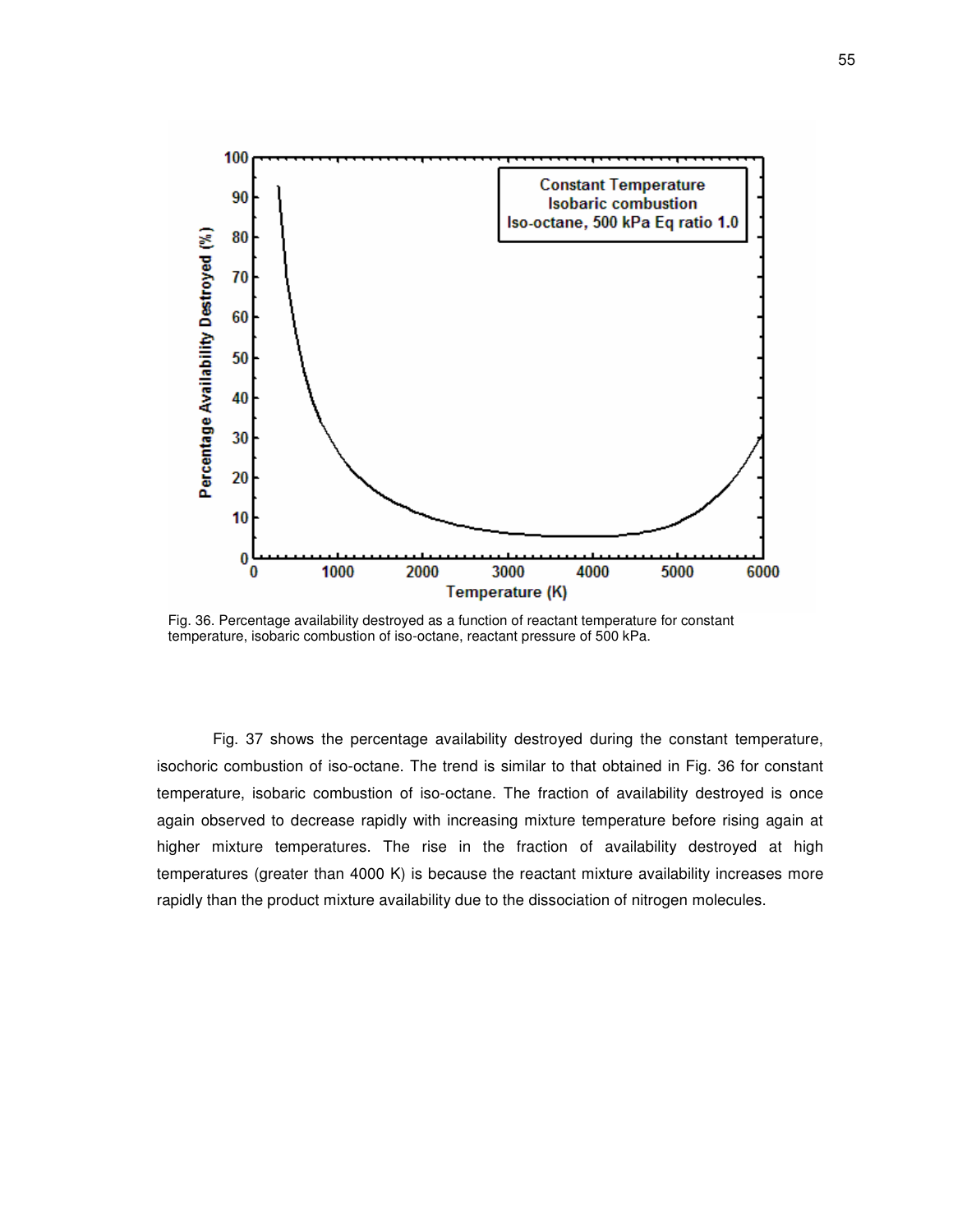

Fig. 36. Percentage availability destroyed as a function of reactant temperature for constant temperature, isobaric combustion of iso-octane, reactant pressure of 500 kPa.

Fig. 37 shows the percentage availability destroyed during the constant temperature, isochoric combustion of iso-octane. The trend is similar to that obtained in Fig. 36 for constant temperature, isobaric combustion of iso-octane. The fraction of availability destroyed is once again observed to decrease rapidly with increasing mixture temperature before rising again at higher mixture temperatures. The rise in the fraction of availability destroyed at high temperatures (greater than 4000 K) is because the reactant mixture availability increases more rapidly than the product mixture availability due to the dissociation of nitrogen molecules.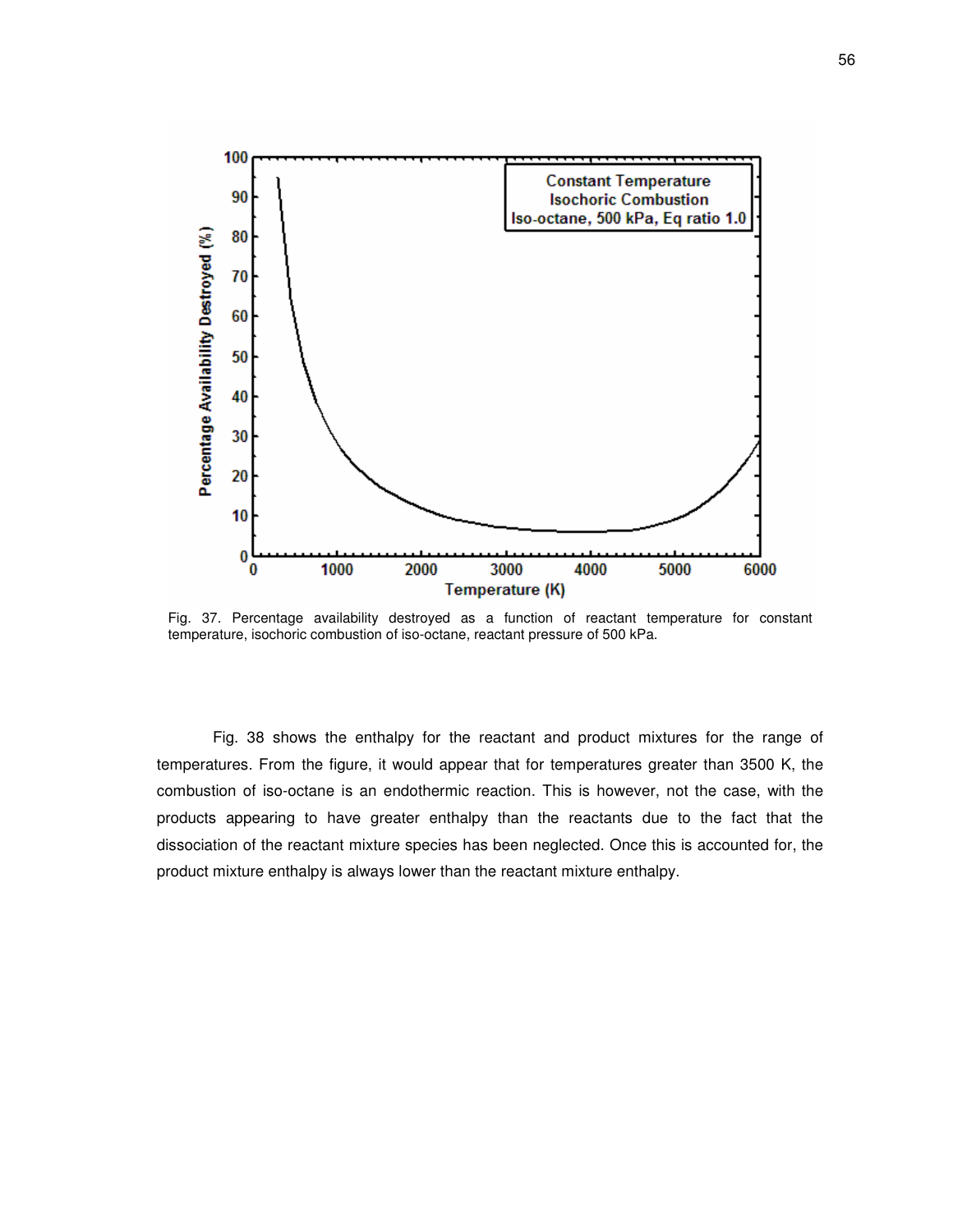

Fig. 37. Percentage availability destroyed as a function of reactant temperature for constant temperature, isochoric combustion of iso-octane, reactant pressure of 500 kPa.

Fig. 38 shows the enthalpy for the reactant and product mixtures for the range of temperatures. From the figure, it would appear that for temperatures greater than 3500 K, the combustion of iso-octane is an endothermic reaction. This is however, not the case, with the products appearing to have greater enthalpy than the reactants due to the fact that the dissociation of the reactant mixture species has been neglected. Once this is accounted for, the product mixture enthalpy is always lower than the reactant mixture enthalpy.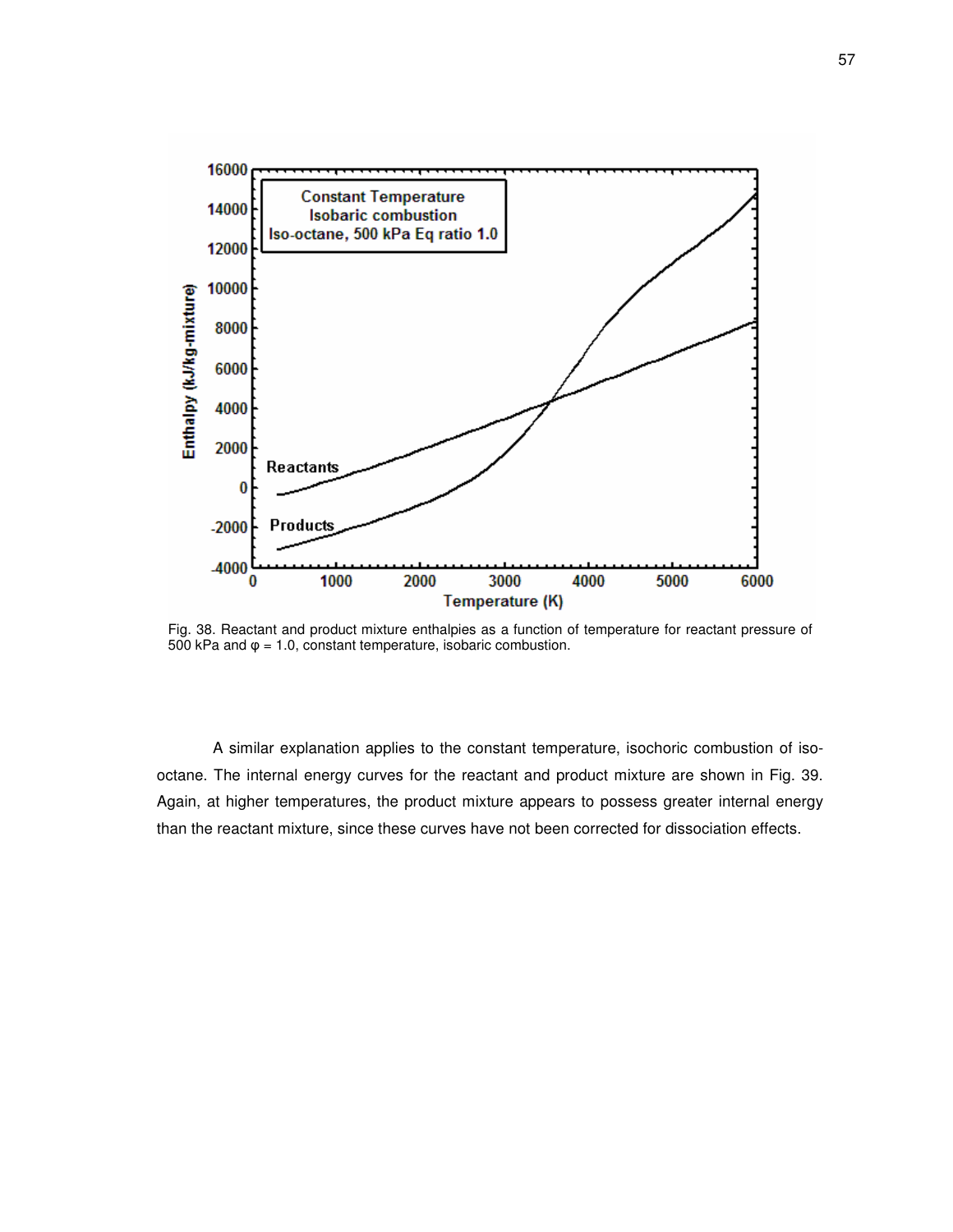

Fig. 38. Reactant and product mixture enthalpies as a function of temperature for reactant pressure of 500 kPa and  $\varphi$  = 1.0, constant temperature, isobaric combustion.

A similar explanation applies to the constant temperature, isochoric combustion of isooctane. The internal energy curves for the reactant and product mixture are shown in Fig. 39. Again, at higher temperatures, the product mixture appears to possess greater internal energy than the reactant mixture, since these curves have not been corrected for dissociation effects.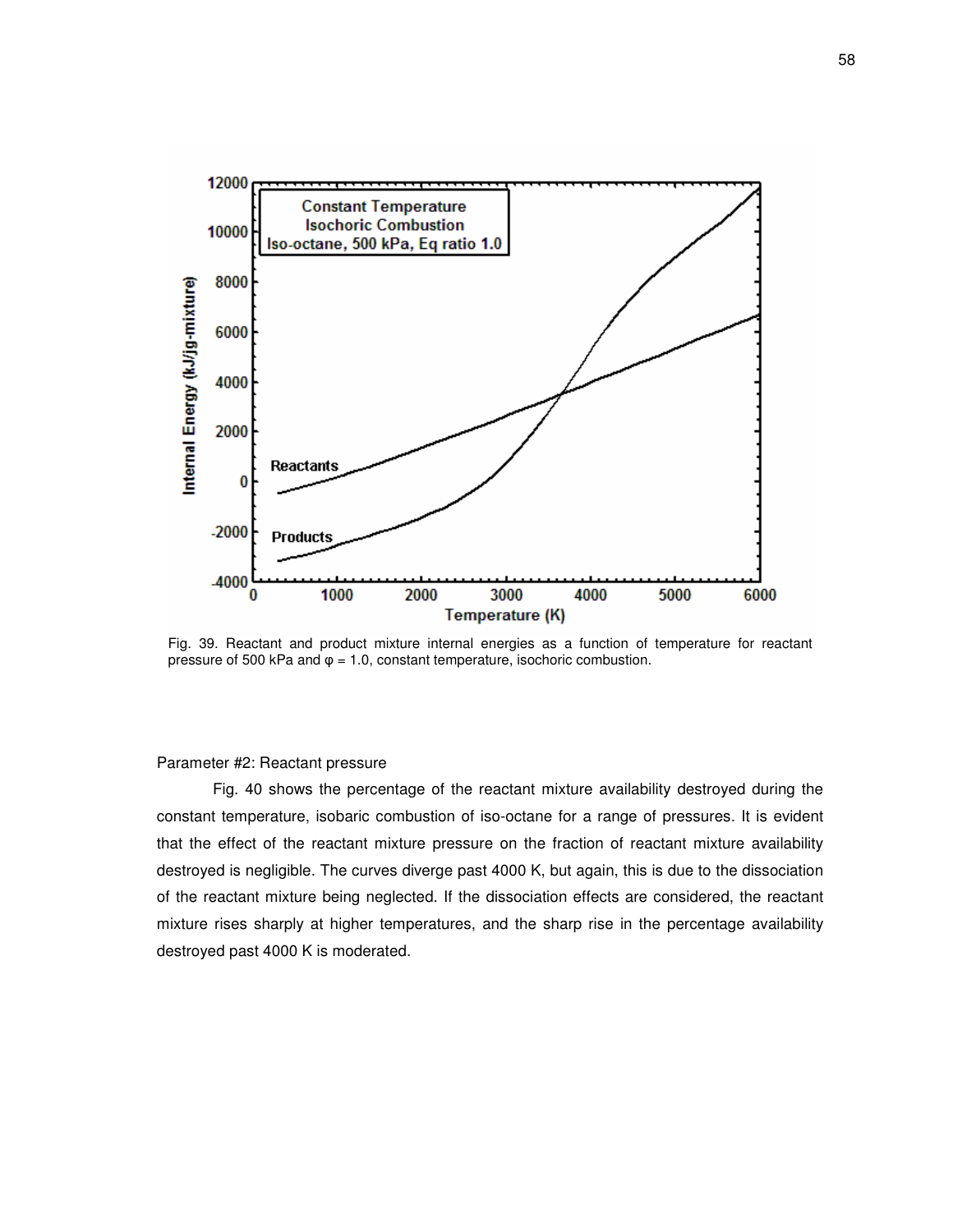

Fig. 39. Reactant and product mixture internal energies as a function of temperature for reactant pressure of 500 kPa and  $\varphi = 1.0$ , constant temperature, isochoric combustion.

#### Parameter #2: Reactant pressure

Fig. 40 shows the percentage of the reactant mixture availability destroyed during the constant temperature, isobaric combustion of iso-octane for a range of pressures. It is evident that the effect of the reactant mixture pressure on the fraction of reactant mixture availability destroyed is negligible. The curves diverge past 4000 K, but again, this is due to the dissociation of the reactant mixture being neglected. If the dissociation effects are considered, the reactant mixture rises sharply at higher temperatures, and the sharp rise in the percentage availability destroyed past 4000 K is moderated.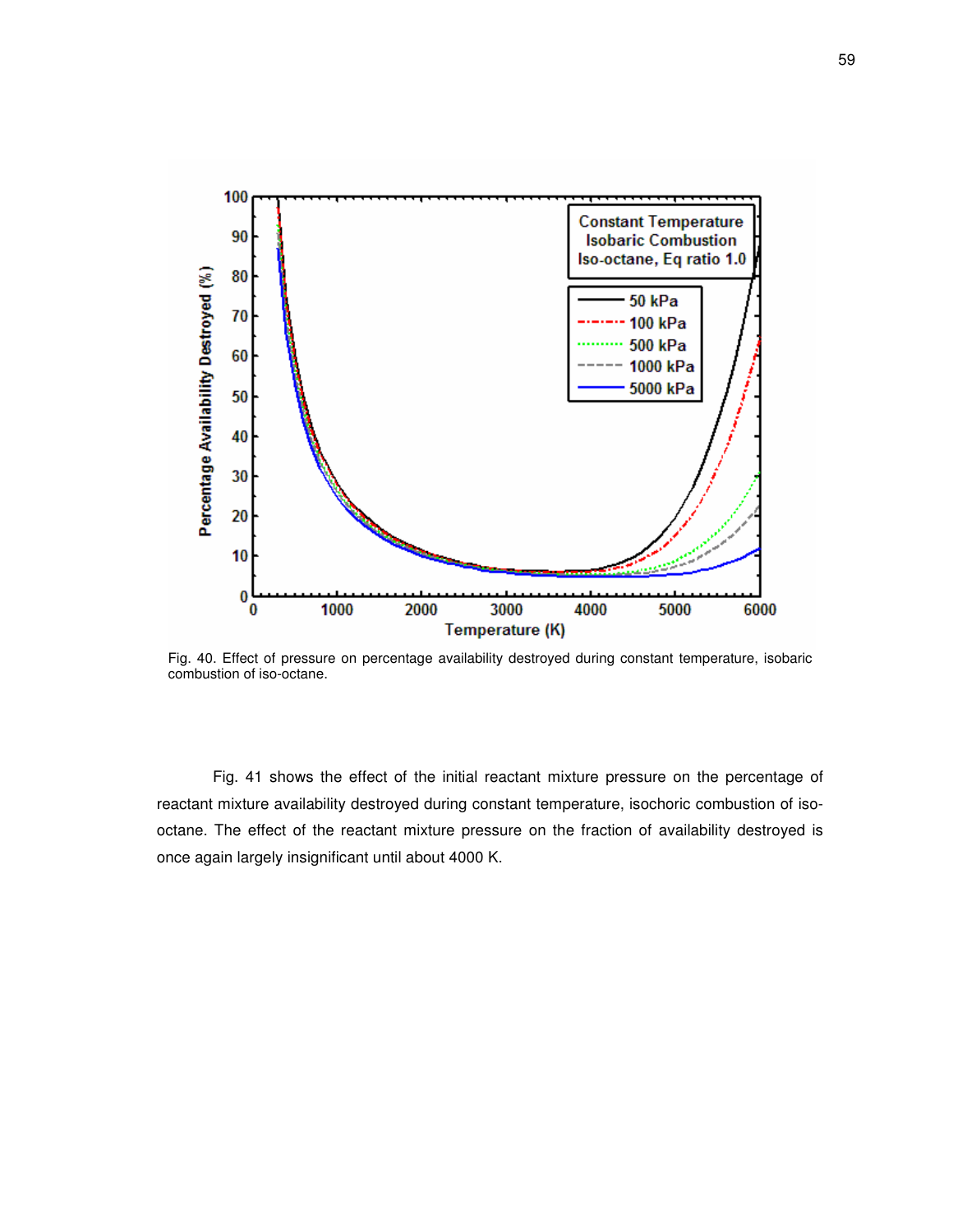

Fig. 40. Effect of pressure on percentage availability destroyed during constant temperature, isobaric combustion of iso-octane.

Fig. 41 shows the effect of the initial reactant mixture pressure on the percentage of reactant mixture availability destroyed during constant temperature, isochoric combustion of isooctane. The effect of the reactant mixture pressure on the fraction of availability destroyed is once again largely insignificant until about 4000 K.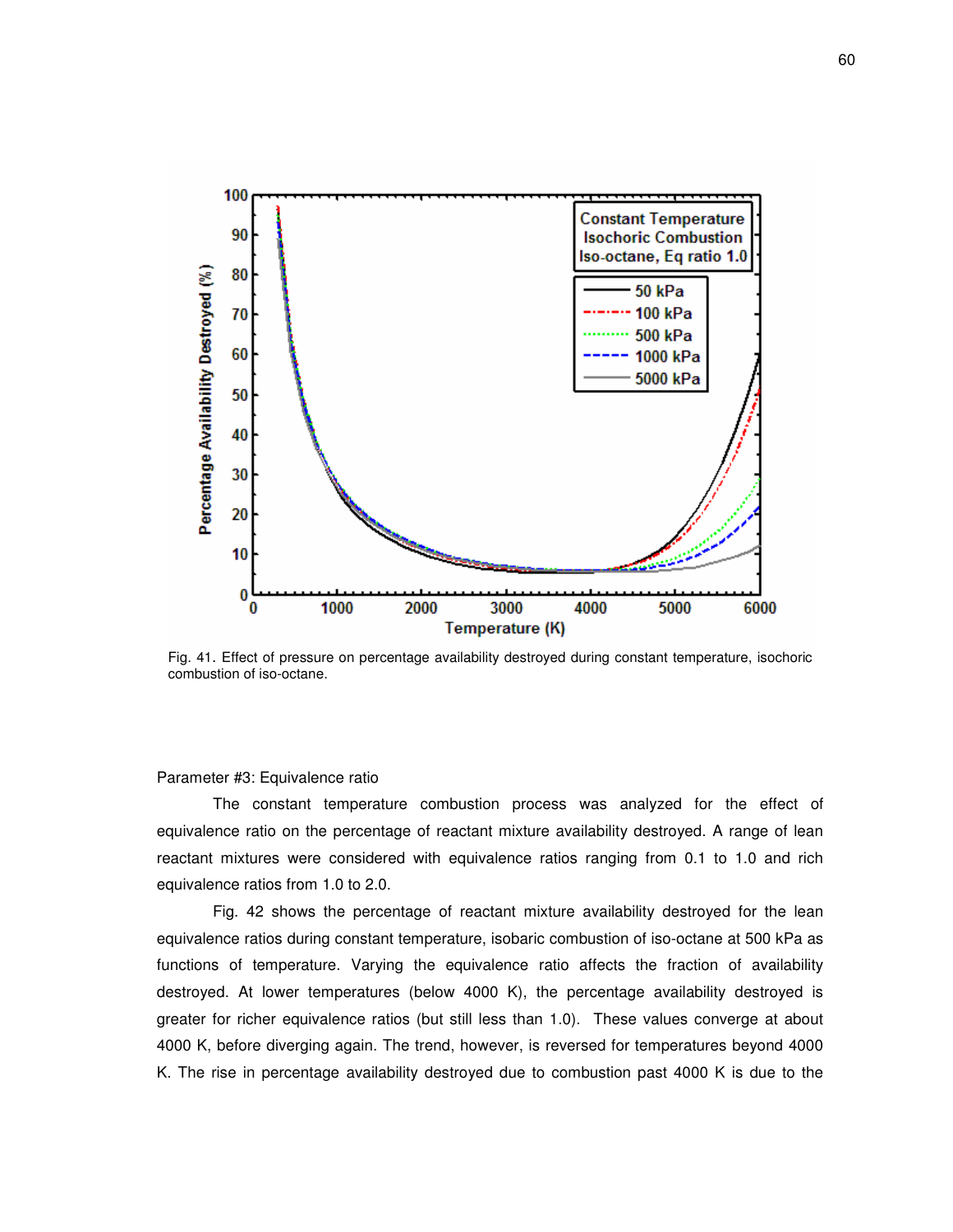

Fig. 41. Effect of pressure on percentage availability destroyed during constant temperature, isochoric combustion of iso-octane.

## Parameter #3: Equivalence ratio

The constant temperature combustion process was analyzed for the effect of equivalence ratio on the percentage of reactant mixture availability destroyed. A range of lean reactant mixtures were considered with equivalence ratios ranging from 0.1 to 1.0 and rich equivalence ratios from 1.0 to 2.0.

Fig. 42 shows the percentage of reactant mixture availability destroyed for the lean equivalence ratios during constant temperature, isobaric combustion of iso-octane at 500 kPa as functions of temperature. Varying the equivalence ratio affects the fraction of availability destroyed. At lower temperatures (below 4000 K), the percentage availability destroyed is greater for richer equivalence ratios (but still less than 1.0). These values converge at about 4000 K, before diverging again. The trend, however, is reversed for temperatures beyond 4000 K. The rise in percentage availability destroyed due to combustion past 4000 K is due to the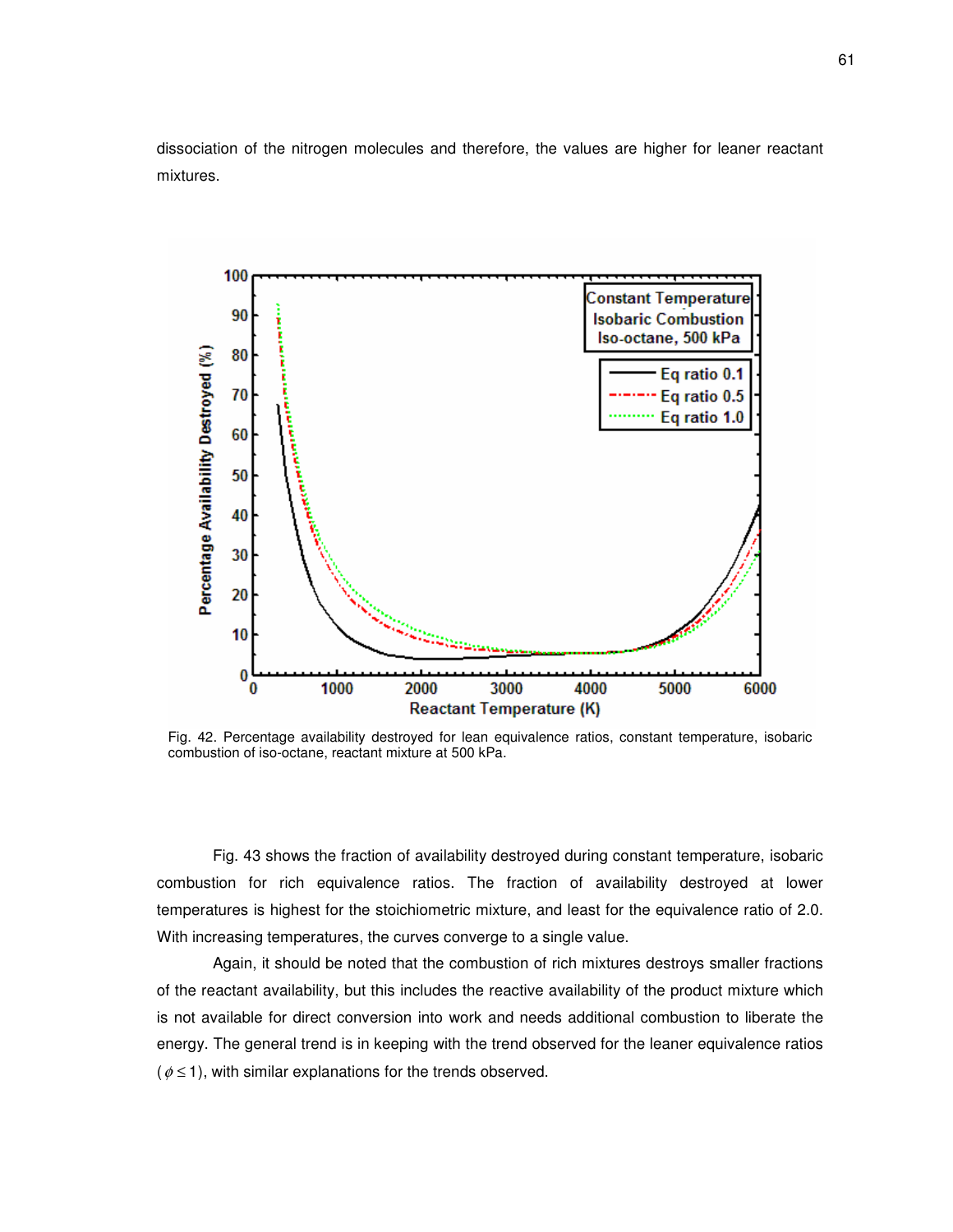dissociation of the nitrogen molecules and therefore, the values are higher for leaner reactant mixtures.



Fig. 42. Percentage availability destroyed for lean equivalence ratios, constant temperature, isobaric combustion of iso-octane, reactant mixture at 500 kPa.

Fig. 43 shows the fraction of availability destroyed during constant temperature, isobaric combustion for rich equivalence ratios. The fraction of availability destroyed at lower temperatures is highest for the stoichiometric mixture, and least for the equivalence ratio of 2.0. With increasing temperatures, the curves converge to a single value.

Again, it should be noted that the combustion of rich mixtures destroys smaller fractions of the reactant availability, but this includes the reactive availability of the product mixture which is not available for direct conversion into work and needs additional combustion to liberate the energy. The general trend is in keeping with the trend observed for the leaner equivalence ratios  $(\phi \leq 1)$ , with similar explanations for the trends observed.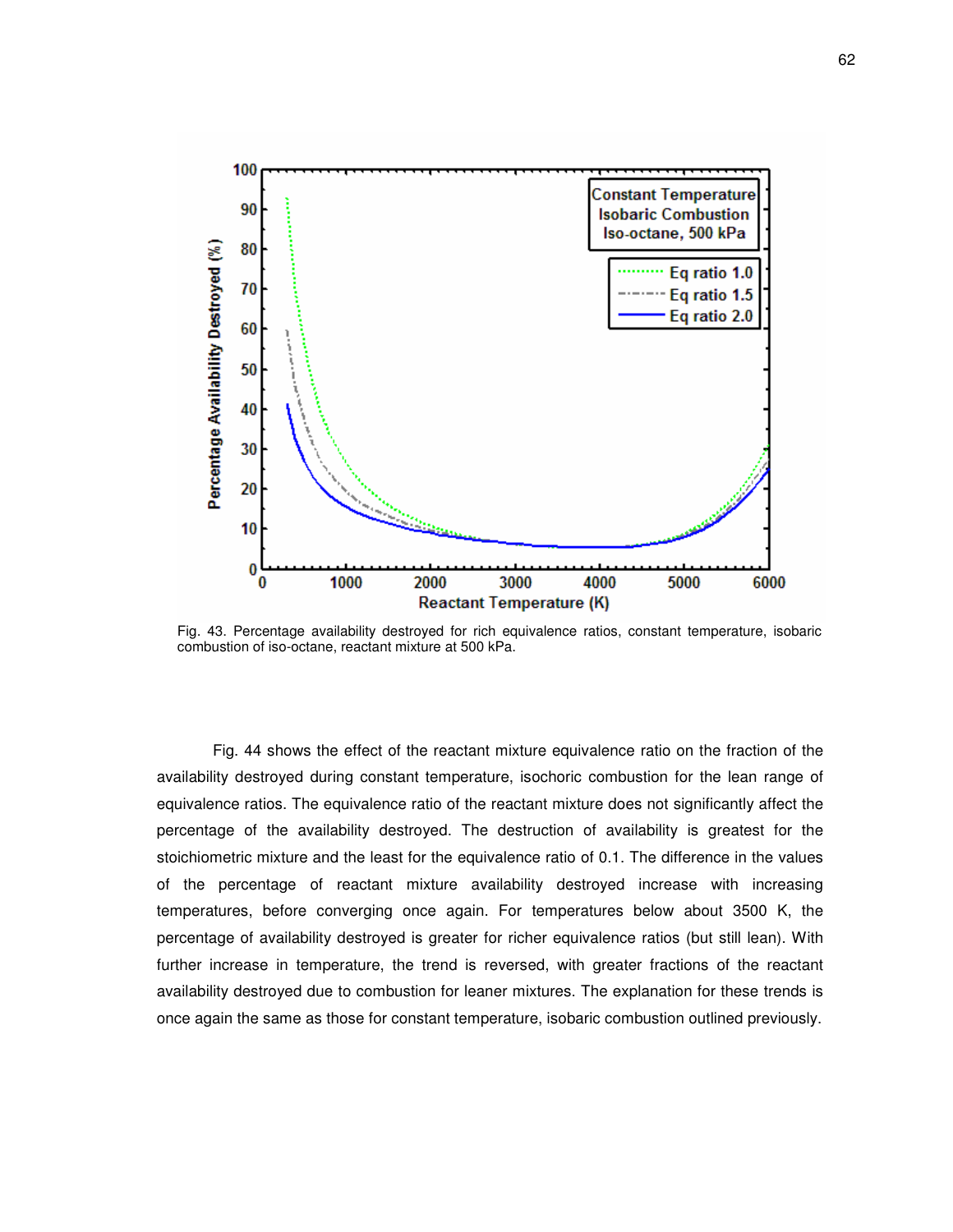

Fig. 43. Percentage availability destroyed for rich equivalence ratios, constant temperature, isobaric combustion of iso-octane, reactant mixture at 500 kPa.

Fig. 44 shows the effect of the reactant mixture equivalence ratio on the fraction of the availability destroyed during constant temperature, isochoric combustion for the lean range of equivalence ratios. The equivalence ratio of the reactant mixture does not significantly affect the percentage of the availability destroyed. The destruction of availability is greatest for the stoichiometric mixture and the least for the equivalence ratio of 0.1. The difference in the values of the percentage of reactant mixture availability destroyed increase with increasing temperatures, before converging once again. For temperatures below about 3500 K, the percentage of availability destroyed is greater for richer equivalence ratios (but still lean). With further increase in temperature, the trend is reversed, with greater fractions of the reactant availability destroyed due to combustion for leaner mixtures. The explanation for these trends is once again the same as those for constant temperature, isobaric combustion outlined previously.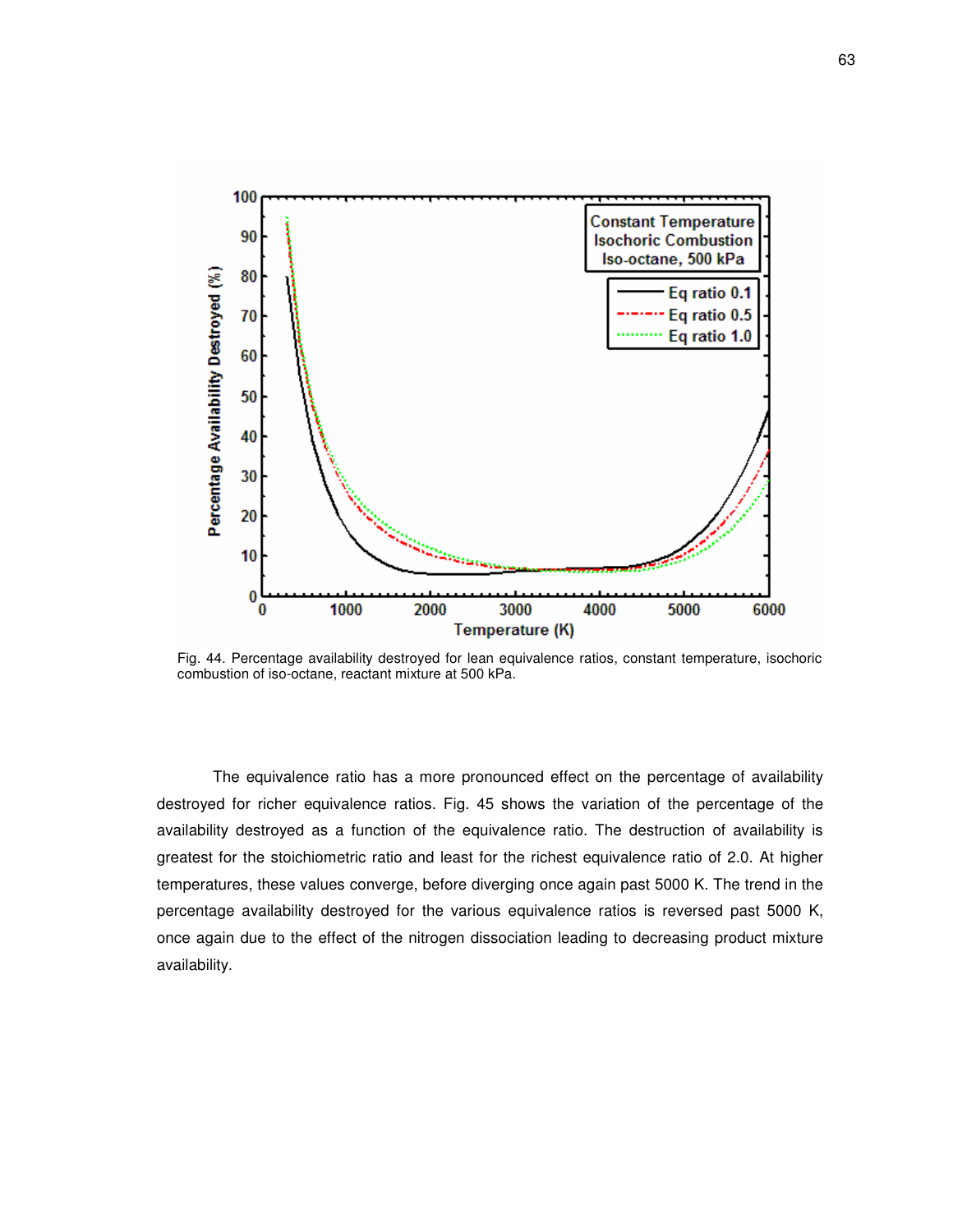

Fig. 44. Percentage availability destroyed for lean equivalence ratios, constant temperature, isochoric combustion of iso-octane, reactant mixture at 500 kPa.

The equivalence ratio has a more pronounced effect on the percentage of availability destroyed for richer equivalence ratios. Fig. 45 shows the variation of the percentage of the availability destroyed as a function of the equivalence ratio. The destruction of availability is greatest for the stoichiometric ratio and least for the richest equivalence ratio of 2.0. At higher temperatures, these values converge, before diverging once again past 5000 K. The trend in the percentage availability destroyed for the various equivalence ratios is reversed past 5000 K, once again due to the effect of the nitrogen dissociation leading to decreasing product mixture availability.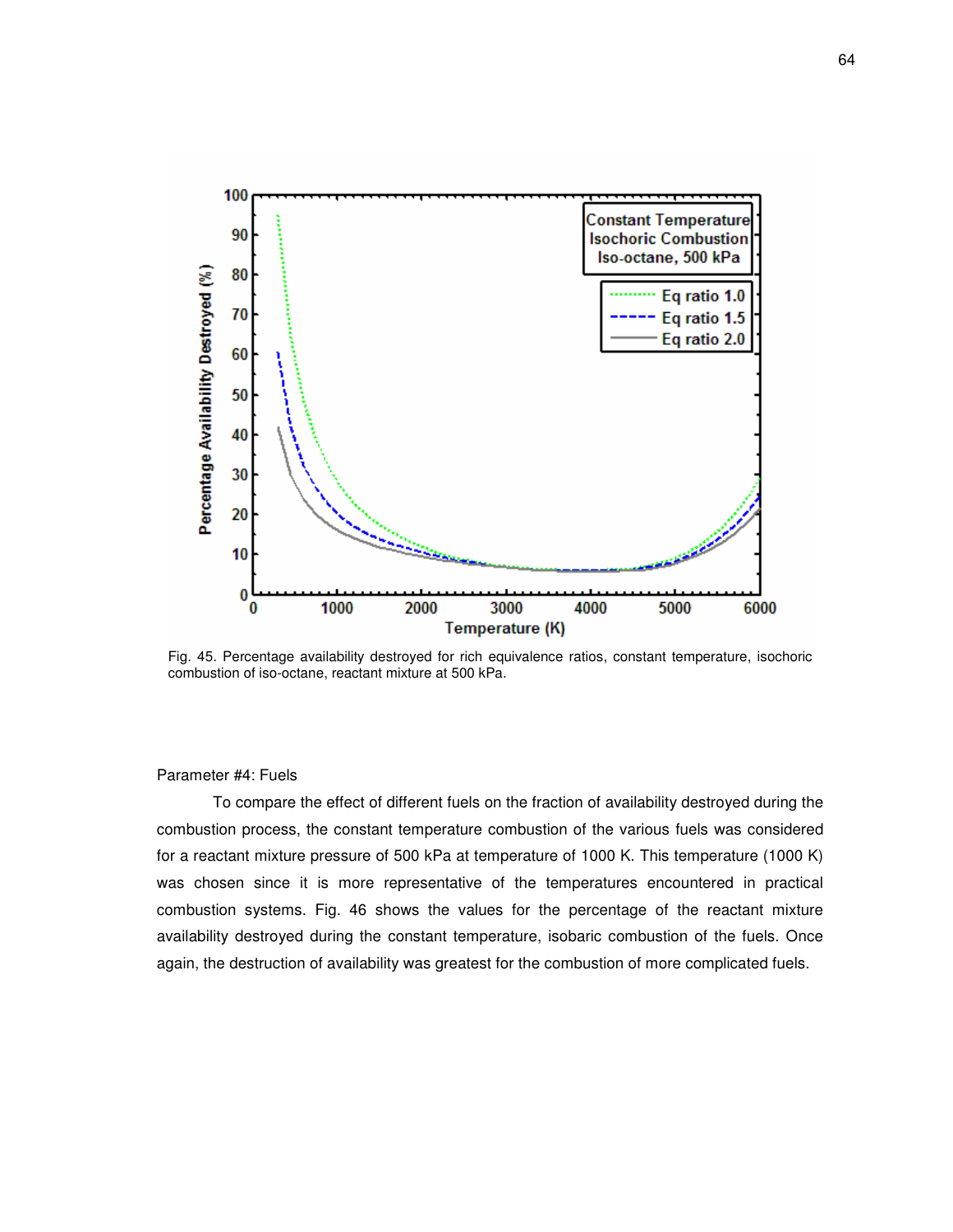

Fig. 45. Percentage availability destroyed for rich equivalence ratios, constant temperature, isochoric combustion of iso-octane, reactant mixture at 500 kPa.

#### Parameter #4: Fuels

To compare the effect of different fuels on the fraction of availability destroyed during the combustion process, the constant temperature combustion of the various fuels was considered for a reactant mixture pressure of 500 kPa at temperature of 1000 K. This temperature (1000 K) was chosen since it is more representative of the temperatures encountered in practical combustion systems. Fig. 46 shows the values for the percentage of the reactant mixture availability destroyed during the constant temperature, isobaric combustion of the fuels. Once again, the destruction of availability was greatest for the combustion of more complicated fuels.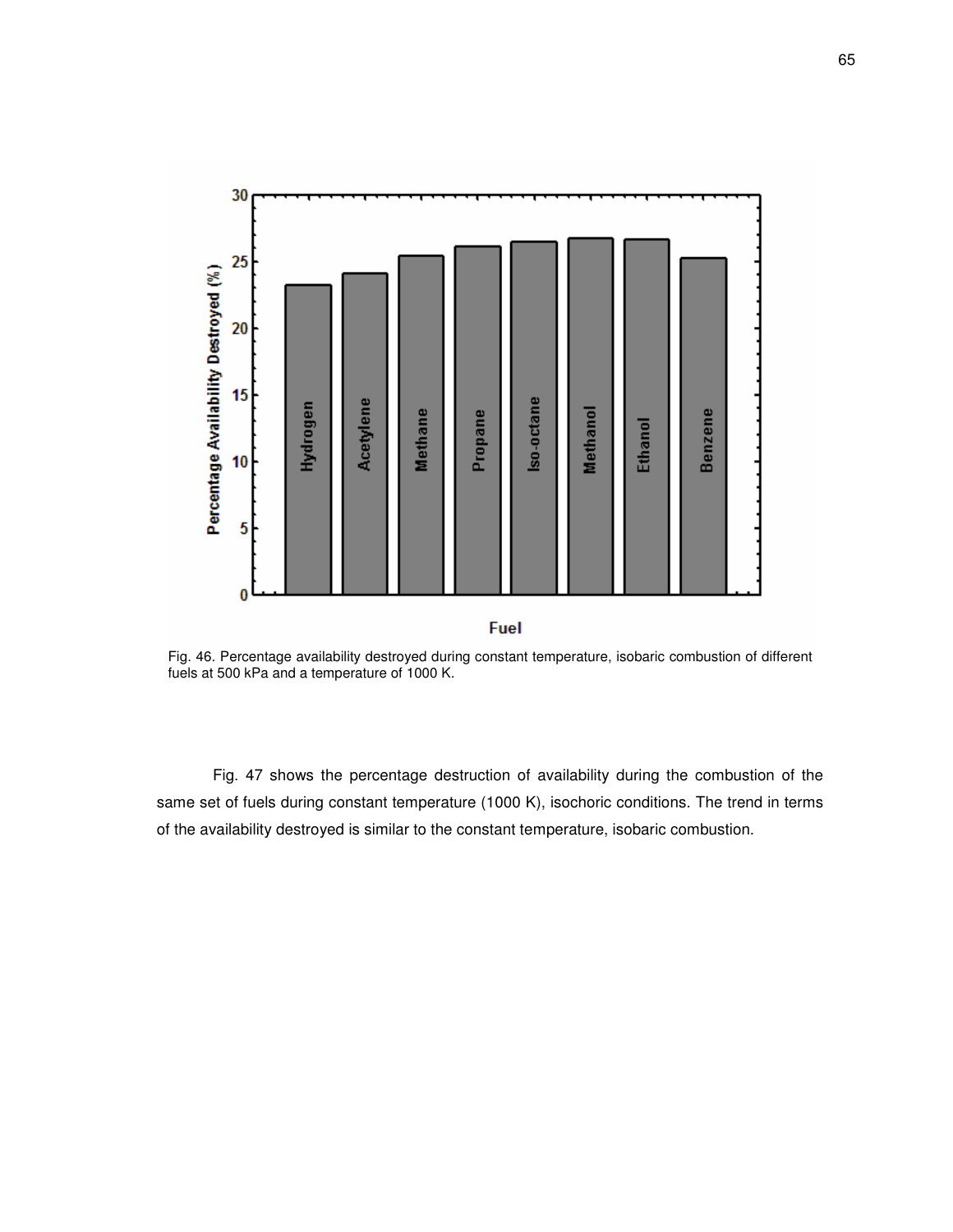

Fig. 46. Percentage availability destroyed during constant temperature, isobaric combustion of different fuels at 500 kPa and a temperature of 1000 K.

Fig. 47 shows the percentage destruction of availability during the combustion of the same set of fuels during constant temperature (1000 K), isochoric conditions. The trend in terms of the availability destroyed is similar to the constant temperature, isobaric combustion.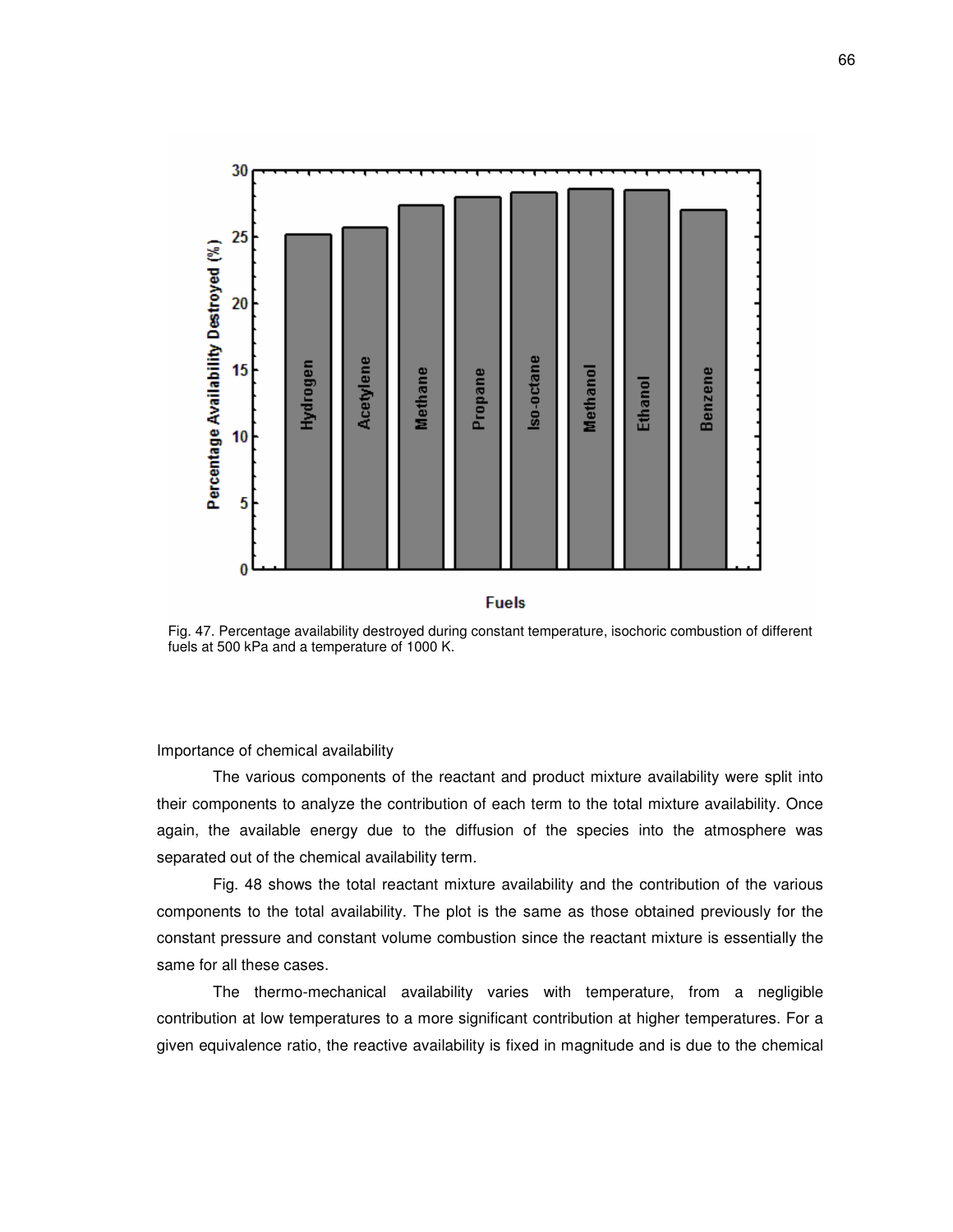

#### **Fuels**

Fig. 47. Percentage availability destroyed during constant temperature, isochoric combustion of different fuels at 500 kPa and a temperature of 1000 K.

Importance of chemical availability

The various components of the reactant and product mixture availability were split into their components to analyze the contribution of each term to the total mixture availability. Once again, the available energy due to the diffusion of the species into the atmosphere was separated out of the chemical availability term.

Fig. 48 shows the total reactant mixture availability and the contribution of the various components to the total availability. The plot is the same as those obtained previously for the constant pressure and constant volume combustion since the reactant mixture is essentially the same for all these cases.

The thermo-mechanical availability varies with temperature, from a negligible contribution at low temperatures to a more significant contribution at higher temperatures. For a given equivalence ratio, the reactive availability is fixed in magnitude and is due to the chemical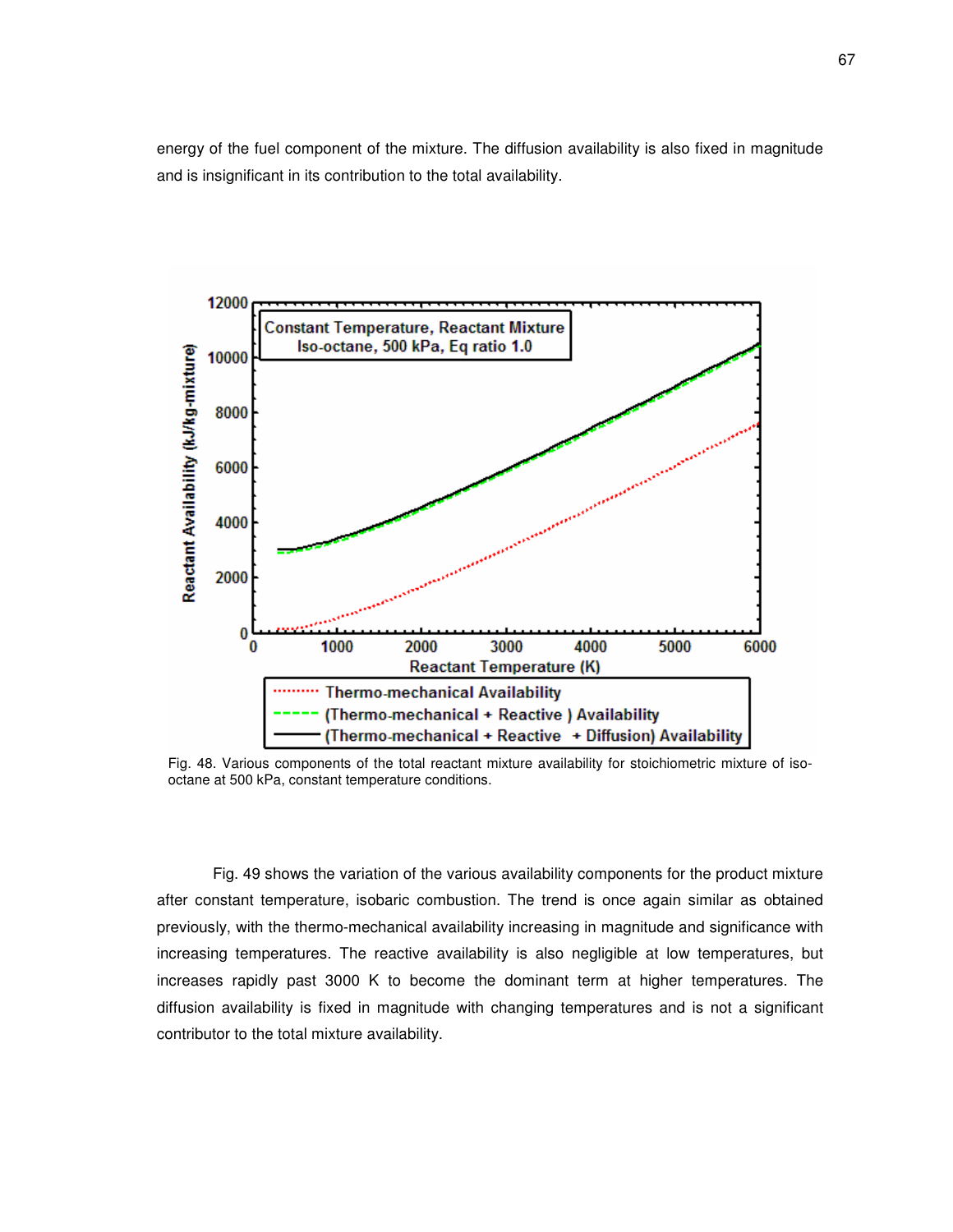energy of the fuel component of the mixture. The diffusion availability is also fixed in magnitude and is insignificant in its contribution to the total availability.



Fig. 48. Various components of the total reactant mixture availability for stoichiometric mixture of isooctane at 500 kPa, constant temperature conditions.

Fig. 49 shows the variation of the various availability components for the product mixture after constant temperature, isobaric combustion. The trend is once again similar as obtained previously, with the thermo-mechanical availability increasing in magnitude and significance with increasing temperatures. The reactive availability is also negligible at low temperatures, but increases rapidly past 3000 K to become the dominant term at higher temperatures. The diffusion availability is fixed in magnitude with changing temperatures and is not a significant contributor to the total mixture availability.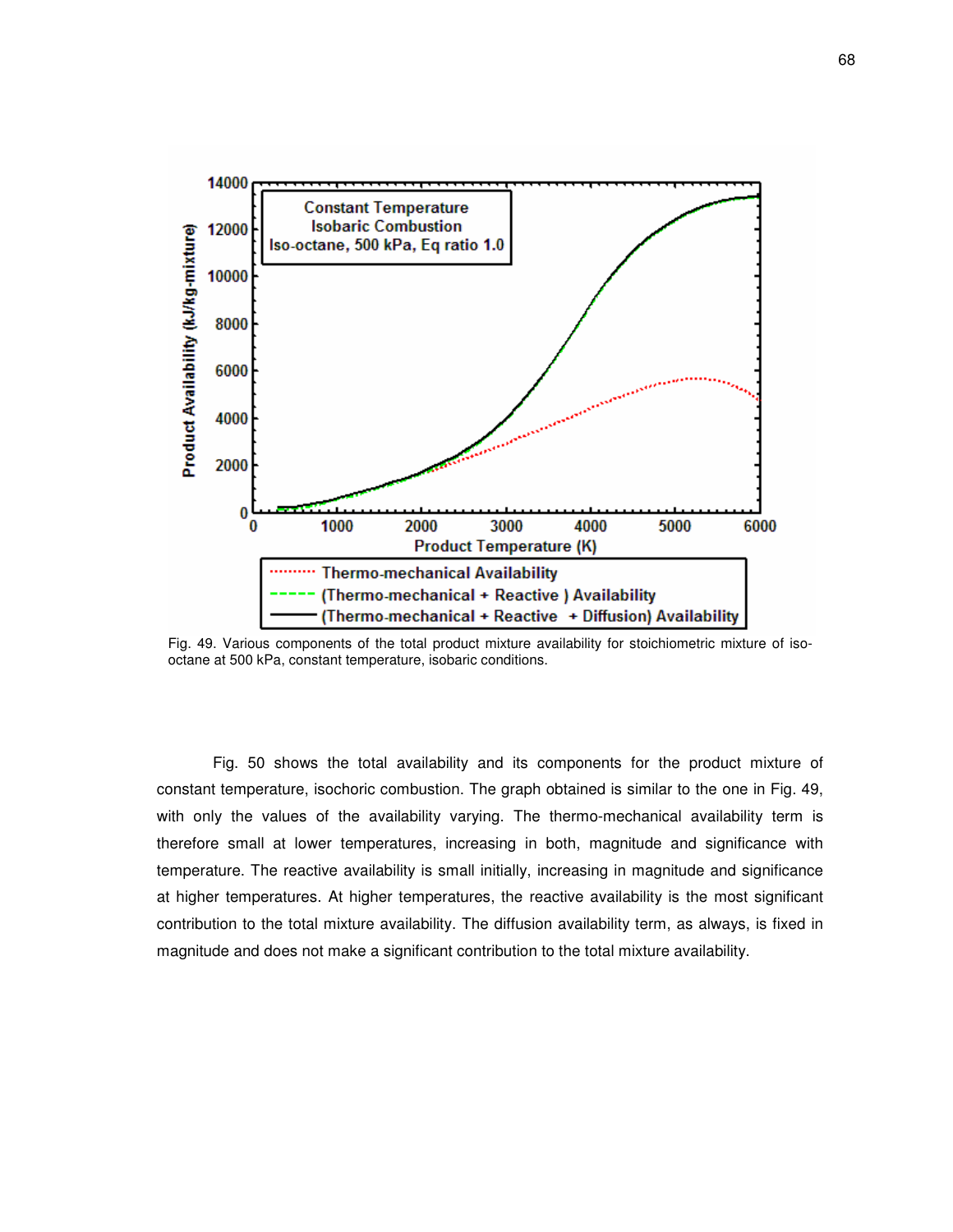

Fig. 49. Various components of the total product mixture availability for stoichiometric mixture of isooctane at 500 kPa, constant temperature, isobaric conditions.

Fig. 50 shows the total availability and its components for the product mixture of constant temperature, isochoric combustion. The graph obtained is similar to the one in Fig. 49, with only the values of the availability varying. The thermo-mechanical availability term is therefore small at lower temperatures, increasing in both, magnitude and significance with temperature. The reactive availability is small initially, increasing in magnitude and significance at higher temperatures. At higher temperatures, the reactive availability is the most significant contribution to the total mixture availability. The diffusion availability term, as always, is fixed in magnitude and does not make a significant contribution to the total mixture availability.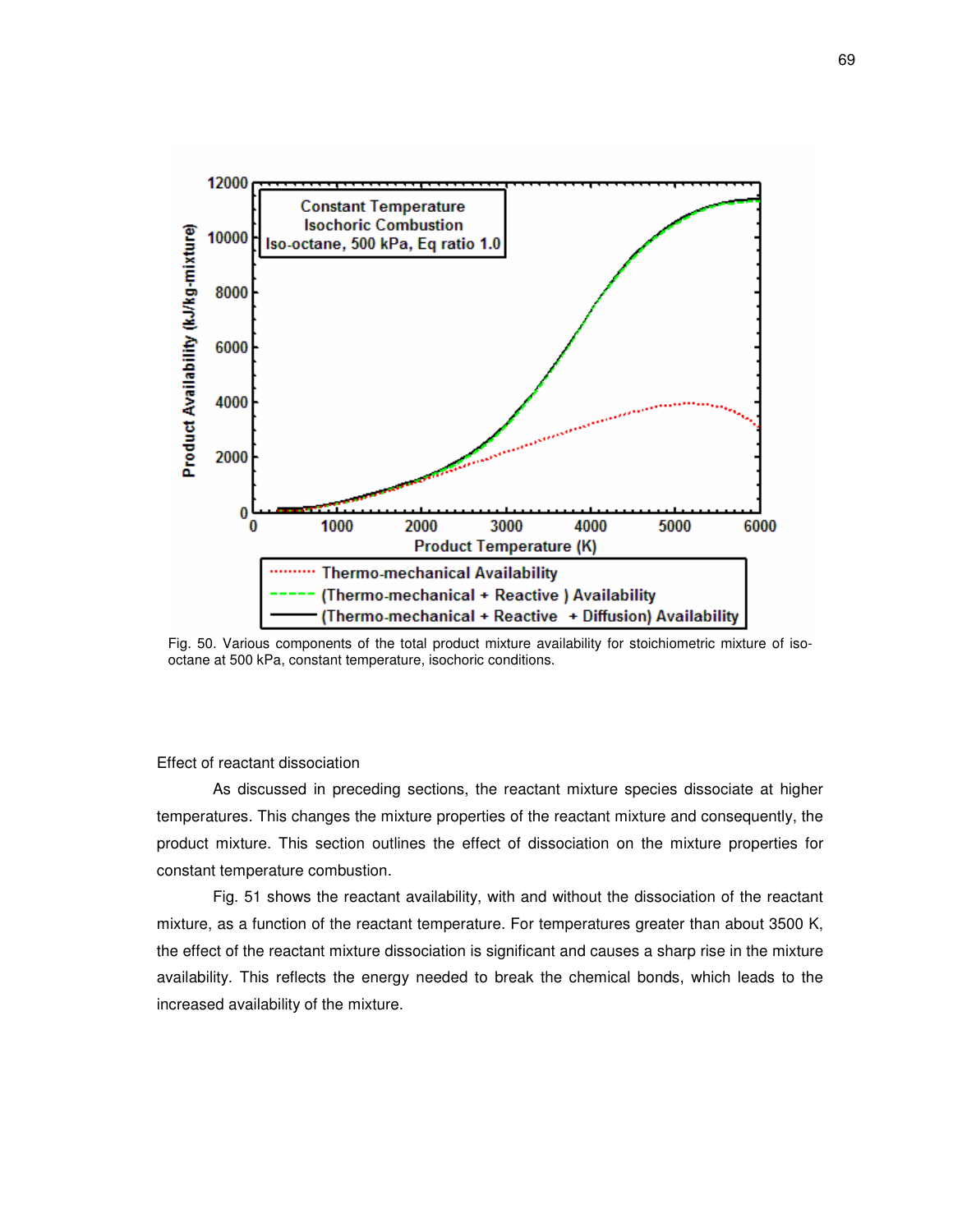

Fig. 50. Various components of the total product mixture availability for stoichiometric mixture of isooctane at 500 kPa, constant temperature, isochoric conditions.

### Effect of reactant dissociation

As discussed in preceding sections, the reactant mixture species dissociate at higher temperatures. This changes the mixture properties of the reactant mixture and consequently, the product mixture. This section outlines the effect of dissociation on the mixture properties for constant temperature combustion.

Fig. 51 shows the reactant availability, with and without the dissociation of the reactant mixture, as a function of the reactant temperature. For temperatures greater than about 3500 K, the effect of the reactant mixture dissociation is significant and causes a sharp rise in the mixture availability. This reflects the energy needed to break the chemical bonds, which leads to the increased availability of the mixture.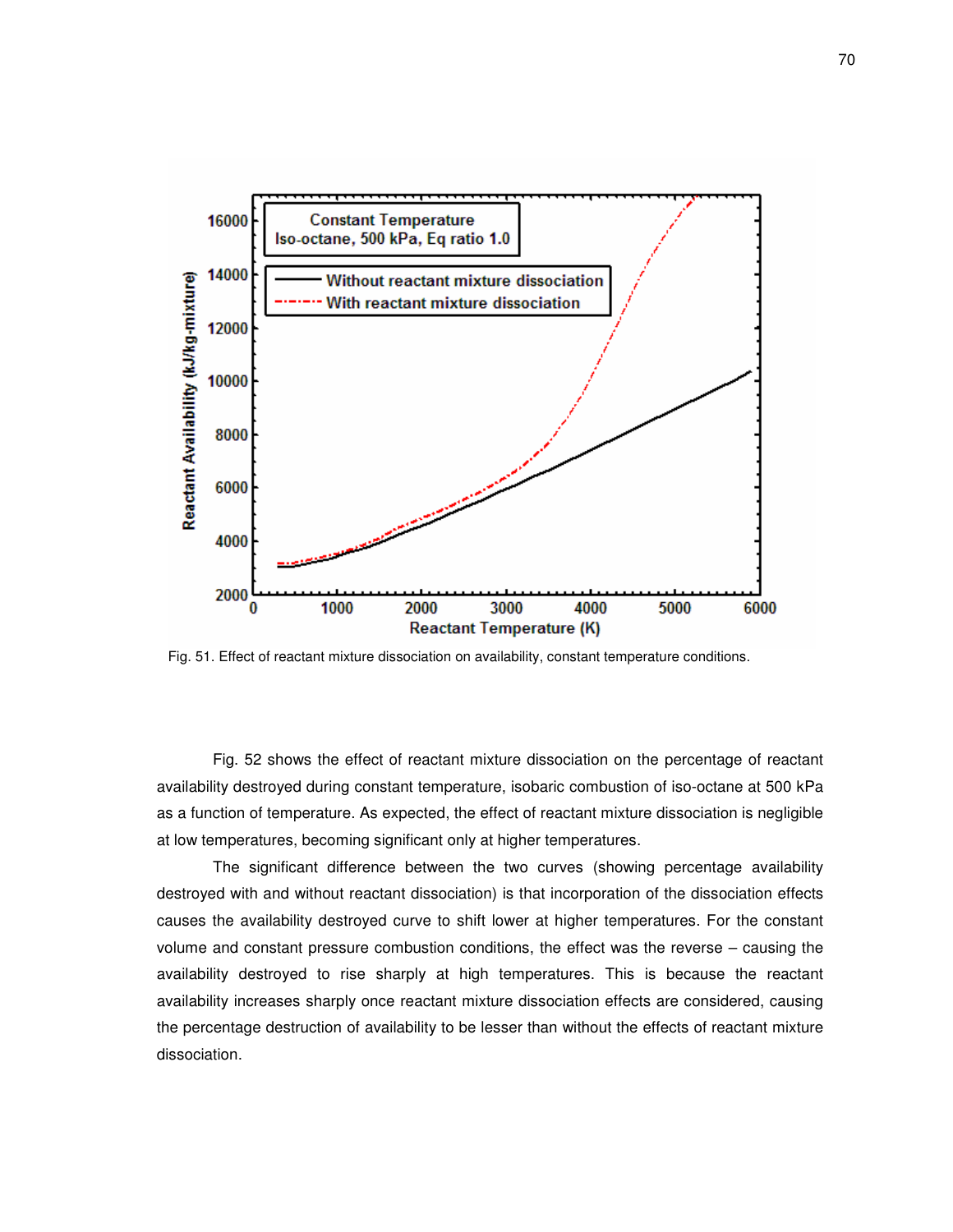

Fig. 51. Effect of reactant mixture dissociation on availability, constant temperature conditions.

Fig. 52 shows the effect of reactant mixture dissociation on the percentage of reactant availability destroyed during constant temperature, isobaric combustion of iso-octane at 500 kPa as a function of temperature. As expected, the effect of reactant mixture dissociation is negligible at low temperatures, becoming significant only at higher temperatures.

The significant difference between the two curves (showing percentage availability destroyed with and without reactant dissociation) is that incorporation of the dissociation effects causes the availability destroyed curve to shift lower at higher temperatures. For the constant volume and constant pressure combustion conditions, the effect was the reverse – causing the availability destroyed to rise sharply at high temperatures. This is because the reactant availability increases sharply once reactant mixture dissociation effects are considered, causing the percentage destruction of availability to be lesser than without the effects of reactant mixture dissociation.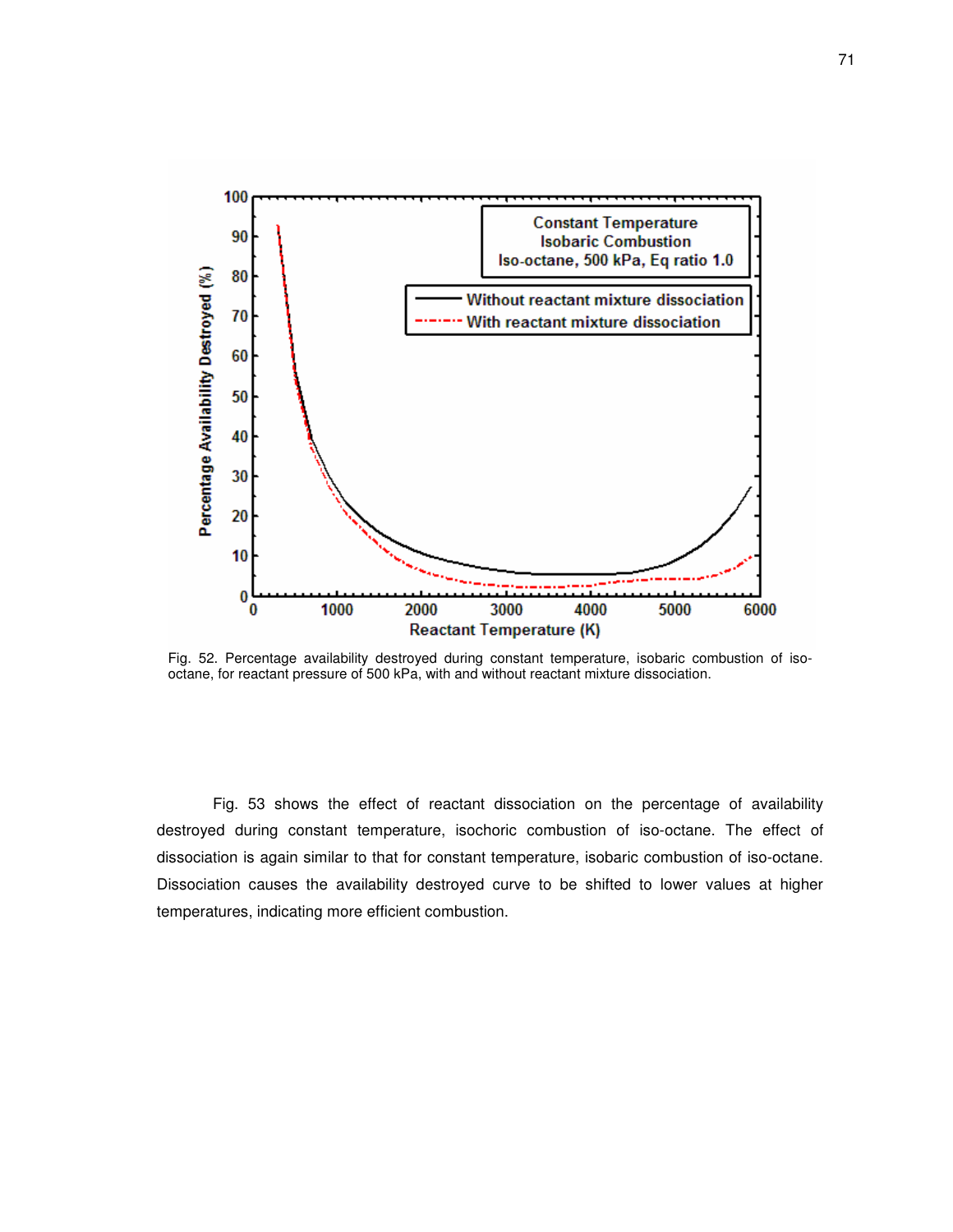

Fig. 52. Percentage availability destroyed during constant temperature, isobaric combustion of isooctane, for reactant pressure of 500 kPa, with and without reactant mixture dissociation.

Fig. 53 shows the effect of reactant dissociation on the percentage of availability destroyed during constant temperature, isochoric combustion of iso-octane. The effect of dissociation is again similar to that for constant temperature, isobaric combustion of iso-octane. Dissociation causes the availability destroyed curve to be shifted to lower values at higher temperatures, indicating more efficient combustion.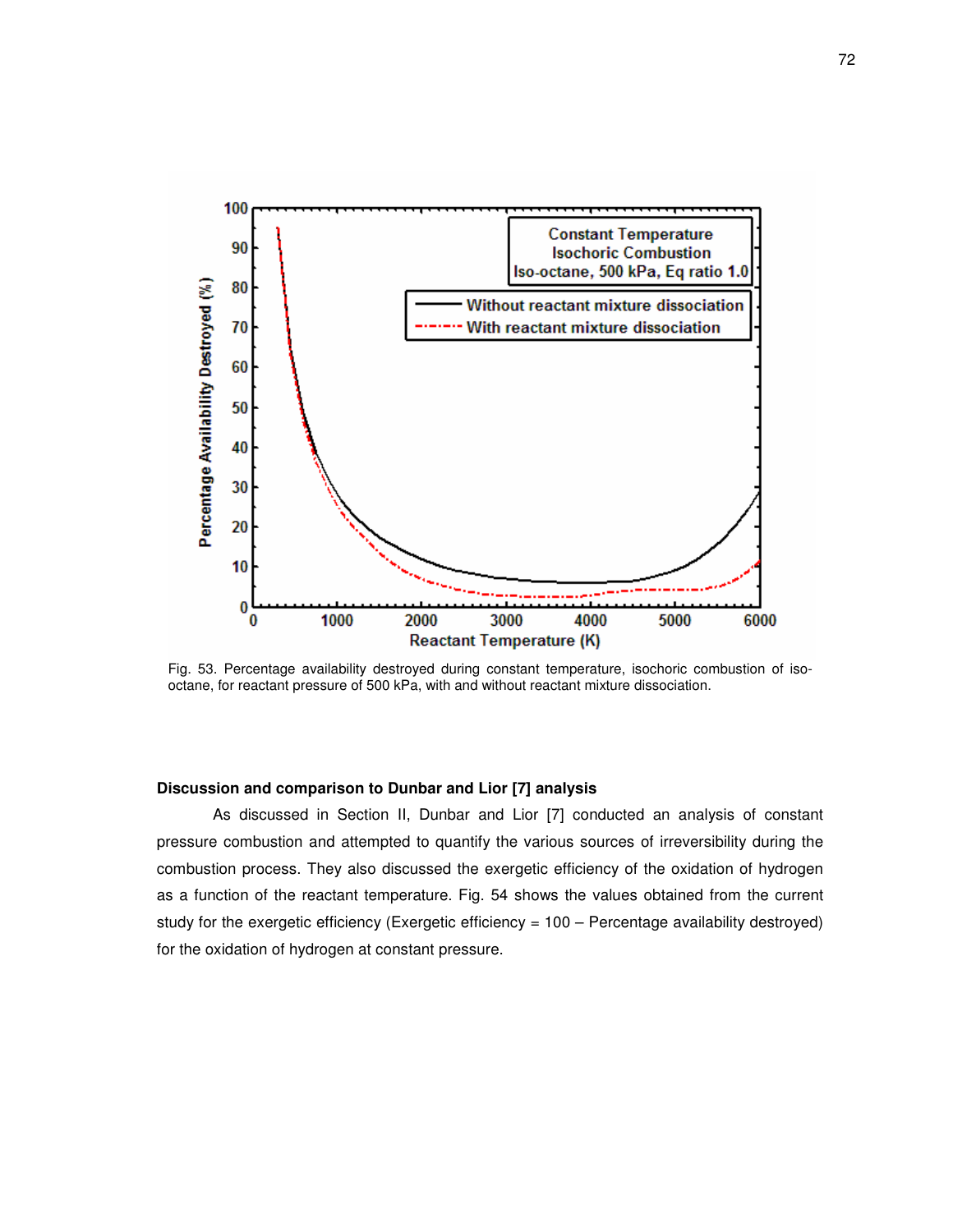

Fig. 53. Percentage availability destroyed during constant temperature, isochoric combustion of isooctane, for reactant pressure of 500 kPa, with and without reactant mixture dissociation.

## **Discussion and comparison to Dunbar and Lior [7] analysis**

As discussed in Section II, Dunbar and Lior [7] conducted an analysis of constant pressure combustion and attempted to quantify the various sources of irreversibility during the combustion process. They also discussed the exergetic efficiency of the oxidation of hydrogen as a function of the reactant temperature. Fig. 54 shows the values obtained from the current study for the exergetic efficiency (Exergetic efficiency = 100 – Percentage availability destroyed) for the oxidation of hydrogen at constant pressure.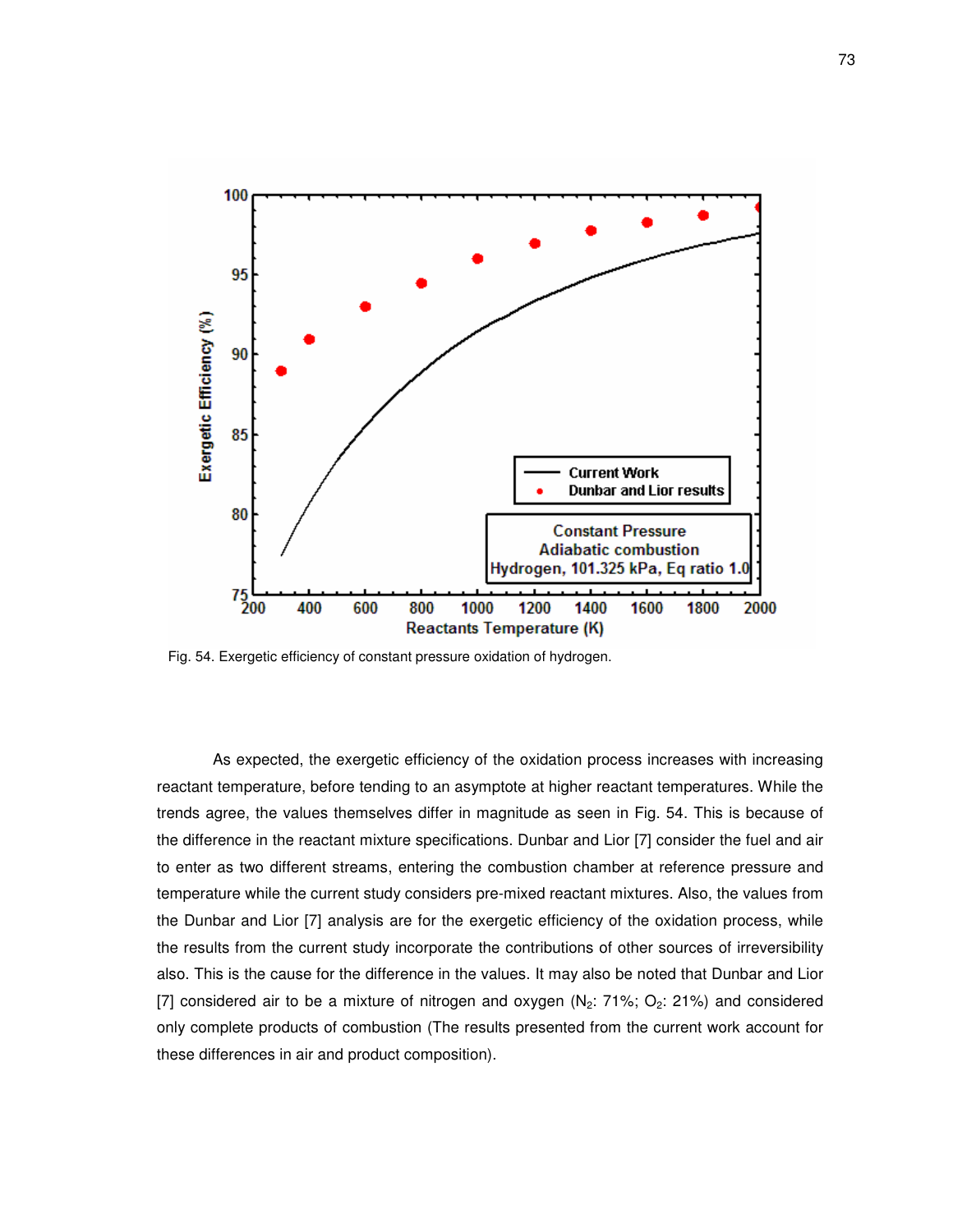

Fig. 54. Exergetic efficiency of constant pressure oxidation of hydrogen.

As expected, the exergetic efficiency of the oxidation process increases with increasing reactant temperature, before tending to an asymptote at higher reactant temperatures. While the trends agree, the values themselves differ in magnitude as seen in Fig. 54. This is because of the difference in the reactant mixture specifications. Dunbar and Lior [7] consider the fuel and air to enter as two different streams, entering the combustion chamber at reference pressure and temperature while the current study considers pre-mixed reactant mixtures. Also, the values from the Dunbar and Lior [7] analysis are for the exergetic efficiency of the oxidation process, while the results from the current study incorporate the contributions of other sources of irreversibility also. This is the cause for the difference in the values. It may also be noted that Dunbar and Lior [7] considered air to be a mixture of nitrogen and oxygen  $(N_2: 71\%; O_2: 21\%)$  and considered only complete products of combustion (The results presented from the current work account for these differences in air and product composition).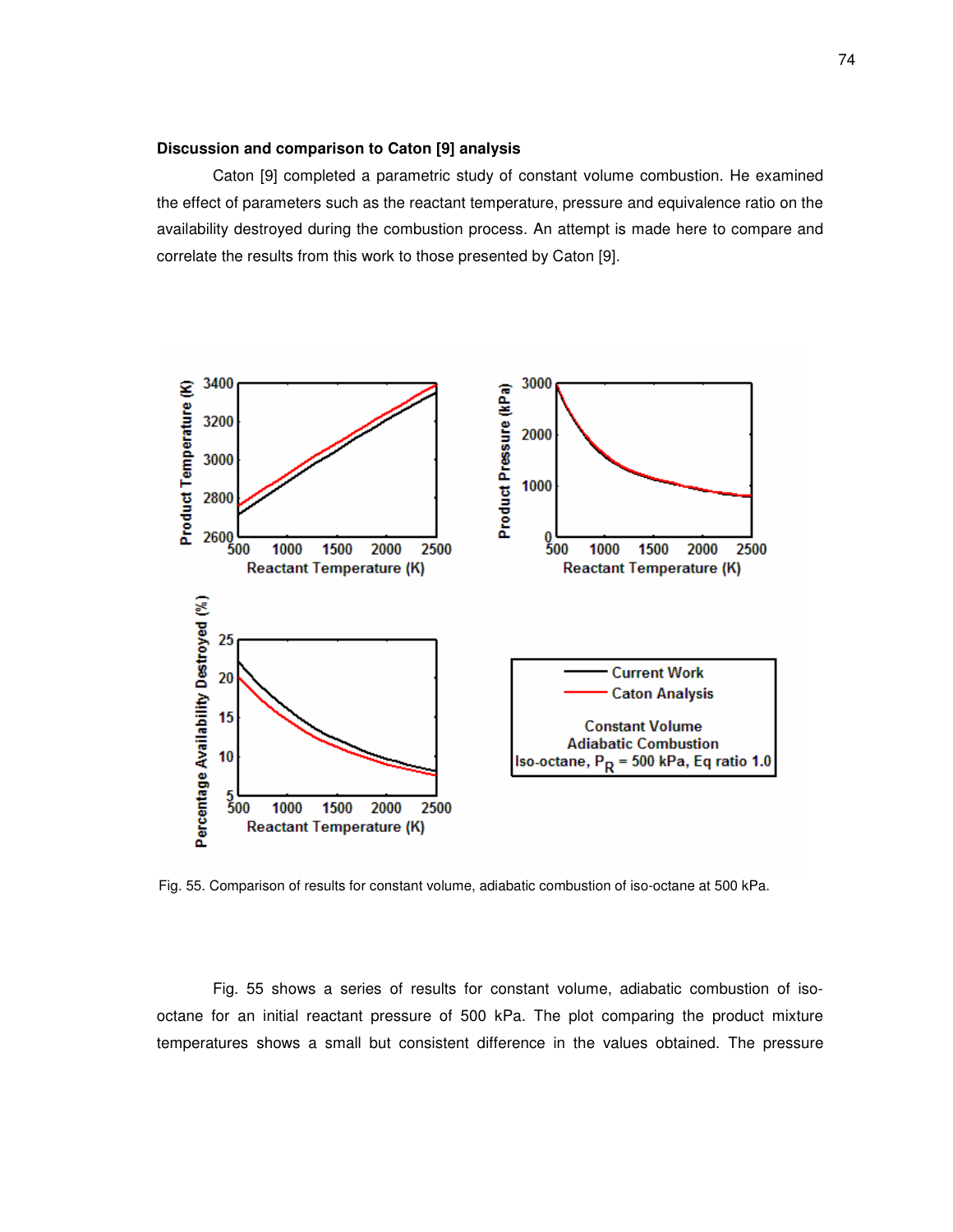### **Discussion and comparison to Caton [9] analysis**

Caton [9] completed a parametric study of constant volume combustion. He examined the effect of parameters such as the reactant temperature, pressure and equivalence ratio on the availability destroyed during the combustion process. An attempt is made here to compare and correlate the results from this work to those presented by Caton [9].



Fig. 55. Comparison of results for constant volume, adiabatic combustion of iso-octane at 500 kPa.

Fig. 55 shows a series of results for constant volume, adiabatic combustion of isooctane for an initial reactant pressure of 500 kPa. The plot comparing the product mixture temperatures shows a small but consistent difference in the values obtained. The pressure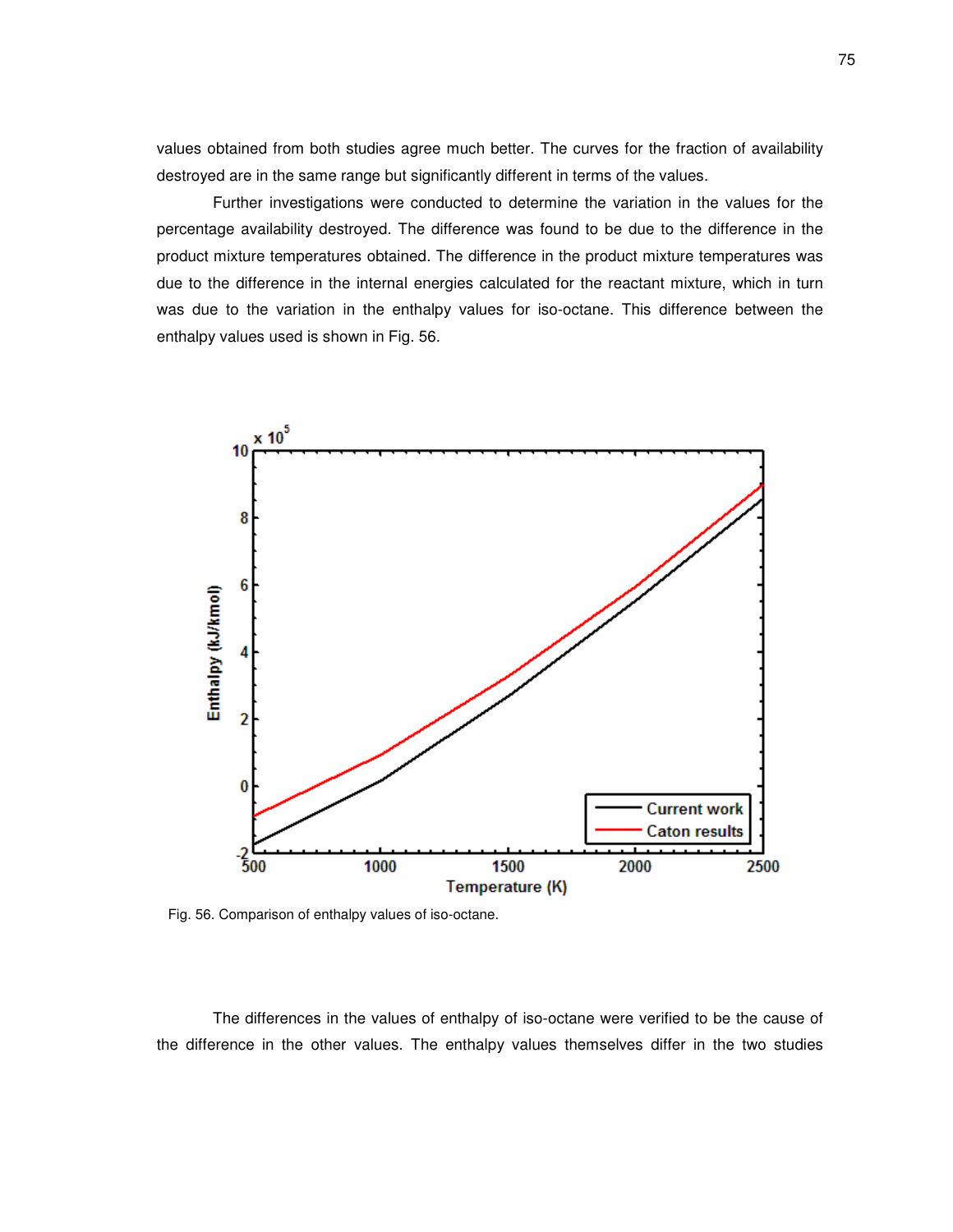values obtained from both studies agree much better. The curves for the fraction of availability destroyed are in the same range but significantly different in terms of the values.

Further investigations were conducted to determine the variation in the values for the percentage availability destroyed. The difference was found to be due to the difference in the product mixture temperatures obtained. The difference in the product mixture temperatures was due to the difference in the internal energies calculated for the reactant mixture, which in turn was due to the variation in the enthalpy values for iso-octane. This difference between the enthalpy values used is shown in Fig. 56.



Fig. 56. Comparison of enthalpy values of iso-octane.

The differences in the values of enthalpy of iso-octane were verified to be the cause of the difference in the other values. The enthalpy values themselves differ in the two studies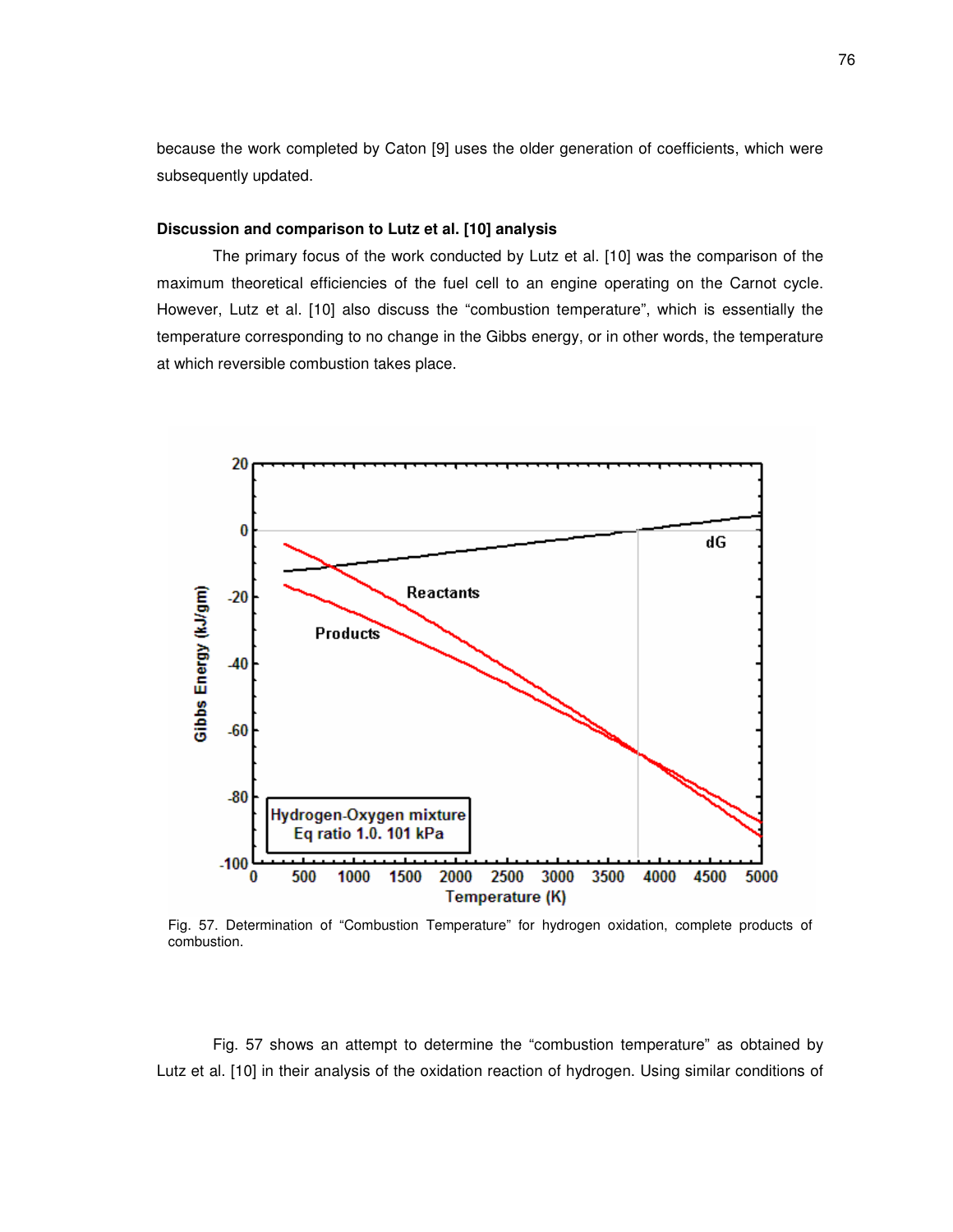because the work completed by Caton [9] uses the older generation of coefficients, which were subsequently updated.

## **Discussion and comparison to Lutz et al. [10] analysis**

The primary focus of the work conducted by Lutz et al. [10] was the comparison of the maximum theoretical efficiencies of the fuel cell to an engine operating on the Carnot cycle. However, Lutz et al. [10] also discuss the "combustion temperature", which is essentially the temperature corresponding to no change in the Gibbs energy, or in other words, the temperature at which reversible combustion takes place.



Fig. 57. Determination of "Combustion Temperature" for hydrogen oxidation, complete products of combustion.

Fig. 57 shows an attempt to determine the "combustion temperature" as obtained by Lutz et al. [10] in their analysis of the oxidation reaction of hydrogen. Using similar conditions of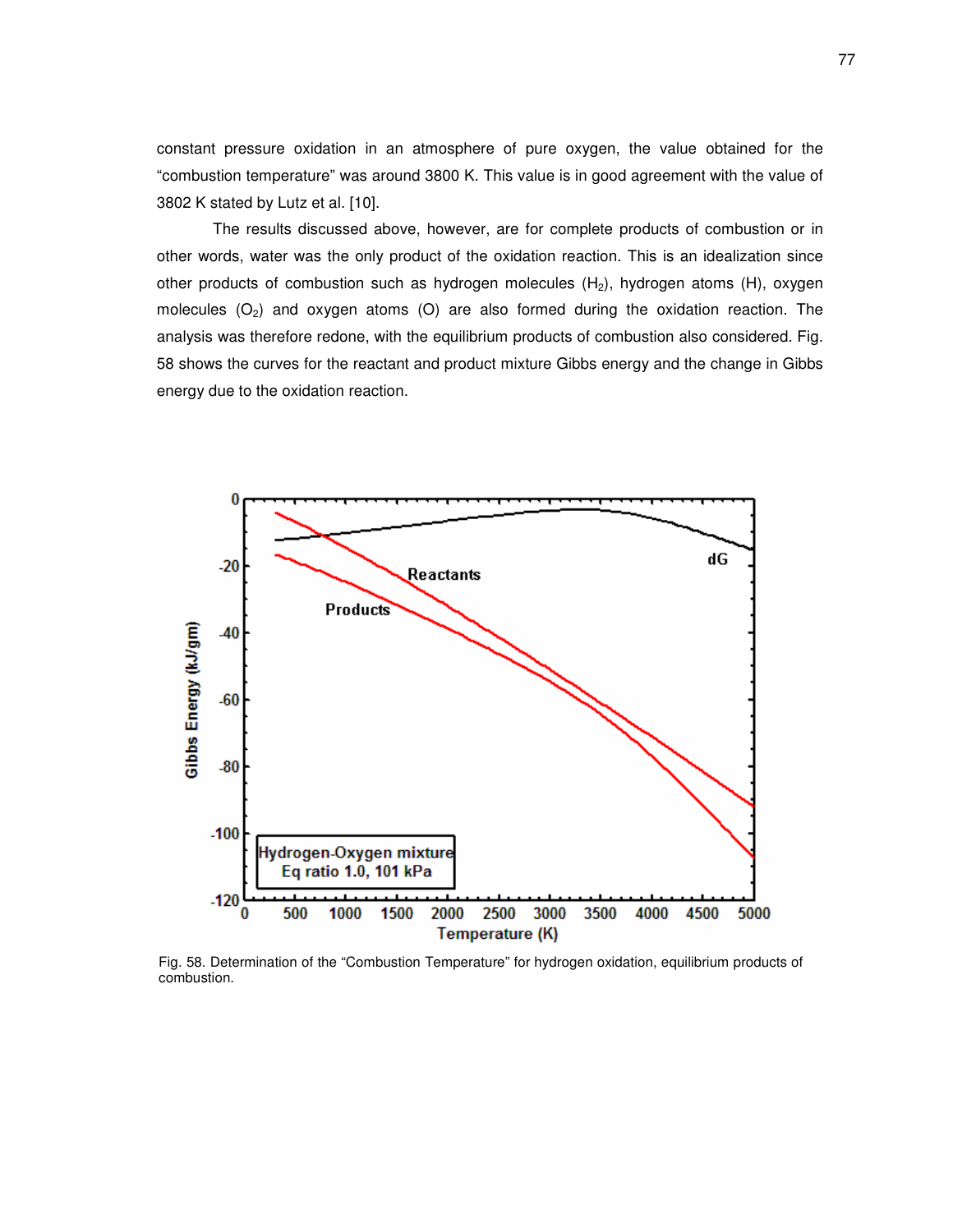constant pressure oxidation in an atmosphere of pure oxygen, the value obtained for the "combustion temperature" was around 3800 K. This value is in good agreement with the value of 3802 K stated by Lutz et al. [10].

The results discussed above, however, are for complete products of combustion or in other words, water was the only product of the oxidation reaction. This is an idealization since other products of combustion such as hydrogen molecules  $(H_2)$ , hydrogen atoms  $(H)$ , oxygen molecules  $(O_2)$  and oxygen atoms  $(O)$  are also formed during the oxidation reaction. The analysis was therefore redone, with the equilibrium products of combustion also considered. Fig. 58 shows the curves for the reactant and product mixture Gibbs energy and the change in Gibbs energy due to the oxidation reaction.



Fig. 58. Determination of the "Combustion Temperature" for hydrogen oxidation, equilibrium products of combustion.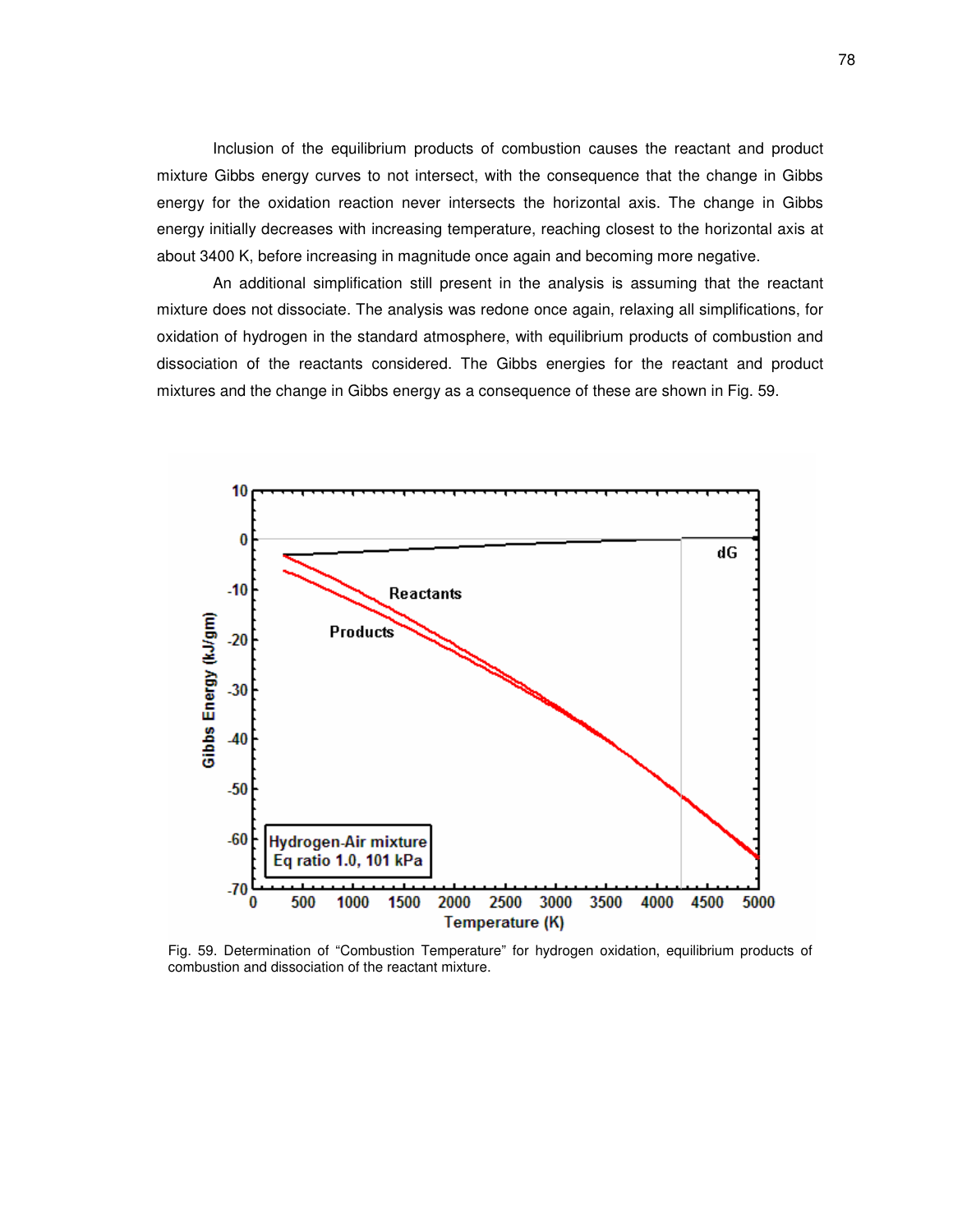Inclusion of the equilibrium products of combustion causes the reactant and product mixture Gibbs energy curves to not intersect, with the consequence that the change in Gibbs energy for the oxidation reaction never intersects the horizontal axis. The change in Gibbs energy initially decreases with increasing temperature, reaching closest to the horizontal axis at about 3400 K, before increasing in magnitude once again and becoming more negative.

An additional simplification still present in the analysis is assuming that the reactant mixture does not dissociate. The analysis was redone once again, relaxing all simplifications, for oxidation of hydrogen in the standard atmosphere, with equilibrium products of combustion and dissociation of the reactants considered. The Gibbs energies for the reactant and product mixtures and the change in Gibbs energy as a consequence of these are shown in Fig. 59.



Fig. 59. Determination of "Combustion Temperature" for hydrogen oxidation, equilibrium products of combustion and dissociation of the reactant mixture.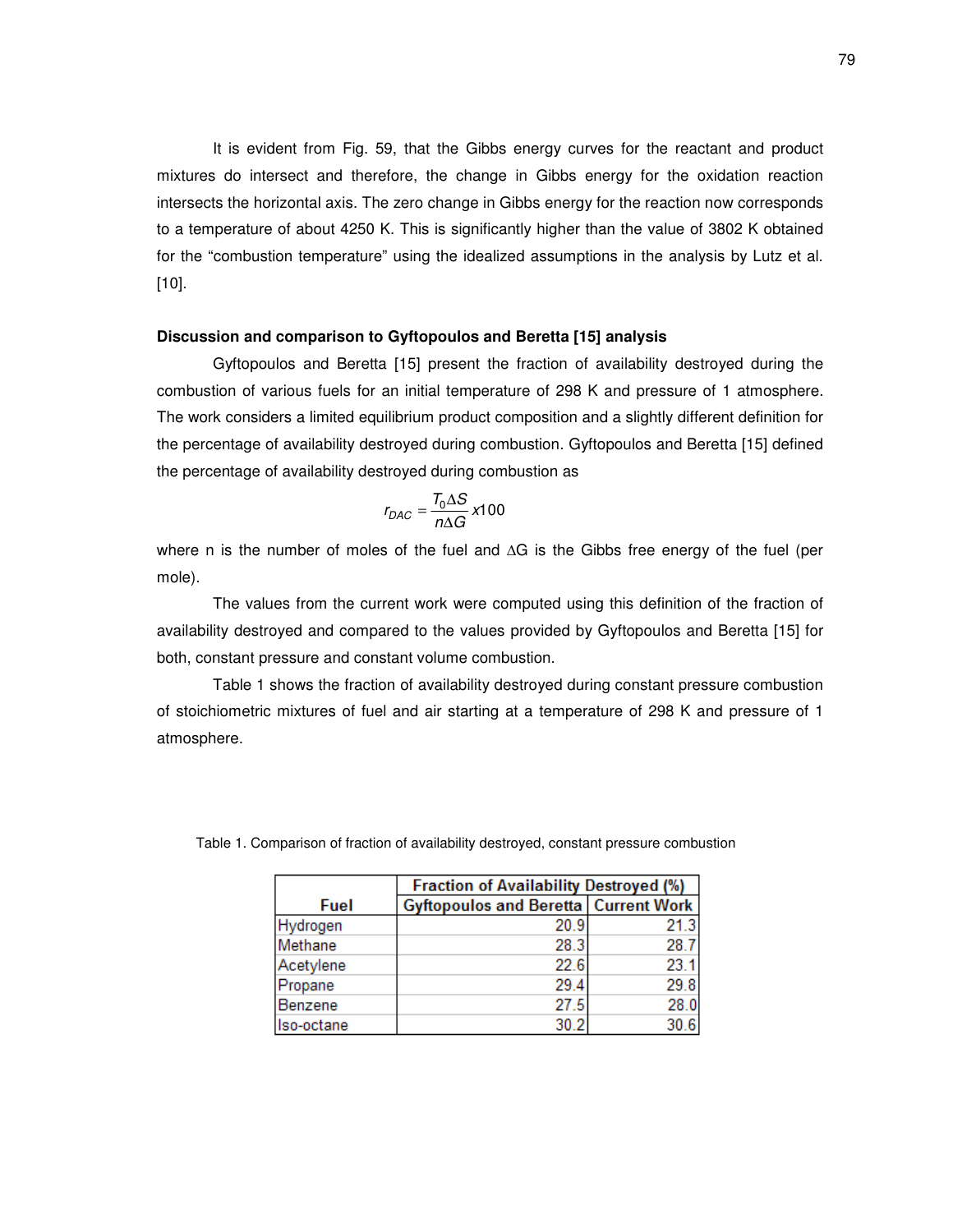It is evident from Fig. 59, that the Gibbs energy curves for the reactant and product mixtures do intersect and therefore, the change in Gibbs energy for the oxidation reaction intersects the horizontal axis. The zero change in Gibbs energy for the reaction now corresponds to a temperature of about 4250 K. This is significantly higher than the value of 3802 K obtained for the "combustion temperature" using the idealized assumptions in the analysis by Lutz et al. [10].

# **Discussion and comparison to Gyftopoulos and Beretta [15] analysis**

Gyftopoulos and Beretta [15] present the fraction of availability destroyed during the combustion of various fuels for an initial temperature of 298 K and pressure of 1 atmosphere. The work considers a limited equilibrium product composition and a slightly different definition for the percentage of availability destroyed during combustion. Gyftopoulos and Beretta [15] defined the percentage of availability destroyed during combustion as

$$
r_{DAC} = \frac{T_0 \Delta S}{n \Delta G} \times 100
$$

where n is the number of moles of the fuel and  $\Delta G$  is the Gibbs free energy of the fuel (per mole).

The values from the current work were computed using this definition of the fraction of availability destroyed and compared to the values provided by Gyftopoulos and Beretta [15] for both, constant pressure and constant volume combustion.

Table 1 shows the fraction of availability destroyed during constant pressure combustion of stoichiometric mixtures of fuel and air starting at a temperature of 298 K and pressure of 1 atmosphere.

|            | <b>Fraction of Availability Destroyed (%)</b>   |      |
|------------|-------------------------------------------------|------|
| Fuel       | <b>Gyftopoulos and Beretta   Current Work  </b> |      |
| Hydrogen   | 20.9                                            | 21.3 |
| Methane    | 28.3                                            | 28.7 |
| Acetylene  | 22.6                                            | 23.1 |
| Propane    | 29.4                                            | 29.8 |
| Benzene    | 27.5                                            | 28.0 |
| Iso-octane | 30.2                                            | 30.6 |

Table 1. Comparison of fraction of availability destroyed, constant pressure combustion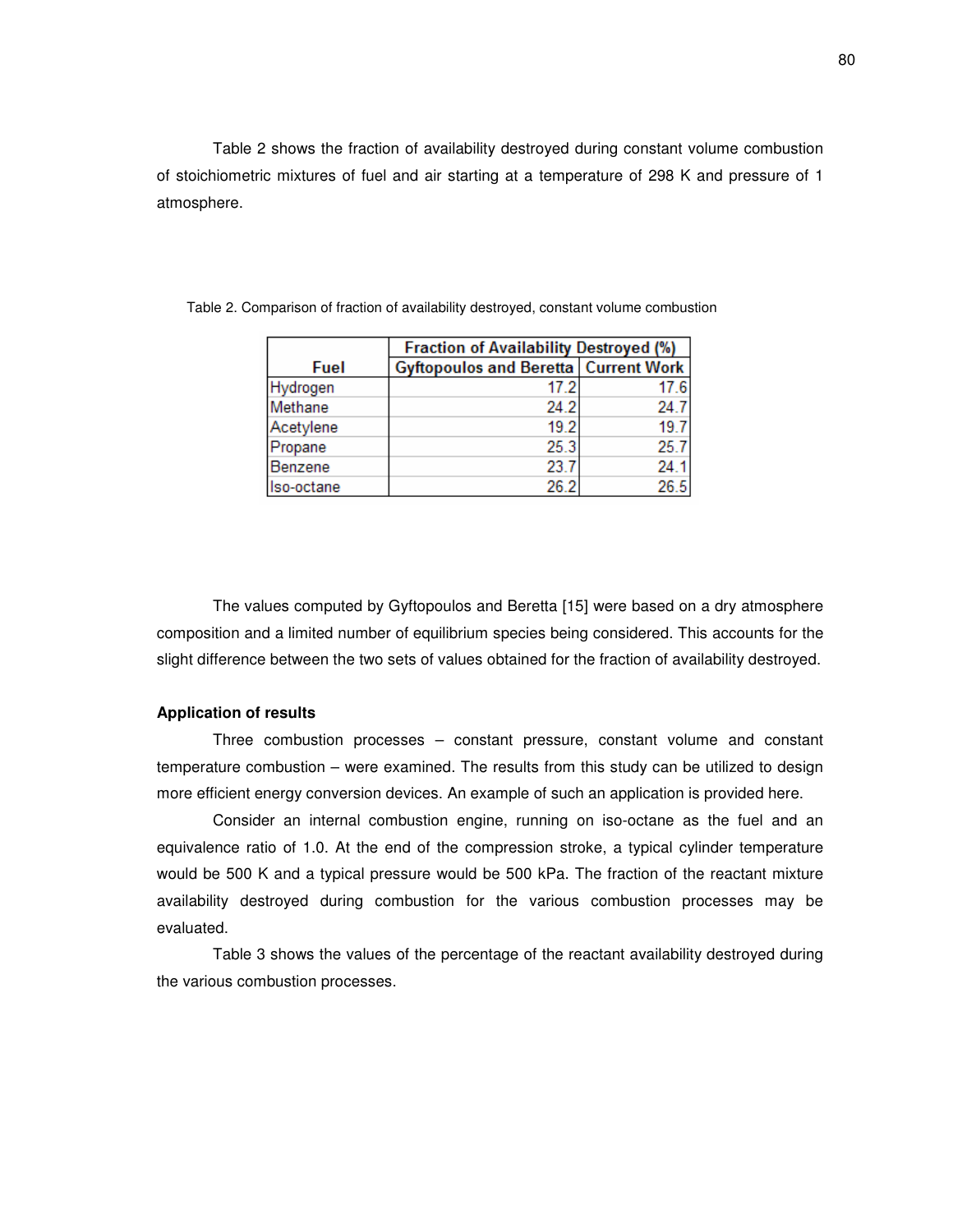Table 2 shows the fraction of availability destroyed during constant volume combustion of stoichiometric mixtures of fuel and air starting at a temperature of 298 K and pressure of 1 atmosphere.

|            | <b>Fraction of Availability Destroyed (%)</b> |      |
|------------|-----------------------------------------------|------|
| Fuel       | <b>Gyftopoulos and Beretta   Current Work</b> |      |
| Hydrogen   | 17.2                                          | 17.6 |
| Methane    | 24.2                                          | 24.7 |
| Acetylene  | 19.2                                          | 19.7 |
| Propane    | 25.3                                          | 25.7 |
| Benzene    | 23.7                                          | 24.1 |
| Iso-octane | 26.2                                          | 26.5 |

Table 2. Comparison of fraction of availability destroyed, constant volume combustion

The values computed by Gyftopoulos and Beretta [15] were based on a dry atmosphere composition and a limited number of equilibrium species being considered. This accounts for the slight difference between the two sets of values obtained for the fraction of availability destroyed.

## **Application of results**

Three combustion processes – constant pressure, constant volume and constant temperature combustion – were examined. The results from this study can be utilized to design more efficient energy conversion devices. An example of such an application is provided here.

Consider an internal combustion engine, running on iso-octane as the fuel and an equivalence ratio of 1.0. At the end of the compression stroke, a typical cylinder temperature would be 500 K and a typical pressure would be 500 kPa. The fraction of the reactant mixture availability destroyed during combustion for the various combustion processes may be evaluated.

Table 3 shows the values of the percentage of the reactant availability destroyed during the various combustion processes.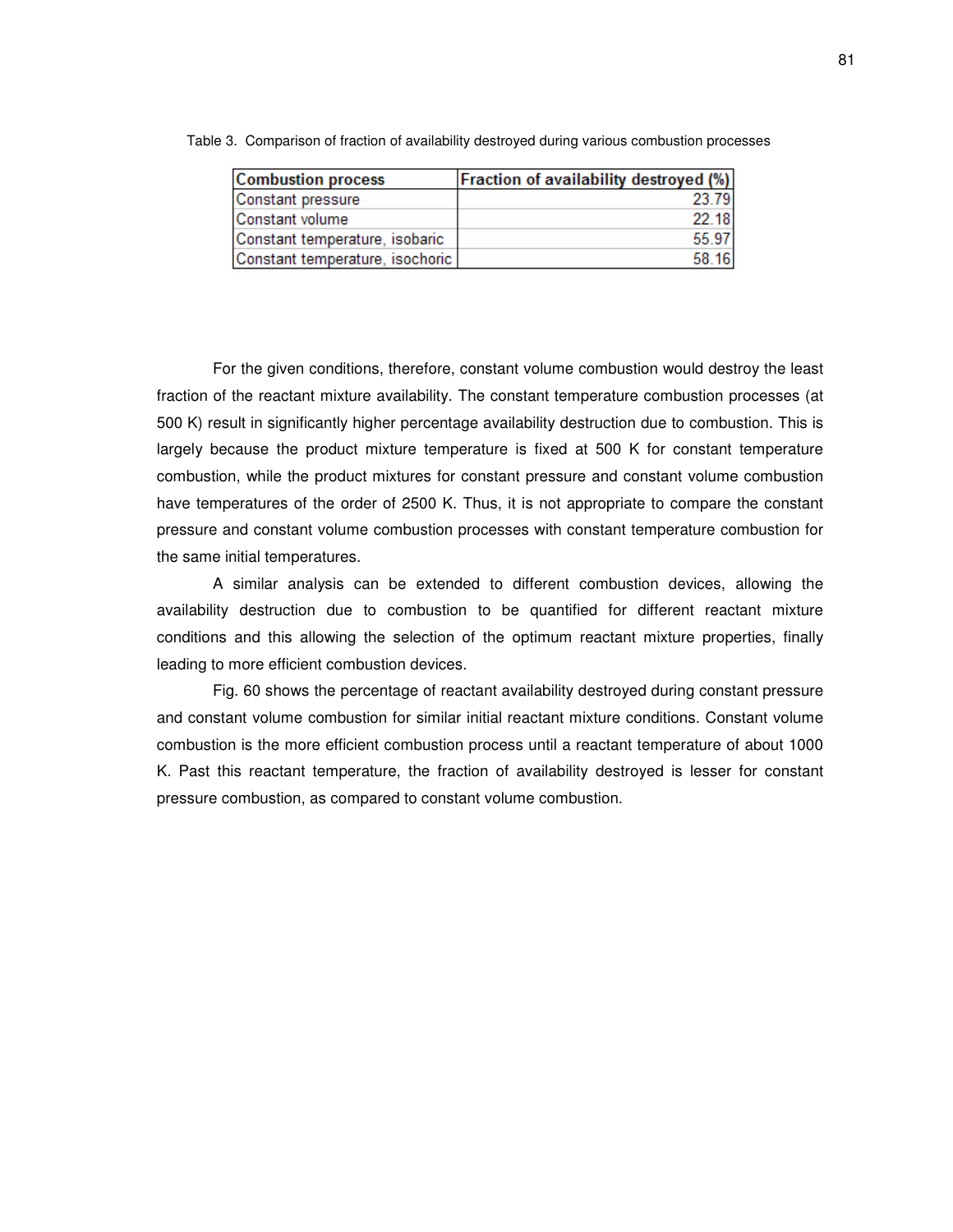| <b>Combustion process</b>       | <b>Fraction of availability destroyed (%)</b> |
|---------------------------------|-----------------------------------------------|
| Constant pressure               | 23.79                                         |
| Constant volume                 | 22.18                                         |
| Constant temperature, isobaric  | 55.97                                         |
| Constant temperature, isochoric | 58.16                                         |

Table 3. Comparison of fraction of availability destroyed during various combustion processes

For the given conditions, therefore, constant volume combustion would destroy the least fraction of the reactant mixture availability. The constant temperature combustion processes (at 500 K) result in significantly higher percentage availability destruction due to combustion. This is largely because the product mixture temperature is fixed at 500 K for constant temperature combustion, while the product mixtures for constant pressure and constant volume combustion have temperatures of the order of 2500 K. Thus, it is not appropriate to compare the constant pressure and constant volume combustion processes with constant temperature combustion for the same initial temperatures.

A similar analysis can be extended to different combustion devices, allowing the availability destruction due to combustion to be quantified for different reactant mixture conditions and this allowing the selection of the optimum reactant mixture properties, finally leading to more efficient combustion devices.

Fig. 60 shows the percentage of reactant availability destroyed during constant pressure and constant volume combustion for similar initial reactant mixture conditions. Constant volume combustion is the more efficient combustion process until a reactant temperature of about 1000 K. Past this reactant temperature, the fraction of availability destroyed is lesser for constant pressure combustion, as compared to constant volume combustion.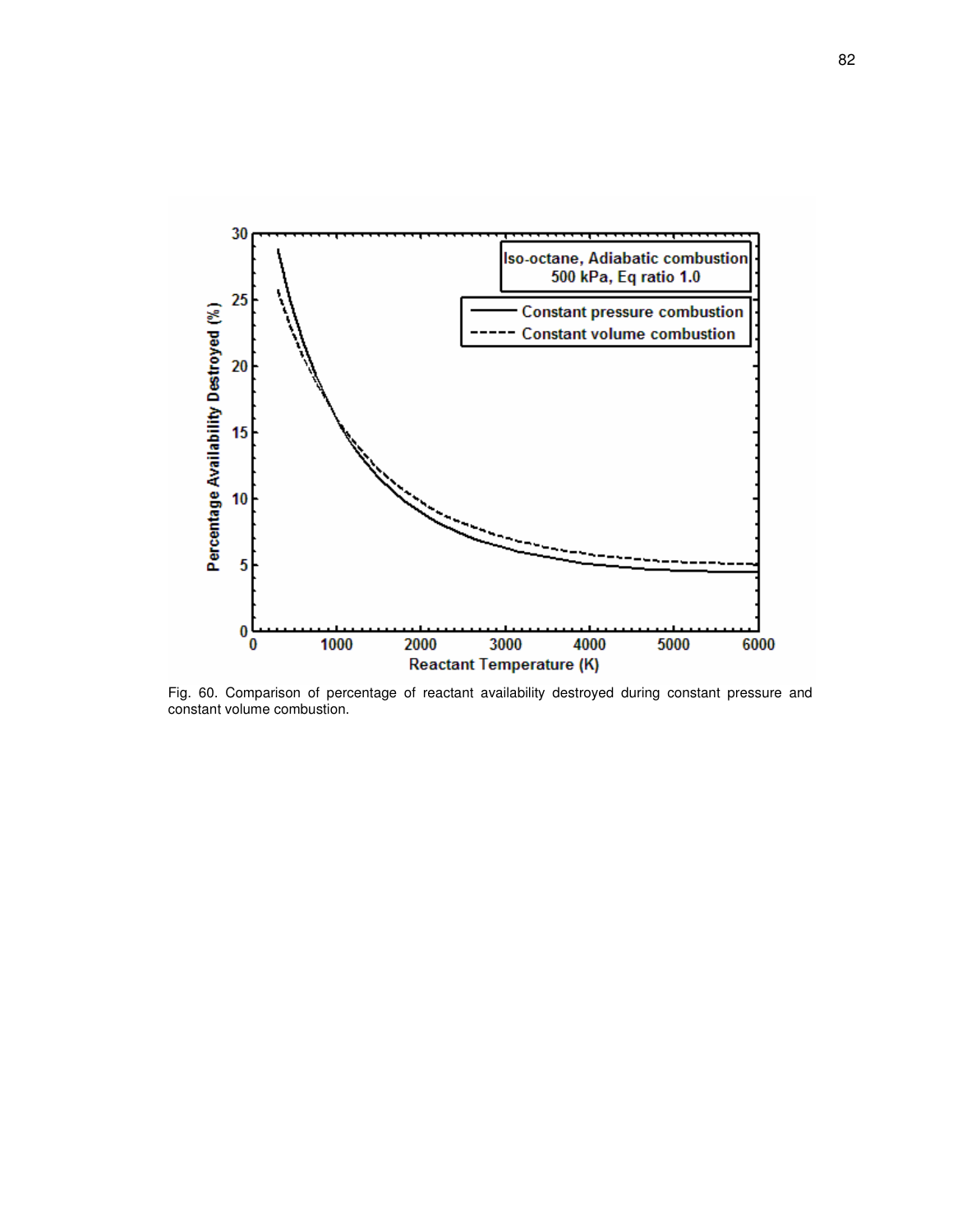

Fig. 60. Comparison of percentage of reactant availability destroyed during constant pressure and constant volume combustion.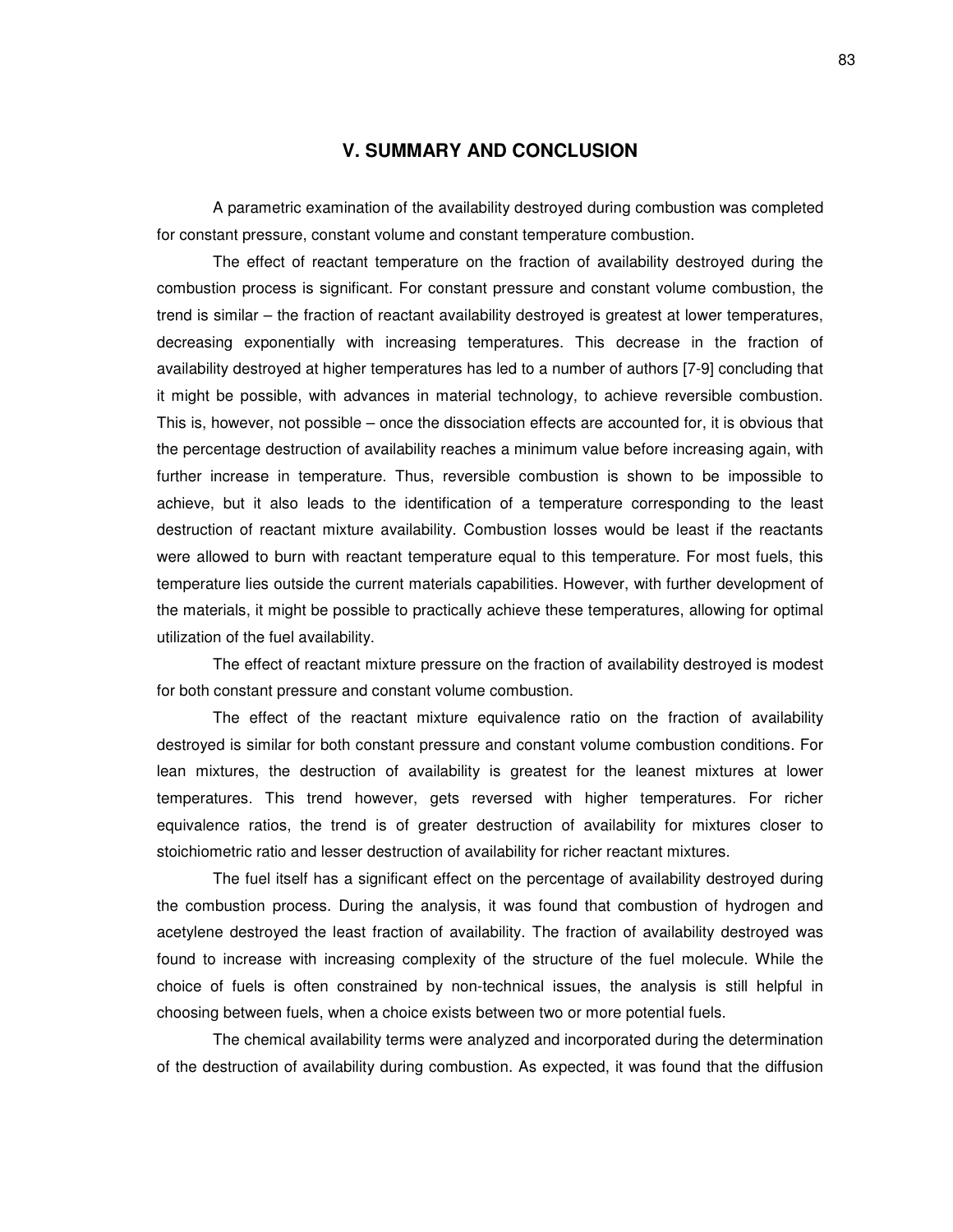# **V. SUMMARY AND CONCLUSION**

A parametric examination of the availability destroyed during combustion was completed for constant pressure, constant volume and constant temperature combustion.

The effect of reactant temperature on the fraction of availability destroyed during the combustion process is significant. For constant pressure and constant volume combustion, the trend is similar – the fraction of reactant availability destroyed is greatest at lower temperatures, decreasing exponentially with increasing temperatures. This decrease in the fraction of availability destroyed at higher temperatures has led to a number of authors [7-9] concluding that it might be possible, with advances in material technology, to achieve reversible combustion. This is, however, not possible – once the dissociation effects are accounted for, it is obvious that the percentage destruction of availability reaches a minimum value before increasing again, with further increase in temperature. Thus, reversible combustion is shown to be impossible to achieve, but it also leads to the identification of a temperature corresponding to the least destruction of reactant mixture availability. Combustion losses would be least if the reactants were allowed to burn with reactant temperature equal to this temperature. For most fuels, this temperature lies outside the current materials capabilities. However, with further development of the materials, it might be possible to practically achieve these temperatures, allowing for optimal utilization of the fuel availability.

The effect of reactant mixture pressure on the fraction of availability destroyed is modest for both constant pressure and constant volume combustion.

The effect of the reactant mixture equivalence ratio on the fraction of availability destroyed is similar for both constant pressure and constant volume combustion conditions. For lean mixtures, the destruction of availability is greatest for the leanest mixtures at lower temperatures. This trend however, gets reversed with higher temperatures. For richer equivalence ratios, the trend is of greater destruction of availability for mixtures closer to stoichiometric ratio and lesser destruction of availability for richer reactant mixtures.

The fuel itself has a significant effect on the percentage of availability destroyed during the combustion process. During the analysis, it was found that combustion of hydrogen and acetylene destroyed the least fraction of availability. The fraction of availability destroyed was found to increase with increasing complexity of the structure of the fuel molecule. While the choice of fuels is often constrained by non-technical issues, the analysis is still helpful in choosing between fuels, when a choice exists between two or more potential fuels.

The chemical availability terms were analyzed and incorporated during the determination of the destruction of availability during combustion. As expected, it was found that the diffusion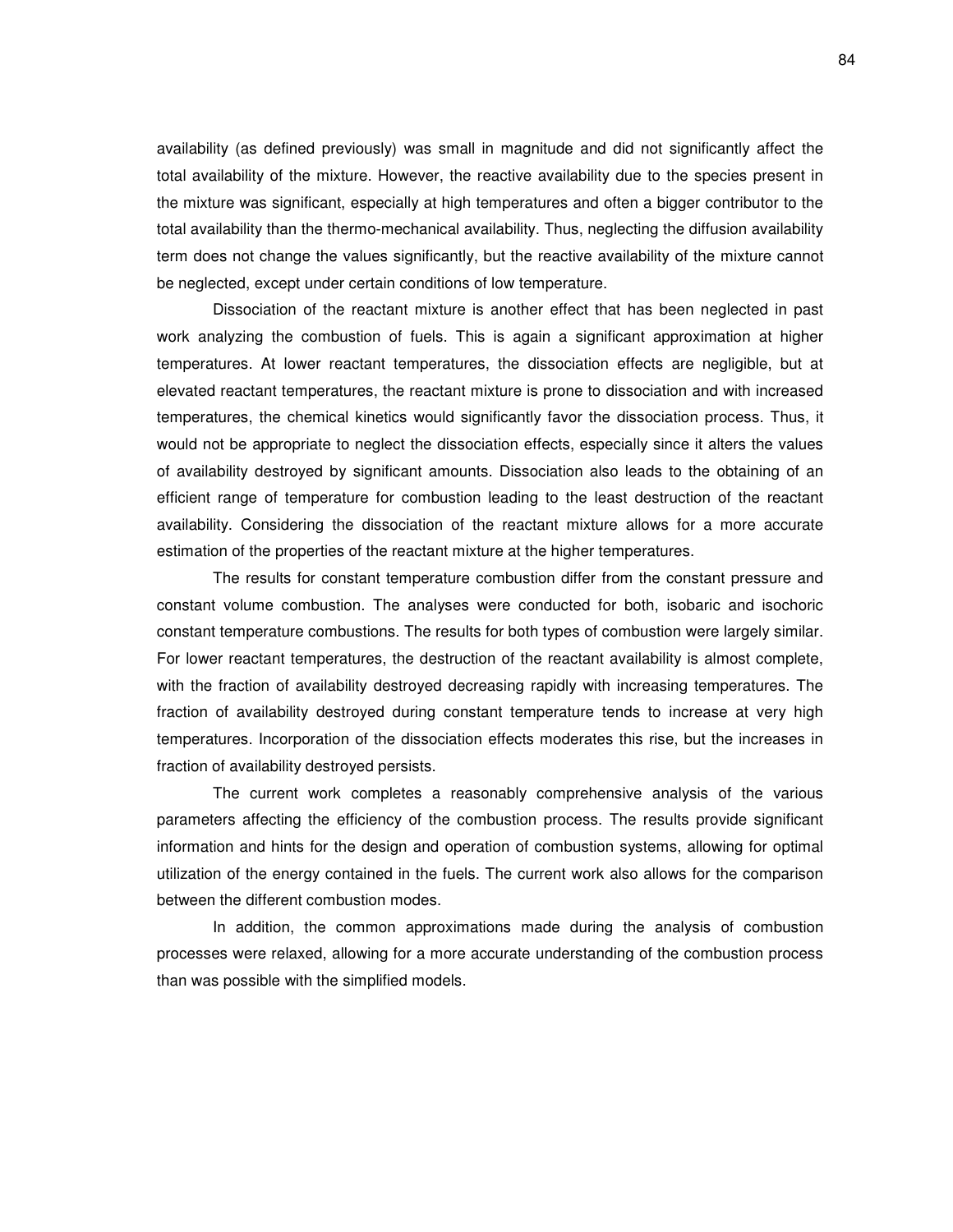availability (as defined previously) was small in magnitude and did not significantly affect the total availability of the mixture. However, the reactive availability due to the species present in the mixture was significant, especially at high temperatures and often a bigger contributor to the total availability than the thermo-mechanical availability. Thus, neglecting the diffusion availability term does not change the values significantly, but the reactive availability of the mixture cannot be neglected, except under certain conditions of low temperature.

Dissociation of the reactant mixture is another effect that has been neglected in past work analyzing the combustion of fuels. This is again a significant approximation at higher temperatures. At lower reactant temperatures, the dissociation effects are negligible, but at elevated reactant temperatures, the reactant mixture is prone to dissociation and with increased temperatures, the chemical kinetics would significantly favor the dissociation process. Thus, it would not be appropriate to neglect the dissociation effects, especially since it alters the values of availability destroyed by significant amounts. Dissociation also leads to the obtaining of an efficient range of temperature for combustion leading to the least destruction of the reactant availability. Considering the dissociation of the reactant mixture allows for a more accurate estimation of the properties of the reactant mixture at the higher temperatures.

The results for constant temperature combustion differ from the constant pressure and constant volume combustion. The analyses were conducted for both, isobaric and isochoric constant temperature combustions. The results for both types of combustion were largely similar. For lower reactant temperatures, the destruction of the reactant availability is almost complete, with the fraction of availability destroyed decreasing rapidly with increasing temperatures. The fraction of availability destroyed during constant temperature tends to increase at very high temperatures. Incorporation of the dissociation effects moderates this rise, but the increases in fraction of availability destroyed persists.

The current work completes a reasonably comprehensive analysis of the various parameters affecting the efficiency of the combustion process. The results provide significant information and hints for the design and operation of combustion systems, allowing for optimal utilization of the energy contained in the fuels. The current work also allows for the comparison between the different combustion modes.

In addition, the common approximations made during the analysis of combustion processes were relaxed, allowing for a more accurate understanding of the combustion process than was possible with the simplified models.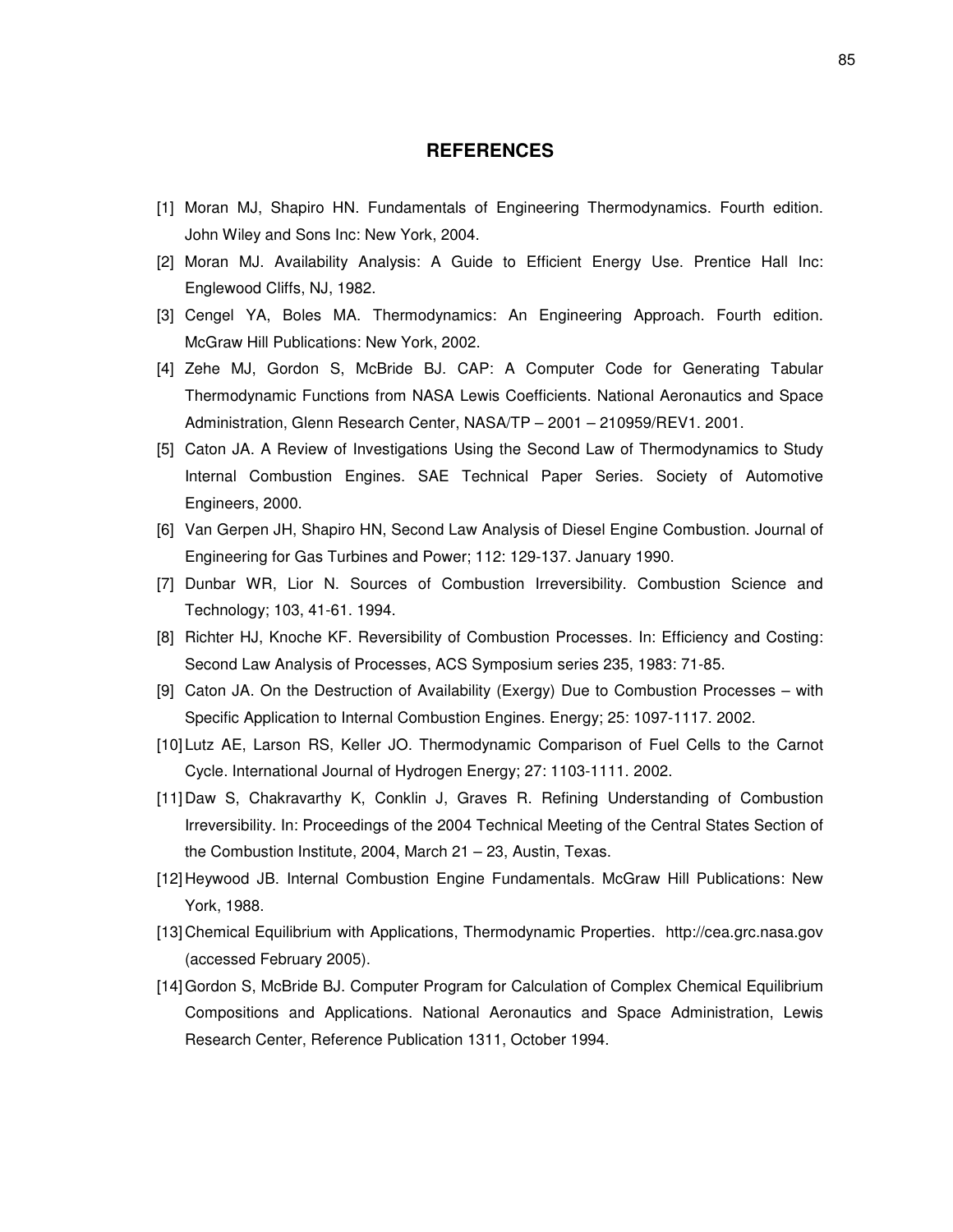# **REFERENCES**

- [1] Moran MJ, Shapiro HN. Fundamentals of Engineering Thermodynamics. Fourth edition. John Wiley and Sons Inc: New York, 2004.
- [2] Moran MJ. Availability Analysis: A Guide to Efficient Energy Use. Prentice Hall Inc: Englewood Cliffs, NJ, 1982.
- [3] Cengel YA, Boles MA. Thermodynamics: An Engineering Approach. Fourth edition. McGraw Hill Publications: New York, 2002.
- [4] Zehe MJ, Gordon S, McBride BJ. CAP: A Computer Code for Generating Tabular Thermodynamic Functions from NASA Lewis Coefficients. National Aeronautics and Space Administration, Glenn Research Center, NASA/TP – 2001 – 210959/REV1. 2001.
- [5] Caton JA. A Review of Investigations Using the Second Law of Thermodynamics to Study Internal Combustion Engines. SAE Technical Paper Series. Society of Automotive Engineers, 2000.
- [6] Van Gerpen JH, Shapiro HN, Second Law Analysis of Diesel Engine Combustion. Journal of Engineering for Gas Turbines and Power; 112: 129-137. January 1990.
- [7] Dunbar WR, Lior N. Sources of Combustion Irreversibility. Combustion Science and Technology; 103, 41-61. 1994.
- [8] Richter HJ, Knoche KF. Reversibility of Combustion Processes. In: Efficiency and Costing: Second Law Analysis of Processes, ACS Symposium series 235, 1983: 71-85.
- [9] Caton JA. On the Destruction of Availability (Exergy) Due to Combustion Processes with Specific Application to Internal Combustion Engines. Energy; 25: 1097-1117. 2002.
- [10] Lutz AE, Larson RS, Keller JO. Thermodynamic Comparison of Fuel Cells to the Carnot Cycle. International Journal of Hydrogen Energy; 27: 1103-1111. 2002.
- [11] Daw S, Chakravarthy K, Conklin J, Graves R. Refining Understanding of Combustion Irreversibility. In: Proceedings of the 2004 Technical Meeting of the Central States Section of the Combustion Institute, 2004, March 21 – 23, Austin, Texas.
- [12] Heywood JB. Internal Combustion Engine Fundamentals. McGraw Hill Publications: New York, 1988.
- [13] Chemical Equilibrium with Applications, Thermodynamic Properties. http://cea.grc.nasa.gov (accessed February 2005).
- [14]Gordon S, McBride BJ. Computer Program for Calculation of Complex Chemical Equilibrium Compositions and Applications. National Aeronautics and Space Administration, Lewis Research Center, Reference Publication 1311, October 1994.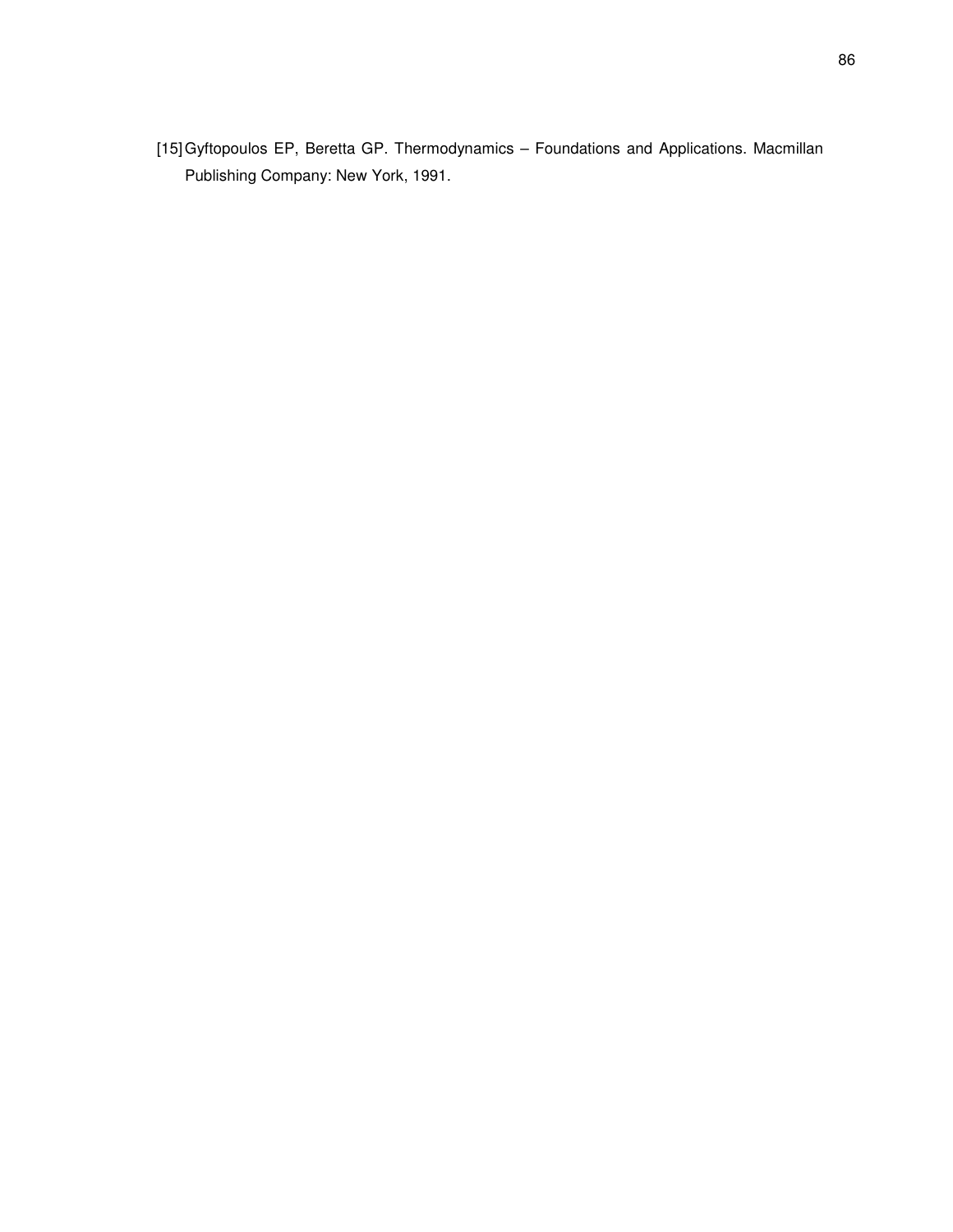[15]Gyftopoulos EP, Beretta GP. Thermodynamics – Foundations and Applications. Macmillan Publishing Company: New York, 1991.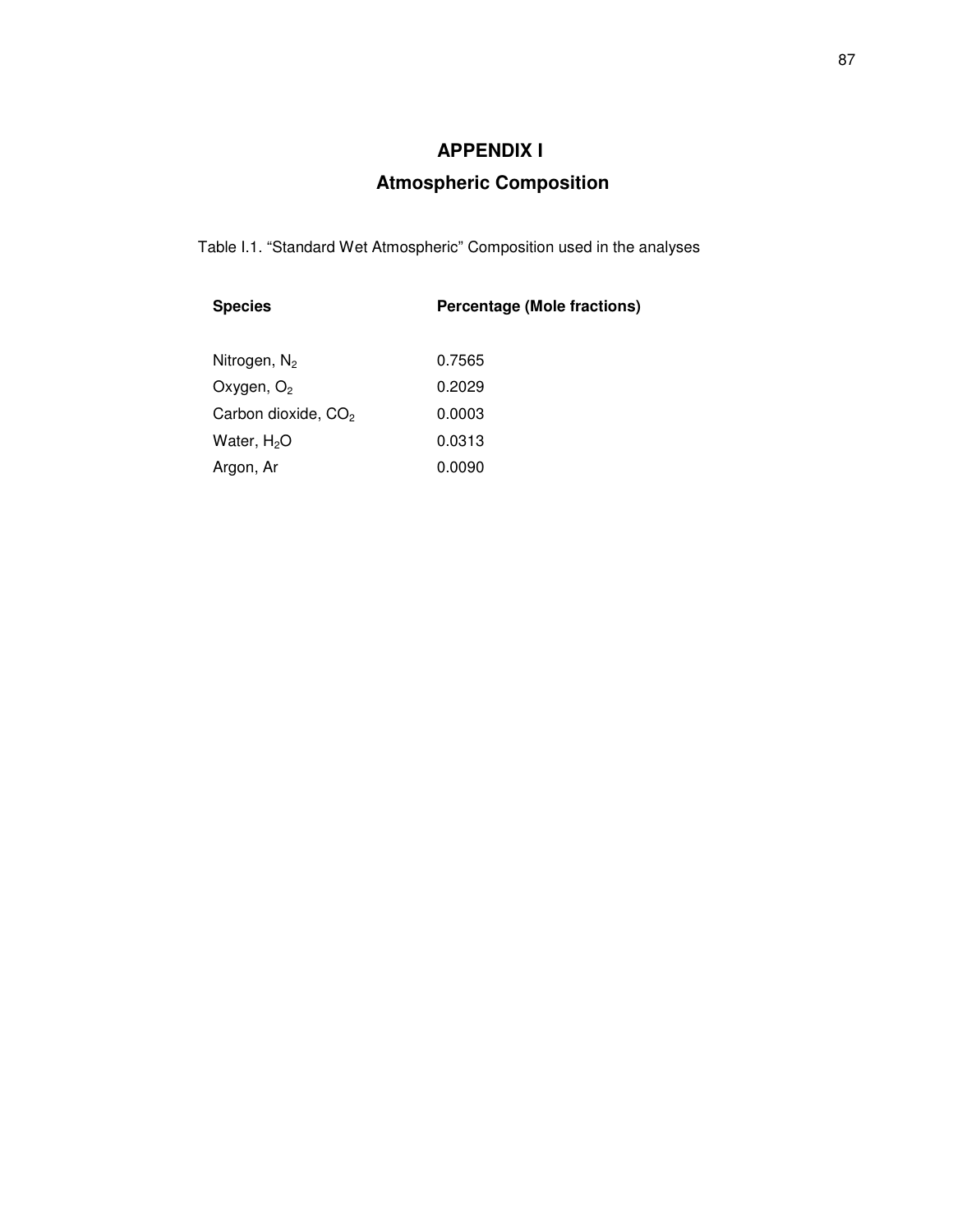# **APPENDIX I**

# **Atmospheric Composition**

Table I.1. "Standard Wet Atmospheric" Composition used in the analyses

| <b>Species</b>  | <b>Percentage (Mole fractions)</b> |
|-----------------|------------------------------------|
| Nitrogen, $N_2$ | 0.7565                             |
| Oxygen, $O_2$   | 0.2029                             |

| Ovyyon, O2                      | U.LULJ |
|---------------------------------|--------|
| Carbon dioxide, CO <sub>2</sub> | 0.0003 |
| Water, H <sub>2</sub> O         | 0.0313 |
| Argon, Ar                       | 0.0090 |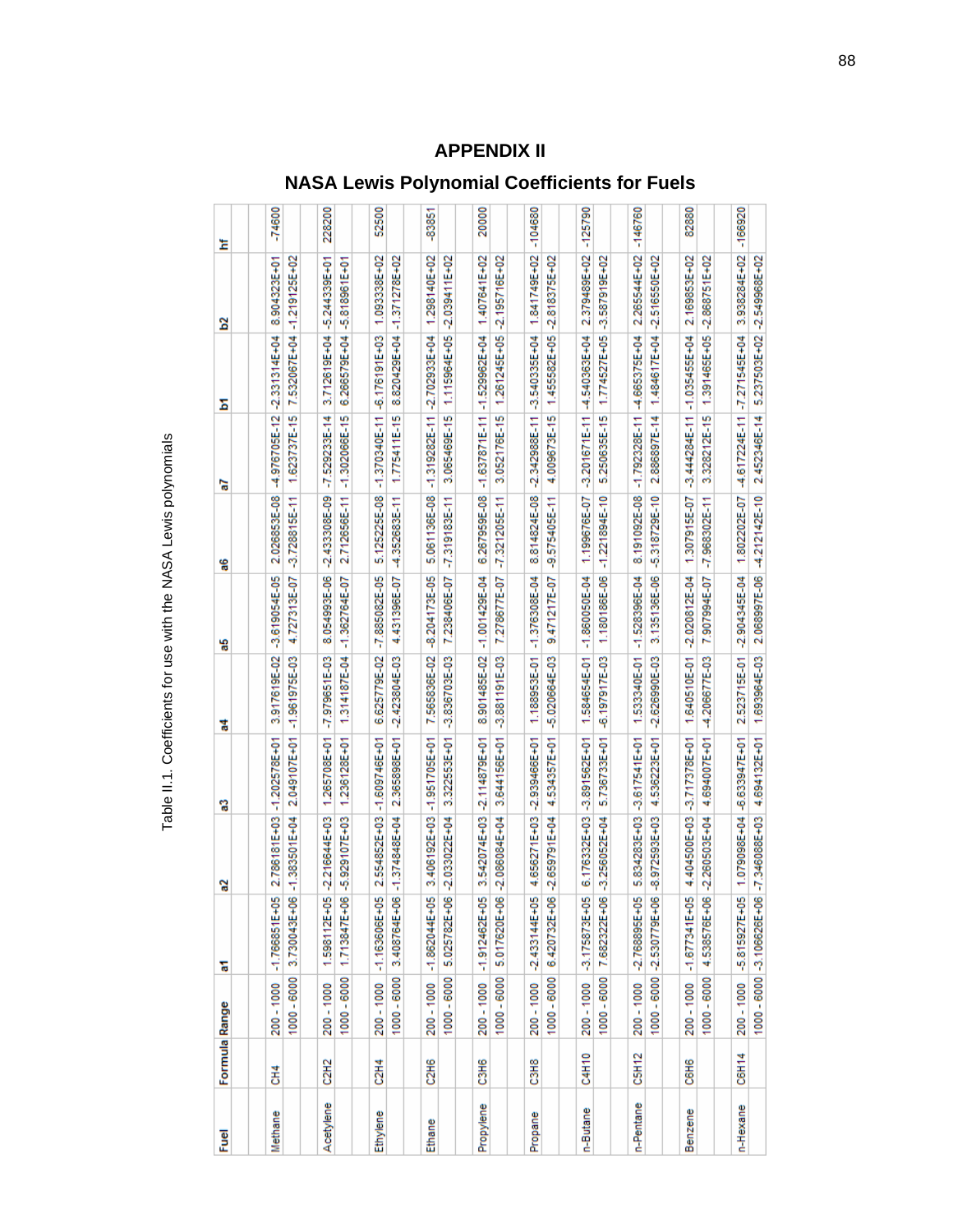| <u>g</u>  | Formula Range     |                           | 둖                          | ្ល                | ឌួ                | 2                 | 떪                 | 96                | ā                 | Σ                               | <b>S</b>                   | Ĕ         |
|-----------|-------------------|---------------------------|----------------------------|-------------------|-------------------|-------------------|-------------------|-------------------|-------------------|---------------------------------|----------------------------|-----------|
|           |                   |                           | $-1.766851E+05$            | 2.786181E+03      | $-1,202578E+01$   | 3.917619E-02      | $-3.619054E-05$   | 2.026853E-08      | -4.976705E-12     | $-2.331314E + 04$               | 8.904323E+01               | $-746000$ |
| Methane   | 좋                 | 1000 - 6000<br>200 - 1000 | 3.730043E+06               | $-1.383501E + 04$ | 2.049107E+01      | $-1.961975E-03$   | 4.727313E-07      | $-3.728815E - 11$ | 1.623737E-15      |                                 | 7.532067E+04 -1.219125E+02 |           |
|           |                   |                           |                            |                   |                   |                   |                   |                   |                   |                                 |                            |           |
| Acetylene | C <sub>2H2</sub>  | 200 - 1000                | 1.598112E+05               | $-2.216644E + 03$ | 1.265708E+01      | $-7.979651E-03$   | 8.054993E-06      | $-2.433308E - 09$ | $-7.529233E-14$   | 3.712619E+04                    | $-5.244339E+01$            | 228200    |
|           |                   | 1000 - 6000               | 1.713847E+06               | $-5.929107E + 03$ | 1.236128E+01      | 1.314187E-04      | $-1.362764E - 07$ | 2.712656E-11      | $-1.302066E-15$   | 6.266579E+04                    | $-5.818961E+01$            |           |
|           |                   |                           |                            |                   |                   |                   |                   |                   |                   |                                 |                            |           |
| Ethylene  | $\frac{4}{214}$   | 200 - 1000                | $-1.163606E + 05$          | 2.554852E+03      | $-1.609746E + 01$ | 6.625779E-02      | $-7.885082E-05$   | 5.125225E-08      | $-1.370340E-11$   | $-6.176191E + 03$               | 1.093338E+02               | 52500     |
|           |                   | 1000 - 6000               | 3.408764E+06               | $-1.374848E + 04$ | 2.365898E+01      | $-2.423804E-03$   | 4.431396E-07      | -4.352683E-11     | 1.775411E-15      | 8.820429E+04                    | $-1.371278E + 02$          |           |
|           |                   |                           |                            |                   |                   |                   |                   |                   |                   |                                 |                            |           |
| Ethane    | 216               | 200 - 1000                | $-1.862044E+05$            | 3.406192E+03      | $-1.951705E+01$   | 7.565836E-02      | $-8.204173E-05$   | 5.061136E-08      | $-1.319282E-11$   | $-2.702933E + 04$               | 1.298140E+02               | -83851    |
|           |                   | 1000 - 6000               | 5.025782E+06               | 2.033022E+04      | 3.322553E+01      | $-3.836703E - 03$ | 7.238406E-07      | $-7.319183E-11$   | 3.065469E-15      |                                 | 1.115964E+05 -2.039411E+02 |           |
|           |                   |                           |                            |                   |                   |                   |                   |                   |                   |                                 |                            |           |
| Propylene | C3H6              | 200 - 1000                | $-1.912462E + 05$          | 3.542074E+03      | $-2.114879E + 01$ | 8.901485E-02      | $-1.001429E-04$   | 6.267959E-08      | $-1.637871E-11$   | $-1.529962E + 04$               | 1.407641E+02               | 20000     |
|           |                   | 1000 - 6000               | 5.017620E+06               | 2.086084E+04      | 3.644156E+01      | -3.881191E-03     | 7.278677E-07      | $-7.321205E-11$   | 3.052176E-15      | 1.261245E+05                    | $-2.195716E + 02$          |           |
|           |                   |                           |                            |                   |                   |                   |                   |                   |                   |                                 |                            |           |
| Propane   | C3H8              | 200 - 1000                | $2.433144E + 05$           | 4.656271E+03      | $-2.939466E + 01$ | 1.188953E-01      | $-1.376308E - 04$ | 8.814824E-08      | $-2.342988E-11$   | -3.540335E+04                   | 1.841749E+02               | 104680    |
|           |                   | 1000 - 6000               | 6.420732E+06               | $-2.659791E + 04$ | 4.534357E+01      | $-5.020664E-03$   | 9.471217E-07      | -9.575405E-11     | 4.009673E-15      |                                 | 1.455582E+05 -2.818375E+02 |           |
|           |                   |                           |                            |                   |                   |                   |                   |                   |                   |                                 |                            |           |
| n-Butane  | C4H10             | 200 - 1000                | $-3.175873E+05$            | 6.176332E+03      | $-3.891562E + 01$ | 1.584654E-01      | $-1.860050E - 04$ | 1.199676E-07      | $-3.201671E - 11$ | 4.540363E+04                    | 2.379489E+02               | $-125/90$ |
|           |                   | 1000 - 6000               | 7.682322E+06               | 3.256052E+04      | 5.736733E+01      | $-6.197917E-03$   | 1.180186E-06      | $-1.221894E - 10$ | 5.250635E-15      | 1.774527E+05                    | $-3.587919E + 02$          |           |
|           |                   |                           |                            |                   |                   |                   |                   |                   |                   |                                 |                            |           |
| n-Pentane | CSH <sub>12</sub> | 200 - 1000                | $-2.768895E + 05$          | 5.834283E+03      | -3.617541E+01     | 1.533340E-01      | $-1.528396E - 04$ | 8.191092E-08      | $-1.792328E - 11$ | 4.665375E+04                    | 2.265544E+02               | $-146760$ |
|           |                   |                           | 1000 - 6000 - 2.530779E+06 | 8.972593E+03      | 4.536223E+01      | $-2.626990E - 03$ | 3.135136E-06      | -5.318729E-10     | 2.886897E-14      |                                 | 1.484617E+04 -2.516550E+02 |           |
|           |                   |                           |                            |                   |                   |                   |                   |                   |                   |                                 |                            |           |
| Benzene   | C6H6              | 200 - 1000                | $-1.677341E+05$            | 4.404500E+03      | $-3.717378E + 01$ | 1.640510E-01      | $-2.020812E-04$   | 1.307915E-07      |                   | $-3.444284E-11$ $-1.035455E+04$ | 2.169853E+02               | 82880     |
|           |                   | 1000 - 6000               | 4.538576E+06               | $-2.260503E + 04$ | 4.694007E+01      | -4.206677E-03     | 7.907994E-07      | $-7.968302E-11$   | 3.328212E-15      | 1.391465E+05                    | $-2.868751E + 02$          |           |
|           |                   |                           |                            |                   |                   |                   |                   |                   |                   |                                 |                            |           |
| n-Hexane  | C6H14             | 200 - 1000                | $-5.815927E + 05$          | 1.079098E+04      | $-6.633947E + 01$ | 2.523715E-01      | $-2.904345E-04$   | 1.802202E-07      |                   | 4.617224E-11 -7.271545E+04      | 3.938284E+02               | $-166920$ |
|           |                   |                           | 1000 - 6000 -3.106626E+06  | $-7.346088E + 03$ | 4.694132E+01      | 1.693964E-03      | 2.068997E-06      | -4.212142E-10     | 2.452346E-14      |                                 | 5.237503E+02 -2.549968E+02 |           |

# Table II.1. Coefficients for use with the NASA Lewis polynomials Table II.1. Coefficients for use with the NASA Lewis polynomials

# **APPENDIX II NASA Lewis Polynomial Coefficients for Fuels**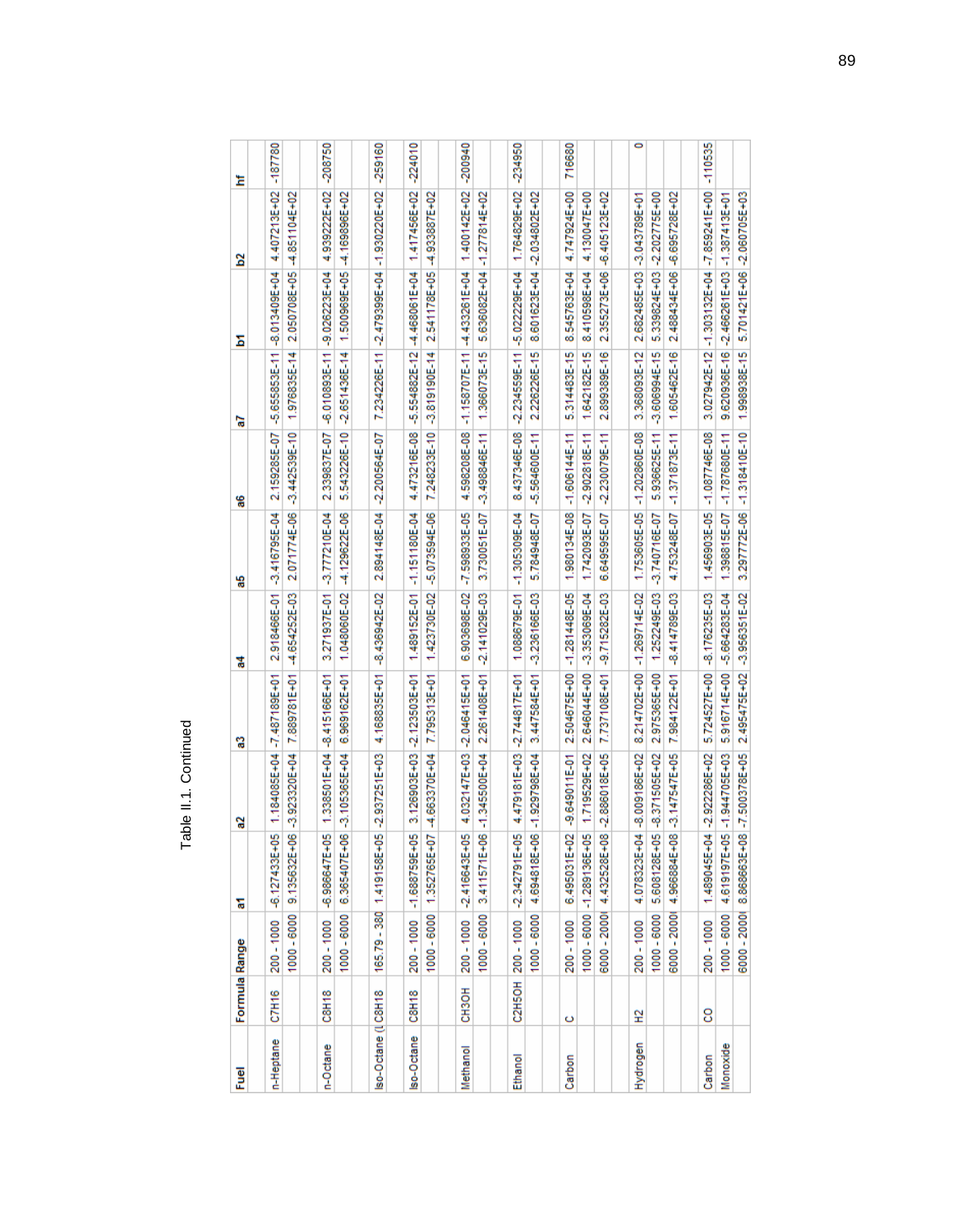| í |  |
|---|--|

| Fuel                | Formula Range |                 | ᢛ                          | ្ល                | ្លូ                        | 7                 | 5                          | 96                         | ā                 | Σ                                                | 2                          | Ĕ         |
|---------------------|---------------|-----------------|----------------------------|-------------------|----------------------------|-------------------|----------------------------|----------------------------|-------------------|--------------------------------------------------|----------------------------|-----------|
|                     |               |                 |                            |                   |                            |                   |                            |                            |                   |                                                  |                            |           |
| n-Heptane           | C7H16         | 200 - 1000      | $-6.127433E + 05$          |                   | 1.184085E+04 -7.487189E+01 | 2.918466E-01      | $-3.416795E - 04$          | 2.159285E-07               |                   | $-5.655853E-11$ $-8.013409E+04$                  | 4.407213E+02 -187780       |           |
|                     |               | 1000 - 6000     | 9.135632E+06               | $-3.923320E + 04$ | 7.889781E+01               | -4.654252E-03     | 2.071774E-06               | $-3.442539E - 10$          | 1.976835E-14      | 2.050708E+05                                     | $-4.851104E + 02$          |           |
|                     |               |                 |                            |                   |                            |                   |                            |                            |                   |                                                  |                            |           |
| n-Octane            | C8H18         | 200 - 1000      | $-6.986647E + 05$          | 1.338501E+04      | $-8.415166E + 01$          | 3.271937E-01      | -3.777210E-04              | 2.339837E-07               |                   | $-6.010893E-111 - 9.026223E+04$                  | 4.939222E+02               | -208750   |
|                     |               | 1000 - 6000     | 6.365407E+06               | $-3.105385E + 04$ | 6.969162E+01               |                   | 1.048060E-02 4.129622E-06  | 5.543226E-10               |                   | $-2.651436E-14$   $1.500969E+05$   -4.169896E+02 |                            |           |
|                     |               |                 |                            |                   |                            |                   |                            |                            |                   |                                                  |                            |           |
| Iso-Octane (I C8H18 |               |                 | 165.79 - 380 1.419158E+05  | $-2.937251E + 03$ | 4.168835E+01               | -8.436942E-02     | 2.894148E-04               | $-2.200564E - 07$          |                   | 7.234226E-11 -2.479399E+04 -1.930220E+02         |                            | $-259160$ |
|                     |               |                 |                            |                   |                            |                   |                            |                            |                   |                                                  |                            |           |
| Iso-Octane C8H18    |               |                 | 200 - 1000 - 1.688759E+05  |                   | 3.126903E+03 -2.123503E+01 |                   | 1.489152E-01 -1.151180E-04 | 4.473216E-08               | -5.554882E-12     | $-4.468061E + 04$                                | 1.417456E+02               | -224010   |
|                     |               | 1000 - 6000     | 1.352765E+07               | 4.663370E+04      | 7.795313E+01               | 1.423730E-02      | -5.073594E-06              | 7.248233E-10               | -3.819190E-14     | 2.541178E+05                                     | $-4.933887E + 02$          |           |
|                     |               |                 |                            |                   |                            |                   |                            |                            |                   |                                                  |                            |           |
| Methanol            | СНЗОН         | 200 - 1000      | $-2.416643E + 05$          | 4.032147E+03      | $-2.046415E+01$            | 6.903698E-02      | $-7.598933E - 05$          | 4.598208E-08               | $-1.158707E-11$   | -4.433261E+04                                    | 1.400142E+02               | -200940   |
|                     |               |                 | 1000-6000 3.411571E+06     | $1.345500E + 04$  | 2.261408E+01               | 2.141029E-03      | 3.730051E-07               | 3.498846E-11               | 1.366073E-15      | 5.636082E+04 -1.277814E+02                       |                            |           |
|                     |               |                 |                            |                   |                            |                   |                            |                            |                   |                                                  |                            |           |
| Ethanol             |               | C2H5OH 200-1000 | $-2.342791E + 05$          |                   | 4.479181E+03 -2.744817E+01 | 1.088679E-01      | $-1.305309E - 04$          | 8.437346E-08               |                   | $-2.234559E-11 - 5.02229E+04$                    | 1.764829E+02               | $-234950$ |
|                     |               | 1000 - 6000     | 4.694818E+06               | $-1.929798E + 04$ | 3.447584E+01               | 3.236166E-03      | 5.784948E-07               | $-5.564600E-11$            | 2.226226E-15      |                                                  | 8.601623E+04 -2.034802E+02 |           |
|                     |               |                 |                            |                   |                            |                   |                            |                            |                   |                                                  |                            |           |
| Carbon              | ပ             | 200 - 1000      | 6.495031E+02               | -9.649011E-01     | 2.504675E+00               | $-1.281448E-05$   | 1.980134E-08               | $-1.606144E-11$            | 5.314483E-15      | 8.545763E+04                                     | 4.747924E+00               | 716680    |
|                     |               |                 | 1000 - 6000 - 1.289136E+05 | 1.719529E+02      | 2.646044E+00               | -3.353069E-04     | 1.742093E-07               | $-2.902818E - 11$          | 1.642182E-15      | 8.410598E+04                                     | 4.130047E+00               |           |
|                     |               |                 | 6000 - 20001 4.432528E+08  | $-2.886018E + 05$ | 7.737108E+01               | 9.715282E-03      | 6.649595E-07               | $-2.230079E - 11$          | 2.899389E-16      | 2.355273E+06                                     | $-6.405123E + 02$          |           |
|                     |               |                 |                            |                   |                            |                   |                            |                            |                   |                                                  |                            |           |
| Hydrogen            | 엎             | 200-1000        | 4.078323E+04               | $-8.009186E + 02$ | 8.214702E+00               | $-1.269714E-02$   | 1.753605E-05               | $-1.202860E - 08$          | 3.368093E-12      | 2.682485E+03                                     | $-3.043789E + 01$          | 0         |
|                     |               | 1000 - 6000     | 5.608128E+05               | $-8.371505E + 02$ | 2.975365E+00               | 1.252249E-03      | $-3.740716E - 07$          | 5.936625E-11               | $-3.606994E - 15$ | 5.339824E+03 -2.202775E+00                       |                            |           |
|                     |               | 6000 - 2000     | 4.966884E+08               | $-3.147547E + 05$ | 7.984122E+01               | -8.414789E-03     | 4.753248E-07               | $-1.371873E - 11$          | 1.605462E-16      | 2.488434E+06                                     | $-6.695728E + 02$          |           |
|                     |               |                 |                            |                   |                            |                   |                            |                            |                   |                                                  |                            |           |
| Carbon              | 8             | 200 - 1000      | 1.489045E+04               | 2.922286E+02      | 5.724527E+00               | 8.176235E-03      | 1.456903E-05               | $-1.087746E - 08$          | 3.027942E-12      | $-1.303132E+04$                                  | $-7.859241E+00$            | -110535   |
| Monoxide            |               | 1000 - 6000     | 4.619197E+05               | $-1.944705E + 03$ | 5.916714E+00               | $-5.664283E - 04$ |                            | 1.398815E-07 -1.787680E-11 |                   | 9.620936E-16 -2.466261E+03 -1.387413E+01         |                            |           |
|                     |               |                 | 6000 - 2000 8.868663E+08   | $-7.500378E + 05$ | 2.495475E+02               | $-3.956351E-02$   |                            | 3.297772E-06 -1.318410E-10 |                   | 1.998938E-15 5.701421E+06 -2.060705E+03          |                            |           |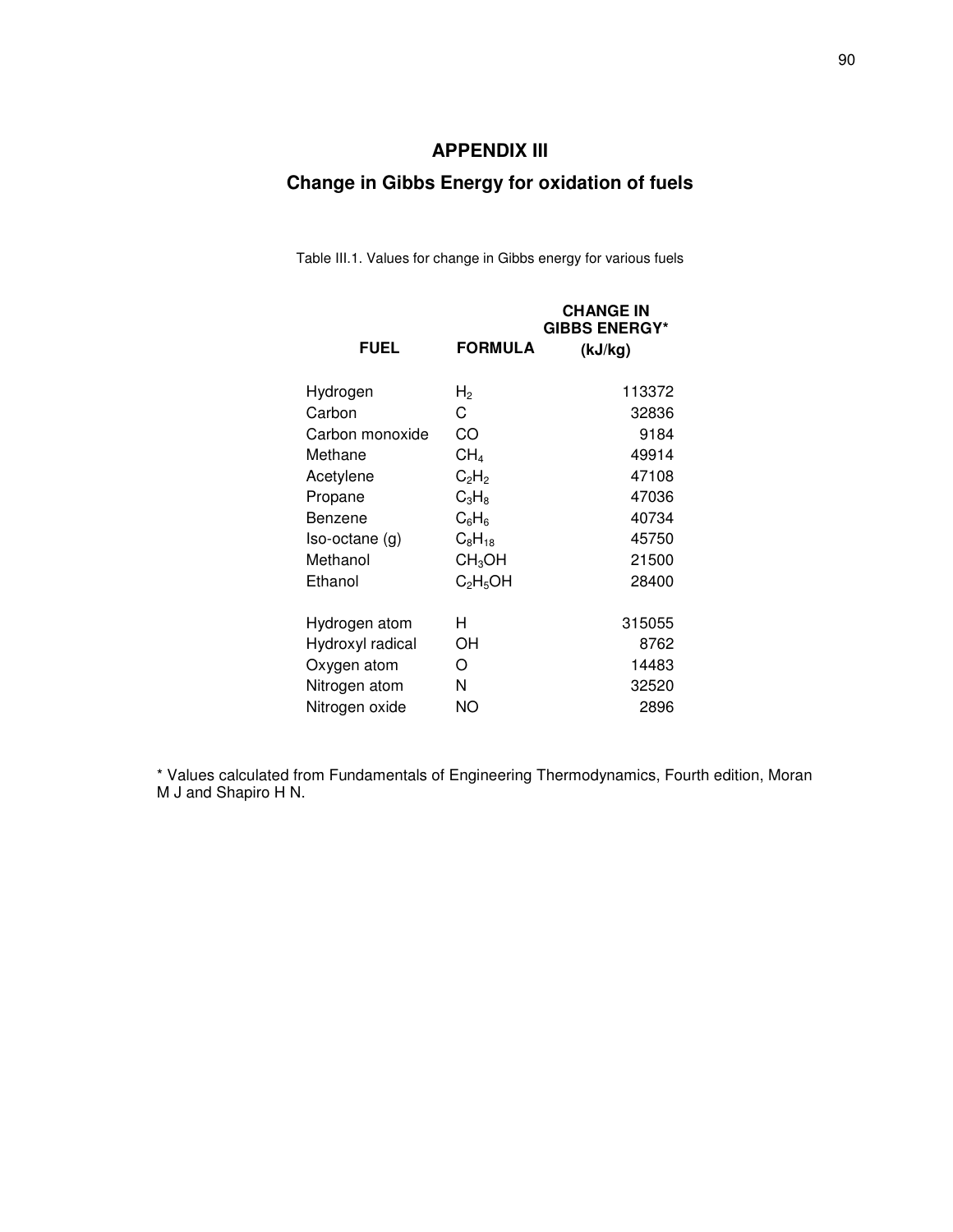# **APPENDIX III**

# **Change in Gibbs Energy for oxidation of fuels**

Table III.1. Values for change in Gibbs energy for various fuels

| <b>FUEL</b>      | <b>FORMULA</b>                   | <b>CHANGE IN</b><br><b>GIBBS ENERGY*</b><br>(kJ/kg) |
|------------------|----------------------------------|-----------------------------------------------------|
| Hydrogen         | H <sub>2</sub>                   | 113372                                              |
| Carbon           | C                                | 32836                                               |
| Carbon monoxide  | CO                               | 9184                                                |
| Methane          | CH <sub>4</sub>                  | 49914                                               |
| Acetylene        | $C_2H_2$                         | 47108                                               |
| Propane          | $C_3H_8$                         | 47036                                               |
| Benzene          | $C_6H_6$                         | 40734                                               |
| $Iso-octane(g)$  | $C_8H_{18}$                      | 45750                                               |
| Methanol         | CH <sub>3</sub> OH               | 21500                                               |
| Ethanol          | C <sub>2</sub> H <sub>5</sub> OH | 28400                                               |
| Hydrogen atom    | H                                | 315055                                              |
| Hydroxyl radical | OН                               | 8762                                                |
| Oxygen atom      | O                                | 14483                                               |
| Nitrogen atom    | N                                | 32520                                               |
| Nitrogen oxide   | ΝO                               | 2896                                                |
|                  |                                  |                                                     |

\* Values calculated from Fundamentals of Engineering Thermodynamics, Fourth edition, Moran M J and Shapiro H N.